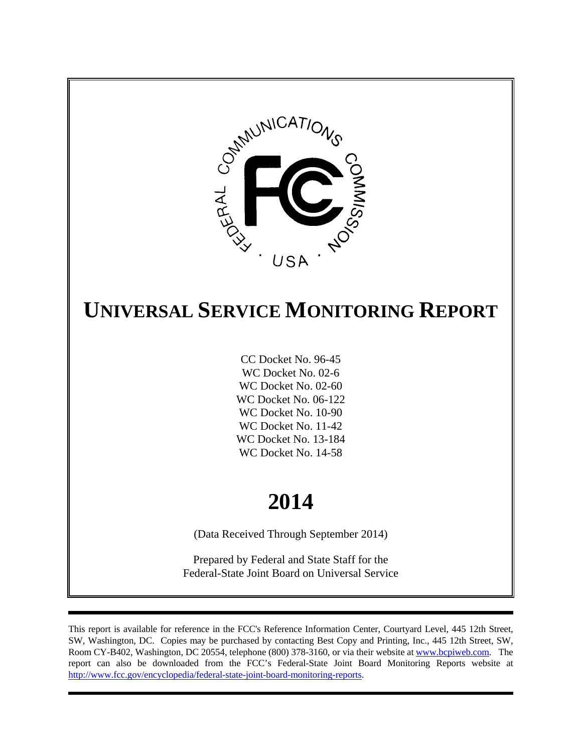

# **UNIVERSAL SERVICE MONITORING REPORT**

CC Docket No. 96-45 WC Docket No. 02-6 WC Docket No. 02-60 WC Docket No. 06-122 WC Docket No. 10-90 WC Docket No. 11-42 WC Docket No. 13-184 WC Docket No. 14-58

# **2014**

(Data Received Through September 2014)

Prepared by Federal and State Staff for the Federal-State Joint Board on Universal Service

This report is available for reference in the FCC's Reference Information Center, Courtyard Level, 445 12th Street, SW, Washington, DC. Copies may be purchased by contacting Best Copy and Printing, Inc., 445 12th Street, SW, Room CY-B402, Washington, DC 20554, telephone (800) 378-3160, or via their website at www.bcpiweb.com. The report can also be downloaded from the FCC's Federal-State Joint Board Monitoring Reports website at http://www.fcc.gov/encyclopedia/federal-state-joint-board-monitoring-reports.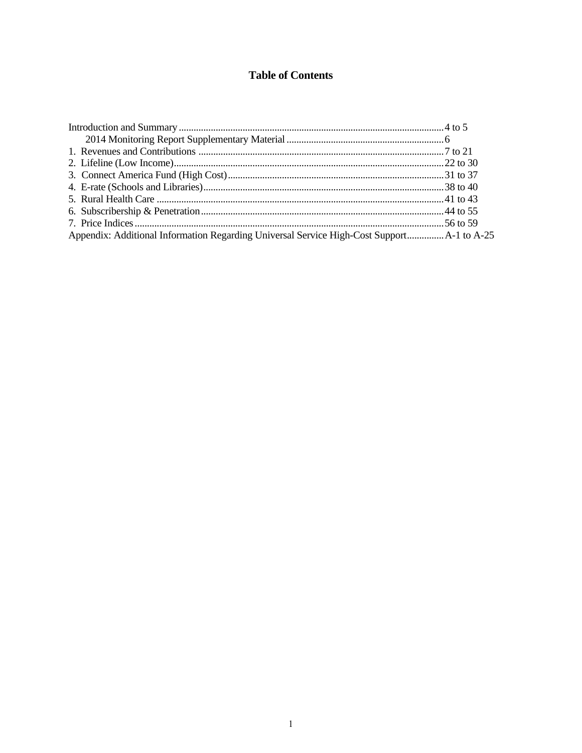# **Table of Contents**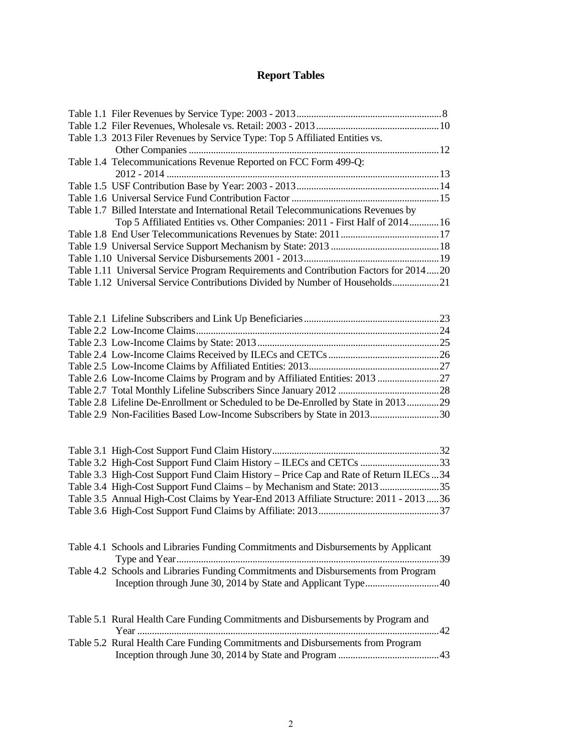# **Report Tables**

| Table 1.3 2013 Filer Revenues by Service Type: Top 5 Affiliated Entities vs.          |  |
|---------------------------------------------------------------------------------------|--|
|                                                                                       |  |
| Table 1.4 Telecommunications Revenue Reported on FCC Form 499-Q:                      |  |
|                                                                                       |  |
|                                                                                       |  |
|                                                                                       |  |
| Table 1.7 Billed Interstate and International Retail Telecommunications Revenues by   |  |
| Top 5 Affiliated Entities vs. Other Companies: 2011 - First Half of 2014 16           |  |
|                                                                                       |  |
|                                                                                       |  |
|                                                                                       |  |
| Table 1.11 Universal Service Program Requirements and Contribution Factors for 201420 |  |
| Table 1.12 Universal Service Contributions Divided by Number of Households21          |  |
|                                                                                       |  |
|                                                                                       |  |
|                                                                                       |  |
|                                                                                       |  |
|                                                                                       |  |
|                                                                                       |  |

| Table 2.8 Lifeline De-Enrollment or Scheduled to be De-Enrolled by State in 201329 |  |
|------------------------------------------------------------------------------------|--|
|                                                                                    |  |
|                                                                                    |  |

| Table 3.2 High-Cost Support Fund Claim History – ILECs and CETCs 33                     |  |
|-----------------------------------------------------------------------------------------|--|
| Table 3.3 High-Cost Support Fund Claim History – Price Cap and Rate of Return ILECs 34  |  |
| Table 3.4 High-Cost Support Fund Claims – by Mechanism and State: 201335                |  |
| Table 3.5 Annual High-Cost Claims by Year-End 2013 Affiliate Structure: 2011 - 2013  36 |  |
|                                                                                         |  |
|                                                                                         |  |

| Table 4.1 Schools and Libraries Funding Commitments and Disbursements by Applicant |  |
|------------------------------------------------------------------------------------|--|
|                                                                                    |  |
| Table 4.2 Schools and Libraries Funding Commitments and Disbursements from Program |  |
|                                                                                    |  |
|                                                                                    |  |

| Table 5.1 Rural Health Care Funding Commitments and Disbursements by Program and |  |
|----------------------------------------------------------------------------------|--|
|                                                                                  |  |
| Table 5.2 Rural Health Care Funding Commitments and Disbursements from Program   |  |
|                                                                                  |  |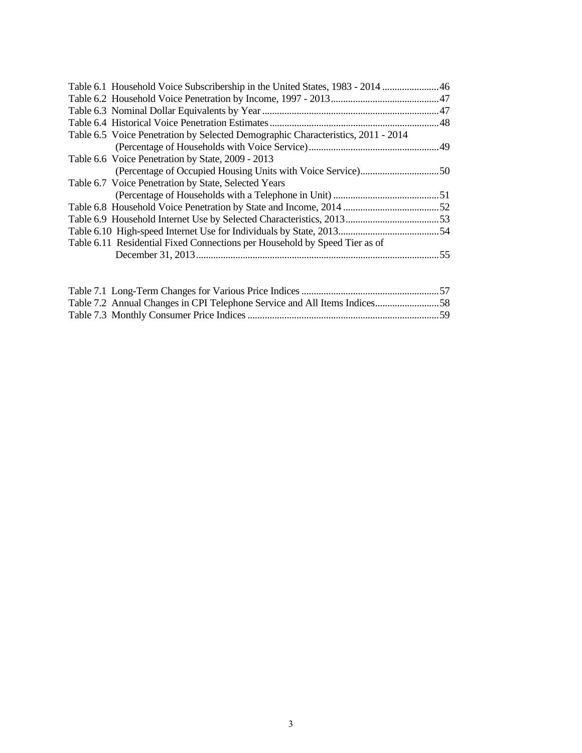| Table 6.1 Household Voice Subscribership in the United States, 1983 - 2014  46   |  |
|----------------------------------------------------------------------------------|--|
|                                                                                  |  |
|                                                                                  |  |
|                                                                                  |  |
| Table 6.5 Voice Penetration by Selected Demographic Characteristics, 2011 - 2014 |  |
|                                                                                  |  |
| Table 6.6 Voice Penetration by State, 2009 - 2013                                |  |
|                                                                                  |  |
| Table 6.7 Voice Penetration by State, Selected Years                             |  |
|                                                                                  |  |
|                                                                                  |  |
|                                                                                  |  |
|                                                                                  |  |
| Table 6.11 Residential Fixed Connections per Household by Speed Tier as of       |  |
|                                                                                  |  |
|                                                                                  |  |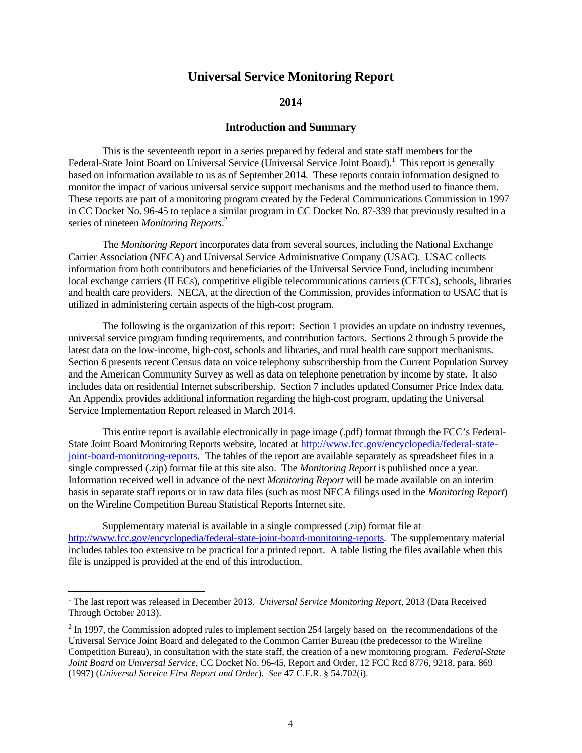# **Universal Service Monitoring Report**

### **2014**

## **Introduction and Summary**

 This is the seventeenth report in a series prepared by federal and state staff members for the Federal-State Joint Board on Universal Service (Universal Service Joint Board).<sup>1</sup> This report is generally based on information available to us as of September 2014. These reports contain information designed to monitor the impact of various universal service support mechanisms and the method used to finance them. These reports are part of a monitoring program created by the Federal Communications Commission in 1997 in CC Docket No. 96-45 to replace a similar program in CC Docket No. 87-339 that previously resulted in a series of nineteen *Monitoring Reports*. 2

 The *Monitoring Report* incorporates data from several sources, including the National Exchange Carrier Association (NECA) and Universal Service Administrative Company (USAC). USAC collects information from both contributors and beneficiaries of the Universal Service Fund, including incumbent local exchange carriers (ILECs), competitive eligible telecommunications carriers (CETCs), schools, libraries and health care providers. NECA, at the direction of the Commission, provides information to USAC that is utilized in administering certain aspects of the high-cost program.

 The following is the organization of this report: Section 1 provides an update on industry revenues, universal service program funding requirements, and contribution factors. Sections 2 through 5 provide the latest data on the low-income, high-cost, schools and libraries, and rural health care support mechanisms. Section 6 presents recent Census data on voice telephony subscribership from the Current Population Survey and the American Community Survey as well as data on telephone penetration by income by state. It also includes data on residential Internet subscribership. Section 7 includes updated Consumer Price Index data. An Appendix provides additional information regarding the high-cost program, updating the Universal Service Implementation Report released in March 2014.

 This entire report is available electronically in page image (.pdf) format through the FCC's Federal-State Joint Board Monitoring Reports website, located at http://www.fcc.gov/encyclopedia/federal-statejoint-board-monitoring-reports. The tables of the report are available separately as spreadsheet files in a single compressed (.zip) format file at this site also. The *Monitoring Report* is published once a year. Information received well in advance of the next *Monitoring Report* will be made available on an interim basis in separate staff reports or in raw data files (such as most NECA filings used in the *Monitoring Report*) on the Wireline Competition Bureau Statistical Reports Internet site.

 Supplementary material is available in a single compressed (.zip) format file at http://www.fcc.gov/encyclopedia/federal-state-joint-board-monitoring-reports. The supplementary material includes tables too extensive to be practical for a printed report. A table listing the files available when this file is unzipped is provided at the end of this introduction.

<sup>&</sup>lt;sup>1</sup> The last report was released in December 2013. *Universal Service Monitoring Report*, 2013 (Data Received Through October 2013).

 $2<sup>2</sup>$  In 1997, the Commission adopted rules to implement section 254 largely based on the recommendations of the Universal Service Joint Board and delegated to the Common Carrier Bureau (the predecessor to the Wireline Competition Bureau), in consultation with the state staff, the creation of a new monitoring program. *Federal-State Joint Board on Universal Service*, CC Docket No. 96-45, Report and Order, 12 FCC Rcd 8776, 9218, para. 869 (1997) (*Universal Service First Report and Order*). *See* 47 C.F.R. § 54.702(i).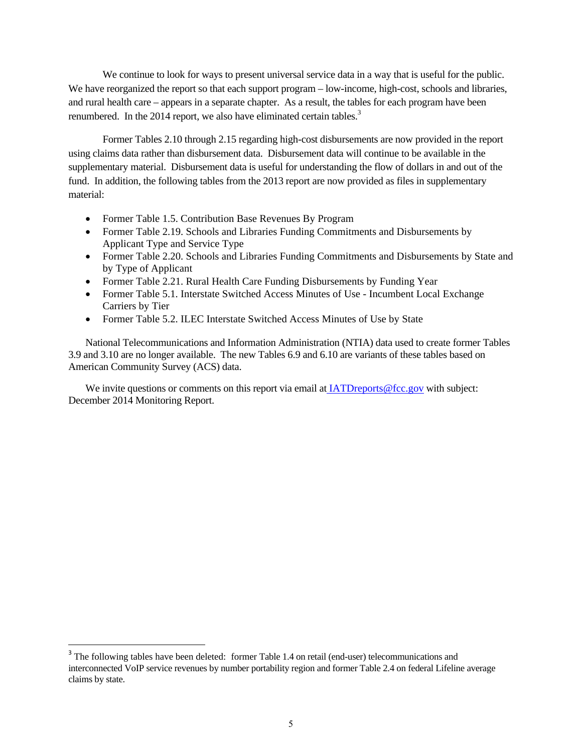We continue to look for ways to present universal service data in a way that is useful for the public. We have reorganized the report so that each support program – low-income, high-cost, schools and libraries, and rural health care – appears in a separate chapter. As a result, the tables for each program have been renumbered. In the 2014 report, we also have eliminated certain tables.<sup>3</sup>

 Former Tables 2.10 through 2.15 regarding high-cost disbursements are now provided in the report using claims data rather than disbursement data. Disbursement data will continue to be available in the supplementary material. Disbursement data is useful for understanding the flow of dollars in and out of the fund. In addition, the following tables from the 2013 report are now provided as files in supplementary material:

- Former Table 1.5. Contribution Base Revenues By Program
- Former Table 2.19. Schools and Libraries Funding Commitments and Disbursements by Applicant Type and Service Type
- Former Table 2.20. Schools and Libraries Funding Commitments and Disbursements by State and by Type of Applicant
- Former Table 2.21. Rural Health Care Funding Disbursements by Funding Year
- Former Table 5.1. Interstate Switched Access Minutes of Use Incumbent Local Exchange Carriers by Tier
- Former Table 5.2. ILEC Interstate Switched Access Minutes of Use by State

National Telecommunications and Information Administration (NTIA) data used to create former Tables 3.9 and 3.10 are no longer available. The new Tables 6.9 and 6.10 are variants of these tables based on American Community Survey (ACS) data.

We invite questions or comments on this report via email at IATDreports@fcc.gov with subject: December 2014 Monitoring Report.

<sup>&</sup>lt;sup>3</sup> The following tables have been deleted: former Table 1.4 on retail (end-user) telecommunications and interconnected VoIP service revenues by number portability region and former Table 2.4 on federal Lifeline average claims by state.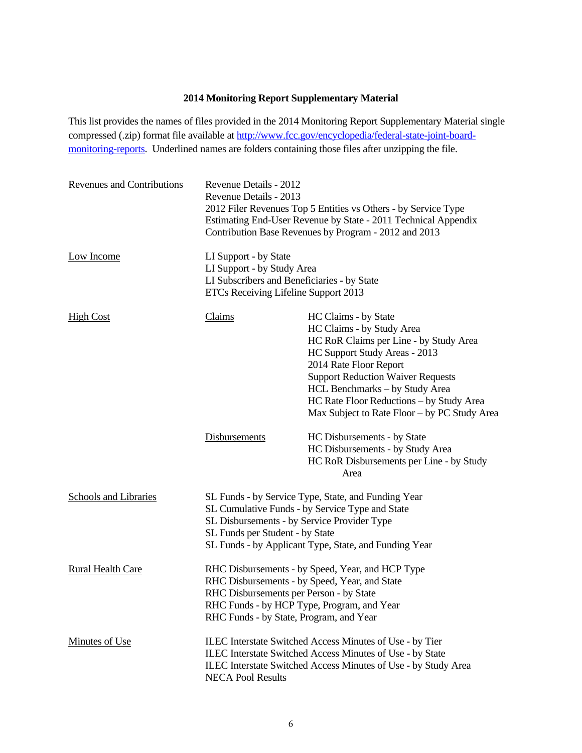# **2014 Monitoring Report Supplementary Material**

This list provides the names of files provided in the 2014 Monitoring Report Supplementary Material single compressed (.zip) format file available at http://www.fcc.gov/encyclopedia/federal-state-joint-boardmonitoring-reports. Underlined names are folders containing those files after unzipping the file.

| <b>Revenues and Contributions</b> | Revenue Details - 2012<br>Revenue Details - 2013<br>2012 Filer Revenues Top 5 Entities vs Others - by Service Type<br>Estimating End-User Revenue by State - 2011 Technical Appendix<br>Contribution Base Revenues by Program - 2012 and 2013 |                                                                                                                                                                                                                                                                                                                                  |  |  |  |  |  |  |
|-----------------------------------|-----------------------------------------------------------------------------------------------------------------------------------------------------------------------------------------------------------------------------------------------|----------------------------------------------------------------------------------------------------------------------------------------------------------------------------------------------------------------------------------------------------------------------------------------------------------------------------------|--|--|--|--|--|--|
| Low Income                        | LI Support - by State<br>LI Support - by Study Area<br>LI Subscribers and Beneficiaries - by State<br>ETCs Receiving Lifeline Support 2013                                                                                                    |                                                                                                                                                                                                                                                                                                                                  |  |  |  |  |  |  |
| <b>High Cost</b>                  | <b>Claims</b>                                                                                                                                                                                                                                 | HC Claims - by State<br>HC Claims - by Study Area<br>HC RoR Claims per Line - by Study Area<br>HC Support Study Areas - 2013<br>2014 Rate Floor Report<br><b>Support Reduction Waiver Requests</b><br>HCL Benchmarks - by Study Area<br>HC Rate Floor Reductions - by Study Area<br>Max Subject to Rate Floor – by PC Study Area |  |  |  |  |  |  |
|                                   | <b>Disbursements</b>                                                                                                                                                                                                                          | HC Disbursements - by State<br>HC Disbursements - by Study Area<br>HC RoR Disbursements per Line - by Study<br>Area                                                                                                                                                                                                              |  |  |  |  |  |  |
| <b>Schools and Libraries</b>      | SL Disbursements - by Service Provider Type<br>SL Funds per Student - by State                                                                                                                                                                | SL Funds - by Service Type, State, and Funding Year<br>SL Cumulative Funds - by Service Type and State<br>SL Funds - by Applicant Type, State, and Funding Year                                                                                                                                                                  |  |  |  |  |  |  |
| <b>Rural Health Care</b>          | RHC Disbursements - by Speed, Year, and HCP Type<br>RHC Disbursements - by Speed, Year, and State<br>RHC Disbursements per Person - by State<br>RHC Funds - by HCP Type, Program, and Year<br>RHC Funds - by State, Program, and Year         |                                                                                                                                                                                                                                                                                                                                  |  |  |  |  |  |  |
| <b>Minutes of Use</b>             | <b>NECA Pool Results</b>                                                                                                                                                                                                                      | ILEC Interstate Switched Access Minutes of Use - by Tier<br>ILEC Interstate Switched Access Minutes of Use - by State<br>ILEC Interstate Switched Access Minutes of Use - by Study Area                                                                                                                                          |  |  |  |  |  |  |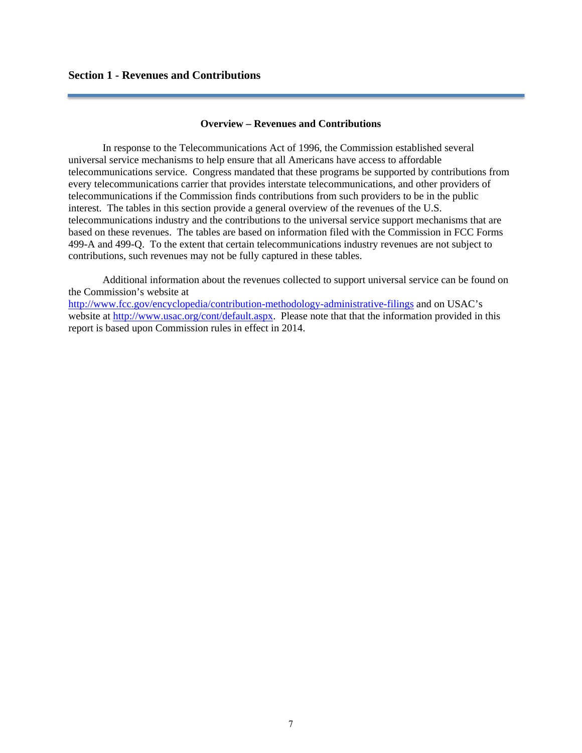### **Overview – Revenues and Contributions**

 In response to the Telecommunications Act of 1996, the Commission established several universal service mechanisms to help ensure that all Americans have access to affordable telecommunications service. Congress mandated that these programs be supported by contributions from every telecommunications carrier that provides interstate telecommunications, and other providers of telecommunications if the Commission finds contributions from such providers to be in the public interest. The tables in this section provide a general overview of the revenues of the U.S. telecommunications industry and the contributions to the universal service support mechanisms that are based on these revenues. The tables are based on information filed with the Commission in FCC Forms 499-A and 499-Q. To the extent that certain telecommunications industry revenues are not subject to contributions, such revenues may not be fully captured in these tables.

 Additional information about the revenues collected to support universal service can be found on the Commission's website at http://www.fcc.gov/encyclopedia/contribution-methodology-administrative-filings and on USAC's website at http://www.usac.org/cont/default.aspx. Please note that that the information provided in this report is based upon Commission rules in effect in 2014.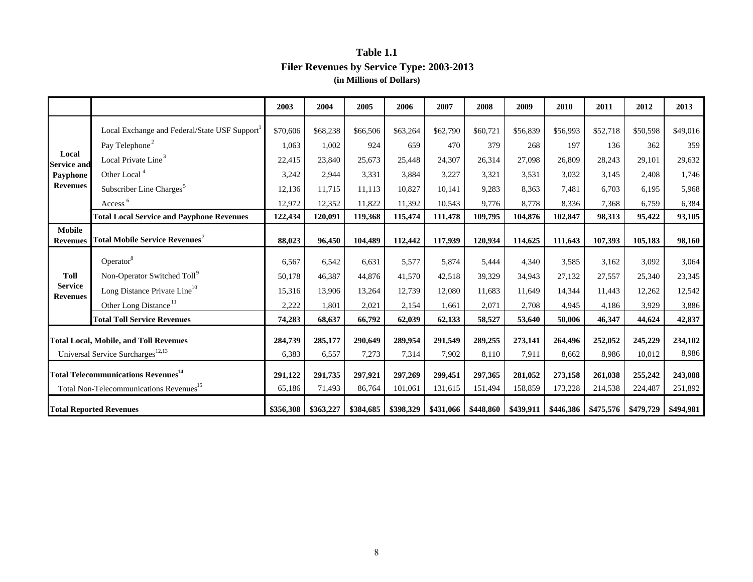# **Table 1.1 Filer Revenues by Service Type: 2003-2013 (in Millions of Dollars)**

|                                   |                                                        | 2003      | 2004      | 2005      | 2006      | 2007      | 2008      | 2009      | 2010     | 2011                  | 2012      | 2013      |
|-----------------------------------|--------------------------------------------------------|-----------|-----------|-----------|-----------|-----------|-----------|-----------|----------|-----------------------|-----------|-----------|
|                                   | Local Exchange and Federal/State USF Support           | \$70,606  | \$68,238  | \$66,506  | \$63,264  | \$62,790  | \$60,721  | \$56,839  | \$56,993 | \$52,718              | \$50,598  | \$49,016  |
|                                   | Pay Telephone <sup>2</sup>                             | 1.063     | 1.002     | 924       | 659       | 470       | 379       | 268       | 197      | 136                   | 362       | 359       |
| Local<br><b>Service and</b>       | Local Private Line <sup>3</sup>                        | 22,415    | 23,840    | 25,673    | 25,448    | 24,307    | 26,314    | 27,098    | 26,809   | 28,243                | 29,101    | 29,632    |
| Payphone                          | Other Local <sup>4</sup>                               | 3,242     | 2,944     | 3,331     | 3,884     | 3,227     | 3,321     | 3,531     | 3,032    | 3,145                 | 2,408     | 1,746     |
| <b>Revenues</b>                   | Subscriber Line Charges <sup>5</sup>                   | 12,136    | 11,715    | 11,113    | 10,827    | 10.141    | 9,283     | 8,363     | 7,481    | 6.703                 | 6,195     | 5,968     |
|                                   | Access <sup>6</sup>                                    | 12,972    | 12,352    | 11,822    | 11,392    | 10,543    | 9,776     | 8,778     | 8,336    | 7,368                 | 6,759     | 6,384     |
|                                   | <b>Total Local Service and Payphone Revenues</b>       | 122,434   | 120,091   | 119,368   | 115,474   | 111,478   | 109,795   | 104,876   | 102,847  | 98,313                | 95,422    | 93,105    |
| <b>Mobile</b>                     |                                                        |           |           |           |           |           |           |           |          |                       |           |           |
| <b>Revenues</b>                   | <b>Total Mobile Service Revenues</b> <sup>7</sup>      | 88,023    | 96,450    | 104,489   | 112,442   | 117,939   | 120,934   | 114,625   | 111,643  | 107,393               | 105,183   | 98,160    |
|                                   | Operator <sup>8</sup>                                  | 6,567     | 6,542     | 6,631     | 5,577     | 5,874     | 5,444     | 4,340     | 3,585    | 3,162                 | 3,092     | 3,064     |
| <b>Toll</b>                       | Non-Operator Switched Toll <sup>9</sup>                | 50,178    | 46,387    | 44,876    | 41,570    | 42,518    | 39,329    | 34,943    | 27,132   | 27,557                | 25,340    | 23,345    |
| <b>Service</b><br><b>Revenues</b> | Long Distance Private Line <sup>10</sup>               | 15,316    | 13,906    | 13,264    | 12,739    | 12,080    | 11,683    | 11,649    | 14,344   | 11,443                | 12,262    | 12,542    |
|                                   | Other Long Distance <sup>11</sup>                      | 2,222     | 1.801     | 2,021     | 2,154     | 1.661     | 2,071     | 2.708     | 4,945    | 4.186                 | 3,929     | 3,886     |
|                                   | <b>Total Toll Service Revenues</b>                     | 74,283    | 68,637    | 66,792    | 62,039    | 62,133    | 58,527    | 53,640    | 50,006   | 46,347                | 44,624    | 42,837    |
|                                   | <b>Total Local, Mobile, and Toll Revenues</b>          | 284,739   | 285,177   | 290,649   | 289,954   | 291,549   | 289,255   | 273,141   | 264,496  | 252,052               | 245,229   | 234,102   |
|                                   | Universal Service Surcharges <sup>12,13</sup>          | 6,383     | 6,557     | 7,273     | 7,314     | 7,902     | 8,110     | 7,911     | 8,662    | 8,986                 | 10,012    | 8,986     |
|                                   |                                                        |           |           |           |           |           |           |           |          |                       |           |           |
|                                   | <b>Total Telecommunications Revenues</b> <sup>14</sup> | 291,122   | 291,735   | 297,921   | 297,269   | 299,451   | 297,365   | 281,052   | 273,158  | 261,038               | 255,242   | 243,088   |
|                                   | Total Non-Telecommunications Revenues <sup>15</sup>    | 65,186    | 71,493    | 86,764    | 101,061   | 131,615   | 151,494   | 158,859   | 173,228  | 214,538               | 224,487   | 251,892   |
|                                   | <b>Total Reported Revenues</b>                         | \$356,308 | \$363,227 | \$384,685 | \$398,329 | \$431,066 | \$448,860 | \$439,911 |          | $$446,386$ $$475,576$ | \$479,729 | \$494,981 |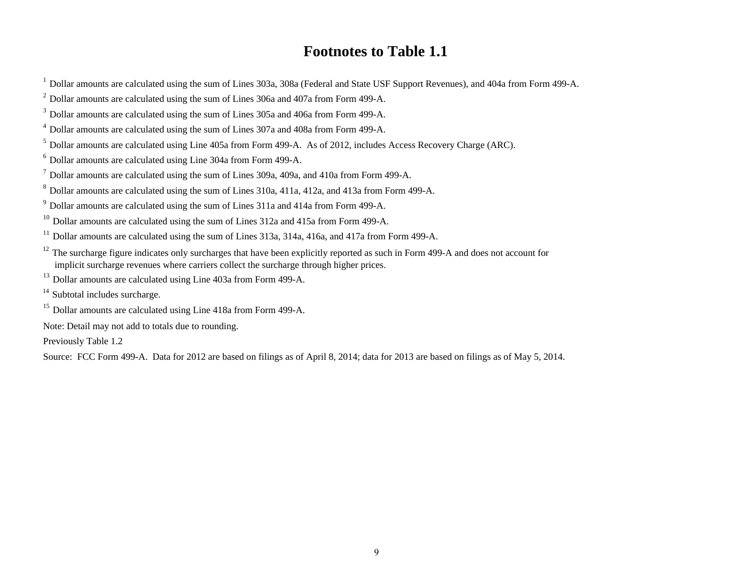# **Footnotes to Table 1.1**

 $1$  Dollar amounts are calculated using the sum of Lines 303a, 308a (Federal and State USF Support Revenues), and 404a from Form 499-A.

 $^{2}$  Dollar amounts are calculated using the sum of Lines 306a and 407a from Form 499-A.

3 Dollar amounts are calculated using the sum of Lines 305a and 406a from Form 499-A.

4 Dollar amounts are calculated using the sum of Lines 307a and 408a from Form 499-A.

5 Dollar amounts are calculated using Line 405a from Form 499-A. As of 2012, includes Access Recovery Charge (ARC).

6 Dollar amounts are calculated using Line 304a from Form 499-A.

 $<sup>7</sup>$  Dollar amounts are calculated using the sum of Lines 309a, 409a, and 410a from Form 499-A.</sup>

8 Dollar amounts are calculated using the sum of Lines 310a, 411a, 412a, and 413a from Form 499-A.

9 Dollar amounts are calculated using the sum of Lines 311a and 414a from Form 499-A.

<sup>10</sup> Dollar amounts are calculated using the sum of Lines 312a and 415a from Form 499-A.

 $11$  Dollar amounts are calculated using the sum of Lines 313a, 314a, 416a, and 417a from Form 499-A.

- <sup>12</sup> The surcharge figure indicates only surcharges that have been explicitly reported as such in Form 499-A and does not account for implicit surcharge revenues where carriers collect the surcharge through higher prices.
- <sup>13</sup> Dollar amounts are calculated using Line 403a from Form 499-A.
- <sup>14</sup> Subtotal includes surcharge.
- <sup>15</sup> Dollar amounts are calculated using Line 418a from Form 499-A.

Note: Detail may not add to totals due to rounding.

Previously Table 1.2

Source: FCC Form 499-A. Data for 2012 are based on filings as of April 8, 2014; data for 2013 are based on filings as of May 5, 2014.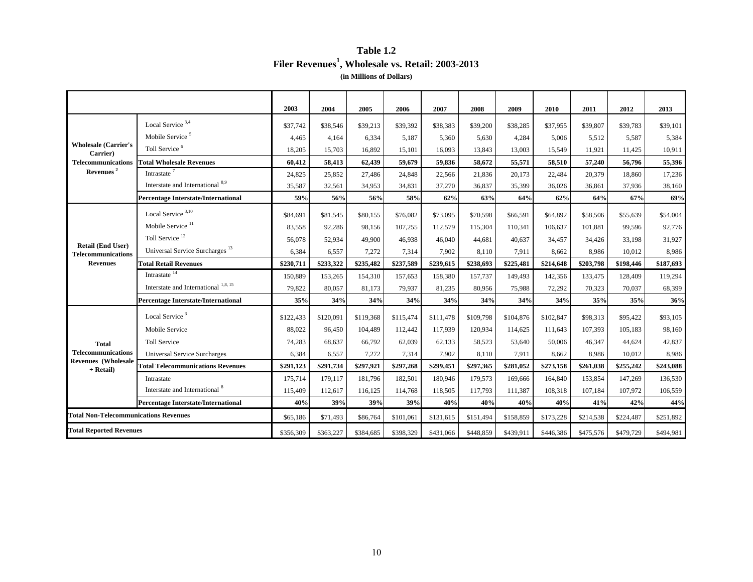## **Table 1.2 Filer Revenues1, Wholesale vs. Retail: 2003-2013 (in Millions of Dollars)**

|                                                       |                                            | 2003      | 2004      | 2005      | 2006      | 2007      | 2008      | 2009      | 2010      | 2011      | 2012      | 2013      |
|-------------------------------------------------------|--------------------------------------------|-----------|-----------|-----------|-----------|-----------|-----------|-----------|-----------|-----------|-----------|-----------|
|                                                       | Local Service <sup>3,4</sup>               | \$37,742  | \$38,546  | \$39,213  | \$39,392  | \$38,383  | \$39,200  | \$38,285  | \$37,955  | \$39,807  | \$39,783  | \$39,101  |
|                                                       | Mobile Service <sup>5</sup>                | 4.465     | 4,164     | 6,334     | 5,187     | 5.360     | 5,630     | 4.284     | 5,006     | 5.512     | 5,587     | 5,384     |
| <b>Wholesale (Carrier's</b><br>Carrier)               | Toll Service <sup>6</sup>                  | 18,205    | 15,703    | 16,892    | 15,101    | 16,093    | 13,843    | 13,003    | 15,549    | 11,921    | 11,425    | 10,911    |
| <b>Telecommunications</b>                             | <b>Total Wholesale Revenues</b>            | 60,412    | 58,413    | 62,439    | 59,679    | 59,836    | 58,672    | 55,571    | 58,510    | 57,240    | 56,796    | 55,396    |
| Revenues <sup>2</sup>                                 | Intrastate <sup>7</sup>                    | 24,825    | 25,852    | 27,486    | 24,848    | 22,566    | 21,836    | 20,173    | 22,484    | 20,379    | 18,860    | 17,236    |
|                                                       | Interstate and International 8,9           | 35,587    | 32,561    | 34,953    | 34,831    | 37,270    | 36,837    | 35,399    | 36,026    | 36,861    | 37,936    | 38,160    |
|                                                       | <b>Percentage Interstate/International</b> | 59%       | 56%       | 56%       | 58%       | 62%       | 63%       | 64%       | 62%       | 64%       | 67%       | 69%       |
|                                                       | Local Service <sup>3,10</sup>              | \$84,691  | \$81,545  | \$80,155  | \$76,082  | \$73,095  | \$70,598  | \$66,591  | \$64,892  | \$58,506  | \$55,639  | \$54,004  |
|                                                       | Mobile Service <sup>11</sup>               | 83,558    | 92,286    | 98,156    | 107,255   | 112,579   | 115,304   | 110,341   | 106,637   | 101,881   | 99,596    | 92,776    |
|                                                       | Toll Service $^{12}$                       | 56,078    | 52,934    | 49,900    | 46,938    | 46,040    | 44,681    | 40.637    | 34,457    | 34,426    | 33,198    | 31,927    |
| <b>Retail (End User)</b><br><b>Telecommunications</b> | Universal Service Surcharges <sup>13</sup> | 6,384     | 6,557     | 7,272     | 7,314     | 7,902     | 8,110     | 7,911     | 8,662     | 8,986     | 10,012    | 8,986     |
| <b>Revenues</b>                                       | <b>Total Retail Revenues</b>               | \$230,711 | \$233,322 | \$235,482 | \$237,589 | \$239,615 | \$238,693 | \$225,481 | \$214,648 | \$203,798 | \$198,446 | \$187,693 |
|                                                       | Intrastate $\frac{14}{14}$                 | 150,889   | 153,265   | 154,310   | 157,653   | 158,380   | 157,737   | 149,493   | 142,356   | 133,475   | 128,409   | 119,294   |
|                                                       | Interstate and International $^{1,8,15}$   | 79,822    | 80,057    | 81,173    | 79,937    | 81,235    | 80,956    | 75,988    | 72,292    | 70,323    | 70,037    | 68,399    |
|                                                       | <b>Percentage Interstate/International</b> | 35%       | 34%       | 34%       | 34%       | 34%       | 34%       | 34%       | 34%       | 35%       | 35%       | 36%       |
|                                                       | Local Service <sup>3</sup>                 | \$122,433 | \$120,091 | \$119,368 | \$115,474 | \$111,478 | \$109,798 | \$104,876 | \$102,847 | \$98,313  | \$95,422  | \$93,105  |
|                                                       | Mobile Service                             | 88,022    | 96,450    | 104,489   | 112,442   | 117,939   | 120,934   | 114,625   | 111,643   | 107,393   | 105,183   | 98,160    |
| <b>Total</b>                                          | <b>Toll Service</b>                        | 74,283    | 68,637    | 66,792    | 62,039    | 62,133    | 58,523    | 53,640    | 50,006    | 46,347    | 44,624    | 42,837    |
| <b>Telecommunications</b>                             | <b>Universal Service Surcharges</b>        | 6,384     | 6,557     | 7,272     | 7,314     | 7,902     | 8,110     | 7,911     | 8,662     | 8,986     | 10,012    | 8,986     |
| <b>Revenues</b> (Wholesale<br>+ Retail)               | <b>Total Telecommunications Revenues</b>   | \$291,123 | \$291,734 | \$297,921 | \$297,268 | \$299,451 | \$297,365 | \$281,052 | \$273,158 | \$261,038 | \$255,242 | \$243,088 |
|                                                       | Intrastate                                 | 175,714   | 179,117   | 181,796   | 182,501   | 180,946   | 179,573   | 169,666   | 164,840   | 153,854   | 147,269   | 136,530   |
|                                                       | Interstate and International <sup>8</sup>  | 115,409   | 112,617   | 116,125   | 114,768   | 118,505   | 117,793   | 111,387   | 108,318   | 107,184   | 107,972   | 106,559   |
|                                                       | <b>Percentage Interstate/International</b> | 40%       | 39%       | 39%       | 39%       | 40%       | 40%       | 40%       | 40%       | 41%       | 42%       | 44%       |
| <b>Total Non-Telecommunications Revenues</b>          |                                            | \$65,186  | \$71,493  | \$86,764  | \$101,061 | \$131,615 | \$151,494 | \$158,859 | \$173,228 | \$214,538 | \$224,487 | \$251,892 |
| <b>Total Reported Revenues</b>                        |                                            | \$356,309 | \$363,227 | \$384,685 | \$398,329 | \$431,066 | \$448,859 | \$439,911 | \$446,386 | \$475,576 | \$479,729 | \$494,981 |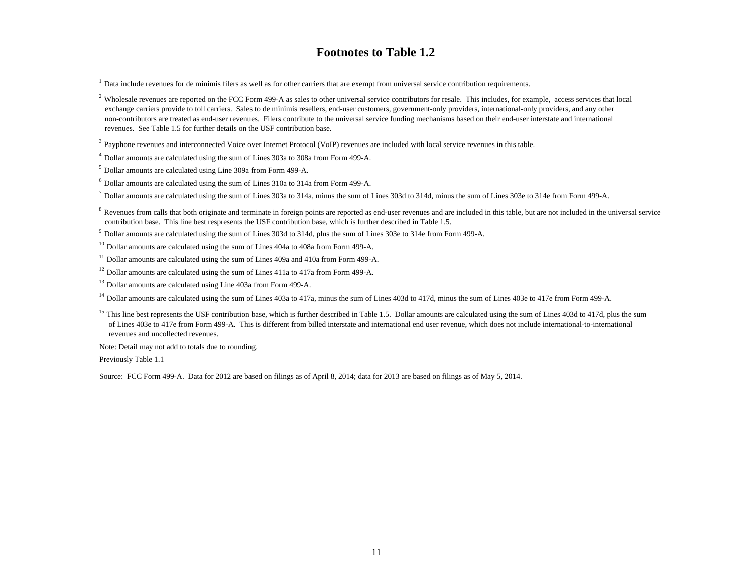# **Footnotes to Table 1.2**

 $<sup>1</sup>$  Data include revenues for de minimis filers as well as for other carriers that are exempt from universal service contribution requirements.</sup>

<sup>2</sup> Wholesale revenues are reported on the FCC Form 499-A as sales to other universal service contributors for resale. This includes, for example, access services that local exchange carriers provide to toll carriers. Sales to de minimis resellers, end-user customers, government-only providers, international-only providers, and any other non-contributors are treated as end-user revenues. Filers contribute to the universal service funding mechanisms based on their end-user interstate and international revenues. See Table 1.5 for further details on the USF contribution base.

<sup>3</sup> Payphone revenues and interconnected Voice over Internet Protocol (VoIP) revenues are included with local service revenues in this table.

4 Dollar amounts are calculated using the sum of Lines 303a to 308a from Form 499-A.

5 Dollar amounts are calculated using Line 309a from Form 499-A.

 $6$  Dollar amounts are calculated using the sum of Lines 310a to 314a from Form 499-A.

 $^7$  Dollar amounts are calculated using the sum of Lines 303a to 314a, minus the sum of Lines 303d to 314d, minus the sum of Lines 303e to 314e from Form 499-A.

<sup>8</sup> Revenues from calls that both originate and terminate in foreign points are reported as end-user revenues and are included in this table, but are not included in the universal service contribution base. This line best respresents the USF contribution base, which is further described in Table 1.5.

9 Dollar amounts are calculated using the sum of Lines 303d to 314d, plus the sum of Lines 303e to 314e from Form 499-A.

 $10$  Dollar amounts are calculated using the sum of Lines 404a to 408a from Form 499-A.

<sup>11</sup> Dollar amounts are calculated using the sum of Lines 409a and 410a from Form 499-A.

 $12$  Dollar amounts are calculated using the sum of Lines 411a to 417a from Form 499-A.

<sup>13</sup> Dollar amounts are calculated using Line 403a from Form 499-A.

<sup>14</sup> Dollar amounts are calculated using the sum of Lines 403a to 417a, minus the sum of Lines 403d to 417d, minus the sum of Lines 403e to 417e from Form 499-A.

<sup>15</sup> This line best represents the USF contribution base, which is further described in Table 1.5. Dollar amounts are calculated using the sum of Lines 403d to 417d, plus the sum of Lines 403e to 417e from Form 499-A. This is different from billed interstate and international end user revenue, which does not include international-to-international revenues and uncollected revenues.

Note: Detail may not add to totals due to rounding.

Previously Table 1.1

Source: FCC Form 499-A. Data for 2012 are based on filings as of April 8, 2014; data for 2013 are based on filings as of May 5, 2014.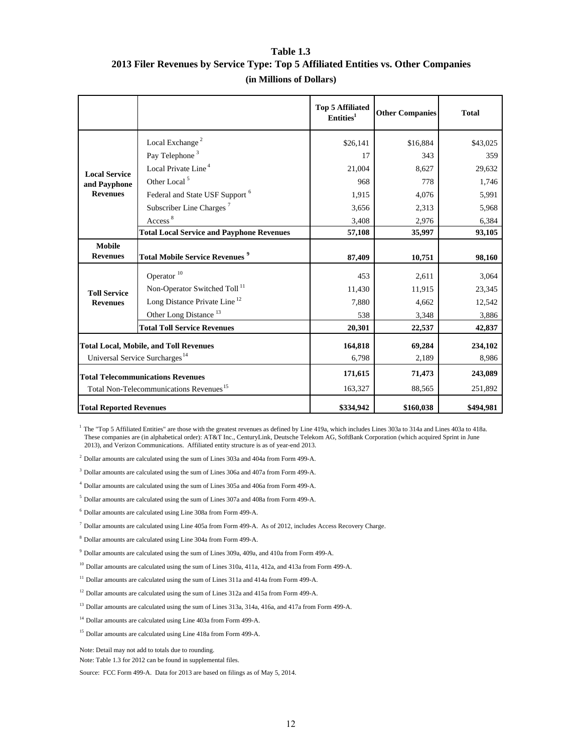# **Table 1.3 2013 Filer Revenues by Service Type: Top 5 Affiliated Entities vs. Other Companies (in Millions of Dollars)**

|                                          |                                                     | <b>Top 5 Affiliated</b><br>Entities <sup>1</sup> | <b>Other Companies</b> | <b>Total</b> |
|------------------------------------------|-----------------------------------------------------|--------------------------------------------------|------------------------|--------------|
|                                          | Local Exchange <sup>2</sup>                         | \$26,141                                         | \$16,884               | \$43,025     |
|                                          | Pay Telephone <sup>3</sup>                          | 17                                               | 343                    | 359          |
| <b>Local Service</b>                     | Local Private Line <sup>4</sup>                     | 21,004                                           | 8,627                  | 29,632       |
| and Payphone                             | Other Local <sup>5</sup>                            | 968                                              | 778                    | 1,746        |
| <b>Revenues</b>                          | Federal and State USF Support <sup>6</sup>          | 1,915                                            | 4,076                  | 5,991        |
|                                          | Subscriber Line Charges <sup>7</sup>                | 3,656                                            | 2,313                  | 5,968        |
|                                          | Access <sup>8</sup>                                 | 3,408                                            | 2,976                  | 6,384        |
|                                          | <b>Total Local Service and Payphone Revenues</b>    | 57,108                                           | 35,997                 | 93,105       |
| <b>Mobile</b>                            |                                                     |                                                  |                        |              |
| <b>Revenues</b>                          | <b>Total Mobile Service Revenues<sup>9</sup></b>    | 87,409                                           | 10,751                 | 98,160       |
|                                          | Operator <sup>10</sup>                              | 453                                              | 2,611                  | 3,064        |
| <b>Toll Service</b>                      | Non-Operator Switched Toll <sup>11</sup>            | 11,430                                           | 11,915                 | 23,345       |
| <b>Revenues</b>                          | Long Distance Private Line <sup>12</sup>            | 7,880                                            | 4,662                  | 12,542       |
|                                          | Other Long Distance <sup>13</sup>                   | 538                                              | 3,348                  | 3,886        |
|                                          | <b>Total Toll Service Revenues</b>                  | 20,301                                           | 22,537                 | 42,837       |
|                                          | <b>Total Local, Mobile, and Toll Revenues</b>       | 164,818                                          | 69,284                 | 234,102      |
|                                          | Universal Service Surcharges <sup>14</sup>          | 6.798                                            | 2,189                  | 8,986        |
| <b>Total Telecommunications Revenues</b> |                                                     | 171,615                                          | 71,473                 | 243,089      |
|                                          | Total Non-Telecommunications Revenues <sup>15</sup> | 163,327                                          | 88,565                 | 251,892      |
| <b>Total Reported Revenues</b>           |                                                     | \$334,942                                        | \$160,038              | \$494,981    |

<sup>1</sup> The "Top 5 Affiliated Entities" are those with the greatest revenues as defined by Line 419a, which includes Lines 303a to 314a and Lines 403a to 418a. These companies are (in alphabetical order): AT&T Inc., CenturyLink, Deutsche Telekom AG, SoftBank Corporation (which acquired Sprint in June 2013), and Verizon Communications. Affiliated entity structure is as of year-end 2013.

 $2$  Dollar amounts are calculated using the sum of Lines 303a and 404a from Form 499-A.

3 Dollar amounts are calculated using the sum of Lines 306a and 407a from Form 499-A.

4 Dollar amounts are calculated using the sum of Lines 305a and 406a from Form 499-A.

5 Dollar amounts are calculated using the sum of Lines 307a and 408a from Form 499-A.

6 Dollar amounts are calculated using Line 308a from Form 499-A.

7 Dollar amounts are calculated using Line 405a from Form 499-A. As of 2012, includes Access Recovery Charge.

8 Dollar amounts are calculated using Line 304a from Form 499-A.

9 Dollar amounts are calculated using the sum of Lines 309a, 409a, and 410a from Form 499-A.

<sup>10</sup> Dollar amounts are calculated using the sum of Lines 310a, 411a, 412a, and 413a from Form 499-A.

<sup>11</sup> Dollar amounts are calculated using the sum of Lines 311a and 414a from Form 499-A.

<sup>12</sup> Dollar amounts are calculated using the sum of Lines 312a and 415a from Form 499-A.

<sup>13</sup> Dollar amounts are calculated using the sum of Lines 313a, 314a, 416a, and 417a from Form 499-A.

<sup>14</sup> Dollar amounts are calculated using Line 403a from Form 499-A.

<sup>15</sup> Dollar amounts are calculated using Line 418a from Form 499-A.

Note: Detail may not add to totals due to rounding.

Note: Table 1.3 for 2012 can be found in supplemental files.

Source: FCC Form 499-A. Data for 2013 are based on filings as of May 5, 2014.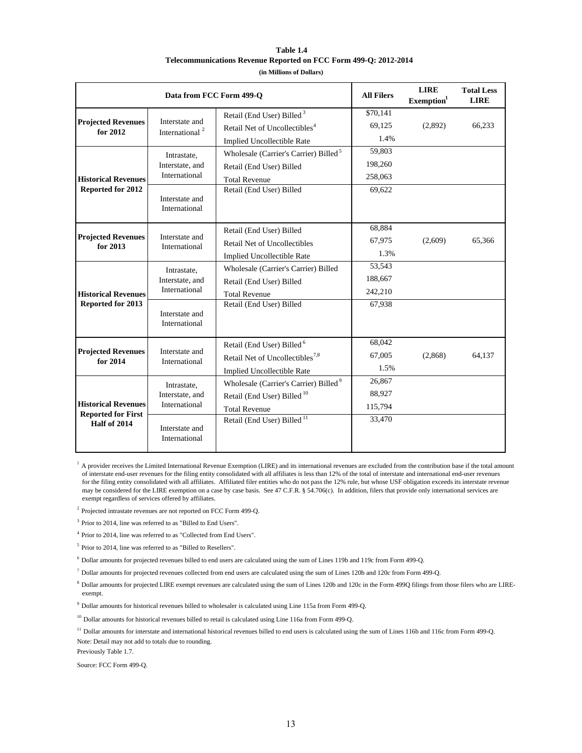| Table 1.4                                                        |
|------------------------------------------------------------------|
| Telecommunications Revenue Reported on FCC Form 499-O: 2012-2014 |
| (in Millions of Dollars)                                         |

|                                                                         | Data from FCC Form 499-O                        | <b>All Filers</b>                                 | <b>LIRE</b><br>Exemption <sup>1</sup> | <b>Total Less</b><br><b>LIRE</b> |        |
|-------------------------------------------------------------------------|-------------------------------------------------|---------------------------------------------------|---------------------------------------|----------------------------------|--------|
|                                                                         |                                                 | Retail (End User) Billed <sup>3</sup>             | \$70,141                              |                                  |        |
| <b>Projected Revenues</b><br>for 2012                                   | Interstate and<br>International <sup>2</sup>    | Retail Net of Uncollectibles <sup>4</sup>         | 69,125                                | (2,892)                          | 66,233 |
|                                                                         |                                                 | Implied Uncollectible Rate                        | 1.4%                                  |                                  |        |
|                                                                         | Intrastate,                                     | Wholesale (Carrier's Carrier) Billed <sup>5</sup> | 59,803                                |                                  |        |
|                                                                         | Interstate, and                                 | Retail (End User) Billed                          | 198,260                               |                                  |        |
| <b>Historical Revenues</b>                                              | International                                   | <b>Total Revenue</b>                              | 258,063                               |                                  |        |
| Reported for 2012                                                       |                                                 | Retail (End User) Billed                          | 69,622                                |                                  |        |
|                                                                         | Interstate and<br>International                 |                                                   |                                       |                                  |        |
|                                                                         |                                                 | Retail (End User) Billed                          | 68,884                                |                                  |        |
| <b>Projected Revenues</b>                                               | Interstate and<br>International                 | Retail Net of Uncollectibles                      | 67,975                                | (2,609)                          | 65,366 |
| for 2013                                                                |                                                 | <b>Implied Uncollectible Rate</b>                 | 1.3%                                  |                                  |        |
|                                                                         | Intrastate,<br>Interstate, and<br>International | Wholesale (Carrier's Carrier) Billed              | 53.543                                |                                  |        |
|                                                                         |                                                 | Retail (End User) Billed                          | 188,667                               |                                  |        |
| <b>Historical Revenues</b>                                              |                                                 | <b>Total Revenue</b>                              | 242,210                               |                                  |        |
| Reported for 2013                                                       | Interstate and<br>International                 | Retail (End User) Billed                          | 67,938                                |                                  |        |
|                                                                         |                                                 |                                                   |                                       |                                  |        |
|                                                                         |                                                 |                                                   |                                       |                                  |        |
|                                                                         |                                                 | Retail (End User) Billed <sup>6</sup>             | 68,042                                |                                  |        |
| <b>Projected Revenues</b><br>for 2014                                   | Interstate and<br>International                 | Retail Net of Uncollectibles <sup>7,8</sup>       | 67,005                                | (2,868)                          | 64.137 |
|                                                                         |                                                 | <b>Implied Uncollectible Rate</b>                 | 1.5%                                  |                                  |        |
|                                                                         | Intrastate,                                     | Wholesale (Carrier's Carrier) Billed <sup>9</sup> | 26,867                                |                                  |        |
| <b>Historical Revenues</b><br><b>Reported for First</b><br>Half of 2014 | Interstate, and                                 | Retail (End User) Billed <sup>10</sup>            | 88,927                                |                                  |        |
|                                                                         | International                                   | <b>Total Revenue</b>                              | 115,794                               |                                  |        |
|                                                                         | Interstate and<br>International                 | Retail (End User) Billed <sup>11</sup>            | 33,470                                |                                  |        |

 $<sup>1</sup>$  A provider receives the Limited International Revenue Exemption (LIRE) and its international revenues are excluded from the contribution base if the total amount</sup> of interstate end-user revenues for the filing entity consolidated with all affiliates is less than 12% of the total of interstate and international end-user revenues for the filing entity consolidated with all affiliates. Affiliated filer entities who do not pass the 12% rule, but whose USF obligation exceeds its interstate revenue may be considered for the LIRE exemption on a case by case basis. See 47 C.F.R. § 54.706(c). In addition, filers that provide only international services are exempt regardless of services offered by affiliates.

2 Projected intrastate revenues are not reported on FCC Form 499-Q.

3 Prior to 2014, line was referred to as "Billed to End Users".

4 Prior to 2014, line was referred to as "Collected from End Users".

5 Prior to 2014, line was referred to as "Billed to Resellers".

6 Dollar amounts for projected revenues billed to end users are calculated using the sum of Lines 119b and 119c from Form 499-Q.

 $^7$  Dollar amounts for projected revenues collected from end users are calculated using the sum of Lines 120b and 120c from Form 499-Q.

<sup>8</sup> Dollar amounts for projected LIRE exempt revenues are calculated using the sum of Lines 120b and 120c in the Form 499Q filings from those filers who are LIREexempt.

9 Dollar amounts for historical revenues billed to wholesaler is calculated using Line 115a from Form 499-Q.

<sup>10</sup> Dollar amounts for historical revenues billed to retail is calculated using Line 116a from Form 499-Q.

Note: Detail may not add to totals due to rounding. <sup>11</sup> Dollar amounts for interstate and international historical revenues billed to end users is calculated using the sum of Lines 116b and 116c from Form 499-Q.

Previously Table 1.7.

Source: FCC Form 499-Q.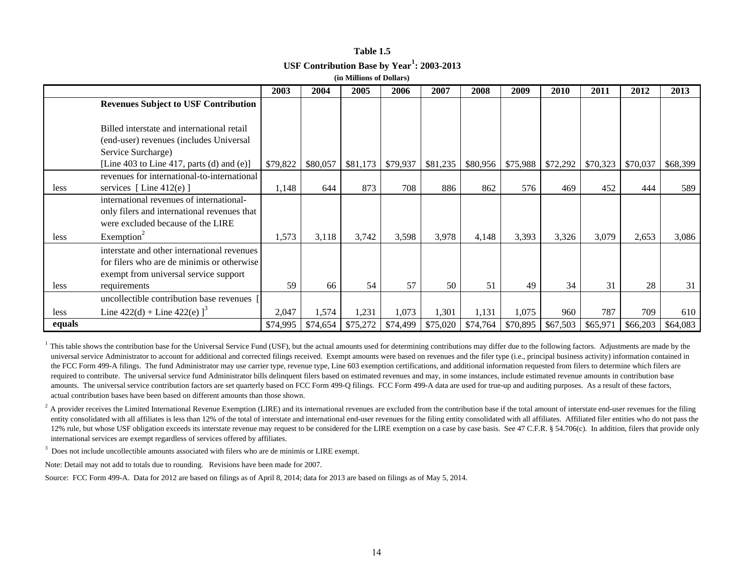| Table 1.5                                              |
|--------------------------------------------------------|
| USF Contribution Base by Year <sup>1</sup> : 2003-2013 |
| (in Millions of Dollars)                               |

|        | (III MINIQUIS VI D'ONALS)                    |          |          |          |          |          |          |          |          |          |          |          |
|--------|----------------------------------------------|----------|----------|----------|----------|----------|----------|----------|----------|----------|----------|----------|
|        |                                              | 2003     | 2004     | 2005     | 2006     | 2007     | 2008     | 2009     | 2010     | 2011     | 2012     | 2013     |
|        | <b>Revenues Subject to USF Contribution</b>  |          |          |          |          |          |          |          |          |          |          |          |
|        |                                              |          |          |          |          |          |          |          |          |          |          |          |
|        | Billed interstate and international retail   |          |          |          |          |          |          |          |          |          |          |          |
|        | (end-user) revenues (includes Universal      |          |          |          |          |          |          |          |          |          |          |          |
|        | Service Surcharge)                           |          |          |          |          |          |          |          |          |          |          |          |
|        | [Line 403 to Line 417, parts (d) and $(e)$ ] | \$79,822 | \$80,057 | \$81,173 | \$79,937 | \$81,235 | \$80,956 | \$75,988 | \$72,292 | \$70,323 | \$70,037 | \$68,399 |
|        | revenues for international-to-international  |          |          |          |          |          |          |          |          |          |          |          |
| less   | services [Line $412(e)$ ]                    | 1,148    | 644      | 873      | 708      | 886      | 862      | 576      | 469      | 452      | 444      | 589      |
|        | international revenues of international-     |          |          |          |          |          |          |          |          |          |          |          |
|        | only filers and international revenues that  |          |          |          |          |          |          |          |          |          |          |          |
|        | were excluded because of the LIRE            |          |          |          |          |          |          |          |          |          |          |          |
| less   | Exemption <sup>2</sup>                       | 1,573    | 3,118    | 3,742    | 3,598    | 3,978    | 4,148    | 3,393    | 3,326    | 3,079    | 2,653    | 3,086    |
|        | interstate and other international revenues  |          |          |          |          |          |          |          |          |          |          |          |
|        | for filers who are de minimis or otherwise   |          |          |          |          |          |          |          |          |          |          |          |
|        | exempt from universal service support        |          |          |          |          |          |          |          |          |          |          |          |
| less   | requirements                                 | 59       | 66       | 54       | 57       | 50       | 51       | 49       | 34       | 31       | 28       | 31       |
|        | uncollectible contribution base revenues     |          |          |          |          |          |          |          |          |          |          |          |
| less   | Line $422(d)$ + Line $422(e)$ ] <sup>3</sup> | 2,047    | 1,574    | 1,231    | 1,073    | 1,301    | 1,131    | 1,075    | 960      | 787      | 709      | 610      |
| equals |                                              | \$74,995 | \$74,654 | \$75,272 | \$74,499 | \$75,020 | \$74,764 | \$70,895 | \$67,503 | \$65,971 | \$66,203 | \$64,083 |

 $1$  This table shows the contribution base for the Universal Service Fund (USF), but the actual amounts used for determining contributions may differ due to the following factors. Adjustments are made by the universal service Administrator to account for additional and corrected filings received. Exempt amounts were based on revenues and the filer type (i.e., principal business activity) information contained in the FCC Form 499-A filings. The fund Administrator may use carrier type, revenue type, Line 603 exemption certifications, and additional information requested from filers to determine which filers are required to contribute. The universal service fund Administrator bills delinquent filers based on estimated revenues and may, in some instances, include estimated revenue amounts in contribution base amounts. The universal service contribution factors are set quarterly based on FCC Form 499-Q filings. FCC Form 499-A data are used for true-up and auditing purposes. As a result of these factors, actual contribution bases have been based on different amounts than those shown.

 $2$  A provider receives the Limited International Revenue Exemption (LIRE) and its international revenues are excluded from the contribution base if the total amount of interstate end-user revenues for the filing entity consolidated with all affiliates is less than 12% of the total of interstate and international end-user revenues for the filing entity consolidated with all affiliates. Affiliated filer entities who do not pass the 12% rule, but whose USF obligation exceeds its interstate revenue may request to be considered for the LIRE exemption on a case by case basis. See 47 C.F.R. § 54.706(c). In addition, filers that provide only international services are exempt regardless of services offered by affiliates.

<sup>3</sup> Does not include uncollectible amounts associated with filers who are de minimis or LIRE exempt.

Note: Detail may not add to totals due to rounding. Revisions have been made for 2007.

Source: FCC Form 499-A. Data for 2012 are based on filings as of April 8, 2014; data for 2013 are based on filings as of May 5, 2014.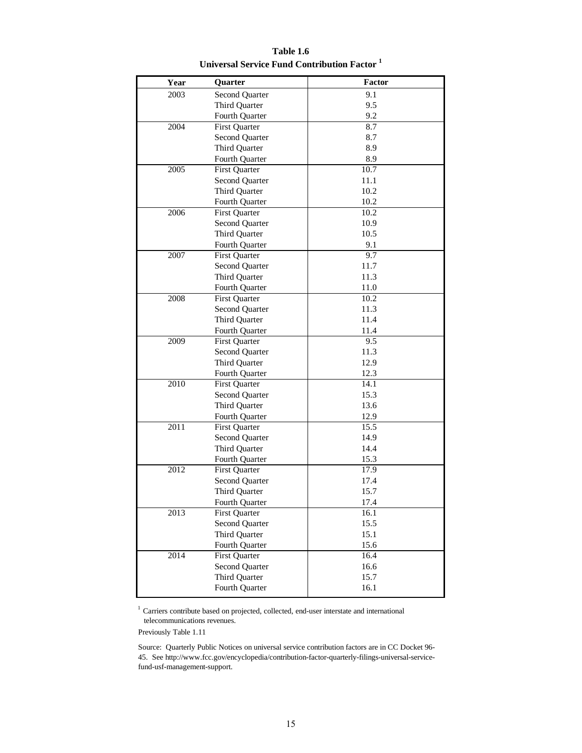| Year | Quarter               | Factor |
|------|-----------------------|--------|
| 2003 | <b>Second Quarter</b> | 9.1    |
|      | Third Quarter         | 9.5    |
|      | Fourth Quarter        | 9.2    |
| 2004 | <b>First Quarter</b>  | 8.7    |
|      | Second Quarter        | 8.7    |
|      | Third Quarter         | 8.9    |
|      | Fourth Quarter        | 8.9    |
| 2005 | <b>First Quarter</b>  | 10.7   |
|      | Second Quarter        | 11.1   |
|      | Third Quarter         | 10.2   |
|      | Fourth Quarter        | 10.2   |
| 2006 | <b>First Quarter</b>  | 10.2   |
|      | Second Quarter        | 10.9   |
|      | Third Quarter         | 10.5   |
|      | Fourth Quarter        | 9.1    |
| 2007 | <b>First Quarter</b>  | 9.7    |
|      | Second Quarter        | 11.7   |
|      | Third Quarter         | 11.3   |
|      | Fourth Quarter        | 11.0   |
| 2008 | <b>First Quarter</b>  | 10.2   |
|      | Second Quarter        | 11.3   |
|      | Third Quarter         | 11.4   |
|      | Fourth Quarter        | 11.4   |
| 2009 | <b>First Quarter</b>  | 9.5    |
|      | Second Quarter        | 11.3   |
|      | Third Quarter         | 12.9   |
|      | Fourth Quarter        | 12.3   |
| 2010 | <b>First Quarter</b>  | 14.1   |
|      | Second Quarter        | 15.3   |
|      | Third Quarter         | 13.6   |
|      | Fourth Quarter        | 12.9   |
| 2011 | <b>First Quarter</b>  | 15.5   |
|      | Second Quarter        | 14.9   |
|      | Third Quarter         | 14.4   |
|      | Fourth Quarter        | 15.3   |
| 2012 | <b>First Quarter</b>  | 17.9   |
|      | Second Quarter        | 17.4   |
|      | Third Quarter         | 15.7   |
|      | Fourth Quarter        | 17.4   |
| 2013 | <b>First Quarter</b>  | 16.1   |
|      | Second Quarter        | 15.5   |
|      | Third Quarter         | 15.1   |
|      | Fourth Quarter        | 15.6   |
| 2014 | <b>First Quarter</b>  | 16.4   |
|      | Second Quarter        | 16.6   |
|      | Third Quarter         | 15.7   |
|      | Fourth Quarter        | 16.1   |

**Table 1.6 Universal Service Fund Contribution Factor 1**

 $^{\rm 1}$  Carriers contribute based on projected, collected, end-user interstate and international telecommunications revenues.

Previously Table 1.11

Source: Quarterly Public Notices on universal service contribution factors are in CC Docket 96- 45. See http://www.fcc.gov/encyclopedia/contribution-factor-quarterly-filings-universal-servicefund-usf-management-support.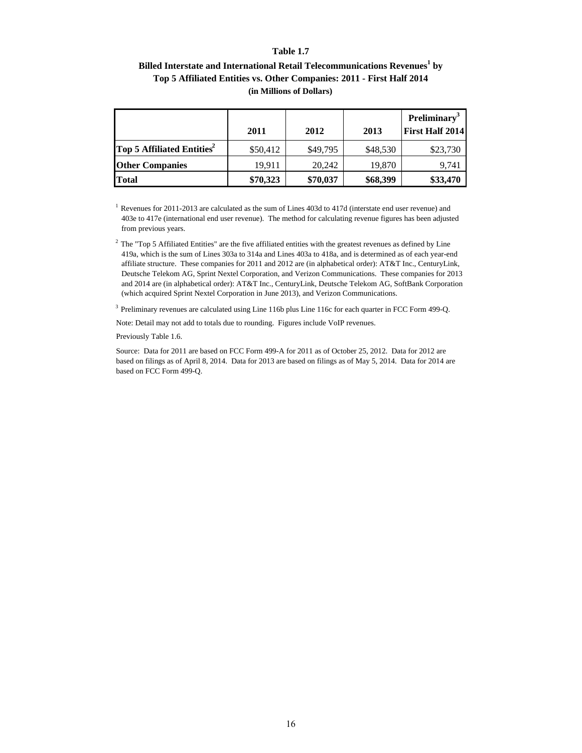#### **Table 1.7**

# Billed Interstate and International Retail Telecommunications Revenues<sup>1</sup> by **Top 5 Affiliated Entities vs. Other Companies: 2011 - First Half 2014 (in Millions of Dollars)**

|                                        |          |          |          | <b>Preliminary</b> <sup>3</sup> |
|----------------------------------------|----------|----------|----------|---------------------------------|
|                                        | 2011     | 2012     | 2013     | <b>First Half 2014</b>          |
| Top 5 Affiliated Entities <sup>2</sup> | \$50,412 | \$49,795 | \$48,530 | \$23,730                        |
| <b>Other Companies</b>                 | 19,911   | 20,242   | 19,870   | 9,741                           |
| <b>Total</b>                           | \$70,323 | \$70,037 | \$68,399 | \$33,470                        |

<sup>1</sup> Revenues for 2011-2013 are calculated as the sum of Lines 403d to 417d (interstate end user revenue) and 403e to 417e (international end user revenue). The method for calculating revenue figures has been adjusted from previous years.

 $2$  The "Top 5 Affiliated Entities" are the five affiliated entities with the greatest revenues as defined by Line 419a, which is the sum of Lines 303a to 314a and Lines 403a to 418a, and is determined as of each year-end affiliate structure. These companies for 2011 and 2012 are (in alphabetical order): AT&T Inc., CenturyLink, Deutsche Telekom AG, Sprint Nextel Corporation, and Verizon Communications. These companies for 2013 and 2014 are (in alphabetical order): AT&T Inc., CenturyLink, Deutsche Telekom AG, SoftBank Corporation (which acquired Sprint Nextel Corporation in June 2013), and Verizon Communications.

 $3$  Preliminary revenues are calculated using Line 116b plus Line 116c for each quarter in FCC Form 499-Q.

Note: Detail may not add to totals due to rounding. Figures include VoIP revenues.

Previously Table 1.6.

Source: Data for 2011 are based on FCC Form 499-A for 2011 as of October 25, 2012. Data for 2012 are based on filings as of April 8, 2014. Data for 2013 are based on filings as of May 5, 2014. Data for 2014 are based on FCC Form 499-Q.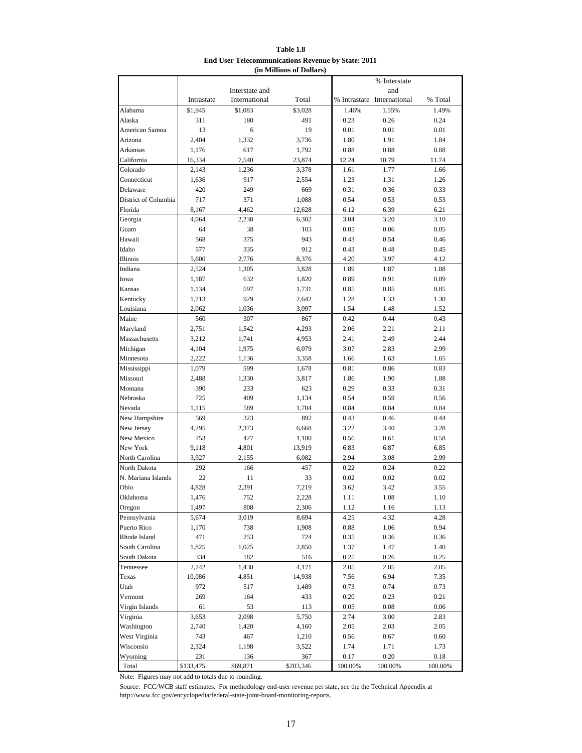| Table 1.8                                                 |
|-----------------------------------------------------------|
| <b>End User Telecommunications Revenue by State: 2011</b> |
| (in Millions of Dollars)                                  |

|                                |                  |                |           |                 | % Interstate               |                 |
|--------------------------------|------------------|----------------|-----------|-----------------|----------------------------|-----------------|
|                                |                  | Interstate and |           |                 | and                        |                 |
|                                | Intrastate       | International  | Total     |                 | % Intrastate International | % Total         |
| Alabama                        | \$1,945          | \$1,083        | \$3,028   | 1.46%           | 1.55%                      | 1.49%           |
| Alaska                         | 311              | 180            | 491       | 0.23            | 0.26                       | 0.24            |
| American Samoa                 | 13               | 6              | 19        | 0.01            | 0.01                       | 0.01            |
| Arizona                        | 2,404            | 1,332          | 3,736     | 1.80            | 1.91                       | 1.84            |
| Arkansas                       | 1,176            | 617            | 1,792     | 0.88            | 0.88                       | 0.88            |
| California                     | 16,334           | 7,540          | 23,874    | 12.24           | 10.79                      | 11.74           |
| Colorado                       | 2,143            | 1,236          | 3,378     | 1.61            | 1.77                       | 1.66            |
| Connecticut                    | 1,636            | 917            | 2,554     | 1.23            | 1.31                       | 1.26            |
| Delaware                       | 420              | 249            | 669       | 0.31            | 0.36                       | 0.33            |
| District of Columbia           | 717              | 371            | 1,088     | 0.54            | 0.53                       | 0.53            |
| Florida                        | 8.167            | 4,462          | 12,628    | 6.12            | 6.39                       | 6.21            |
| Georgia                        | 4,064            | 2,238          | 6,302     | 3.04            | 3.20                       | 3.10            |
| Guam                           | 64               | 38             | 103       | 0.05            | 0.06                       | 0.05            |
| Hawaii                         | 568              | 375            | 943       | 0.43            | 0.54                       | 0.46            |
| Idaho                          | 577              | 335            | 912       | 0.43            | 0.48                       | 0.45            |
| Illinois                       | 5,600            | 2,776          | 8,376     | 4.20            | 3.97                       | 4.12            |
| Indiana                        | 2,524            | 1,305          | 3,828     | 1.89            | 1.87                       | 1.88            |
| Iowa                           | 1,187            | 632            | 1,820     | 0.89            | 0.91                       | 0.89            |
| Kansas                         | 1,134            | 597            | 1,731     | 0.85            | 0.85                       | 0.85            |
| Kentucky                       | 1,713            | 929            | 2,642     | 1.28            | 1.33                       | 1.30            |
| Louisiana                      | 2,062            | 1,036          | 3,097     | 1.54            | 1.48                       | 1.52            |
| Maine                          | 560              | 307            | 867       | 0.42            | 0.44                       | 0.43            |
| Maryland                       | 2,751            | 1,542          | 4,293     | 2.06            | 2.21                       | 2.11            |
| Massachusetts                  | 3,212            | 1,741          | 4,953     | 2.41            | 2.49                       | 2.44            |
| Michigan                       | 4,104            | 1,975          | 6,079     | 3.07            | 2.83                       | 2.99            |
| Minnesota                      | 2,222            | 1,136          | 3,358     | 1.66            | 1.63                       | 1.65            |
| Mississippi                    | 1,079            | 599            | 1,678     | 0.81            | 0.86                       | 0.83            |
| Missouri                       | 2,488            | 1,330          | 3,817     | 1.86            | 1.90                       | 1.88            |
| Montana                        | 390              | 233            | 623       | 0.29            | 0.33                       | 0.31            |
| Nebraska                       | 725              | 409            | 1,134     | 0.54            | 0.59                       | 0.56            |
| Nevada                         | 1,115            | 589            | 1,704     | 0.84            | 0.84                       | 0.84            |
| New Hampshire                  | 569              | 323            | 892       | 0.43            | 0.46                       | 0.44            |
| New Jersey                     | 4,295            | 2,373          | 6,668     | 3.22            | 3.40                       | 3.28            |
| New Mexico                     | 753              | 427            | 1,180     | 0.56            | 0.61                       | 0.58            |
| New York                       | 9,118            | 4,801          | 13,919    | 6.83            | 6.87                       | 6.85            |
| North Carolina<br>North Dakota | 3,927            | 2,155          | 6.082     | 2.94            | 3.08                       | 2.99            |
|                                | 292              | 166            | 457       | 0.22            | 0.24                       | 0.22            |
| N. Mariana Islands             | 22               | 11             | 33        | 0.02            | 0.02                       | 0.02            |
| Ohio                           | 4,828            | 2,391          | 7,219     | 3.62            | 3.42                       | 3.55            |
| Oklahoma                       | 1,476<br>1,497   | 752            | 2,228     | 1.11            | 1.08                       | 1.10            |
| Oregon                         |                  | 808            | 2,306     | 1.12            | 1.16                       | 1.13            |
| Pennsylvania                   | 5,674            | 3,019          | 8,694     | 4.25            | 4.32                       | 4.28            |
| Puerto Rico<br>Rhode Island    | 1,170            | 738            | 1,908     | 0.88            | 1.06                       | 0.94            |
| South Carolina                 | 471              | 253            | 724       | 0.35            | 0.36                       | 0.36            |
|                                | 1,825            | 1,025          | 2,850     | 1.37            | 1.47                       | 1.40            |
| South Dakota                   | 334              | 182            | 516       | 0.25            | 0.26                       | 0.25            |
| Tennessee                      | 2,742            | 1,430          | 4,171     | 2.05            | 2.05                       | 2.05            |
| Texas                          | 10,086           | 4,851          | 14,938    | 7.56            | 6.94                       | 7.35            |
| Utah<br>Vermont                | 972<br>269       | 517            | 1,489     | 0.73<br>0.20    | 0.74                       | 0.73<br>0.21    |
|                                |                  | 164            | 433       |                 | 0.23                       |                 |
| Virgin Islands                 | 61               | 53             | 113       | 0.05            | 0.08                       | 0.06            |
| Virginia                       | 3,653            | 2,098          | 5,750     | 2.74            | 3.00                       | 2.83            |
| Washington                     | 2,740            | 1,420          | 4,160     | 2.05            | 2.03                       | 2.05            |
| West Virginia                  | 743              | 467            | 1,210     | 0.56            | 0.67                       | 0.60            |
| Wisconsin                      | 2,324            | 1,198          | 3,522     | 1.74            | 1.71                       | 1.73            |
| Wyoming<br>Total               | 231<br>\$133,475 | 136            | 367       | 0.17<br>100.00% | 0.20<br>100.00%            | 0.18<br>100.00% |
|                                |                  | \$69,871       | \$203,346 |                 |                            |                 |

Note: Figures may not add to totals due to rounding.

Source: FCC/WCB staff estimates. For methodology end-user revenue per state, see the the Technical Appendix at http://www.fcc.gov/encyclopedia/federal-state-joint-board-monitoring-reports.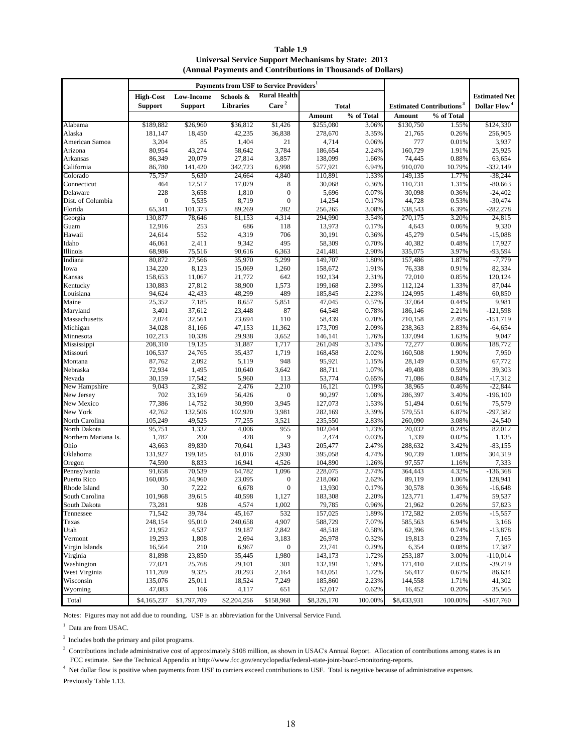**Table 1.9 Universal Service Support Mechanisms by State: 2013 (Annual Payments and Contributions in Thousands of Dollars)**

| Payments from USF to Service Providers <sup>1</sup> |                   |                   |                 |                     |                   |                |                                            |                |                          |
|-----------------------------------------------------|-------------------|-------------------|-----------------|---------------------|-------------------|----------------|--------------------------------------------|----------------|--------------------------|
|                                                     | <b>High-Cost</b>  | <b>Low-Income</b> | Schools &       | <b>Rural Health</b> |                   |                |                                            |                | <b>Estimated Net</b>     |
|                                                     | <b>Support</b>    | <b>Support</b>    | Libraries       | Care <sup>2</sup>   |                   | <b>Total</b>   | <b>Estimated Contributions<sup>3</sup></b> |                | Dollar Flow <sup>4</sup> |
|                                                     |                   |                   |                 |                     | Amount            | % of Total     | Amount                                     | % of Total     |                          |
| Alabama                                             | \$189,882         | \$26,960          | \$36,812        | \$1,426             | \$255,080         | 3.06%          | \$130,750                                  | 1.55%          | \$124,330                |
| Alaska                                              | 181,147           | 18,450            | 42,235          | 36,838              | 278,670           | 3.35%          | 21,765                                     | 0.26%          | 256,905                  |
| American Samoa                                      | 3,204             | 85                | 1,404           | 21                  | 4,714             | 0.06%          | 777                                        | 0.01%          | 3,937                    |
| Arizona                                             | 80,954            | 43,274            | 58,642          | 3,784               | 186,654           | 2.24%          | 160,729                                    | 1.91%          | 25,925                   |
| Arkansas                                            | 86,349            | 20,079            | 27,814          | 3,857               | 138,099           | 1.66%          | 74,445                                     | 0.88%          | 63,654                   |
| California                                          | 86,780            | 141,420           | 342,723         | 6,998               | 577,921           | 6.94%          | 910,070                                    | 10.79%         | $-332,149$               |
| Colorado                                            | 75,757            | 5,630             | 24,664          | 4,840               | 110,891           | 1.33%          | 149,135                                    | 1.77%          | $-38,244$                |
| Connecticut                                         | 464               | 12,517            | 17,079          | 8                   | 30,068            | 0.36%          | 110,731                                    | 1.31%          | $-80,663$                |
| Delaware                                            | 228               | 3,658             | 1,810           | $\overline{0}$      | 5,696             | 0.07%          | 30,098                                     | 0.36%          | $-24,402$                |
| Dist. of Columbia                                   | $\boldsymbol{0}$  | 5,535             | 8,719           | $\overline{0}$      | 14,254            | 0.17%          | 44,728                                     | 0.53%          | $-30,474$                |
| Florida                                             | 65,341            | 101,373           | 89,269          | 282                 | 256,265           | 3.08%          | 538,543                                    | 6.39%          | $-282,278$               |
| Georgia<br>Guam                                     | 130,877<br>12,916 | 78,646<br>253     | 81,153<br>686   | 4,314<br>118        | 294,990<br>13,973 | 3.54%<br>0.17% | 270,175<br>4,643                           | 3.20%<br>0.06% | 24,815<br>9,330          |
| Hawaii                                              | 24,614            | 552               | 4,319           | 706                 | 30,191            | 0.36%          | 45,279                                     | 0.54%          | $-15,088$                |
| Idaho                                               | 46,061            | 2,411             | 9,342           | 495                 | 58,309            | 0.70%          | 40,382                                     | 0.48%          | 17,927                   |
| Illinois                                            | 68,986            | 75,516            | 90,616          | 6,363               | 241,481           | 2.90%          | 335,075                                    | 3.97%          | -93,594                  |
| Indiana                                             | 80,872            | 27,566            | 35,970          | 5,299               | 149,707           | 1.80%          | 157,486                                    | 1.87%          | $-7,779$                 |
| Iowa                                                | 134,220           | 8,123             | 15,069          | 1,260               | 158,672           | 1.91%          | 76,338                                     | 0.91%          | 82,334                   |
| Kansas                                              | 158,653           | 11,067            | 21,772          | 642                 | 192,134           | 2.31%          | 72,010                                     | 0.85%          | 120,124                  |
| Kentucky                                            | 130,883           | 27,812            | 38,900          | 1,573               | 199,168           | 2.39%          | 112,124                                    | 1.33%          | 87,044                   |
| Louisiana                                           | 94,624            | 42,433            | 48,299          | 489                 | 185,845           | 2.23%          | 124,995                                    | 1.48%          | 60,850                   |
| Maine                                               | 25,352            | 7,185             | 8,657           | 5,851               | 47,045            | 0.57%          | 37,064                                     | 0.44%          | 9,981                    |
| Maryland                                            | 3,401             | 37,612            | 23,448          | 87                  | 64,548            | 0.78%          | 186,146                                    | 2.21%          | $-121,598$               |
| Massachusetts                                       | 2,074             | 32,561            | 23,694          | 110                 | 58,439            | 0.70%          | 210,158                                    | 2.49%          | $-151,719$               |
| Michigan                                            | 34,028            | 81.166            | 47,153          | 11,362              | 173,709           | 2.09%          | 238,363                                    | 2.83%          | $-64,654$                |
| Minnesota                                           | 102,213           | 10,338            | 29,938          | 3,652               | 146,141           | 1.76%          | 137,094                                    | 1.63%          | 9,047                    |
| Mississippi                                         | 208,310           | 19,135            | 31,887          | 1,717               | 261,049           | 3.14%          | 72,277                                     | 0.86%          | 188,772                  |
| Missouri                                            | 106,537           | 24,765            | 35,437          | 1,719               | 168,458           | 2.02%          | 160,508                                    | 1.90%          | 7,950                    |
| Montana                                             | 87,762            | 2,092             | 5,119           | 948                 | 95,921            | 1.15%          | 28,149                                     | 0.33%          | 67,772                   |
| Nebraska<br>Nevada                                  | 72,934<br>30,159  | 1,495<br>17,542   | 10,640<br>5,960 | 3,642<br>113        | 88,711<br>53,774  | 1.07%<br>0.65% | 49,408<br>71,086                           | 0.59%<br>0.84% | 39,303<br>$-17,312$      |
| New Hampshire                                       | 9,043             | 2,392             | 2,476           | 2,210               | 16,121            | 0.19%          | 38,965                                     | 0.46%          | $-22,844$                |
| New Jersey                                          | 702               | 33,169            | 56,426          | $\boldsymbol{0}$    | 90,297            | 1.08%          | 286,397                                    | 3.40%          | $-196,100$               |
| New Mexico                                          | 77,386            | 14,752            | 30,990          | 3,945               | 127,073           | 1.53%          | 51,494                                     | 0.61%          | 75,579                   |
| New York                                            | 42,762            | 132,506           | 102,920         | 3,981               | 282,169           | 3.39%          | 579,551                                    | 6.87%          | $-297,382$               |
| North Carolina                                      | 105,249           | 49,525            | 77,255          | 3,521               | 235,550           | 2.83%          | 260,090                                    | 3.08%          | $-24,540$                |
| North Dakota                                        | 95,751            | 1,332             | 4,006           | 955                 | 102,044           | 1.23%          | 20,032                                     | 0.24%          | 82,012                   |
| Northern Mariana Is.                                | 1,787             | 200               | 478             | 9                   | 2,474             | 0.03%          | 1,339                                      | 0.02%          | 1,135                    |
| Ohio                                                | 43.663            | 89,830            | 70,641          | 1,343               | 205,477           | 2.47%          | 288,632                                    | 3.42%          | $-83, 155$               |
| Oklahoma                                            | 131,927           | 199,185           | 61,016          | 2,930               | 395,058           | 4.74%          | 90,739                                     | 1.08%          | 304,319                  |
| Oregon                                              | 74,590            | 8,833             | 16,941          | 4,526               | 104,890           | 1.26%          | 97,557                                     | 1.16%          | 7,333                    |
| Pennsylvania                                        | 91,658            | 70,539            | 64,782          | 1,096               | 228,075           | 2.74%          | 364,443                                    | 4.32%          | $-136,368$               |
| Puerto Rico                                         | 160,005           | 34,960            | 23,095          | $\boldsymbol{0}$    | 218,060           | 2.62%          | 89.119                                     | 1.06%          | 128.941                  |
| Rhode Island                                        | 30                | 7,222             | 6,678           | $\boldsymbol{0}$    | 13,930            | 0.17%          | 30,578                                     | 0.36%          | $-16,648$                |
| South Carolina                                      | 101,968           | 39,615            | 40,598          | 1,127               | 183,308           | 2.20%          | 123,771                                    | 1.47%          | 59,537                   |
| South Dakota                                        | 73,281<br>71,542  | 928<br>39,784     | 4,574<br>45,167 | 1,002<br>532        | 79,785<br>157,025 | 0.96%<br>1.89% | 21,962                                     | 0.26%<br>2.05% | 57,823<br>$-15,557$      |
| Tennessee<br>Texas                                  | 248,154           | 95,010            | 240,658         | 4,907               | 588,729           | 7.07%          | 172,582<br>585,563                         | 6.94%          | 3,166                    |
| Utah                                                | 21,952            | 4,537             | 19,187          | 2,842               | 48,518            | 0.58%          | 62,396                                     | 0.74%          | $-13,878$                |
| Vermont                                             | 19,293            | 1,808             | 2,694           | 3,183               | 26,978            | 0.32%          | 19,813                                     | 0.23%          | 7,165                    |
| Virgin Islands                                      | 16,564            | 210               | 6,967           | $\boldsymbol{0}$    | 23,741            | 0.29%          | 6,354                                      | 0.08%          | 17,387                   |
| Virginia                                            | 81,898            | 23,850            | 35,445          | 1,980               | 143,173           | 1.72%          | 253,187                                    | 3.00%          | $-110,014$               |
| Washington                                          | 77,021            | 25,768            | 29,101          | 301                 | 132,191           | 1.59%          | 171,410                                    | 2.03%          | $-39,219$                |
| West Virginia                                       | 111,269           | 9,325             | 20,293          | 2,164               | 143,051           | 1.72%          | 56,417                                     | 0.67%          | 86,634                   |
| Wisconsin                                           | 135,076           | 25,011            | 18,524          | 7,249               | 185,860           | 2.23%          | 144,558                                    | 1.71%          | 41,302                   |
| Wyoming                                             | 47,083            | 166               | 4,117           | 651                 | 52,017            | 0.62%          | 16,452                                     | 0.20%          | 35,565                   |
| Total                                               | \$4,165,237       | \$1,797,709       | \$2,204,256     | \$158,968           | \$8,326,170       | 100.00%        | \$8,433,931                                | 100.00%        | $-$107,760$              |

Notes: Figures may not add due to rounding. USF is an abbreviation for the Universal Service Fund.

<sup>1</sup> Data are from USAC.

2 Includes both the primary and pilot programs.

 $3$  Contributions include administrative cost of approximately \$108 million, as shown in USAC's Annual Report. Allocation of contributions among states is an FCC estimate. See the Technical Appendix at http://www.fcc.gov/encyclopedia/federal-state-joint-board-monitoring-reports.

<sup>4</sup> Net dollar flow is positive when payments from USF to carriers exceed contributions to USF. Total is negative because of administrative expenses. Previously Table 1.13.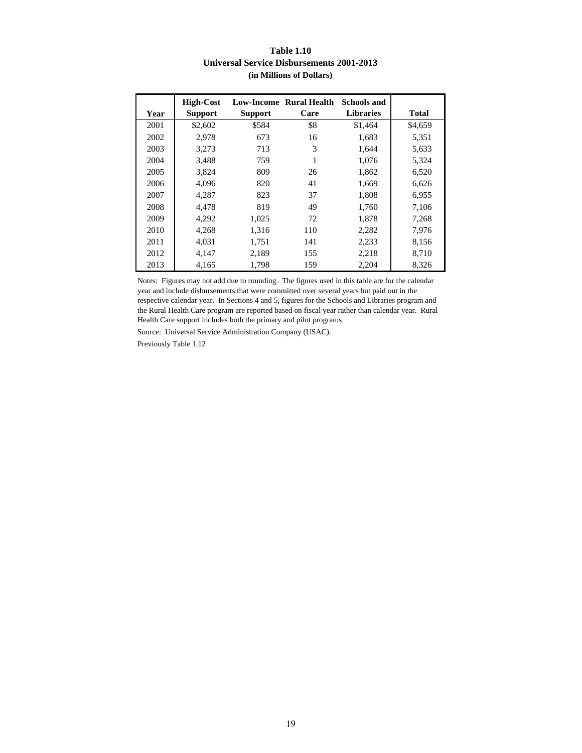#### **Table 1.10 Universal Service Disbursements 2001-2013 (in Millions of Dollars)**

| Year | <b>High-Cost</b><br><b>Support</b> | <b>Support</b> | <b>Low-Income Rural Health</b><br>Care | <b>Schools and</b><br><b>Libraries</b> | <b>Total</b> |
|------|------------------------------------|----------------|----------------------------------------|----------------------------------------|--------------|
| 2001 | \$2,602                            | \$584          | \$8                                    | \$1,464                                | \$4,659      |
| 2002 | 2,978                              | 673            | 16                                     | 1,683                                  | 5,351        |
| 2003 | 3,273                              | 713            | 3                                      | 1,644                                  | 5,633        |
| 2004 | 3,488                              | 759            | 1                                      | 1,076                                  | 5,324        |
| 2005 | 3,824                              | 809            | 26                                     | 1,862                                  | 6,520        |
| 2006 | 4,096                              | 820            | 41                                     | 1,669                                  | 6,626        |
| 2007 | 4,287                              | 823            | 37                                     | 1,808                                  | 6,955        |
| 2008 | 4.478                              | 819            | 49                                     | 1,760                                  | 7,106        |
| 2009 | 4,292                              | 1,025          | 72                                     | 1,878                                  | 7,268        |
| 2010 | 4,268                              | 1,316          | 110                                    | 2,282                                  | 7,976        |
| 2011 | 4,031                              | 1,751          | 141                                    | 2,233                                  | 8,156        |
| 2012 | 4,147                              | 2,189          | 155                                    | 2,218                                  | 8,710        |
| 2013 | 4.165                              | 1,798          | 159                                    | 2,204                                  | 8,326        |

Notes: Figures may not add due to rounding. The figures used in this table are for the calendar year and include disbursements that were committed over several years but paid out in the respective calendar year. In Sections 4 and 5, figures for the Schools and Libraries program and the Rural Health Care program are reported based on fiscal year rather than calendar year. Rural Health Care support includes both the primary and pilot programs.

Source: Universal Service Administration Company (USAC).

Previously Table 1.12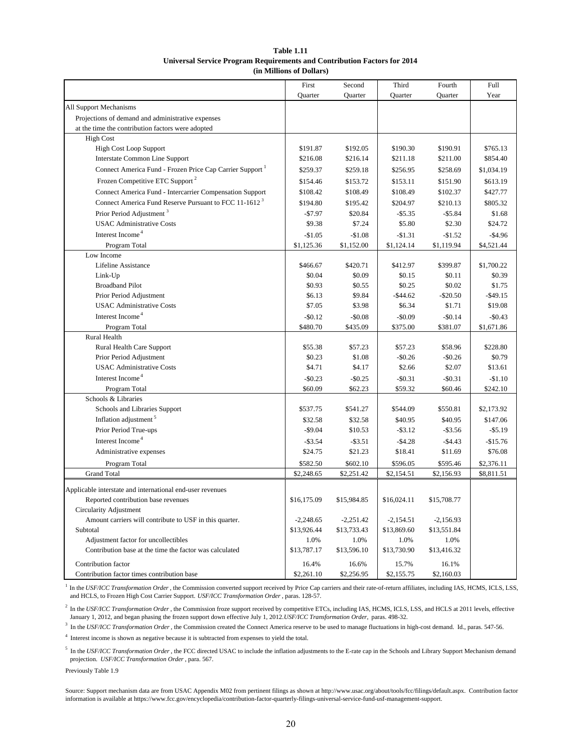#### **Table 1.11 Universal Service Program Requirements and Contribution Factors for 2014 (in Millions of Dollars)**

|                                                                      | First       | Second      | Third               | Fourth      | Full        |
|----------------------------------------------------------------------|-------------|-------------|---------------------|-------------|-------------|
|                                                                      | Quarter     | Quarter     | Quarter             | Quarter     | Year        |
| All Support Mechanisms                                               |             |             |                     |             |             |
| Projections of demand and administrative expenses                    |             |             |                     |             |             |
| at the time the contribution factors were adopted                    |             |             |                     |             |             |
| <b>High Cost</b>                                                     |             |             |                     |             |             |
| <b>High Cost Loop Support</b>                                        | \$191.87    | \$192.05    | \$190.30            | \$190.91    | \$765.13    |
| Interstate Common Line Support                                       | \$216.08    | \$216.14    | \$211.18            | \$211.00    | \$854.40    |
| Connect America Fund - Frozen Price Cap Carrier Support <sup>1</sup> | \$259.37    | \$259.18    | \$256.95            | \$258.69    | \$1,034.19  |
| Frozen Competitive ETC Support <sup>2</sup>                          | \$154.46    | \$153.72    | \$153.11            | \$151.90    | \$613.19    |
| Connect America Fund - Intercarrier Compensation Support             | \$108.42    | \$108.49    | \$108.49            | \$102.37    | \$427.77    |
| Connect America Fund Reserve Pursuant to FCC 11-1612 <sup>3</sup>    | \$194.80    | \$195.42    | \$204.97            | \$210.13    | \$805.32    |
| Prior Period Adjustment <sup>3</sup>                                 | $-$7.97$    | \$20.84     | $-$ \$5.35          | $-$5.84$    | \$1.68      |
| <b>USAC</b> Administrative Costs                                     | \$9.38      | \$7.24      | \$5.80              | \$2.30      | \$24.72     |
| Interest Income <sup>4</sup>                                         | $-$1.05$    | $-$1.08$    | $-$1.31$            | $-$1.52$    | $-$4.96$    |
| Program Total                                                        | \$1,125.36  | \$1,152.00  | \$1,124.14          | \$1,119.94  | \$4,521.44  |
| Low Income                                                           |             |             |                     |             |             |
| Lifeline Assistance                                                  | \$466.67    | \$420.71    | \$412.97            | \$399.87    | \$1,700.22  |
| Link-Up                                                              | \$0.04      | \$0.09      | \$0.15              | \$0.11      | \$0.39      |
| <b>Broadband Pilot</b>                                               | \$0.93      | \$0.55      | \$0.25              | \$0.02      | \$1.75      |
| Prior Period Adjustment                                              | \$6.13      | \$9.84      | $-$ \$44.62         | $-$20.50$   | $-$ \$49.15 |
| <b>USAC</b> Administrative Costs                                     | \$7.05      | \$3.98      | \$6.34              | \$1.71      | \$19.08     |
| Interest Income <sup>4</sup>                                         | $-$0.12$    | $-$0.08$    | $-$0.09$            | $-$0.14$    | $-$0.43$    |
| Program Total                                                        | \$480.70    | \$435.09    | \$375.00            | \$381.07    | \$1,671.86  |
| Rural Health                                                         |             |             |                     |             |             |
| Rural Health Care Support                                            | \$55.38     | \$57.23     | \$57.23             | \$58.96     | \$228.80    |
| Prior Period Adjustment                                              | \$0.23      | \$1.08      | $-$0.26$            | $-$0.26$    | \$0.79      |
| <b>USAC</b> Administrative Costs                                     | \$4.71      | \$4.17      | \$2.66              | \$2.07      | \$13.61     |
| Interest Income <sup>4</sup>                                         | $-$ \$0.23  | $-$0.25$    | $-$0.31$            | $-$0.31$    | $-$1.10$    |
| Program Total                                                        | \$60.09     | \$62.23     | \$59.32             | \$60.46     | \$242.10    |
| Schools & Libraries                                                  |             |             |                     |             |             |
| Schools and Libraries Support                                        | \$537.75    | \$541.27    | \$544.09            | \$550.81    | \$2,173.92  |
| Inflation adjustment <sup>5</sup>                                    | \$32.58     | \$32.58     | \$40.95             | \$40.95     | \$147.06    |
| Prior Period True-ups                                                | $-$9.04$    | \$10.53     | $-$ \$3.12          | $-$ \$3.56  | $- $5.19$   |
| Interest Income <sup>4</sup>                                         | $-$ \$3.54  | $-$ \$3.51  | $-$4.28$            | $-$4.43$    | $-$15.76$   |
| Administrative expenses                                              | \$24.75     | \$21.23     | \$18.41             | \$11.69     | \$76.08     |
| Program Total                                                        | \$582.50    | \$602.10    | \$596.05            | \$595.46    | \$2,376.11  |
| <b>Grand Total</b>                                                   | \$2,248.65  | \$2,251.42  | \$2,154.51          | \$2,156.93  | \$8,811.51  |
| Applicable interstate and international end-user revenues            |             |             |                     |             |             |
| Reported contribution base revenues                                  | \$16,175.09 | \$15,984.85 | \$16,024.11         | \$15,708.77 |             |
| Circularity Adjustment                                               |             |             |                     |             |             |
| Amount carriers will contribute to USF in this quarter.              | $-2,248.65$ | $-2,251.42$ | $-2,154.51$         | $-2,156.93$ |             |
| Subtotal                                                             | \$13,926.44 | \$13,733.43 | \$13,869.60         | \$13,551.84 |             |
| Adjustment factor for uncollectibles                                 | 1.0%        | 1.0%        | 1.0%                | 1.0%        |             |
| Contribution base at the time the factor was calculated              | \$13,787.17 | \$13,596.10 | \$13,730.90         | \$13,416.32 |             |
| Contribution factor                                                  | 16.4%       | 16.6%       |                     | 16.1%       |             |
| Contribution factor times contribution base                          | \$2,261.10  | \$2,256.95  | 15.7%<br>\$2,155.75 | \$2,160.03  |             |
|                                                                      |             |             |                     |             |             |

<sup>1</sup> In the *USF/ICC Transformation Order*, the Commission converted support received by Price Cap carriers and their rate-of-return affiliates, including IAS, HCMS, ICLS, LSS, and HCLS, to Frozen High Cost Carrier Support. *USF/ICC Transformation Order* , paras. 128-57.

<sup>2</sup> In the *USF/ICC Transformation Order*, the Commission froze support received by competitive ETCs, including IAS, HCMS, ICLS, LSS, and HCLS at 2011 levels, effective January 1, 2012, and began phasing the frozen support down effective July 1, 2012. *USF/ICC Transformation Order,* paras. 498-32.

<sup>3</sup> In the *USF/ICC Transformation Order*, the Commission created the Connect America reserve to be used to manage fluctuations in high-cost demand. Id., paras. 547-56.

<sup>4</sup> Interest income is shown as negative because it is subtracted from expenses to yield the total.

<sup>5</sup> In the *USF/ICC Transformation Order*, the FCC directed USAC to include the inflation adjustments to the E-rate cap in the Schools and Library Support Mechanism demand projection. *USF/ICC Transformation Order* , para. 567.

Previously Table 1.9

Source: Support mechanism data are from USAC Appendix M02 from pertinent filings as shown at http://www.usac.org/about/tools/fcc/filings/default.aspx. Contribution factor information is available at https://www.fcc.gov/encyclopedia/contribution-factor-quarterly-filings-universal-service-fund-usf-management-support.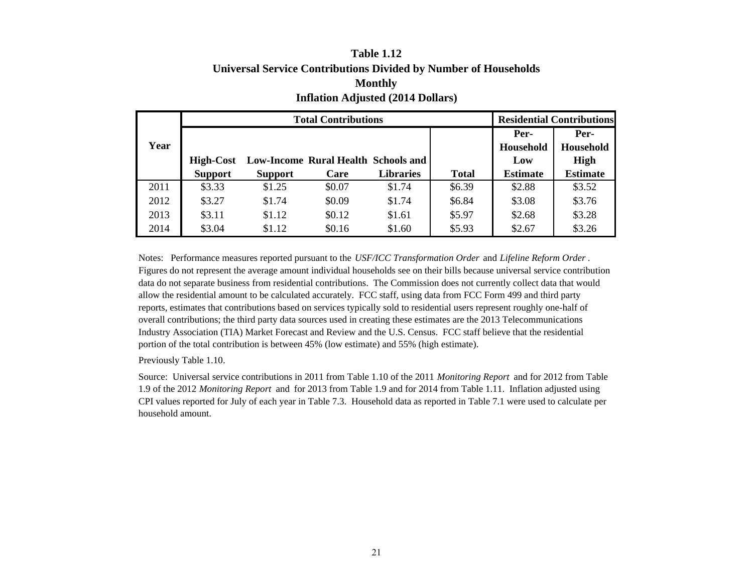# **Table 1.12Universal Service Contributions Divided by Number of Households Monthly Inflation Adjusted (2014 Dollars)**

|      |                  | <b>Total Contributions</b>          |        | <b>Residential Contributions</b> |              |                  |                 |
|------|------------------|-------------------------------------|--------|----------------------------------|--------------|------------------|-----------------|
|      |                  |                                     |        |                                  |              | Per-             | Per-            |
| Year |                  |                                     |        |                                  |              | <b>Household</b> | Household       |
|      | <b>High-Cost</b> | Low-Income Rural Health Schools and |        |                                  |              | Low              | <b>High</b>     |
|      | <b>Support</b>   | <b>Support</b>                      | Care   | <b>Libraries</b>                 | <b>Total</b> | <b>Estimate</b>  | <b>Estimate</b> |
| 2011 | \$3.33           | \$1.25                              | \$0.07 | \$1.74                           | \$6.39       | \$2.88           | \$3.52          |
| 2012 | \$3.27           | \$1.74                              | \$0.09 | \$1.74                           | \$6.84       | \$3.08           | \$3.76          |
| 2013 | \$3.11           | \$1.12                              | \$0.12 | \$1.61                           | \$5.97       | \$2.68           | \$3.28          |
| 2014 | \$3.04           | \$1.12                              | \$0.16 | \$1.60                           | \$5.93       | \$2.67           | \$3.26          |

Notes: Performance measures reported pursuant to the *USF/ICC Transformation Order* and *Lifeline Reform Order* . Figures do not represent the average amount individual households see on their bills because universal service contribution data do not separate business from residential contributions. The Commission does not currently collect data that would allow the residential amount to be calculated accurately. FCC staff, using data from FCC Form 499 and third party reports, estimates that contributions based on services typically sold to residential users represent roughly one-half of overall contributions; the third party data sources used in creating these estimates are the 2013 Telecommunications Industry Association (TIA) Market Forecast and Review and the U.S. Census. FCC staff believe that the residential portion of the total contribution is between 45% (low estimate) and 55% (high estimate).

Previously Table 1.10.

Source: Universal service contributions in 2011 from Table 1.10 of the 2011 *Monitoring Report* and for 2012 from Table 1.9 of the 2012 *Monitoring Report* and for 2013 from Table 1.9 and for 2014 from Table 1.11. Inflation adjusted using CPI values reported for July of each year in Table 7.3. Household data as reported in Table 7.1 were used to calculate per household amount.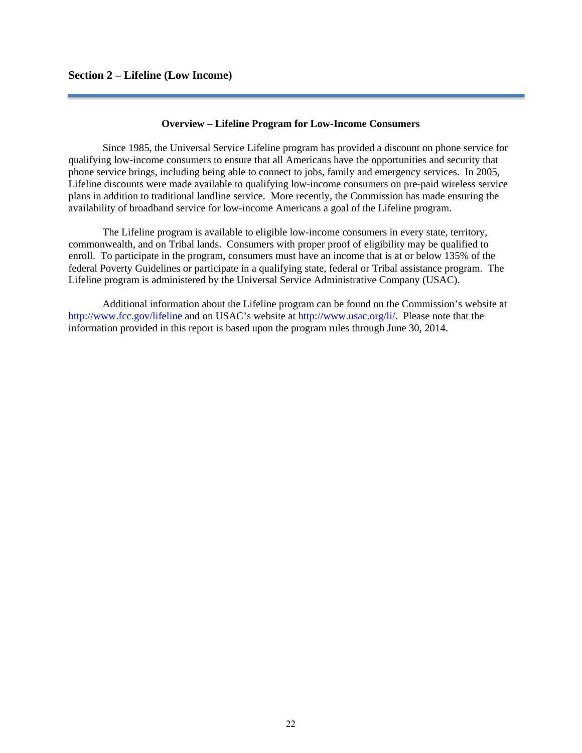#### **Overview – Lifeline Program for Low-Income Consumers**

Since 1985, the Universal Service Lifeline program has provided a discount on phone service for qualifying low-income consumers to ensure that all Americans have the opportunities and security that phone service brings, including being able to connect to jobs, family and emergency services. In 2005, Lifeline discounts were made available to qualifying low-income consumers on pre-paid wireless service plans in addition to traditional landline service. More recently, the Commission has made ensuring the availability of broadband service for low-income Americans a goal of the Lifeline program.

 The Lifeline program is available to eligible low-income consumers in every state, territory, commonwealth, and on Tribal lands. Consumers with proper proof of eligibility may be qualified to enroll. To participate in the program, consumers must have an income that is at or below 135% of the federal Poverty Guidelines or participate in a qualifying state, federal or Tribal assistance program. The Lifeline program is administered by the Universal Service Administrative Company (USAC).

 Additional information about the Lifeline program can be found on the Commission's website at http://www.fcc.gov/lifeline and on USAC's website at http://www.usac.org/li/. Please note that the information provided in this report is based upon the program rules through June 30, 2014.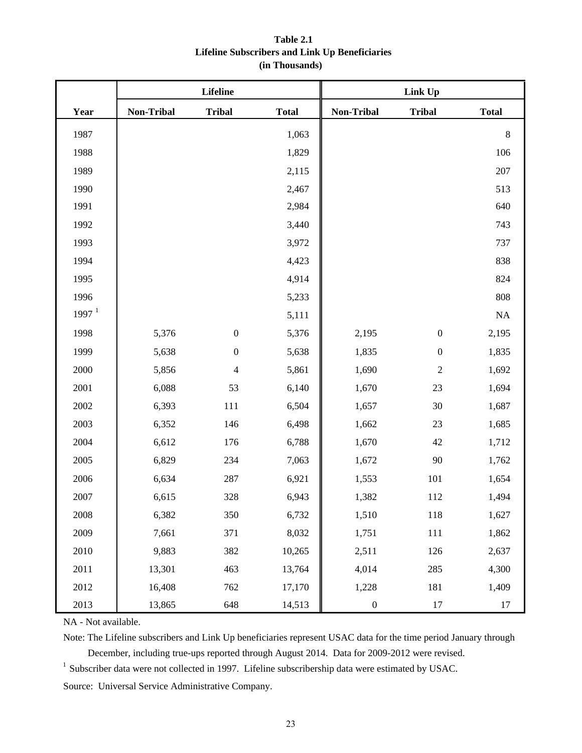# **Table 2.1 Lifeline Subscribers and Link Up Beneficiaries (in Thousands)**

|                   |            | Lifeline         |              | Link Up           |                  |              |  |  |
|-------------------|------------|------------------|--------------|-------------------|------------------|--------------|--|--|
| Year              | Non-Tribal | <b>Tribal</b>    | <b>Total</b> | <b>Non-Tribal</b> | <b>Tribal</b>    | <b>Total</b> |  |  |
| 1987              |            |                  | 1,063        |                   |                  | $\,8\,$      |  |  |
| 1988              |            |                  | 1,829        |                   |                  | 106          |  |  |
| 1989              |            |                  | 2,115        |                   |                  | 207          |  |  |
| 1990              |            |                  | 2,467        |                   |                  | 513          |  |  |
| 1991              |            |                  | 2,984        |                   |                  | 640          |  |  |
| 1992              |            |                  | 3,440        |                   |                  | 743          |  |  |
| 1993              |            |                  | 3,972        |                   |                  | 737          |  |  |
| 1994              |            |                  | 4,423        |                   |                  | 838          |  |  |
| 1995              |            |                  | 4,914        |                   |                  | 824          |  |  |
| 1996              |            |                  | 5,233        |                   |                  | 808          |  |  |
| 1997 <sup>1</sup> |            |                  | 5,111        |                   |                  | $\rm NA$     |  |  |
| 1998              | 5,376      | $\boldsymbol{0}$ | 5,376        | 2,195             | $\boldsymbol{0}$ | 2,195        |  |  |
| 1999              | 5,638      | $\boldsymbol{0}$ | 5,638        | 1,835             | $\boldsymbol{0}$ | 1,835        |  |  |
| 2000              | 5,856      | $\overline{4}$   | 5,861        | 1,690             | $\sqrt{2}$       | 1,692        |  |  |
| 2001              | 6,088      | 53               | 6,140        | 1,670             | 23               | 1,694        |  |  |
| 2002              | 6,393      | 111              | 6,504        | 1,657             | 30               | 1,687        |  |  |
| 2003              | 6,352      | 146              | 6,498        | 1,662             | 23               | 1,685        |  |  |
| 2004              | 6,612      | 176              | 6,788        | 1,670             | 42               | 1,712        |  |  |
| 2005              | 6,829      | 234              | 7,063        | 1,672             | 90               | 1,762        |  |  |
| 2006              | 6,634      | 287              | 6,921        | 1,553             | 101              | 1,654        |  |  |
| 2007              | 6,615      | 328              | 6,943        | 1,382             | 112              | 1,494        |  |  |
| 2008              | 6,382      | 350              | 6,732        | 1,510             | 118              | 1,627        |  |  |
| 2009              | 7,661      | 371              | 8,032        | 1,751             | 111              | 1,862        |  |  |
| $2010\,$          | 9,883      | 382              | 10,265       | 2,511             | 126              | 2,637        |  |  |
| 2011              | 13,301     | 463              | 13,764       | 4,014             | 285              | 4,300        |  |  |
| 2012              | 16,408     | 762              | 17,170       | 1,228             | 181              | 1,409        |  |  |
| 2013              | 13,865     | 648              | 14,513       | $\boldsymbol{0}$  | $17\,$           | $17\,$       |  |  |

NA - Not available.

Note: The Lifeline subscribers and Link Up beneficiaries represent USAC data for the time period January through December, including true-ups reported through August 2014. Data for 2009-2012 were revised.

<sup>1</sup> Subscriber data were not collected in 1997. Lifeline subscribership data were estimated by USAC.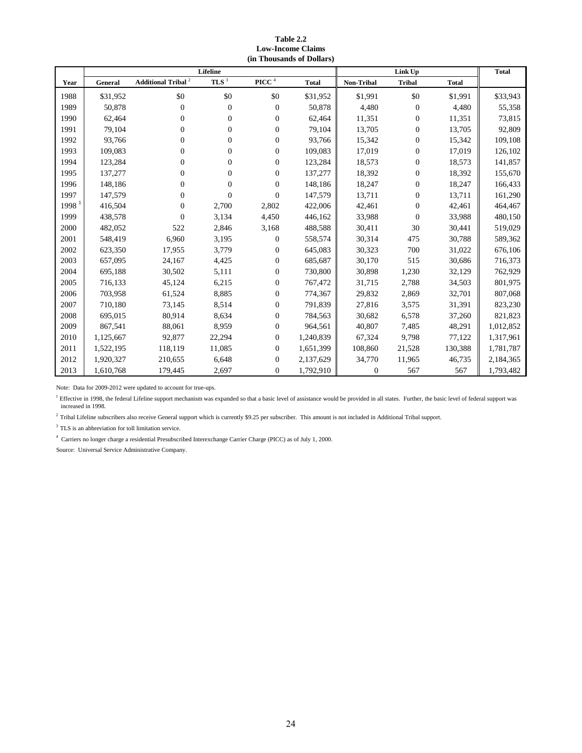**Table 2.2 Low-Income Claims (in Thousands of Dollars)**

|                   |           |                                   | <b>Lifeline</b>  |                      |              |                  |                  | <b>Total</b> |           |
|-------------------|-----------|-----------------------------------|------------------|----------------------|--------------|------------------|------------------|--------------|-----------|
| Year              | General   | Additional Tribal $^{\mathrm{2}}$ | TLS <sup>3</sup> | $\mathbf{PICC}$ $^4$ | <b>Total</b> | Non-Tribal       | <b>Tribal</b>    | <b>Total</b> |           |
| 1988              | \$31,952  | \$0                               | \$0              | \$0                  | \$31,952     | \$1,991          | \$0              | \$1,991      | \$33,943  |
| 1989              | 50,878    | $\boldsymbol{0}$                  | $\overline{0}$   | $\mathbf{0}$         | 50,878       | 4,480            | $\theta$         | 4,480        | 55,358    |
| 1990              | 62,464    | $\mathbf{0}$                      | $\mathbf{0}$     | $\overline{0}$       | 62,464       | 11,351           | $\mathbf{0}$     | 11,351       | 73,815    |
| 1991              | 79,104    | $\overline{0}$                    | 0                | $\overline{0}$       | 79,104       | 13,705           | $\boldsymbol{0}$ | 13,705       | 92,809    |
| 1992              | 93.766    | $\mathbf{0}$                      | $\mathbf{0}$     | $\overline{0}$       | 93,766       | 15,342           | $\overline{0}$   | 15,342       | 109,108   |
| 1993              | 109,083   | $\overline{0}$                    | 0                | $\overline{0}$       | 109,083      | 17,019           | $\boldsymbol{0}$ | 17,019       | 126,102   |
| 1994              | 123,284   | $\overline{0}$                    | 0                | $\overline{0}$       | 123,284      | 18,573           | $\mathbf{0}$     | 18,573       | 141,857   |
| 1995              | 137,277   | 0                                 | $\boldsymbol{0}$ | $\boldsymbol{0}$     | 137,277      | 18,392           | $\boldsymbol{0}$ | 18,392       | 155,670   |
| 1996              | 148,186   | $\overline{0}$                    | 0                | $\overline{0}$       | 148,186      | 18,247           | $\boldsymbol{0}$ | 18,247       | 166,433   |
| 1997              | 147,579   | 0                                 | $\Omega$         | $\overline{0}$       | 147,579      | 13,711           | $\mathbf{0}$     | 13,711       | 161,290   |
| 1998 <sup>1</sup> | 416,504   | $\boldsymbol{0}$                  | 2,700            | 2,802                | 422,006      | 42,461           | $\boldsymbol{0}$ | 42,461       | 464,467   |
| 1999              | 438,578   | $\Omega$                          | 3,134            | 4,450                | 446,162      | 33,988           | $\mathbf{0}$     | 33,988       | 480,150   |
| 2000              | 482,052   | 522                               | 2,846            | 3,168                | 488,588      | 30,411           | 30               | 30,441       | 519,029   |
| 2001              | 548,419   | 6,960                             | 3,195            | 0                    | 558,574      | 30,314           | 475              | 30,788       | 589,362   |
| 2002              | 623,350   | 17,955                            | 3,779            | $\overline{0}$       | 645,083      | 30,323           | 700              | 31,022       | 676,106   |
| 2003              | 657,095   | 24,167                            | 4,425            | $\overline{0}$       | 685,687      | 30,170           | 515              | 30,686       | 716,373   |
| 2004              | 695,188   | 30,502                            | 5,111            | $\overline{0}$       | 730,800      | 30,898           | 1,230            | 32,129       | 762,929   |
| 2005              | 716,133   | 45,124                            | 6,215            | $\overline{0}$       | 767,472      | 31,715           | 2,788            | 34,503       | 801,975   |
| 2006              | 703,958   | 61,524                            | 8,885            | $\overline{0}$       | 774,367      | 29,832           | 2,869            | 32,701       | 807,068   |
| 2007              | 710,180   | 73,145                            | 8,514            | $\overline{0}$       | 791,839      | 27,816           | 3,575            | 31,391       | 823,230   |
| 2008              | 695,015   | 80,914                            | 8,634            | $\overline{0}$       | 784,563      | 30,682           | 6,578            | 37,260       | 821,823   |
| 2009              | 867,541   | 88,061                            | 8,959            | $\boldsymbol{0}$     | 964,561      | 40,807           | 7,485            | 48,291       | 1,012,852 |
| 2010              | 1,125,667 | 92,877                            | 22,294           | $\overline{0}$       | 1,240,839    | 67,324           | 9,798            | 77,122       | 1,317,961 |
| 2011              | 1,522,195 | 118,119                           | 11,085           | $\overline{0}$       | 1,651,399    | 108,860          | 21,528           | 130,388      | 1,781,787 |
| 2012              | 1,920,327 | 210,655                           | 6,648            | $\overline{0}$       | 2,137,629    | 34,770           | 11,965           | 46,735       | 2,184,365 |
| 2013              | 1,610,768 | 179,445                           | 2,697            | $\overline{0}$       | 1,792,910    | $\boldsymbol{0}$ | 567              | 567          | 1,793,482 |

Note: Data for 2009-2012 were updated to account for true-ups.

<sup>1</sup> Effective in 1998, the federal Lifeline support mechanism was expanded so that a basic level of assistance would be provided in all states. Further, the basic level of federal support was increased in 1998.

 $2$  Tribal Lifeline subscribers also receive General support which is currently \$9.25 per subscriber. This amount is not included in Additional Tribal support.

 $^3$  TLS is an abbreviation for toll limitation service.

4 Carriers no longer charge a residential Presubscribed Interexchange Carrier Charge (PICC) as of July 1, 2000.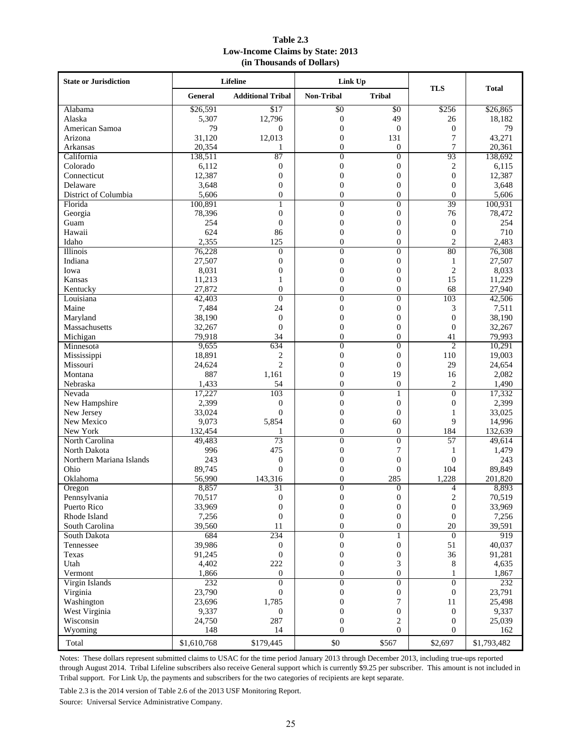| Table 2.3                               |
|-----------------------------------------|
| <b>Low-Income Claims by State: 2013</b> |
| (in Thousands of Dollars)               |

| <b>State or Jurisdiction</b> |             | Lifeline                 | Link Up                              |                              | <b>TLS</b>       | Total       |  |
|------------------------------|-------------|--------------------------|--------------------------------------|------------------------------|------------------|-------------|--|
|                              | General     | <b>Additional Tribal</b> | <b>Non-Tribal</b>                    | <b>Tribal</b>                |                  |             |  |
| Alabama                      | \$26,591    | $\overline{$17}$         | \$0                                  | \$0                          | \$256            | \$26,865    |  |
| Alaska                       | 5,307       | 12,796                   | $\boldsymbol{0}$                     | 49                           | 26               | 18,182      |  |
| American Samoa               | 79          | $\theta$                 | $\overline{0}$                       | $\overline{0}$               | $\boldsymbol{0}$ | 79          |  |
| Arizona                      | 31,120      | 12,013                   | $\overline{0}$                       | 131                          | $\tau$           | 43,271      |  |
| Arkansas                     | 20,354      | 1                        | $\overline{0}$                       | 0                            | 7                | 20,361      |  |
| California                   | 138,511     | 87                       | $\overline{0}$                       | $\overline{0}$               | 93               | 138,692     |  |
| Colorado                     | 6,112       | $\overline{0}$           | $\boldsymbol{0}$                     | $\boldsymbol{0}$             | 2                | 6,115       |  |
| Connecticut                  | 12,387      | $\theta$                 | $\Omega$                             | $\mathbf{0}$                 | $\overline{0}$   | 12,387      |  |
| Delaware                     | 3,648       | $\overline{0}$           | $\overline{0}$                       | $\boldsymbol{0}$             | $\overline{0}$   | 3,648       |  |
| District of Columbia         | 5,606       | $\overline{0}$           | $\overline{0}$                       | $\mathbf{0}$                 | $\mathbf{0}$     | 5,606       |  |
| Florida                      | 100,891     | 1                        | $\Omega$                             | $\mathbf{0}$                 | 39               | 100,931     |  |
| Georgia                      | 78,396      | $\boldsymbol{0}$         | $\boldsymbol{0}$                     | $\boldsymbol{0}$             | 76               | 78,472      |  |
| Guam                         | 254         | $\overline{0}$           | $\overline{0}$                       | $\boldsymbol{0}$             | $\mathbf{0}$     | 254         |  |
| Hawaii                       | 624         | 86                       | $\overline{0}$                       | $\mathbf{0}$                 | $\overline{0}$   | 710         |  |
| Idaho                        | 2,355       | 125                      | $\overline{0}$                       | $\overline{0}$               | $\overline{c}$   | 2,483       |  |
| Illinois                     | 76,228      | $\overline{0}$           | $\overline{0}$                       | $\mathbf{0}$                 | 80               | 76,308      |  |
| Indiana                      | 27,507      | $\overline{0}$           | $\overline{0}$                       | $\mathbf{0}$                 | 1                | 27,507      |  |
| Iowa                         | 8,031       | $\boldsymbol{0}$         | $\boldsymbol{0}$                     | $\boldsymbol{0}$             | $\mathfrak{2}$   | 8,033       |  |
| Kansas                       | 11,213      | $\mathbf{1}$             | $\overline{0}$                       | $\boldsymbol{0}$             | 15               | 11,229      |  |
| Kentucky                     | 27,872      | $\overline{0}$           | $\theta$                             | $\overline{0}$               | 68               | 27,940      |  |
| Louisiana                    | 42,403      | $\overline{0}$           | $\overline{0}$                       | $\boldsymbol{0}$             | 103              | 42,506      |  |
| Maine                        | 7,484       | 24                       | $\overline{0}$                       | $\mathbf{0}$                 | 3                | 7,511       |  |
| Maryland                     | 38,190      | $\theta$                 | $\overline{0}$                       | $\mathbf{0}$                 | $\mathbf{0}$     | 38,190      |  |
| Massachusetts                | 32,267      | $\overline{0}$           | $\overline{0}$                       | $\boldsymbol{0}$             | $\theta$         | 32,267      |  |
| Michigan                     | 79,918      | 34                       | $\overline{0}$                       | $\boldsymbol{0}$             | 41               | 79,993      |  |
| Minnesota                    | 9,655       | 634                      | $\overline{0}$                       | $\mathbf{0}$                 | $\overline{2}$   | 10,291      |  |
| Mississippi                  | 18,891      | $\overline{c}$           | $\overline{0}$                       | $\mathbf{0}$                 | 110              | 19,003      |  |
| Missouri                     | 24,624      | $\overline{2}$           | $\overline{0}$                       | $\mathbf{0}$                 | 29               | 24,654      |  |
| Montana                      | 887         | 1,161                    | $\overline{0}$                       | 19                           | 16               | 2,082       |  |
| Nebraska                     | 1,433       | 54                       | $\overline{0}$                       | $\overline{0}$               | $\overline{c}$   | 1,490       |  |
| Nevada                       | 17,227      | 103                      | $\overline{0}$                       | 1                            | $\overline{0}$   | 17,332      |  |
| New Hampshire                | 2,399       | $\overline{0}$           | $\boldsymbol{0}$                     | $\overline{0}$               | $\boldsymbol{0}$ | 2,399       |  |
| New Jersey                   | 33,024      | $\Omega$                 | $\overline{0}$                       | $\overline{0}$               | 1                | 33,025      |  |
| New Mexico                   | 9,073       | 5,854                    | $\overline{0}$                       | 60                           | 9                | 14,996      |  |
| New York                     | 132,454     | 1                        | $\overline{0}$                       | $\mathbf{0}$                 | 184              | 132,639     |  |
| North Carolina               | 49,483      | 73                       | $\theta$                             | $\mathbf{0}$                 | 57               | 49,614      |  |
| North Dakota                 | 996         | 475                      | $\overline{0}$                       | $\overline{7}$               | 1                | 1,479       |  |
| Northern Mariana Islands     | 243         | $\boldsymbol{0}$         | $\overline{0}$                       | $\boldsymbol{0}$             | $\mathbf{0}$     | 243         |  |
| Ohio                         | 89,745      | $\theta$                 | $\overline{0}$                       | $\mathbf{0}$                 | 104              | 89,849      |  |
| Oklahoma                     | 56,990      | 143,316                  | $\theta$                             | 285                          | 1,228            | 201,820     |  |
|                              | 8,857       | $\overline{31}$          | $\boldsymbol{0}$                     | $\boldsymbol{0}$             | 4                | 8,893       |  |
| Oregon                       |             | $\boldsymbol{0}$         |                                      | $\boldsymbol{0}$             |                  |             |  |
| Pennsylvania                 | 70,517      |                          | $\boldsymbol{0}$<br>$\boldsymbol{0}$ |                              | $\sqrt{2}$       | 70,519      |  |
| Puerto Rico                  | 33,969      | $\boldsymbol{0}$         |                                      | $\boldsymbol{0}$             | $\boldsymbol{0}$ | 33,969      |  |
| Rhode Island                 | 7,256       | $\mathbf{0}$<br>11       | $\boldsymbol{0}$                     | $\mathbf{0}$<br>$\mathbf{0}$ | $\mathbf{0}$     | 7,256       |  |
| South Carolina               | 39,560      |                          | $\boldsymbol{0}$                     |                              | 20               | 39,591      |  |
| South Dakota                 | 684         | 234                      | $\overline{0}$                       | $\mathbf{1}$                 | $\mathbf{0}$     | 919         |  |
| Tennessee                    | 39,986      | $\mathbf{0}$             | 0                                    | $\boldsymbol{0}$             | 51               | 40,037      |  |
| Texas                        | 91,245      | $\boldsymbol{0}$         | $\boldsymbol{0}$                     | $\boldsymbol{0}$             | 36               | 91,281      |  |
| Utah                         | 4,402       | 222                      | $\overline{0}$                       | 3                            | 8                | 4,635       |  |
| Vermont                      | 1,866       | $\boldsymbol{0}$         | $\boldsymbol{0}$                     | $\boldsymbol{0}$             | 1                | 1,867       |  |
| Virgin Islands               | 232         | $\theta$                 | $\overline{0}$                       | $\overline{0}$               | $\overline{0}$   | 232         |  |
| Virginia                     | 23,790      | 0                        | 0                                    | $\boldsymbol{0}$             | $\bf{0}$         | 23,791      |  |
| Washington                   | 23,696      | 1,785                    | $\boldsymbol{0}$                     | 7                            | 11               | 25,498      |  |
| West Virginia                | 9,337       | $\overline{0}$           | $\boldsymbol{0}$                     | $\boldsymbol{0}$             | $\boldsymbol{0}$ | 9,337       |  |
| Wisconsin                    | 24,750      | 287                      | $\overline{0}$                       | 2                            | $\mathbf{0}$     | 25,039      |  |
| Wyoming                      | 148         | 14                       | $\mathbf{0}$                         | $\overline{0}$               | $\overline{0}$   | 162         |  |
| Total                        | \$1,610,768 | \$179,445                | $\$0$                                | \$567                        | \$2,697          | \$1,793,482 |  |

Notes: These dollars represent submitted claims to USAC for the time period January 2013 through December 2013, including true-ups reported through August 2014. Tribal Lifeline subscribers also receive General support which is currently \$9.25 per subscriber. This amount is not included in Tribal support. For Link Up, the payments and subscribers for the two categories of recipients are kept separate.

Table 2.3 is the 2014 version of Table 2.6 of the 2013 USF Monitoring Report. Source: Universal Service Administrative Company.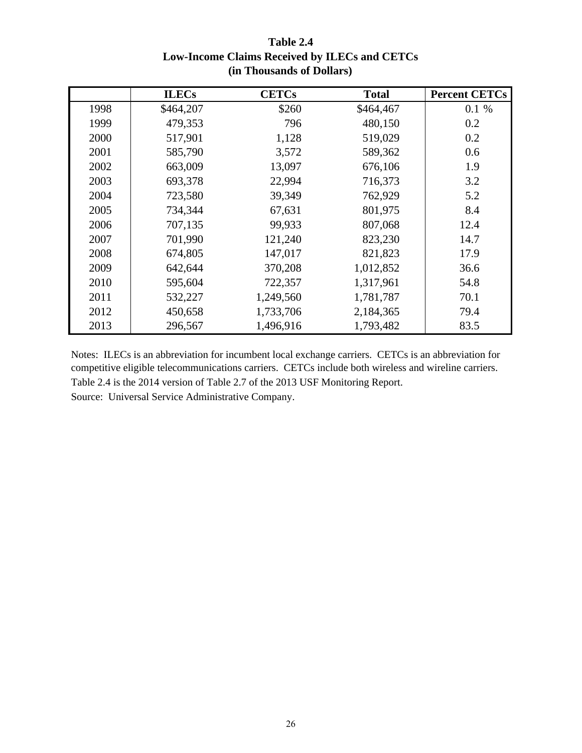|      | <b>ILECs</b> | <b>CETCs</b> | <b>Total</b> | <b>Percent CETCs</b> |
|------|--------------|--------------|--------------|----------------------|
| 1998 | \$464,207    | \$260        | \$464,467    | 0.1 %                |
| 1999 | 479,353      | 796          | 480,150      | 0.2                  |
| 2000 | 517,901      | 1,128        | 519,029      | 0.2                  |
| 2001 | 585,790      | 3,572        | 589,362      | 0.6                  |
| 2002 | 663,009      | 13,097       | 676,106      | 1.9                  |
| 2003 | 693,378      | 22,994       | 716,373      | 3.2                  |
| 2004 | 723,580      | 39,349       | 762,929      | 5.2                  |
| 2005 | 734,344      | 67,631       | 801,975      | 8.4                  |
| 2006 | 707,135      | 99,933       | 807,068      | 12.4                 |
| 2007 | 701,990      | 121,240      | 823,230      | 14.7                 |
| 2008 | 674,805      | 147,017      | 821,823      | 17.9                 |
| 2009 | 642,644      | 370,208      | 1,012,852    | 36.6                 |
| 2010 | 595,604      | 722,357      | 1,317,961    | 54.8                 |
| 2011 | 532,227      | 1,249,560    | 1,781,787    | 70.1                 |
| 2012 | 450,658      | 1,733,706    | 2,184,365    | 79.4                 |
| 2013 | 296,567      | 1,496,916    | 1,793,482    | 83.5                 |

**Table 2.4 Low-Income Claims Received by ILECs and CETCs (in Thousands of Dollars)**

Table 2.4 is the 2014 version of Table 2.7 of the 2013 USF Monitoring Report. Notes: ILECs is an abbreviation for incumbent local exchange carriers. CETCs is an abbreviation for competitive eligible telecommunications carriers. CETCs include both wireless and wireline carriers. Source: Universal Service Administrative Company.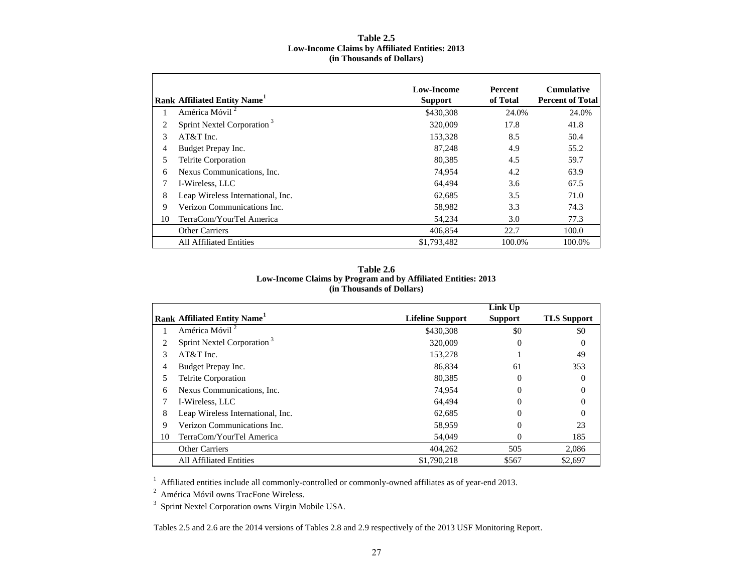#### **Table 2.5 Low-Income Claims by Affiliated Entities: 2013 (in Thousands of Dollars)**

|    | Rank Affiliated Entity Name <sup>1</sup> | <b>Low-Income</b><br><b>Support</b> | <b>Percent</b><br>of Total | <b>Cumulative</b><br><b>Percent of Total</b> |
|----|------------------------------------------|-------------------------------------|----------------------------|----------------------------------------------|
|    | América Móvil <sup>2</sup>               | \$430,308                           | 24.0%                      | 24.0%                                        |
| 2  | Sprint Nextel Corporation <sup>3</sup>   | 320,009                             | 17.8                       | 41.8                                         |
| 3  | AT&T Inc.                                | 153,328                             | 8.5                        | 50.4                                         |
| 4  | Budget Prepay Inc.                       | 87.248                              | 4.9                        | 55.2                                         |
| 5  | <b>Telrite Corporation</b>               | 80.385                              | 4.5                        | 59.7                                         |
| 6  | Nexus Communications, Inc.               | 74.954                              | 4.2                        | 63.9                                         |
| 7  | I-Wireless, LLC                          | 64.494                              | 3.6                        | 67.5                                         |
| 8  | Leap Wireless International, Inc.        | 62.685                              | 3.5                        | 71.0                                         |
| 9  | Verizon Communications Inc.              | 58,982                              | 3.3                        | 74.3                                         |
| 10 | TerraCom/YourTel America                 | 54,234                              | 3.0                        | 77.3                                         |
|    | <b>Other Carriers</b>                    | 406,854                             | 22.7                       | 100.0                                        |
|    | <b>All Affiliated Entities</b>           | \$1,793,482                         | 100.0%                     | 100.0%                                       |

#### **(in Thousands of Dollars) Table 2.6Low-Income Claims by Program and by Affiliated Entities: 2013**

|    |                                          |                         | Link Up        |                    |
|----|------------------------------------------|-------------------------|----------------|--------------------|
|    | Rank Affiliated Entity Name <sup>1</sup> | <b>Lifeline Support</b> | <b>Support</b> | <b>TLS Support</b> |
|    | América Móvil <sup>2</sup>               | \$430,308               | \$0            | \$0                |
| 2  | Sprint Nextel Corporation <sup>3</sup>   | 320,009                 | $\Omega$       | $\theta$           |
| 3  | $AT&T$ Inc.                              | 153,278                 |                | 49                 |
| 4  | Budget Prepay Inc.                       | 86,834                  | 61             | 353                |
|    | Telrite Corporation                      | 80.385                  | $\theta$       |                    |
| 6  | Nexus Communications, Inc.               | 74,954                  | $\Omega$       |                    |
|    | I-Wireless, LLC                          | 64,494                  | $\Omega$       |                    |
| 8  | Leap Wireless International, Inc.        | 62,685                  | $\theta$       |                    |
| 9  | Verizon Communications Inc.              | 58,959                  | $\Omega$       | 23                 |
| 10 | TerraCom/YourTel America                 | 54,049                  | $\Omega$       | 185                |
|    | <b>Other Carriers</b>                    | 404,262                 | 505            | 2,086              |
|    | <b>All Affiliated Entities</b>           | \$1,790,218             | \$567          | \$2,697            |

<sup>1</sup> Affiliated entities include all commonly-controlled or commonly-owned affiliates as of year-end 2013.

 $2$  América Móvil owns TracFone Wireless.

3 Sprint Nextel Corporation owns Virgin Mobile USA.

Tables 2.5 and 2.6 are the 2014 versions of Tables 2.8 and 2.9 respectively of the 2013 USF Monitoring Report.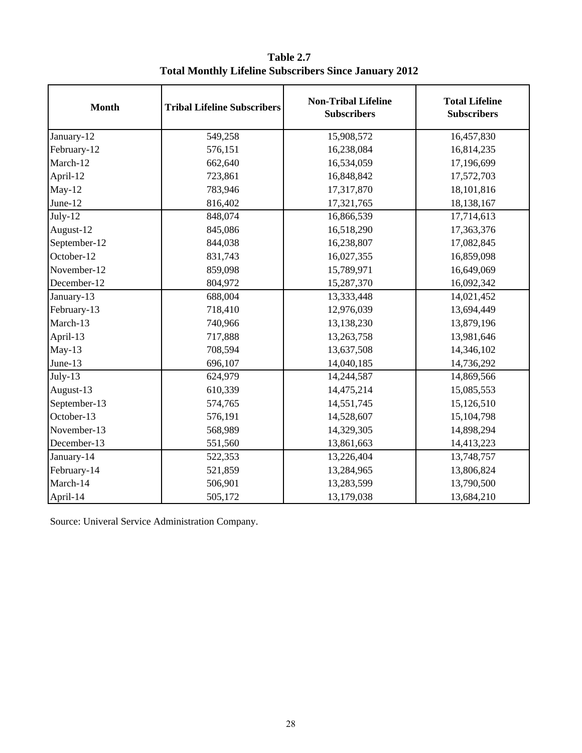| <b>Month</b> | <b>Tribal Lifeline Subscribers</b> | <b>Non-Tribal Lifeline</b><br><b>Subscribers</b> | <b>Total Lifeline</b><br><b>Subscribers</b> |
|--------------|------------------------------------|--------------------------------------------------|---------------------------------------------|
| January-12   | 549,258                            | 15,908,572                                       | 16,457,830                                  |
| February-12  | 576,151                            | 16,238,084                                       | 16,814,235                                  |
| March-12     | 662,640                            | 16,534,059                                       | 17,196,699                                  |
| April-12     | 723,861                            | 16,848,842                                       | 17,572,703                                  |
| $May-12$     | 783,946                            | 17,317,870                                       | 18,101,816                                  |
| June-12      | 816,402                            | 17,321,765                                       | 18,138,167                                  |
| July-12      | 848,074                            | 16,866,539                                       | 17,714,613                                  |
| August-12    | 845,086                            | 16,518,290                                       | 17,363,376                                  |
| September-12 | 844,038                            | 16,238,807                                       | 17,082,845                                  |
| October-12   | 831,743                            | 16,027,355                                       | 16,859,098                                  |
| November-12  | 859,098                            | 15,789,971                                       | 16,649,069                                  |
| December-12  | 804,972                            | 15,287,370                                       | 16,092,342                                  |
| January-13   | 688,004                            | 13,333,448                                       | 14,021,452                                  |
| February-13  | 718,410                            | 12,976,039                                       | 13,694,449                                  |
| March-13     | 740,966                            | 13,138,230                                       | 13,879,196                                  |
| April-13     | 717,888                            | 13,263,758                                       | 13,981,646                                  |
| $May-13$     | 708,594                            | 13,637,508                                       | 14,346,102                                  |
| June-13      | 696,107                            | 14,040,185                                       | 14,736,292                                  |
| $July-13$    | 624,979                            | 14,244,587                                       | 14,869,566                                  |
| August-13    | 610,339                            | 14,475,214                                       | 15,085,553                                  |
| September-13 | 574,765                            | 14,551,745                                       | 15,126,510                                  |
| October-13   | 576,191                            | 14,528,607                                       | 15,104,798                                  |
| November-13  | 568,989                            | 14,329,305                                       | 14,898,294                                  |
| December-13  | 551,560                            | 13,861,663                                       | 14,413,223                                  |
| January-14   | 522,353                            | 13,226,404                                       | 13,748,757                                  |
| February-14  | 521,859                            | 13,284,965                                       | 13,806,824                                  |
| March-14     | 506,901                            | 13,283,599                                       | 13,790,500                                  |
| April-14     | 505,172                            | 13,179,038                                       | 13,684,210                                  |

**Table 2.7 Total Monthly Lifeline Subscribers Since January 2012**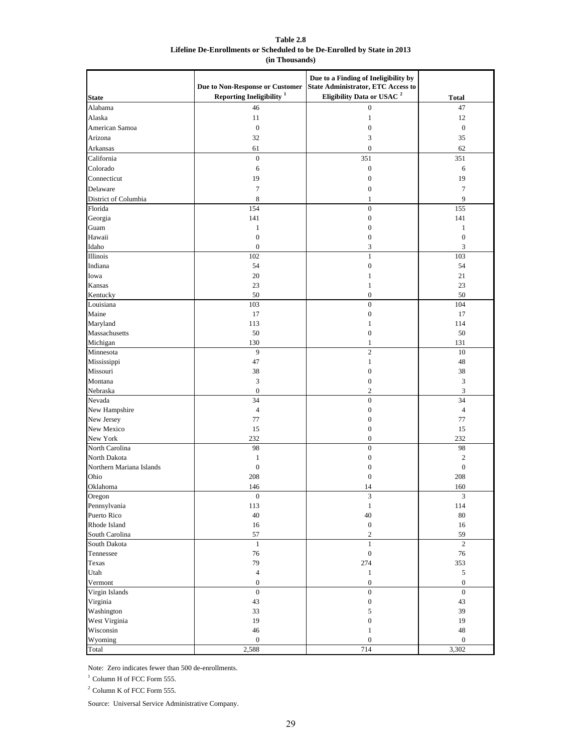**Table 2.8 Lifeline De-Enrollments or Scheduled to be De-Enrolled by State in 2013 (in Thousands)**

|                          | Due to Non-Response or Customer | Due to a Finding of Ineligibility by<br><b>State Administrator, ETC Access to</b> |                  |
|--------------------------|---------------------------------|-----------------------------------------------------------------------------------|------------------|
| <b>State</b>             | Reporting Ineligibility $1$     | Eligibility Data or USAC <sup>2</sup>                                             | <b>Total</b>     |
| Alabama                  | 46                              | $\overline{0}$                                                                    | 47               |
| Alaska                   | 11                              | 1                                                                                 | 12               |
| American Samoa           | $\boldsymbol{0}$                | $\boldsymbol{0}$                                                                  | $\mathbf{0}$     |
| Arizona                  | 32                              | 3                                                                                 | 35               |
| Arkansas                 | 61                              | $\boldsymbol{0}$                                                                  | 62               |
| California               | $\boldsymbol{0}$                | 351                                                                               | 351              |
| Colorado                 | 6                               | $\boldsymbol{0}$                                                                  | 6                |
| Connecticut              | 19                              | $\boldsymbol{0}$                                                                  | 19               |
| Delaware                 | $\tau$                          | $\boldsymbol{0}$                                                                  | 7                |
|                          |                                 |                                                                                   |                  |
| District of Columbia     | 8                               | 1                                                                                 | 9                |
| Florida                  | 154                             | $\boldsymbol{0}$                                                                  | 155              |
| Georgia                  | 141                             | $\boldsymbol{0}$                                                                  | 141              |
| Guam                     | $\mathbf{1}$                    | $\boldsymbol{0}$                                                                  | 1                |
| Hawaii                   | $\mathbf{0}$                    | $\boldsymbol{0}$                                                                  | $\boldsymbol{0}$ |
| Idaho                    | $\boldsymbol{0}$                | 3                                                                                 | 3                |
| Illinois                 | 102                             | $\mathbf{1}$                                                                      | 103              |
| Indiana                  | 54                              | $\boldsymbol{0}$                                                                  | 54               |
| Iowa                     | 20                              | 1                                                                                 | 21               |
| Kansas                   | 23                              | 1                                                                                 | 23               |
| Kentucky                 | 50                              | $\boldsymbol{0}$                                                                  | 50               |
| Louisiana                | 103                             | $\boldsymbol{0}$                                                                  | 104              |
| Maine                    | 17                              | $\boldsymbol{0}$                                                                  | 17               |
| Maryland                 | 113                             | $\mathbf{1}$                                                                      | 114              |
| Massachusetts            | 50                              | $\boldsymbol{0}$                                                                  | 50               |
| Michigan                 | 130                             | 1                                                                                 | 131              |
| Minnesota                | 9                               | $\mathbf{2}$                                                                      | 10               |
| Mississippi              | 47                              | $\mathbf{1}$                                                                      | 48               |
| Missouri                 | 38                              | $\boldsymbol{0}$                                                                  | 38               |
| Montana                  | 3                               | $\boldsymbol{0}$                                                                  | 3                |
| Nebraska                 | $\boldsymbol{0}$                | $\boldsymbol{2}$                                                                  | 3                |
| Nevada                   | 34                              | $\boldsymbol{0}$                                                                  | 34               |
| New Hampshire            | $\overline{4}$                  | $\boldsymbol{0}$                                                                  | $\overline{4}$   |
| New Jersey               | 77                              | $\boldsymbol{0}$                                                                  | 77               |
| New Mexico               | 15                              | $\boldsymbol{0}$                                                                  | 15               |
| New York                 | 232                             | $\boldsymbol{0}$                                                                  | 232              |
| North Carolina           | 98                              | $\boldsymbol{0}$                                                                  | 98               |
| North Dakota             | $\mathbf{1}$                    | $\boldsymbol{0}$                                                                  | $\boldsymbol{2}$ |
| Northern Mariana Islands | $\boldsymbol{0}$                | $\boldsymbol{0}$                                                                  | $\boldsymbol{0}$ |
| Ohio                     | 208                             | $\mathbf{0}$                                                                      | 208              |
| Oklahoma                 | 146                             | 14                                                                                | 160              |
| Oregon                   | $\boldsymbol{0}$                | 3                                                                                 | 3                |
| Pennsylvania             | 113                             | $\mathbf{1}$                                                                      | 114              |
| Puerto Rico              | $40\,$                          | 40                                                                                | $80\,$           |
| Rhode Island             | $16\,$                          | $\boldsymbol{0}$                                                                  | 16               |
| South Carolina           | 57                              | $\sqrt{2}$                                                                        | 59               |
| South Dakota             | $1\,$                           | $\mathbf{1}$                                                                      | $\overline{2}$   |
| Tennessee                | 76                              | $\boldsymbol{0}$                                                                  | $76\,$           |
| Texas                    | 79                              | 274                                                                               | 353              |
| Utah                     | $\sqrt{4}$                      | $\mathbf{1}$                                                                      | 5                |
| Vermont                  | $\boldsymbol{0}$                | $\boldsymbol{0}$                                                                  | $\boldsymbol{0}$ |
| Virgin Islands           | $\boldsymbol{0}$                | $\boldsymbol{0}$                                                                  | $\boldsymbol{0}$ |
| Virginia                 | 43                              | $\boldsymbol{0}$                                                                  | 43               |
| Washington               | 33                              | 5                                                                                 | 39               |
| West Virginia            | 19                              | $\boldsymbol{0}$                                                                  | 19               |
| Wisconsin                | $46\,$                          | $\mathbf{1}$                                                                      | $48\,$           |
| Wyoming                  | $\boldsymbol{0}$                | $\boldsymbol{0}$                                                                  | $\boldsymbol{0}$ |
| Total                    | 2,588                           | 714                                                                               | 3,302            |

Note: Zero indicates fewer than 500 de-enrollments.

 $^{\rm 1}$  Column H of FCC Form 555.

 $^{\rm 2}$  Column K of FCC Form 555.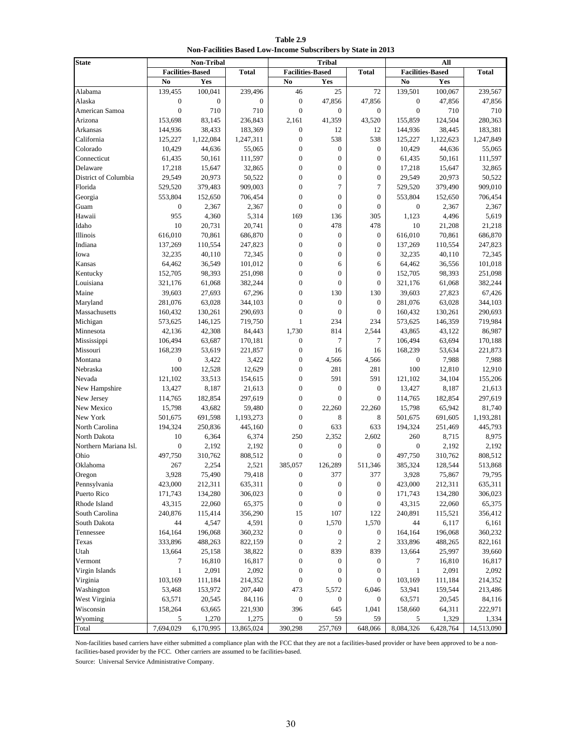**Table 2.9 Non-Facilities Based Low-Income Subscribers by State in 2013**

| <b>Total</b><br><b>Facilities-Based</b><br><b>Total</b><br><b>Total</b><br><b>Facilities-Based</b><br><b>Facilities-Based</b><br>Yes<br>Yes<br>No<br>No<br>Yes<br>No<br>139,455<br>100,041<br>239,496<br>46<br>25<br>72<br>139,501<br>Alabama<br>100,067<br>239,567<br>$\boldsymbol{0}$<br>$\boldsymbol{0}$<br>Alaska<br>$\boldsymbol{0}$<br>$\boldsymbol{0}$<br>47,856<br>47,856<br>$\boldsymbol{0}$<br>47,856<br>47,856<br>$\boldsymbol{0}$<br>$\boldsymbol{0}$<br>$\boldsymbol{0}$<br>American Samoa<br>710<br>710<br>$\mathbf{0}$<br>$\overline{0}$<br>710<br>710<br>236,843<br>155,859<br>153,698<br>83,145<br>2,161<br>41,359<br>43,520<br>124,504<br>280,363<br>Arizona<br>38,433<br>38,445<br>183,381<br>144,936<br>183,369<br>$\boldsymbol{0}$<br>12<br>12<br>144,936<br>Arkansas<br>$\mathbf{0}$<br>California<br>125,227<br>1,122,084<br>1,247,311<br>538<br>538<br>125,227<br>1,122,623<br>1,247,849<br>$\boldsymbol{0}$<br>Colorado<br>10,429<br>44,636<br>55,065<br>$\boldsymbol{0}$<br>$\boldsymbol{0}$<br>10,429<br>44,636<br>55,065<br>$\boldsymbol{0}$<br>Connecticut<br>61,435<br>50,161<br>111,597<br>$\boldsymbol{0}$<br>$\boldsymbol{0}$<br>61,435<br>50,161<br>111,597<br>$\mathbf{0}$<br>$\mathbf{0}$<br>17,218<br>Delaware<br>17,218<br>15,647<br>32,865<br>$\overline{0}$<br>15,647<br>32,865<br>29,549<br>$\boldsymbol{0}$<br>$\boldsymbol{0}$<br>District of Columbia<br>20,973<br>50,522<br>$\boldsymbol{0}$<br>29,549<br>20,973<br>50,522<br>909,003<br>$\mathbf{0}$<br>$\tau$<br>$\overline{7}$<br>909,010<br>Florida<br>529,520<br>379,483<br>529,520<br>379,490<br>$\boldsymbol{0}$<br>706,454<br>Georgia<br>553,804<br>152,650<br>706,454<br>$\boldsymbol{0}$<br>$\boldsymbol{0}$<br>553,804<br>152,650<br>$\mathbf{0}$<br>Guam<br>$\boldsymbol{0}$<br>2,367<br>2,367<br>$\mathbf{0}$<br>$\boldsymbol{0}$<br>$\boldsymbol{0}$<br>2,367<br>2,367<br>5,314<br>Hawaii<br>955<br>4,360<br>169<br>136<br>305<br>1,123<br>4,496<br>5,619<br>Idaho<br>10<br>20,741<br>$\boldsymbol{0}$<br>478<br>478<br>10<br>21,218<br>20,731<br>21,208<br>686,870<br>Illinois<br>616,010<br>70,861<br>686,870<br>$\mathbf{0}$<br>$\mathbf{0}$<br>$\boldsymbol{0}$<br>616,010<br>70,861<br>Indiana<br>110,554<br>$\boldsymbol{0}$<br>137,269<br>137,269<br>247,823<br>$\boldsymbol{0}$<br>$\boldsymbol{0}$<br>110,554<br>247,823<br>$\boldsymbol{0}$<br>32,235<br>40,110<br>72,345<br>$\boldsymbol{0}$<br>$\overline{0}$<br>32,235<br>40,110<br>72,345<br>Iowa<br>$\boldsymbol{0}$<br>Kansas<br>64,462<br>36,549<br>101,012<br>6<br>64,462<br>36,556<br>101,018<br>6<br>$\boldsymbol{0}$<br>Kentucky<br>152,705<br>98,393<br>251,098<br>$\boldsymbol{0}$<br>$\boldsymbol{0}$<br>152,705<br>98,393<br>251,098<br>$\boldsymbol{0}$<br>$\overline{0}$<br>Louisiana<br>321,176<br>61,068<br>382,244<br>$\mathbf{0}$<br>321,176<br>61,068<br>382,244<br>67,296<br>$\boldsymbol{0}$<br>Maine<br>39,603<br>27,693<br>130<br>130<br>39,603<br>27,823<br>67,426<br>63,028<br>$\boldsymbol{0}$<br>Maryland<br>281,076<br>344,103<br>$\boldsymbol{0}$<br>$\boldsymbol{0}$<br>281,076<br>63,028<br>344,103<br>$\boldsymbol{0}$<br>Massachusetts<br>130,261<br>290,693<br>$\mathbf{0}$<br>$\boldsymbol{0}$<br>160,432<br>290,693<br>160,432<br>130,261<br>$\mathbf{1}$<br>234<br>573,625<br>Michigan<br>573,625<br>146,125<br>719,750<br>234<br>146,359<br>719,984<br>814<br>Minnesota<br>42,136<br>42,308<br>84,443<br>1,730<br>43,865<br>43,122<br>86,987<br>2,544<br>$\tau$<br>$\overline{7}$<br>106,494<br>63,687<br>170,181<br>$\mathbf{0}$<br>106,494<br>63,694<br>170,188<br>Mississippi<br>$\boldsymbol{0}$<br>168,239<br>Missouri<br>168,239<br>53,619<br>221,857<br>53,634<br>221,873<br>16<br>16<br>Montana<br>$\boldsymbol{0}$<br>3,422<br>3,422<br>$\boldsymbol{0}$<br>4,566<br>4,566<br>$\boldsymbol{0}$<br>7,988<br>7,988<br>100<br>$\boldsymbol{0}$<br>Nebraska<br>12,528<br>12,629<br>281<br>281<br>100<br>12,810<br>12,910<br>$\mathbf{0}$<br>591<br>591<br>121,102<br>155,206<br>Nevada<br>121,102<br>33,513<br>154,615<br>34,104<br>$\boldsymbol{0}$<br>New Hampshire<br>13,427<br>8,187<br>21,613<br>$\boldsymbol{0}$<br>$\boldsymbol{0}$<br>13,427<br>8,187<br>21,613<br>$\boldsymbol{0}$<br>$\mathbf{0}$<br>New Jersey<br>114,765<br>182,854<br>297,619<br>$\mathbf{0}$<br>114,765<br>182,854<br>297,619<br>$\boldsymbol{0}$<br>81,740<br>New Mexico<br>15,798<br>43,682<br>59,480<br>22,260<br>22,260<br>15,798<br>65,942<br>$\boldsymbol{0}$<br>New York<br>501,675<br>691,598<br>1,193,273<br>8<br>8<br>501,675<br>691,605<br>1,193,281<br>$\boldsymbol{0}$<br>North Carolina<br>194,324<br>250,836<br>445,160<br>633<br>633<br>194,324<br>251,469<br>445,793<br>6,374<br>North Dakota<br>10<br>6,364<br>250<br>2,352<br>2,602<br>260<br>8,715<br>8,975<br>Northern Mariana Isl.<br>$\boldsymbol{0}$<br>2,192<br>$\boldsymbol{0}$<br>$\boldsymbol{0}$<br>2,192<br>2,192<br>$\boldsymbol{0}$<br>$\boldsymbol{0}$<br>2,192<br>$\boldsymbol{0}$<br>$\mathbf{0}$<br>$\mathbf{0}$<br>Ohio<br>497,750<br>310,762<br>808,512<br>497,750<br>310,762<br>808,512<br>385,057<br>Oklahoma<br>267<br>2,254<br>2,521<br>126,289<br>511,346<br>385,324<br>128,544<br>513,868<br>3,928<br>75,490<br>79,418<br>$\boldsymbol{0}$<br>377<br>377<br>3,928<br>75,867<br>79,795<br>Oregon<br>212,311<br>635,311<br>423,000<br>$\boldsymbol{0}$<br>423,000<br>212,311<br>635,311<br>$\boldsymbol{0}$<br>$\boldsymbol{0}$<br>Puerto Rico<br>134,280<br>306,023<br>$\boldsymbol{0}$<br>$\boldsymbol{0}$<br>171,743<br>134,280<br>306,023<br>171,743<br>$\boldsymbol{0}$<br>43,315<br>Rhode Island<br>43,315<br>22,060<br>65,375<br>$\boldsymbol{0}$<br>22,060<br>65,375<br>$\boldsymbol{0}$<br>$\boldsymbol{0}$<br>South Carolina<br>240,876<br>115,414<br>356,290<br>15<br>107<br>240,891<br>356,412<br>122<br>115,521<br>44<br>4,547<br>4,591<br>$\boldsymbol{0}$<br>1,570<br>44<br>6,161<br>South Dakota<br>1,570<br>6,117<br>196,068<br>360,232<br>$\boldsymbol{0}$<br>164,164<br>196,068<br>360,232<br>Tennessee<br>164,164<br>$\boldsymbol{0}$<br>$\boldsymbol{0}$<br>333,896<br>488,263<br>822,159<br>$\boldsymbol{0}$<br>$\mathfrak{2}$<br>333,896<br>488,265<br>822,161<br>Texas<br>$\overline{2}$<br>Utah<br>13,664<br>38,822<br>$\boldsymbol{0}$<br>839<br>839<br>13,664<br>25,997<br>39,660<br>25,158<br>16,810<br>16,817<br>$\mathbf{0}$<br>16,817<br>Vermont<br>7<br>$\boldsymbol{0}$<br>$\boldsymbol{0}$<br>7<br>16,810<br>2,091<br>Virgin Islands<br>$\mathbf{1}$<br>2,092<br>$\mathbf{1}$<br>2,091<br>2,092<br>$\boldsymbol{0}$<br>$\boldsymbol{0}$<br>$\boldsymbol{0}$<br>Virginia<br>103,169<br>214,352<br>$\boldsymbol{0}$<br>103,169<br>214,352<br>111,184<br>$\boldsymbol{0}$<br>$\boldsymbol{0}$<br>111,184<br>Washington<br>53,468<br>153,972<br>207,440<br>473<br>5,572<br>53,941<br>159,544<br>213,486<br>6,046<br>West Virginia<br>63,571<br>20,545<br>$\boldsymbol{0}$<br>63,571<br>20,545<br>84,116<br>$\boldsymbol{0}$<br>84,116<br>0<br>Wisconsin<br>158,264<br>63,665<br>221,930<br>396<br>645<br>158,660<br>64,311<br>222,971<br>1,041<br>Wyoming<br>1,270<br>1,275<br>59<br>1,334<br>$\boldsymbol{0}$<br>59<br>1,329<br>5<br>5 | <b>State</b> |           | Non-Tribal |            |         | <b>Tribal</b> |         |           | All       |            |
|------------------------------------------------------------------------------------------------------------------------------------------------------------------------------------------------------------------------------------------------------------------------------------------------------------------------------------------------------------------------------------------------------------------------------------------------------------------------------------------------------------------------------------------------------------------------------------------------------------------------------------------------------------------------------------------------------------------------------------------------------------------------------------------------------------------------------------------------------------------------------------------------------------------------------------------------------------------------------------------------------------------------------------------------------------------------------------------------------------------------------------------------------------------------------------------------------------------------------------------------------------------------------------------------------------------------------------------------------------------------------------------------------------------------------------------------------------------------------------------------------------------------------------------------------------------------------------------------------------------------------------------------------------------------------------------------------------------------------------------------------------------------------------------------------------------------------------------------------------------------------------------------------------------------------------------------------------------------------------------------------------------------------------------------------------------------------------------------------------------------------------------------------------------------------------------------------------------------------------------------------------------------------------------------------------------------------------------------------------------------------------------------------------------------------------------------------------------------------------------------------------------------------------------------------------------------------------------------------------------------------------------------------------------------------------------------------------------------------------------------------------------------------------------------------------------------------------------------------------------------------------------------------------------------------------------------------------------------------------------------------------------------------------------------------------------------------------------------------------------------------------------------------------------------------------------------------------------------------------------------------------------------------------------------------------------------------------------------------------------------------------------------------------------------------------------------------------------------------------------------------------------------------------------------------------------------------------------------------------------------------------------------------------------------------------------------------------------------------------------------------------------------------------------------------------------------------------------------------------------------------------------------------------------------------------------------------------------------------------------------------------------------------------------------------------------------------------------------------------------------------------------------------------------------------------------------------------------------------------------------------------------------------------------------------------------------------------------------------------------------------------------------------------------------------------------------------------------------------------------------------------------------------------------------------------------------------------------------------------------------------------------------------------------------------------------------------------------------------------------------------------------------------------------------------------------------------------------------------------------------------------------------------------------------------------------------------------------------------------------------------------------------------------------------------------------------------------------------------------------------------------------------------------------------------------------------------------------------------------------------------------------------------------------------------------------------------------------------------------------------------------------------------------------------------------------------------------------------------------------------------------------------------------------------------------------------------------------------------------------------------------------------------------------------------------------------------------------------------------------------------------------------------------------------------------------------------------------------------------------------------------------------------------------------------------------------------------------------------------------------------------------------------------------------------------------------------------------------------------------------------------------------------------------------------------------------------------------------------------------------------------------------------------------------------------------------------------------------------------------------------------------------------------------------------------------------------------------------------------------------------------------------------------------------------------------------------------------------------------------------------------------------------------------------------------------------------------------------------------------------------------------------------------------------------------------------------------------------------------------------------------------------------------------------------------------------------------------------------------------------------------------------------------------------------------------------------------------------------------------------------------------------------------------|--------------|-----------|------------|------------|---------|---------------|---------|-----------|-----------|------------|
|                                                                                                                                                                                                                                                                                                                                                                                                                                                                                                                                                                                                                                                                                                                                                                                                                                                                                                                                                                                                                                                                                                                                                                                                                                                                                                                                                                                                                                                                                                                                                                                                                                                                                                                                                                                                                                                                                                                                                                                                                                                                                                                                                                                                                                                                                                                                                                                                                                                                                                                                                                                                                                                                                                                                                                                                                                                                                                                                                                                                                                                                                                                                                                                                                                                                                                                                                                                                                                                                                                                                                                                                                                                                                                                                                                                                                                                                                                                                                                                                                                                                                                                                                                                                                                                                                                                                                                                                                                                                                                                                                                                                                                                                                                                                                                                                                                                                                                                                                                                                                                                                                                                                                                                                                                                                                                                                                                                                                                                                                                                                                                                                                                                                                                                                                                                                                                                                                                                                                                                                                                                                                                                                                                                                                                                                                                                                                                                                                                                                                                                                                                                                                                                                                                                                                                                                                                                                                                                                                                                                                                                                                                                                                                  |              |           |            |            |         |               |         |           |           |            |
|                                                                                                                                                                                                                                                                                                                                                                                                                                                                                                                                                                                                                                                                                                                                                                                                                                                                                                                                                                                                                                                                                                                                                                                                                                                                                                                                                                                                                                                                                                                                                                                                                                                                                                                                                                                                                                                                                                                                                                                                                                                                                                                                                                                                                                                                                                                                                                                                                                                                                                                                                                                                                                                                                                                                                                                                                                                                                                                                                                                                                                                                                                                                                                                                                                                                                                                                                                                                                                                                                                                                                                                                                                                                                                                                                                                                                                                                                                                                                                                                                                                                                                                                                                                                                                                                                                                                                                                                                                                                                                                                                                                                                                                                                                                                                                                                                                                                                                                                                                                                                                                                                                                                                                                                                                                                                                                                                                                                                                                                                                                                                                                                                                                                                                                                                                                                                                                                                                                                                                                                                                                                                                                                                                                                                                                                                                                                                                                                                                                                                                                                                                                                                                                                                                                                                                                                                                                                                                                                                                                                                                                                                                                                                                  |              |           |            |            |         |               |         |           |           |            |
|                                                                                                                                                                                                                                                                                                                                                                                                                                                                                                                                                                                                                                                                                                                                                                                                                                                                                                                                                                                                                                                                                                                                                                                                                                                                                                                                                                                                                                                                                                                                                                                                                                                                                                                                                                                                                                                                                                                                                                                                                                                                                                                                                                                                                                                                                                                                                                                                                                                                                                                                                                                                                                                                                                                                                                                                                                                                                                                                                                                                                                                                                                                                                                                                                                                                                                                                                                                                                                                                                                                                                                                                                                                                                                                                                                                                                                                                                                                                                                                                                                                                                                                                                                                                                                                                                                                                                                                                                                                                                                                                                                                                                                                                                                                                                                                                                                                                                                                                                                                                                                                                                                                                                                                                                                                                                                                                                                                                                                                                                                                                                                                                                                                                                                                                                                                                                                                                                                                                                                                                                                                                                                                                                                                                                                                                                                                                                                                                                                                                                                                                                                                                                                                                                                                                                                                                                                                                                                                                                                                                                                                                                                                                                                  |              |           |            |            |         |               |         |           |           |            |
|                                                                                                                                                                                                                                                                                                                                                                                                                                                                                                                                                                                                                                                                                                                                                                                                                                                                                                                                                                                                                                                                                                                                                                                                                                                                                                                                                                                                                                                                                                                                                                                                                                                                                                                                                                                                                                                                                                                                                                                                                                                                                                                                                                                                                                                                                                                                                                                                                                                                                                                                                                                                                                                                                                                                                                                                                                                                                                                                                                                                                                                                                                                                                                                                                                                                                                                                                                                                                                                                                                                                                                                                                                                                                                                                                                                                                                                                                                                                                                                                                                                                                                                                                                                                                                                                                                                                                                                                                                                                                                                                                                                                                                                                                                                                                                                                                                                                                                                                                                                                                                                                                                                                                                                                                                                                                                                                                                                                                                                                                                                                                                                                                                                                                                                                                                                                                                                                                                                                                                                                                                                                                                                                                                                                                                                                                                                                                                                                                                                                                                                                                                                                                                                                                                                                                                                                                                                                                                                                                                                                                                                                                                                                                                  |              |           |            |            |         |               |         |           |           |            |
|                                                                                                                                                                                                                                                                                                                                                                                                                                                                                                                                                                                                                                                                                                                                                                                                                                                                                                                                                                                                                                                                                                                                                                                                                                                                                                                                                                                                                                                                                                                                                                                                                                                                                                                                                                                                                                                                                                                                                                                                                                                                                                                                                                                                                                                                                                                                                                                                                                                                                                                                                                                                                                                                                                                                                                                                                                                                                                                                                                                                                                                                                                                                                                                                                                                                                                                                                                                                                                                                                                                                                                                                                                                                                                                                                                                                                                                                                                                                                                                                                                                                                                                                                                                                                                                                                                                                                                                                                                                                                                                                                                                                                                                                                                                                                                                                                                                                                                                                                                                                                                                                                                                                                                                                                                                                                                                                                                                                                                                                                                                                                                                                                                                                                                                                                                                                                                                                                                                                                                                                                                                                                                                                                                                                                                                                                                                                                                                                                                                                                                                                                                                                                                                                                                                                                                                                                                                                                                                                                                                                                                                                                                                                                                  |              |           |            |            |         |               |         |           |           |            |
|                                                                                                                                                                                                                                                                                                                                                                                                                                                                                                                                                                                                                                                                                                                                                                                                                                                                                                                                                                                                                                                                                                                                                                                                                                                                                                                                                                                                                                                                                                                                                                                                                                                                                                                                                                                                                                                                                                                                                                                                                                                                                                                                                                                                                                                                                                                                                                                                                                                                                                                                                                                                                                                                                                                                                                                                                                                                                                                                                                                                                                                                                                                                                                                                                                                                                                                                                                                                                                                                                                                                                                                                                                                                                                                                                                                                                                                                                                                                                                                                                                                                                                                                                                                                                                                                                                                                                                                                                                                                                                                                                                                                                                                                                                                                                                                                                                                                                                                                                                                                                                                                                                                                                                                                                                                                                                                                                                                                                                                                                                                                                                                                                                                                                                                                                                                                                                                                                                                                                                                                                                                                                                                                                                                                                                                                                                                                                                                                                                                                                                                                                                                                                                                                                                                                                                                                                                                                                                                                                                                                                                                                                                                                                                  |              |           |            |            |         |               |         |           |           |            |
|                                                                                                                                                                                                                                                                                                                                                                                                                                                                                                                                                                                                                                                                                                                                                                                                                                                                                                                                                                                                                                                                                                                                                                                                                                                                                                                                                                                                                                                                                                                                                                                                                                                                                                                                                                                                                                                                                                                                                                                                                                                                                                                                                                                                                                                                                                                                                                                                                                                                                                                                                                                                                                                                                                                                                                                                                                                                                                                                                                                                                                                                                                                                                                                                                                                                                                                                                                                                                                                                                                                                                                                                                                                                                                                                                                                                                                                                                                                                                                                                                                                                                                                                                                                                                                                                                                                                                                                                                                                                                                                                                                                                                                                                                                                                                                                                                                                                                                                                                                                                                                                                                                                                                                                                                                                                                                                                                                                                                                                                                                                                                                                                                                                                                                                                                                                                                                                                                                                                                                                                                                                                                                                                                                                                                                                                                                                                                                                                                                                                                                                                                                                                                                                                                                                                                                                                                                                                                                                                                                                                                                                                                                                                                                  |              |           |            |            |         |               |         |           |           |            |
|                                                                                                                                                                                                                                                                                                                                                                                                                                                                                                                                                                                                                                                                                                                                                                                                                                                                                                                                                                                                                                                                                                                                                                                                                                                                                                                                                                                                                                                                                                                                                                                                                                                                                                                                                                                                                                                                                                                                                                                                                                                                                                                                                                                                                                                                                                                                                                                                                                                                                                                                                                                                                                                                                                                                                                                                                                                                                                                                                                                                                                                                                                                                                                                                                                                                                                                                                                                                                                                                                                                                                                                                                                                                                                                                                                                                                                                                                                                                                                                                                                                                                                                                                                                                                                                                                                                                                                                                                                                                                                                                                                                                                                                                                                                                                                                                                                                                                                                                                                                                                                                                                                                                                                                                                                                                                                                                                                                                                                                                                                                                                                                                                                                                                                                                                                                                                                                                                                                                                                                                                                                                                                                                                                                                                                                                                                                                                                                                                                                                                                                                                                                                                                                                                                                                                                                                                                                                                                                                                                                                                                                                                                                                                                  |              |           |            |            |         |               |         |           |           |            |
|                                                                                                                                                                                                                                                                                                                                                                                                                                                                                                                                                                                                                                                                                                                                                                                                                                                                                                                                                                                                                                                                                                                                                                                                                                                                                                                                                                                                                                                                                                                                                                                                                                                                                                                                                                                                                                                                                                                                                                                                                                                                                                                                                                                                                                                                                                                                                                                                                                                                                                                                                                                                                                                                                                                                                                                                                                                                                                                                                                                                                                                                                                                                                                                                                                                                                                                                                                                                                                                                                                                                                                                                                                                                                                                                                                                                                                                                                                                                                                                                                                                                                                                                                                                                                                                                                                                                                                                                                                                                                                                                                                                                                                                                                                                                                                                                                                                                                                                                                                                                                                                                                                                                                                                                                                                                                                                                                                                                                                                                                                                                                                                                                                                                                                                                                                                                                                                                                                                                                                                                                                                                                                                                                                                                                                                                                                                                                                                                                                                                                                                                                                                                                                                                                                                                                                                                                                                                                                                                                                                                                                                                                                                                                                  |              |           |            |            |         |               |         |           |           |            |
|                                                                                                                                                                                                                                                                                                                                                                                                                                                                                                                                                                                                                                                                                                                                                                                                                                                                                                                                                                                                                                                                                                                                                                                                                                                                                                                                                                                                                                                                                                                                                                                                                                                                                                                                                                                                                                                                                                                                                                                                                                                                                                                                                                                                                                                                                                                                                                                                                                                                                                                                                                                                                                                                                                                                                                                                                                                                                                                                                                                                                                                                                                                                                                                                                                                                                                                                                                                                                                                                                                                                                                                                                                                                                                                                                                                                                                                                                                                                                                                                                                                                                                                                                                                                                                                                                                                                                                                                                                                                                                                                                                                                                                                                                                                                                                                                                                                                                                                                                                                                                                                                                                                                                                                                                                                                                                                                                                                                                                                                                                                                                                                                                                                                                                                                                                                                                                                                                                                                                                                                                                                                                                                                                                                                                                                                                                                                                                                                                                                                                                                                                                                                                                                                                                                                                                                                                                                                                                                                                                                                                                                                                                                                                                  |              |           |            |            |         |               |         |           |           |            |
|                                                                                                                                                                                                                                                                                                                                                                                                                                                                                                                                                                                                                                                                                                                                                                                                                                                                                                                                                                                                                                                                                                                                                                                                                                                                                                                                                                                                                                                                                                                                                                                                                                                                                                                                                                                                                                                                                                                                                                                                                                                                                                                                                                                                                                                                                                                                                                                                                                                                                                                                                                                                                                                                                                                                                                                                                                                                                                                                                                                                                                                                                                                                                                                                                                                                                                                                                                                                                                                                                                                                                                                                                                                                                                                                                                                                                                                                                                                                                                                                                                                                                                                                                                                                                                                                                                                                                                                                                                                                                                                                                                                                                                                                                                                                                                                                                                                                                                                                                                                                                                                                                                                                                                                                                                                                                                                                                                                                                                                                                                                                                                                                                                                                                                                                                                                                                                                                                                                                                                                                                                                                                                                                                                                                                                                                                                                                                                                                                                                                                                                                                                                                                                                                                                                                                                                                                                                                                                                                                                                                                                                                                                                                                                  |              |           |            |            |         |               |         |           |           |            |
|                                                                                                                                                                                                                                                                                                                                                                                                                                                                                                                                                                                                                                                                                                                                                                                                                                                                                                                                                                                                                                                                                                                                                                                                                                                                                                                                                                                                                                                                                                                                                                                                                                                                                                                                                                                                                                                                                                                                                                                                                                                                                                                                                                                                                                                                                                                                                                                                                                                                                                                                                                                                                                                                                                                                                                                                                                                                                                                                                                                                                                                                                                                                                                                                                                                                                                                                                                                                                                                                                                                                                                                                                                                                                                                                                                                                                                                                                                                                                                                                                                                                                                                                                                                                                                                                                                                                                                                                                                                                                                                                                                                                                                                                                                                                                                                                                                                                                                                                                                                                                                                                                                                                                                                                                                                                                                                                                                                                                                                                                                                                                                                                                                                                                                                                                                                                                                                                                                                                                                                                                                                                                                                                                                                                                                                                                                                                                                                                                                                                                                                                                                                                                                                                                                                                                                                                                                                                                                                                                                                                                                                                                                                                                                  |              |           |            |            |         |               |         |           |           |            |
|                                                                                                                                                                                                                                                                                                                                                                                                                                                                                                                                                                                                                                                                                                                                                                                                                                                                                                                                                                                                                                                                                                                                                                                                                                                                                                                                                                                                                                                                                                                                                                                                                                                                                                                                                                                                                                                                                                                                                                                                                                                                                                                                                                                                                                                                                                                                                                                                                                                                                                                                                                                                                                                                                                                                                                                                                                                                                                                                                                                                                                                                                                                                                                                                                                                                                                                                                                                                                                                                                                                                                                                                                                                                                                                                                                                                                                                                                                                                                                                                                                                                                                                                                                                                                                                                                                                                                                                                                                                                                                                                                                                                                                                                                                                                                                                                                                                                                                                                                                                                                                                                                                                                                                                                                                                                                                                                                                                                                                                                                                                                                                                                                                                                                                                                                                                                                                                                                                                                                                                                                                                                                                                                                                                                                                                                                                                                                                                                                                                                                                                                                                                                                                                                                                                                                                                                                                                                                                                                                                                                                                                                                                                                                                  |              |           |            |            |         |               |         |           |           |            |
|                                                                                                                                                                                                                                                                                                                                                                                                                                                                                                                                                                                                                                                                                                                                                                                                                                                                                                                                                                                                                                                                                                                                                                                                                                                                                                                                                                                                                                                                                                                                                                                                                                                                                                                                                                                                                                                                                                                                                                                                                                                                                                                                                                                                                                                                                                                                                                                                                                                                                                                                                                                                                                                                                                                                                                                                                                                                                                                                                                                                                                                                                                                                                                                                                                                                                                                                                                                                                                                                                                                                                                                                                                                                                                                                                                                                                                                                                                                                                                                                                                                                                                                                                                                                                                                                                                                                                                                                                                                                                                                                                                                                                                                                                                                                                                                                                                                                                                                                                                                                                                                                                                                                                                                                                                                                                                                                                                                                                                                                                                                                                                                                                                                                                                                                                                                                                                                                                                                                                                                                                                                                                                                                                                                                                                                                                                                                                                                                                                                                                                                                                                                                                                                                                                                                                                                                                                                                                                                                                                                                                                                                                                                                                                  |              |           |            |            |         |               |         |           |           |            |
|                                                                                                                                                                                                                                                                                                                                                                                                                                                                                                                                                                                                                                                                                                                                                                                                                                                                                                                                                                                                                                                                                                                                                                                                                                                                                                                                                                                                                                                                                                                                                                                                                                                                                                                                                                                                                                                                                                                                                                                                                                                                                                                                                                                                                                                                                                                                                                                                                                                                                                                                                                                                                                                                                                                                                                                                                                                                                                                                                                                                                                                                                                                                                                                                                                                                                                                                                                                                                                                                                                                                                                                                                                                                                                                                                                                                                                                                                                                                                                                                                                                                                                                                                                                                                                                                                                                                                                                                                                                                                                                                                                                                                                                                                                                                                                                                                                                                                                                                                                                                                                                                                                                                                                                                                                                                                                                                                                                                                                                                                                                                                                                                                                                                                                                                                                                                                                                                                                                                                                                                                                                                                                                                                                                                                                                                                                                                                                                                                                                                                                                                                                                                                                                                                                                                                                                                                                                                                                                                                                                                                                                                                                                                                                  |              |           |            |            |         |               |         |           |           |            |
|                                                                                                                                                                                                                                                                                                                                                                                                                                                                                                                                                                                                                                                                                                                                                                                                                                                                                                                                                                                                                                                                                                                                                                                                                                                                                                                                                                                                                                                                                                                                                                                                                                                                                                                                                                                                                                                                                                                                                                                                                                                                                                                                                                                                                                                                                                                                                                                                                                                                                                                                                                                                                                                                                                                                                                                                                                                                                                                                                                                                                                                                                                                                                                                                                                                                                                                                                                                                                                                                                                                                                                                                                                                                                                                                                                                                                                                                                                                                                                                                                                                                                                                                                                                                                                                                                                                                                                                                                                                                                                                                                                                                                                                                                                                                                                                                                                                                                                                                                                                                                                                                                                                                                                                                                                                                                                                                                                                                                                                                                                                                                                                                                                                                                                                                                                                                                                                                                                                                                                                                                                                                                                                                                                                                                                                                                                                                                                                                                                                                                                                                                                                                                                                                                                                                                                                                                                                                                                                                                                                                                                                                                                                                                                  |              |           |            |            |         |               |         |           |           |            |
|                                                                                                                                                                                                                                                                                                                                                                                                                                                                                                                                                                                                                                                                                                                                                                                                                                                                                                                                                                                                                                                                                                                                                                                                                                                                                                                                                                                                                                                                                                                                                                                                                                                                                                                                                                                                                                                                                                                                                                                                                                                                                                                                                                                                                                                                                                                                                                                                                                                                                                                                                                                                                                                                                                                                                                                                                                                                                                                                                                                                                                                                                                                                                                                                                                                                                                                                                                                                                                                                                                                                                                                                                                                                                                                                                                                                                                                                                                                                                                                                                                                                                                                                                                                                                                                                                                                                                                                                                                                                                                                                                                                                                                                                                                                                                                                                                                                                                                                                                                                                                                                                                                                                                                                                                                                                                                                                                                                                                                                                                                                                                                                                                                                                                                                                                                                                                                                                                                                                                                                                                                                                                                                                                                                                                                                                                                                                                                                                                                                                                                                                                                                                                                                                                                                                                                                                                                                                                                                                                                                                                                                                                                                                                                  |              |           |            |            |         |               |         |           |           |            |
|                                                                                                                                                                                                                                                                                                                                                                                                                                                                                                                                                                                                                                                                                                                                                                                                                                                                                                                                                                                                                                                                                                                                                                                                                                                                                                                                                                                                                                                                                                                                                                                                                                                                                                                                                                                                                                                                                                                                                                                                                                                                                                                                                                                                                                                                                                                                                                                                                                                                                                                                                                                                                                                                                                                                                                                                                                                                                                                                                                                                                                                                                                                                                                                                                                                                                                                                                                                                                                                                                                                                                                                                                                                                                                                                                                                                                                                                                                                                                                                                                                                                                                                                                                                                                                                                                                                                                                                                                                                                                                                                                                                                                                                                                                                                                                                                                                                                                                                                                                                                                                                                                                                                                                                                                                                                                                                                                                                                                                                                                                                                                                                                                                                                                                                                                                                                                                                                                                                                                                                                                                                                                                                                                                                                                                                                                                                                                                                                                                                                                                                                                                                                                                                                                                                                                                                                                                                                                                                                                                                                                                                                                                                                                                  |              |           |            |            |         |               |         |           |           |            |
|                                                                                                                                                                                                                                                                                                                                                                                                                                                                                                                                                                                                                                                                                                                                                                                                                                                                                                                                                                                                                                                                                                                                                                                                                                                                                                                                                                                                                                                                                                                                                                                                                                                                                                                                                                                                                                                                                                                                                                                                                                                                                                                                                                                                                                                                                                                                                                                                                                                                                                                                                                                                                                                                                                                                                                                                                                                                                                                                                                                                                                                                                                                                                                                                                                                                                                                                                                                                                                                                                                                                                                                                                                                                                                                                                                                                                                                                                                                                                                                                                                                                                                                                                                                                                                                                                                                                                                                                                                                                                                                                                                                                                                                                                                                                                                                                                                                                                                                                                                                                                                                                                                                                                                                                                                                                                                                                                                                                                                                                                                                                                                                                                                                                                                                                                                                                                                                                                                                                                                                                                                                                                                                                                                                                                                                                                                                                                                                                                                                                                                                                                                                                                                                                                                                                                                                                                                                                                                                                                                                                                                                                                                                                                                  |              |           |            |            |         |               |         |           |           |            |
|                                                                                                                                                                                                                                                                                                                                                                                                                                                                                                                                                                                                                                                                                                                                                                                                                                                                                                                                                                                                                                                                                                                                                                                                                                                                                                                                                                                                                                                                                                                                                                                                                                                                                                                                                                                                                                                                                                                                                                                                                                                                                                                                                                                                                                                                                                                                                                                                                                                                                                                                                                                                                                                                                                                                                                                                                                                                                                                                                                                                                                                                                                                                                                                                                                                                                                                                                                                                                                                                                                                                                                                                                                                                                                                                                                                                                                                                                                                                                                                                                                                                                                                                                                                                                                                                                                                                                                                                                                                                                                                                                                                                                                                                                                                                                                                                                                                                                                                                                                                                                                                                                                                                                                                                                                                                                                                                                                                                                                                                                                                                                                                                                                                                                                                                                                                                                                                                                                                                                                                                                                                                                                                                                                                                                                                                                                                                                                                                                                                                                                                                                                                                                                                                                                                                                                                                                                                                                                                                                                                                                                                                                                                                                                  |              |           |            |            |         |               |         |           |           |            |
|                                                                                                                                                                                                                                                                                                                                                                                                                                                                                                                                                                                                                                                                                                                                                                                                                                                                                                                                                                                                                                                                                                                                                                                                                                                                                                                                                                                                                                                                                                                                                                                                                                                                                                                                                                                                                                                                                                                                                                                                                                                                                                                                                                                                                                                                                                                                                                                                                                                                                                                                                                                                                                                                                                                                                                                                                                                                                                                                                                                                                                                                                                                                                                                                                                                                                                                                                                                                                                                                                                                                                                                                                                                                                                                                                                                                                                                                                                                                                                                                                                                                                                                                                                                                                                                                                                                                                                                                                                                                                                                                                                                                                                                                                                                                                                                                                                                                                                                                                                                                                                                                                                                                                                                                                                                                                                                                                                                                                                                                                                                                                                                                                                                                                                                                                                                                                                                                                                                                                                                                                                                                                                                                                                                                                                                                                                                                                                                                                                                                                                                                                                                                                                                                                                                                                                                                                                                                                                                                                                                                                                                                                                                                                                  |              |           |            |            |         |               |         |           |           |            |
|                                                                                                                                                                                                                                                                                                                                                                                                                                                                                                                                                                                                                                                                                                                                                                                                                                                                                                                                                                                                                                                                                                                                                                                                                                                                                                                                                                                                                                                                                                                                                                                                                                                                                                                                                                                                                                                                                                                                                                                                                                                                                                                                                                                                                                                                                                                                                                                                                                                                                                                                                                                                                                                                                                                                                                                                                                                                                                                                                                                                                                                                                                                                                                                                                                                                                                                                                                                                                                                                                                                                                                                                                                                                                                                                                                                                                                                                                                                                                                                                                                                                                                                                                                                                                                                                                                                                                                                                                                                                                                                                                                                                                                                                                                                                                                                                                                                                                                                                                                                                                                                                                                                                                                                                                                                                                                                                                                                                                                                                                                                                                                                                                                                                                                                                                                                                                                                                                                                                                                                                                                                                                                                                                                                                                                                                                                                                                                                                                                                                                                                                                                                                                                                                                                                                                                                                                                                                                                                                                                                                                                                                                                                                                                  |              |           |            |            |         |               |         |           |           |            |
|                                                                                                                                                                                                                                                                                                                                                                                                                                                                                                                                                                                                                                                                                                                                                                                                                                                                                                                                                                                                                                                                                                                                                                                                                                                                                                                                                                                                                                                                                                                                                                                                                                                                                                                                                                                                                                                                                                                                                                                                                                                                                                                                                                                                                                                                                                                                                                                                                                                                                                                                                                                                                                                                                                                                                                                                                                                                                                                                                                                                                                                                                                                                                                                                                                                                                                                                                                                                                                                                                                                                                                                                                                                                                                                                                                                                                                                                                                                                                                                                                                                                                                                                                                                                                                                                                                                                                                                                                                                                                                                                                                                                                                                                                                                                                                                                                                                                                                                                                                                                                                                                                                                                                                                                                                                                                                                                                                                                                                                                                                                                                                                                                                                                                                                                                                                                                                                                                                                                                                                                                                                                                                                                                                                                                                                                                                                                                                                                                                                                                                                                                                                                                                                                                                                                                                                                                                                                                                                                                                                                                                                                                                                                                                  |              |           |            |            |         |               |         |           |           |            |
|                                                                                                                                                                                                                                                                                                                                                                                                                                                                                                                                                                                                                                                                                                                                                                                                                                                                                                                                                                                                                                                                                                                                                                                                                                                                                                                                                                                                                                                                                                                                                                                                                                                                                                                                                                                                                                                                                                                                                                                                                                                                                                                                                                                                                                                                                                                                                                                                                                                                                                                                                                                                                                                                                                                                                                                                                                                                                                                                                                                                                                                                                                                                                                                                                                                                                                                                                                                                                                                                                                                                                                                                                                                                                                                                                                                                                                                                                                                                                                                                                                                                                                                                                                                                                                                                                                                                                                                                                                                                                                                                                                                                                                                                                                                                                                                                                                                                                                                                                                                                                                                                                                                                                                                                                                                                                                                                                                                                                                                                                                                                                                                                                                                                                                                                                                                                                                                                                                                                                                                                                                                                                                                                                                                                                                                                                                                                                                                                                                                                                                                                                                                                                                                                                                                                                                                                                                                                                                                                                                                                                                                                                                                                                                  |              |           |            |            |         |               |         |           |           |            |
|                                                                                                                                                                                                                                                                                                                                                                                                                                                                                                                                                                                                                                                                                                                                                                                                                                                                                                                                                                                                                                                                                                                                                                                                                                                                                                                                                                                                                                                                                                                                                                                                                                                                                                                                                                                                                                                                                                                                                                                                                                                                                                                                                                                                                                                                                                                                                                                                                                                                                                                                                                                                                                                                                                                                                                                                                                                                                                                                                                                                                                                                                                                                                                                                                                                                                                                                                                                                                                                                                                                                                                                                                                                                                                                                                                                                                                                                                                                                                                                                                                                                                                                                                                                                                                                                                                                                                                                                                                                                                                                                                                                                                                                                                                                                                                                                                                                                                                                                                                                                                                                                                                                                                                                                                                                                                                                                                                                                                                                                                                                                                                                                                                                                                                                                                                                                                                                                                                                                                                                                                                                                                                                                                                                                                                                                                                                                                                                                                                                                                                                                                                                                                                                                                                                                                                                                                                                                                                                                                                                                                                                                                                                                                                  |              |           |            |            |         |               |         |           |           |            |
|                                                                                                                                                                                                                                                                                                                                                                                                                                                                                                                                                                                                                                                                                                                                                                                                                                                                                                                                                                                                                                                                                                                                                                                                                                                                                                                                                                                                                                                                                                                                                                                                                                                                                                                                                                                                                                                                                                                                                                                                                                                                                                                                                                                                                                                                                                                                                                                                                                                                                                                                                                                                                                                                                                                                                                                                                                                                                                                                                                                                                                                                                                                                                                                                                                                                                                                                                                                                                                                                                                                                                                                                                                                                                                                                                                                                                                                                                                                                                                                                                                                                                                                                                                                                                                                                                                                                                                                                                                                                                                                                                                                                                                                                                                                                                                                                                                                                                                                                                                                                                                                                                                                                                                                                                                                                                                                                                                                                                                                                                                                                                                                                                                                                                                                                                                                                                                                                                                                                                                                                                                                                                                                                                                                                                                                                                                                                                                                                                                                                                                                                                                                                                                                                                                                                                                                                                                                                                                                                                                                                                                                                                                                                                                  |              |           |            |            |         |               |         |           |           |            |
|                                                                                                                                                                                                                                                                                                                                                                                                                                                                                                                                                                                                                                                                                                                                                                                                                                                                                                                                                                                                                                                                                                                                                                                                                                                                                                                                                                                                                                                                                                                                                                                                                                                                                                                                                                                                                                                                                                                                                                                                                                                                                                                                                                                                                                                                                                                                                                                                                                                                                                                                                                                                                                                                                                                                                                                                                                                                                                                                                                                                                                                                                                                                                                                                                                                                                                                                                                                                                                                                                                                                                                                                                                                                                                                                                                                                                                                                                                                                                                                                                                                                                                                                                                                                                                                                                                                                                                                                                                                                                                                                                                                                                                                                                                                                                                                                                                                                                                                                                                                                                                                                                                                                                                                                                                                                                                                                                                                                                                                                                                                                                                                                                                                                                                                                                                                                                                                                                                                                                                                                                                                                                                                                                                                                                                                                                                                                                                                                                                                                                                                                                                                                                                                                                                                                                                                                                                                                                                                                                                                                                                                                                                                                                                  |              |           |            |            |         |               |         |           |           |            |
|                                                                                                                                                                                                                                                                                                                                                                                                                                                                                                                                                                                                                                                                                                                                                                                                                                                                                                                                                                                                                                                                                                                                                                                                                                                                                                                                                                                                                                                                                                                                                                                                                                                                                                                                                                                                                                                                                                                                                                                                                                                                                                                                                                                                                                                                                                                                                                                                                                                                                                                                                                                                                                                                                                                                                                                                                                                                                                                                                                                                                                                                                                                                                                                                                                                                                                                                                                                                                                                                                                                                                                                                                                                                                                                                                                                                                                                                                                                                                                                                                                                                                                                                                                                                                                                                                                                                                                                                                                                                                                                                                                                                                                                                                                                                                                                                                                                                                                                                                                                                                                                                                                                                                                                                                                                                                                                                                                                                                                                                                                                                                                                                                                                                                                                                                                                                                                                                                                                                                                                                                                                                                                                                                                                                                                                                                                                                                                                                                                                                                                                                                                                                                                                                                                                                                                                                                                                                                                                                                                                                                                                                                                                                                                  |              |           |            |            |         |               |         |           |           |            |
|                                                                                                                                                                                                                                                                                                                                                                                                                                                                                                                                                                                                                                                                                                                                                                                                                                                                                                                                                                                                                                                                                                                                                                                                                                                                                                                                                                                                                                                                                                                                                                                                                                                                                                                                                                                                                                                                                                                                                                                                                                                                                                                                                                                                                                                                                                                                                                                                                                                                                                                                                                                                                                                                                                                                                                                                                                                                                                                                                                                                                                                                                                                                                                                                                                                                                                                                                                                                                                                                                                                                                                                                                                                                                                                                                                                                                                                                                                                                                                                                                                                                                                                                                                                                                                                                                                                                                                                                                                                                                                                                                                                                                                                                                                                                                                                                                                                                                                                                                                                                                                                                                                                                                                                                                                                                                                                                                                                                                                                                                                                                                                                                                                                                                                                                                                                                                                                                                                                                                                                                                                                                                                                                                                                                                                                                                                                                                                                                                                                                                                                                                                                                                                                                                                                                                                                                                                                                                                                                                                                                                                                                                                                                                                  |              |           |            |            |         |               |         |           |           |            |
|                                                                                                                                                                                                                                                                                                                                                                                                                                                                                                                                                                                                                                                                                                                                                                                                                                                                                                                                                                                                                                                                                                                                                                                                                                                                                                                                                                                                                                                                                                                                                                                                                                                                                                                                                                                                                                                                                                                                                                                                                                                                                                                                                                                                                                                                                                                                                                                                                                                                                                                                                                                                                                                                                                                                                                                                                                                                                                                                                                                                                                                                                                                                                                                                                                                                                                                                                                                                                                                                                                                                                                                                                                                                                                                                                                                                                                                                                                                                                                                                                                                                                                                                                                                                                                                                                                                                                                                                                                                                                                                                                                                                                                                                                                                                                                                                                                                                                                                                                                                                                                                                                                                                                                                                                                                                                                                                                                                                                                                                                                                                                                                                                                                                                                                                                                                                                                                                                                                                                                                                                                                                                                                                                                                                                                                                                                                                                                                                                                                                                                                                                                                                                                                                                                                                                                                                                                                                                                                                                                                                                                                                                                                                                                  |              |           |            |            |         |               |         |           |           |            |
|                                                                                                                                                                                                                                                                                                                                                                                                                                                                                                                                                                                                                                                                                                                                                                                                                                                                                                                                                                                                                                                                                                                                                                                                                                                                                                                                                                                                                                                                                                                                                                                                                                                                                                                                                                                                                                                                                                                                                                                                                                                                                                                                                                                                                                                                                                                                                                                                                                                                                                                                                                                                                                                                                                                                                                                                                                                                                                                                                                                                                                                                                                                                                                                                                                                                                                                                                                                                                                                                                                                                                                                                                                                                                                                                                                                                                                                                                                                                                                                                                                                                                                                                                                                                                                                                                                                                                                                                                                                                                                                                                                                                                                                                                                                                                                                                                                                                                                                                                                                                                                                                                                                                                                                                                                                                                                                                                                                                                                                                                                                                                                                                                                                                                                                                                                                                                                                                                                                                                                                                                                                                                                                                                                                                                                                                                                                                                                                                                                                                                                                                                                                                                                                                                                                                                                                                                                                                                                                                                                                                                                                                                                                                                                  |              |           |            |            |         |               |         |           |           |            |
|                                                                                                                                                                                                                                                                                                                                                                                                                                                                                                                                                                                                                                                                                                                                                                                                                                                                                                                                                                                                                                                                                                                                                                                                                                                                                                                                                                                                                                                                                                                                                                                                                                                                                                                                                                                                                                                                                                                                                                                                                                                                                                                                                                                                                                                                                                                                                                                                                                                                                                                                                                                                                                                                                                                                                                                                                                                                                                                                                                                                                                                                                                                                                                                                                                                                                                                                                                                                                                                                                                                                                                                                                                                                                                                                                                                                                                                                                                                                                                                                                                                                                                                                                                                                                                                                                                                                                                                                                                                                                                                                                                                                                                                                                                                                                                                                                                                                                                                                                                                                                                                                                                                                                                                                                                                                                                                                                                                                                                                                                                                                                                                                                                                                                                                                                                                                                                                                                                                                                                                                                                                                                                                                                                                                                                                                                                                                                                                                                                                                                                                                                                                                                                                                                                                                                                                                                                                                                                                                                                                                                                                                                                                                                                  |              |           |            |            |         |               |         |           |           |            |
|                                                                                                                                                                                                                                                                                                                                                                                                                                                                                                                                                                                                                                                                                                                                                                                                                                                                                                                                                                                                                                                                                                                                                                                                                                                                                                                                                                                                                                                                                                                                                                                                                                                                                                                                                                                                                                                                                                                                                                                                                                                                                                                                                                                                                                                                                                                                                                                                                                                                                                                                                                                                                                                                                                                                                                                                                                                                                                                                                                                                                                                                                                                                                                                                                                                                                                                                                                                                                                                                                                                                                                                                                                                                                                                                                                                                                                                                                                                                                                                                                                                                                                                                                                                                                                                                                                                                                                                                                                                                                                                                                                                                                                                                                                                                                                                                                                                                                                                                                                                                                                                                                                                                                                                                                                                                                                                                                                                                                                                                                                                                                                                                                                                                                                                                                                                                                                                                                                                                                                                                                                                                                                                                                                                                                                                                                                                                                                                                                                                                                                                                                                                                                                                                                                                                                                                                                                                                                                                                                                                                                                                                                                                                                                  |              |           |            |            |         |               |         |           |           |            |
|                                                                                                                                                                                                                                                                                                                                                                                                                                                                                                                                                                                                                                                                                                                                                                                                                                                                                                                                                                                                                                                                                                                                                                                                                                                                                                                                                                                                                                                                                                                                                                                                                                                                                                                                                                                                                                                                                                                                                                                                                                                                                                                                                                                                                                                                                                                                                                                                                                                                                                                                                                                                                                                                                                                                                                                                                                                                                                                                                                                                                                                                                                                                                                                                                                                                                                                                                                                                                                                                                                                                                                                                                                                                                                                                                                                                                                                                                                                                                                                                                                                                                                                                                                                                                                                                                                                                                                                                                                                                                                                                                                                                                                                                                                                                                                                                                                                                                                                                                                                                                                                                                                                                                                                                                                                                                                                                                                                                                                                                                                                                                                                                                                                                                                                                                                                                                                                                                                                                                                                                                                                                                                                                                                                                                                                                                                                                                                                                                                                                                                                                                                                                                                                                                                                                                                                                                                                                                                                                                                                                                                                                                                                                                                  |              |           |            |            |         |               |         |           |           |            |
|                                                                                                                                                                                                                                                                                                                                                                                                                                                                                                                                                                                                                                                                                                                                                                                                                                                                                                                                                                                                                                                                                                                                                                                                                                                                                                                                                                                                                                                                                                                                                                                                                                                                                                                                                                                                                                                                                                                                                                                                                                                                                                                                                                                                                                                                                                                                                                                                                                                                                                                                                                                                                                                                                                                                                                                                                                                                                                                                                                                                                                                                                                                                                                                                                                                                                                                                                                                                                                                                                                                                                                                                                                                                                                                                                                                                                                                                                                                                                                                                                                                                                                                                                                                                                                                                                                                                                                                                                                                                                                                                                                                                                                                                                                                                                                                                                                                                                                                                                                                                                                                                                                                                                                                                                                                                                                                                                                                                                                                                                                                                                                                                                                                                                                                                                                                                                                                                                                                                                                                                                                                                                                                                                                                                                                                                                                                                                                                                                                                                                                                                                                                                                                                                                                                                                                                                                                                                                                                                                                                                                                                                                                                                                                  |              |           |            |            |         |               |         |           |           |            |
|                                                                                                                                                                                                                                                                                                                                                                                                                                                                                                                                                                                                                                                                                                                                                                                                                                                                                                                                                                                                                                                                                                                                                                                                                                                                                                                                                                                                                                                                                                                                                                                                                                                                                                                                                                                                                                                                                                                                                                                                                                                                                                                                                                                                                                                                                                                                                                                                                                                                                                                                                                                                                                                                                                                                                                                                                                                                                                                                                                                                                                                                                                                                                                                                                                                                                                                                                                                                                                                                                                                                                                                                                                                                                                                                                                                                                                                                                                                                                                                                                                                                                                                                                                                                                                                                                                                                                                                                                                                                                                                                                                                                                                                                                                                                                                                                                                                                                                                                                                                                                                                                                                                                                                                                                                                                                                                                                                                                                                                                                                                                                                                                                                                                                                                                                                                                                                                                                                                                                                                                                                                                                                                                                                                                                                                                                                                                                                                                                                                                                                                                                                                                                                                                                                                                                                                                                                                                                                                                                                                                                                                                                                                                                                  |              |           |            |            |         |               |         |           |           |            |
|                                                                                                                                                                                                                                                                                                                                                                                                                                                                                                                                                                                                                                                                                                                                                                                                                                                                                                                                                                                                                                                                                                                                                                                                                                                                                                                                                                                                                                                                                                                                                                                                                                                                                                                                                                                                                                                                                                                                                                                                                                                                                                                                                                                                                                                                                                                                                                                                                                                                                                                                                                                                                                                                                                                                                                                                                                                                                                                                                                                                                                                                                                                                                                                                                                                                                                                                                                                                                                                                                                                                                                                                                                                                                                                                                                                                                                                                                                                                                                                                                                                                                                                                                                                                                                                                                                                                                                                                                                                                                                                                                                                                                                                                                                                                                                                                                                                                                                                                                                                                                                                                                                                                                                                                                                                                                                                                                                                                                                                                                                                                                                                                                                                                                                                                                                                                                                                                                                                                                                                                                                                                                                                                                                                                                                                                                                                                                                                                                                                                                                                                                                                                                                                                                                                                                                                                                                                                                                                                                                                                                                                                                                                                                                  |              |           |            |            |         |               |         |           |           |            |
|                                                                                                                                                                                                                                                                                                                                                                                                                                                                                                                                                                                                                                                                                                                                                                                                                                                                                                                                                                                                                                                                                                                                                                                                                                                                                                                                                                                                                                                                                                                                                                                                                                                                                                                                                                                                                                                                                                                                                                                                                                                                                                                                                                                                                                                                                                                                                                                                                                                                                                                                                                                                                                                                                                                                                                                                                                                                                                                                                                                                                                                                                                                                                                                                                                                                                                                                                                                                                                                                                                                                                                                                                                                                                                                                                                                                                                                                                                                                                                                                                                                                                                                                                                                                                                                                                                                                                                                                                                                                                                                                                                                                                                                                                                                                                                                                                                                                                                                                                                                                                                                                                                                                                                                                                                                                                                                                                                                                                                                                                                                                                                                                                                                                                                                                                                                                                                                                                                                                                                                                                                                                                                                                                                                                                                                                                                                                                                                                                                                                                                                                                                                                                                                                                                                                                                                                                                                                                                                                                                                                                                                                                                                                                                  |              |           |            |            |         |               |         |           |           |            |
|                                                                                                                                                                                                                                                                                                                                                                                                                                                                                                                                                                                                                                                                                                                                                                                                                                                                                                                                                                                                                                                                                                                                                                                                                                                                                                                                                                                                                                                                                                                                                                                                                                                                                                                                                                                                                                                                                                                                                                                                                                                                                                                                                                                                                                                                                                                                                                                                                                                                                                                                                                                                                                                                                                                                                                                                                                                                                                                                                                                                                                                                                                                                                                                                                                                                                                                                                                                                                                                                                                                                                                                                                                                                                                                                                                                                                                                                                                                                                                                                                                                                                                                                                                                                                                                                                                                                                                                                                                                                                                                                                                                                                                                                                                                                                                                                                                                                                                                                                                                                                                                                                                                                                                                                                                                                                                                                                                                                                                                                                                                                                                                                                                                                                                                                                                                                                                                                                                                                                                                                                                                                                                                                                                                                                                                                                                                                                                                                                                                                                                                                                                                                                                                                                                                                                                                                                                                                                                                                                                                                                                                                                                                                                                  |              |           |            |            |         |               |         |           |           |            |
|                                                                                                                                                                                                                                                                                                                                                                                                                                                                                                                                                                                                                                                                                                                                                                                                                                                                                                                                                                                                                                                                                                                                                                                                                                                                                                                                                                                                                                                                                                                                                                                                                                                                                                                                                                                                                                                                                                                                                                                                                                                                                                                                                                                                                                                                                                                                                                                                                                                                                                                                                                                                                                                                                                                                                                                                                                                                                                                                                                                                                                                                                                                                                                                                                                                                                                                                                                                                                                                                                                                                                                                                                                                                                                                                                                                                                                                                                                                                                                                                                                                                                                                                                                                                                                                                                                                                                                                                                                                                                                                                                                                                                                                                                                                                                                                                                                                                                                                                                                                                                                                                                                                                                                                                                                                                                                                                                                                                                                                                                                                                                                                                                                                                                                                                                                                                                                                                                                                                                                                                                                                                                                                                                                                                                                                                                                                                                                                                                                                                                                                                                                                                                                                                                                                                                                                                                                                                                                                                                                                                                                                                                                                                                                  |              |           |            |            |         |               |         |           |           |            |
|                                                                                                                                                                                                                                                                                                                                                                                                                                                                                                                                                                                                                                                                                                                                                                                                                                                                                                                                                                                                                                                                                                                                                                                                                                                                                                                                                                                                                                                                                                                                                                                                                                                                                                                                                                                                                                                                                                                                                                                                                                                                                                                                                                                                                                                                                                                                                                                                                                                                                                                                                                                                                                                                                                                                                                                                                                                                                                                                                                                                                                                                                                                                                                                                                                                                                                                                                                                                                                                                                                                                                                                                                                                                                                                                                                                                                                                                                                                                                                                                                                                                                                                                                                                                                                                                                                                                                                                                                                                                                                                                                                                                                                                                                                                                                                                                                                                                                                                                                                                                                                                                                                                                                                                                                                                                                                                                                                                                                                                                                                                                                                                                                                                                                                                                                                                                                                                                                                                                                                                                                                                                                                                                                                                                                                                                                                                                                                                                                                                                                                                                                                                                                                                                                                                                                                                                                                                                                                                                                                                                                                                                                                                                                                  |              |           |            |            |         |               |         |           |           |            |
|                                                                                                                                                                                                                                                                                                                                                                                                                                                                                                                                                                                                                                                                                                                                                                                                                                                                                                                                                                                                                                                                                                                                                                                                                                                                                                                                                                                                                                                                                                                                                                                                                                                                                                                                                                                                                                                                                                                                                                                                                                                                                                                                                                                                                                                                                                                                                                                                                                                                                                                                                                                                                                                                                                                                                                                                                                                                                                                                                                                                                                                                                                                                                                                                                                                                                                                                                                                                                                                                                                                                                                                                                                                                                                                                                                                                                                                                                                                                                                                                                                                                                                                                                                                                                                                                                                                                                                                                                                                                                                                                                                                                                                                                                                                                                                                                                                                                                                                                                                                                                                                                                                                                                                                                                                                                                                                                                                                                                                                                                                                                                                                                                                                                                                                                                                                                                                                                                                                                                                                                                                                                                                                                                                                                                                                                                                                                                                                                                                                                                                                                                                                                                                                                                                                                                                                                                                                                                                                                                                                                                                                                                                                                                                  |              |           |            |            |         |               |         |           |           |            |
|                                                                                                                                                                                                                                                                                                                                                                                                                                                                                                                                                                                                                                                                                                                                                                                                                                                                                                                                                                                                                                                                                                                                                                                                                                                                                                                                                                                                                                                                                                                                                                                                                                                                                                                                                                                                                                                                                                                                                                                                                                                                                                                                                                                                                                                                                                                                                                                                                                                                                                                                                                                                                                                                                                                                                                                                                                                                                                                                                                                                                                                                                                                                                                                                                                                                                                                                                                                                                                                                                                                                                                                                                                                                                                                                                                                                                                                                                                                                                                                                                                                                                                                                                                                                                                                                                                                                                                                                                                                                                                                                                                                                                                                                                                                                                                                                                                                                                                                                                                                                                                                                                                                                                                                                                                                                                                                                                                                                                                                                                                                                                                                                                                                                                                                                                                                                                                                                                                                                                                                                                                                                                                                                                                                                                                                                                                                                                                                                                                                                                                                                                                                                                                                                                                                                                                                                                                                                                                                                                                                                                                                                                                                                                                  |              |           |            |            |         |               |         |           |           |            |
|                                                                                                                                                                                                                                                                                                                                                                                                                                                                                                                                                                                                                                                                                                                                                                                                                                                                                                                                                                                                                                                                                                                                                                                                                                                                                                                                                                                                                                                                                                                                                                                                                                                                                                                                                                                                                                                                                                                                                                                                                                                                                                                                                                                                                                                                                                                                                                                                                                                                                                                                                                                                                                                                                                                                                                                                                                                                                                                                                                                                                                                                                                                                                                                                                                                                                                                                                                                                                                                                                                                                                                                                                                                                                                                                                                                                                                                                                                                                                                                                                                                                                                                                                                                                                                                                                                                                                                                                                                                                                                                                                                                                                                                                                                                                                                                                                                                                                                                                                                                                                                                                                                                                                                                                                                                                                                                                                                                                                                                                                                                                                                                                                                                                                                                                                                                                                                                                                                                                                                                                                                                                                                                                                                                                                                                                                                                                                                                                                                                                                                                                                                                                                                                                                                                                                                                                                                                                                                                                                                                                                                                                                                                                                                  |              |           |            |            |         |               |         |           |           |            |
|                                                                                                                                                                                                                                                                                                                                                                                                                                                                                                                                                                                                                                                                                                                                                                                                                                                                                                                                                                                                                                                                                                                                                                                                                                                                                                                                                                                                                                                                                                                                                                                                                                                                                                                                                                                                                                                                                                                                                                                                                                                                                                                                                                                                                                                                                                                                                                                                                                                                                                                                                                                                                                                                                                                                                                                                                                                                                                                                                                                                                                                                                                                                                                                                                                                                                                                                                                                                                                                                                                                                                                                                                                                                                                                                                                                                                                                                                                                                                                                                                                                                                                                                                                                                                                                                                                                                                                                                                                                                                                                                                                                                                                                                                                                                                                                                                                                                                                                                                                                                                                                                                                                                                                                                                                                                                                                                                                                                                                                                                                                                                                                                                                                                                                                                                                                                                                                                                                                                                                                                                                                                                                                                                                                                                                                                                                                                                                                                                                                                                                                                                                                                                                                                                                                                                                                                                                                                                                                                                                                                                                                                                                                                                                  | Pennsylvania |           |            |            |         |               |         |           |           |            |
|                                                                                                                                                                                                                                                                                                                                                                                                                                                                                                                                                                                                                                                                                                                                                                                                                                                                                                                                                                                                                                                                                                                                                                                                                                                                                                                                                                                                                                                                                                                                                                                                                                                                                                                                                                                                                                                                                                                                                                                                                                                                                                                                                                                                                                                                                                                                                                                                                                                                                                                                                                                                                                                                                                                                                                                                                                                                                                                                                                                                                                                                                                                                                                                                                                                                                                                                                                                                                                                                                                                                                                                                                                                                                                                                                                                                                                                                                                                                                                                                                                                                                                                                                                                                                                                                                                                                                                                                                                                                                                                                                                                                                                                                                                                                                                                                                                                                                                                                                                                                                                                                                                                                                                                                                                                                                                                                                                                                                                                                                                                                                                                                                                                                                                                                                                                                                                                                                                                                                                                                                                                                                                                                                                                                                                                                                                                                                                                                                                                                                                                                                                                                                                                                                                                                                                                                                                                                                                                                                                                                                                                                                                                                                                  |              |           |            |            |         |               |         |           |           |            |
|                                                                                                                                                                                                                                                                                                                                                                                                                                                                                                                                                                                                                                                                                                                                                                                                                                                                                                                                                                                                                                                                                                                                                                                                                                                                                                                                                                                                                                                                                                                                                                                                                                                                                                                                                                                                                                                                                                                                                                                                                                                                                                                                                                                                                                                                                                                                                                                                                                                                                                                                                                                                                                                                                                                                                                                                                                                                                                                                                                                                                                                                                                                                                                                                                                                                                                                                                                                                                                                                                                                                                                                                                                                                                                                                                                                                                                                                                                                                                                                                                                                                                                                                                                                                                                                                                                                                                                                                                                                                                                                                                                                                                                                                                                                                                                                                                                                                                                                                                                                                                                                                                                                                                                                                                                                                                                                                                                                                                                                                                                                                                                                                                                                                                                                                                                                                                                                                                                                                                                                                                                                                                                                                                                                                                                                                                                                                                                                                                                                                                                                                                                                                                                                                                                                                                                                                                                                                                                                                                                                                                                                                                                                                                                  |              |           |            |            |         |               |         |           |           |            |
|                                                                                                                                                                                                                                                                                                                                                                                                                                                                                                                                                                                                                                                                                                                                                                                                                                                                                                                                                                                                                                                                                                                                                                                                                                                                                                                                                                                                                                                                                                                                                                                                                                                                                                                                                                                                                                                                                                                                                                                                                                                                                                                                                                                                                                                                                                                                                                                                                                                                                                                                                                                                                                                                                                                                                                                                                                                                                                                                                                                                                                                                                                                                                                                                                                                                                                                                                                                                                                                                                                                                                                                                                                                                                                                                                                                                                                                                                                                                                                                                                                                                                                                                                                                                                                                                                                                                                                                                                                                                                                                                                                                                                                                                                                                                                                                                                                                                                                                                                                                                                                                                                                                                                                                                                                                                                                                                                                                                                                                                                                                                                                                                                                                                                                                                                                                                                                                                                                                                                                                                                                                                                                                                                                                                                                                                                                                                                                                                                                                                                                                                                                                                                                                                                                                                                                                                                                                                                                                                                                                                                                                                                                                                                                  |              |           |            |            |         |               |         |           |           |            |
|                                                                                                                                                                                                                                                                                                                                                                                                                                                                                                                                                                                                                                                                                                                                                                                                                                                                                                                                                                                                                                                                                                                                                                                                                                                                                                                                                                                                                                                                                                                                                                                                                                                                                                                                                                                                                                                                                                                                                                                                                                                                                                                                                                                                                                                                                                                                                                                                                                                                                                                                                                                                                                                                                                                                                                                                                                                                                                                                                                                                                                                                                                                                                                                                                                                                                                                                                                                                                                                                                                                                                                                                                                                                                                                                                                                                                                                                                                                                                                                                                                                                                                                                                                                                                                                                                                                                                                                                                                                                                                                                                                                                                                                                                                                                                                                                                                                                                                                                                                                                                                                                                                                                                                                                                                                                                                                                                                                                                                                                                                                                                                                                                                                                                                                                                                                                                                                                                                                                                                                                                                                                                                                                                                                                                                                                                                                                                                                                                                                                                                                                                                                                                                                                                                                                                                                                                                                                                                                                                                                                                                                                                                                                                                  |              |           |            |            |         |               |         |           |           |            |
|                                                                                                                                                                                                                                                                                                                                                                                                                                                                                                                                                                                                                                                                                                                                                                                                                                                                                                                                                                                                                                                                                                                                                                                                                                                                                                                                                                                                                                                                                                                                                                                                                                                                                                                                                                                                                                                                                                                                                                                                                                                                                                                                                                                                                                                                                                                                                                                                                                                                                                                                                                                                                                                                                                                                                                                                                                                                                                                                                                                                                                                                                                                                                                                                                                                                                                                                                                                                                                                                                                                                                                                                                                                                                                                                                                                                                                                                                                                                                                                                                                                                                                                                                                                                                                                                                                                                                                                                                                                                                                                                                                                                                                                                                                                                                                                                                                                                                                                                                                                                                                                                                                                                                                                                                                                                                                                                                                                                                                                                                                                                                                                                                                                                                                                                                                                                                                                                                                                                                                                                                                                                                                                                                                                                                                                                                                                                                                                                                                                                                                                                                                                                                                                                                                                                                                                                                                                                                                                                                                                                                                                                                                                                                                  |              |           |            |            |         |               |         |           |           |            |
|                                                                                                                                                                                                                                                                                                                                                                                                                                                                                                                                                                                                                                                                                                                                                                                                                                                                                                                                                                                                                                                                                                                                                                                                                                                                                                                                                                                                                                                                                                                                                                                                                                                                                                                                                                                                                                                                                                                                                                                                                                                                                                                                                                                                                                                                                                                                                                                                                                                                                                                                                                                                                                                                                                                                                                                                                                                                                                                                                                                                                                                                                                                                                                                                                                                                                                                                                                                                                                                                                                                                                                                                                                                                                                                                                                                                                                                                                                                                                                                                                                                                                                                                                                                                                                                                                                                                                                                                                                                                                                                                                                                                                                                                                                                                                                                                                                                                                                                                                                                                                                                                                                                                                                                                                                                                                                                                                                                                                                                                                                                                                                                                                                                                                                                                                                                                                                                                                                                                                                                                                                                                                                                                                                                                                                                                                                                                                                                                                                                                                                                                                                                                                                                                                                                                                                                                                                                                                                                                                                                                                                                                                                                                                                  |              |           |            |            |         |               |         |           |           |            |
|                                                                                                                                                                                                                                                                                                                                                                                                                                                                                                                                                                                                                                                                                                                                                                                                                                                                                                                                                                                                                                                                                                                                                                                                                                                                                                                                                                                                                                                                                                                                                                                                                                                                                                                                                                                                                                                                                                                                                                                                                                                                                                                                                                                                                                                                                                                                                                                                                                                                                                                                                                                                                                                                                                                                                                                                                                                                                                                                                                                                                                                                                                                                                                                                                                                                                                                                                                                                                                                                                                                                                                                                                                                                                                                                                                                                                                                                                                                                                                                                                                                                                                                                                                                                                                                                                                                                                                                                                                                                                                                                                                                                                                                                                                                                                                                                                                                                                                                                                                                                                                                                                                                                                                                                                                                                                                                                                                                                                                                                                                                                                                                                                                                                                                                                                                                                                                                                                                                                                                                                                                                                                                                                                                                                                                                                                                                                                                                                                                                                                                                                                                                                                                                                                                                                                                                                                                                                                                                                                                                                                                                                                                                                                                  |              |           |            |            |         |               |         |           |           |            |
|                                                                                                                                                                                                                                                                                                                                                                                                                                                                                                                                                                                                                                                                                                                                                                                                                                                                                                                                                                                                                                                                                                                                                                                                                                                                                                                                                                                                                                                                                                                                                                                                                                                                                                                                                                                                                                                                                                                                                                                                                                                                                                                                                                                                                                                                                                                                                                                                                                                                                                                                                                                                                                                                                                                                                                                                                                                                                                                                                                                                                                                                                                                                                                                                                                                                                                                                                                                                                                                                                                                                                                                                                                                                                                                                                                                                                                                                                                                                                                                                                                                                                                                                                                                                                                                                                                                                                                                                                                                                                                                                                                                                                                                                                                                                                                                                                                                                                                                                                                                                                                                                                                                                                                                                                                                                                                                                                                                                                                                                                                                                                                                                                                                                                                                                                                                                                                                                                                                                                                                                                                                                                                                                                                                                                                                                                                                                                                                                                                                                                                                                                                                                                                                                                                                                                                                                                                                                                                                                                                                                                                                                                                                                                                  |              |           |            |            |         |               |         |           |           |            |
|                                                                                                                                                                                                                                                                                                                                                                                                                                                                                                                                                                                                                                                                                                                                                                                                                                                                                                                                                                                                                                                                                                                                                                                                                                                                                                                                                                                                                                                                                                                                                                                                                                                                                                                                                                                                                                                                                                                                                                                                                                                                                                                                                                                                                                                                                                                                                                                                                                                                                                                                                                                                                                                                                                                                                                                                                                                                                                                                                                                                                                                                                                                                                                                                                                                                                                                                                                                                                                                                                                                                                                                                                                                                                                                                                                                                                                                                                                                                                                                                                                                                                                                                                                                                                                                                                                                                                                                                                                                                                                                                                                                                                                                                                                                                                                                                                                                                                                                                                                                                                                                                                                                                                                                                                                                                                                                                                                                                                                                                                                                                                                                                                                                                                                                                                                                                                                                                                                                                                                                                                                                                                                                                                                                                                                                                                                                                                                                                                                                                                                                                                                                                                                                                                                                                                                                                                                                                                                                                                                                                                                                                                                                                                                  |              |           |            |            |         |               |         |           |           |            |
|                                                                                                                                                                                                                                                                                                                                                                                                                                                                                                                                                                                                                                                                                                                                                                                                                                                                                                                                                                                                                                                                                                                                                                                                                                                                                                                                                                                                                                                                                                                                                                                                                                                                                                                                                                                                                                                                                                                                                                                                                                                                                                                                                                                                                                                                                                                                                                                                                                                                                                                                                                                                                                                                                                                                                                                                                                                                                                                                                                                                                                                                                                                                                                                                                                                                                                                                                                                                                                                                                                                                                                                                                                                                                                                                                                                                                                                                                                                                                                                                                                                                                                                                                                                                                                                                                                                                                                                                                                                                                                                                                                                                                                                                                                                                                                                                                                                                                                                                                                                                                                                                                                                                                                                                                                                                                                                                                                                                                                                                                                                                                                                                                                                                                                                                                                                                                                                                                                                                                                                                                                                                                                                                                                                                                                                                                                                                                                                                                                                                                                                                                                                                                                                                                                                                                                                                                                                                                                                                                                                                                                                                                                                                                                  |              |           |            |            |         |               |         |           |           |            |
|                                                                                                                                                                                                                                                                                                                                                                                                                                                                                                                                                                                                                                                                                                                                                                                                                                                                                                                                                                                                                                                                                                                                                                                                                                                                                                                                                                                                                                                                                                                                                                                                                                                                                                                                                                                                                                                                                                                                                                                                                                                                                                                                                                                                                                                                                                                                                                                                                                                                                                                                                                                                                                                                                                                                                                                                                                                                                                                                                                                                                                                                                                                                                                                                                                                                                                                                                                                                                                                                                                                                                                                                                                                                                                                                                                                                                                                                                                                                                                                                                                                                                                                                                                                                                                                                                                                                                                                                                                                                                                                                                                                                                                                                                                                                                                                                                                                                                                                                                                                                                                                                                                                                                                                                                                                                                                                                                                                                                                                                                                                                                                                                                                                                                                                                                                                                                                                                                                                                                                                                                                                                                                                                                                                                                                                                                                                                                                                                                                                                                                                                                                                                                                                                                                                                                                                                                                                                                                                                                                                                                                                                                                                                                                  |              |           |            |            |         |               |         |           |           |            |
|                                                                                                                                                                                                                                                                                                                                                                                                                                                                                                                                                                                                                                                                                                                                                                                                                                                                                                                                                                                                                                                                                                                                                                                                                                                                                                                                                                                                                                                                                                                                                                                                                                                                                                                                                                                                                                                                                                                                                                                                                                                                                                                                                                                                                                                                                                                                                                                                                                                                                                                                                                                                                                                                                                                                                                                                                                                                                                                                                                                                                                                                                                                                                                                                                                                                                                                                                                                                                                                                                                                                                                                                                                                                                                                                                                                                                                                                                                                                                                                                                                                                                                                                                                                                                                                                                                                                                                                                                                                                                                                                                                                                                                                                                                                                                                                                                                                                                                                                                                                                                                                                                                                                                                                                                                                                                                                                                                                                                                                                                                                                                                                                                                                                                                                                                                                                                                                                                                                                                                                                                                                                                                                                                                                                                                                                                                                                                                                                                                                                                                                                                                                                                                                                                                                                                                                                                                                                                                                                                                                                                                                                                                                                                                  |              |           |            |            |         |               |         |           |           |            |
|                                                                                                                                                                                                                                                                                                                                                                                                                                                                                                                                                                                                                                                                                                                                                                                                                                                                                                                                                                                                                                                                                                                                                                                                                                                                                                                                                                                                                                                                                                                                                                                                                                                                                                                                                                                                                                                                                                                                                                                                                                                                                                                                                                                                                                                                                                                                                                                                                                                                                                                                                                                                                                                                                                                                                                                                                                                                                                                                                                                                                                                                                                                                                                                                                                                                                                                                                                                                                                                                                                                                                                                                                                                                                                                                                                                                                                                                                                                                                                                                                                                                                                                                                                                                                                                                                                                                                                                                                                                                                                                                                                                                                                                                                                                                                                                                                                                                                                                                                                                                                                                                                                                                                                                                                                                                                                                                                                                                                                                                                                                                                                                                                                                                                                                                                                                                                                                                                                                                                                                                                                                                                                                                                                                                                                                                                                                                                                                                                                                                                                                                                                                                                                                                                                                                                                                                                                                                                                                                                                                                                                                                                                                                                                  |              |           |            |            |         |               |         |           |           |            |
|                                                                                                                                                                                                                                                                                                                                                                                                                                                                                                                                                                                                                                                                                                                                                                                                                                                                                                                                                                                                                                                                                                                                                                                                                                                                                                                                                                                                                                                                                                                                                                                                                                                                                                                                                                                                                                                                                                                                                                                                                                                                                                                                                                                                                                                                                                                                                                                                                                                                                                                                                                                                                                                                                                                                                                                                                                                                                                                                                                                                                                                                                                                                                                                                                                                                                                                                                                                                                                                                                                                                                                                                                                                                                                                                                                                                                                                                                                                                                                                                                                                                                                                                                                                                                                                                                                                                                                                                                                                                                                                                                                                                                                                                                                                                                                                                                                                                                                                                                                                                                                                                                                                                                                                                                                                                                                                                                                                                                                                                                                                                                                                                                                                                                                                                                                                                                                                                                                                                                                                                                                                                                                                                                                                                                                                                                                                                                                                                                                                                                                                                                                                                                                                                                                                                                                                                                                                                                                                                                                                                                                                                                                                                                                  |              |           |            |            |         |               |         |           |           |            |
|                                                                                                                                                                                                                                                                                                                                                                                                                                                                                                                                                                                                                                                                                                                                                                                                                                                                                                                                                                                                                                                                                                                                                                                                                                                                                                                                                                                                                                                                                                                                                                                                                                                                                                                                                                                                                                                                                                                                                                                                                                                                                                                                                                                                                                                                                                                                                                                                                                                                                                                                                                                                                                                                                                                                                                                                                                                                                                                                                                                                                                                                                                                                                                                                                                                                                                                                                                                                                                                                                                                                                                                                                                                                                                                                                                                                                                                                                                                                                                                                                                                                                                                                                                                                                                                                                                                                                                                                                                                                                                                                                                                                                                                                                                                                                                                                                                                                                                                                                                                                                                                                                                                                                                                                                                                                                                                                                                                                                                                                                                                                                                                                                                                                                                                                                                                                                                                                                                                                                                                                                                                                                                                                                                                                                                                                                                                                                                                                                                                                                                                                                                                                                                                                                                                                                                                                                                                                                                                                                                                                                                                                                                                                                                  | Total        | 7,694,029 | 6,170,995  | 13,865,024 | 390,298 | 257,769       | 648,066 | 8,084,326 | 6,428,764 | 14,513,090 |

Non-facilities based carriers have either submitted a compliance plan with the FCC that they are not a facilities-based provider or have been approved to be a nonfacilities-based provider by the FCC. Other carriers are assumed to be facilities-based.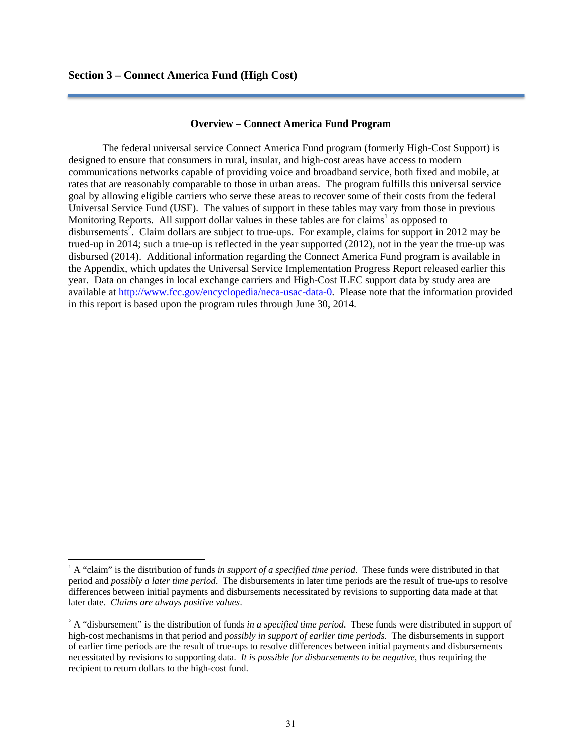### **Overview – Connect America Fund Program**

The federal universal service Connect America Fund program (formerly High-Cost Support) is designed to ensure that consumers in rural, insular, and high-cost areas have access to modern communications networks capable of providing voice and broadband service, both fixed and mobile, at rates that are reasonably comparable to those in urban areas. The program fulfills this universal service goal by allowing eligible carriers who serve these areas to recover some of their costs from the federal Universal Service Fund (USF). The values of support in these tables may vary from those in previous Monitoring Reports. All support dollar values in these tables are for claims<sup>1</sup> as opposed to disbursements<sup>2</sup>. Claim dollars are subject to true-ups. For example, claims for support in 2012 may be trued-up in 2014; such a true-up is reflected in the year supported (2012), not in the year the true-up was disbursed (2014). Additional information regarding the Connect America Fund program is available in the Appendix, which updates the Universal Service Implementation Progress Report released earlier this year. Data on changes in local exchange carriers and High-Cost ILEC support data by study area are available at http://www.fcc.gov/encyclopedia/neca-usac-data-0. Please note that the information provided in this report is based upon the program rules through June 30, 2014.

<sup>&</sup>lt;sup>1</sup> A "claim" is the distribution of funds *in support of a specified time period*. These funds were distributed in that period and *possibly a later time period*. The disbursements in later time periods are the result of true-ups to resolve differences between initial payments and disbursements necessitated by revisions to supporting data made at that later date. *Claims are always positive values*.

<sup>&</sup>lt;sup>2</sup> A "disbursement" is the distribution of funds *in a specified time period*. These funds were distributed in support of high-cost mechanisms in that period and *possibly in support of earlier time periods*. The disbursements in support of earlier time periods are the result of true-ups to resolve differences between initial payments and disbursements necessitated by revisions to supporting data. *It is possible for disbursements to be negative*, thus requiring the recipient to return dollars to the high-cost fund.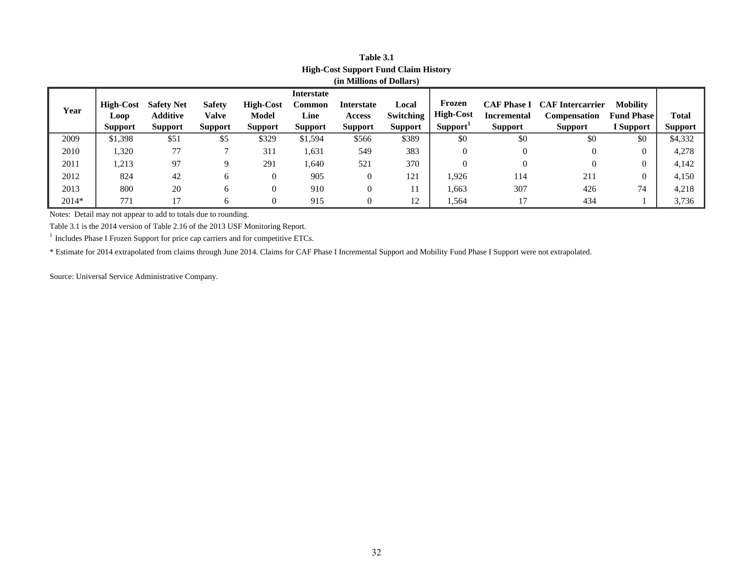| <b>High-Cost Support Fund Claim History</b> |                  |                   |                |                  |                   |                |                  |                      |                    |                                     |                   |                |
|---------------------------------------------|------------------|-------------------|----------------|------------------|-------------------|----------------|------------------|----------------------|--------------------|-------------------------------------|-------------------|----------------|
| (in Millions of Dollars)                    |                  |                   |                |                  |                   |                |                  |                      |                    |                                     |                   |                |
|                                             |                  |                   |                |                  | <b>Interstate</b> |                |                  |                      |                    |                                     |                   |                |
| Year                                        | <b>High-Cost</b> | <b>Safety Net</b> | <b>Safety</b>  | <b>High-Cost</b> | <b>Common</b>     | Interstate     | Local            | Frozen               |                    | <b>CAF Phase I CAF Intercarrier</b> | <b>Mobility</b>   |                |
|                                             | Loop             | <b>Additive</b>   | <b>Valve</b>   | <b>Model</b>     | Line              | <b>Access</b>  | <b>Switching</b> | <b>High-Cost</b>     | <b>Incremental</b> | <b>Compensation</b>                 | <b>Fund Phase</b> | Total          |
|                                             | <b>Support</b>   | <b>Support</b>    | <b>Support</b> | <b>Support</b>   | <b>Support</b>    | <b>Support</b> | <b>Support</b>   | Support <sup>1</sup> | <b>Support</b>     | <b>Support</b>                      | I Support         | <b>Support</b> |
| 2009                                        | \$1,398          | \$51              | \$5            | \$329            | \$1,594           | \$566          | \$389            | \$0                  | \$0                | \$0                                 | \$0               | \$4,332        |
| 2010                                        | 1,320            | 77                |                | 311              | 1,631             | 549            | 383              | $\theta$             | $\theta$           | $\Omega$                            |                   | 4,278          |
| 2011                                        | 1,213            | 97                | 9              | 291              | 1,640             | 521            | 370              | $\theta$             | $\theta$           | $\Omega$                            |                   | 4,142          |
| 2012                                        | 824              | 42                | 6              | $\overline{0}$   | 905               | 0              | 121              | 1,926                | 114                | 211                                 | $\theta$          | 4,150          |
| 2013                                        | 800              | 20                | 6              | $\overline{0}$   | 910               | 0              |                  | 1,663                | 307                | 426                                 | 74                | 4,218          |
| $2014*$                                     | 771              | 17                | 6              | $\mathbf{0}$     | 915               | $\Omega$       | 12               | 1,564                | 17                 | 434                                 |                   | 3,736          |

# **Table 3.1**

Notes: Detail may not appear to add to totals due to rounding.

Table 3.1 is the 2014 version of Table 2.16 of the 2013 USF Monitoring Report.

 $^{\rm 1}$  Includes Phase I Frozen Support for price cap carriers and for competitive ETCs.

\* Estimate for 2014 extrapolated from claims through June 2014. Claims for CAF Phase I Incremental Support and Mobility Fund Phase I Support were not extrapolated.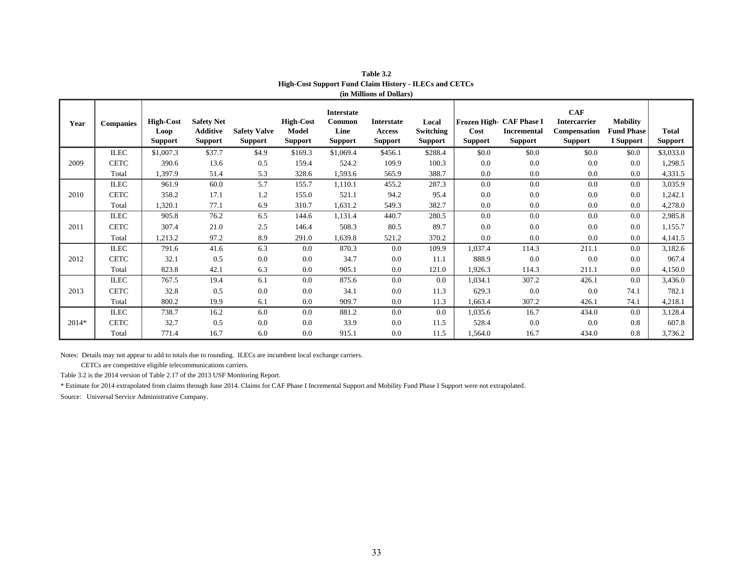| Year  | <b>Companies</b> | <b>High-Cost</b><br>Loop<br><b>Support</b> | <b>Safety Net</b><br><b>Additive</b><br><b>Support</b> | <b>Safety Valve</b><br><b>Support</b> | <b>High-Cost</b><br>Model<br><b>Support</b> | Interstate<br><b>Common</b><br>Line<br><b>Support</b> | <b>Interstate</b><br>Access<br><b>Support</b> | Local<br>Switching<br>Support | Cost<br><b>Support</b> | Frozen High- CAF Phase I<br><b>Incremental</b><br><b>Support</b> | CAF<br><b>Intercarrier</b><br>Compensation<br>Support | <b>Mobility</b><br><b>Fund Phase</b><br>I Support | <b>Total</b><br><b>Support</b> |
|-------|------------------|--------------------------------------------|--------------------------------------------------------|---------------------------------------|---------------------------------------------|-------------------------------------------------------|-----------------------------------------------|-------------------------------|------------------------|------------------------------------------------------------------|-------------------------------------------------------|---------------------------------------------------|--------------------------------|
|       | <b>ILEC</b>      | \$1,007.3                                  | \$37.7                                                 | \$4.9                                 | \$169.3                                     | \$1,069.4                                             | \$456.1                                       | \$288.4                       | \$0.0                  | \$0.0                                                            | \$0.0                                                 | \$0.0                                             | \$3,033.0                      |
| 2009  | <b>CETC</b>      | 390.6                                      | 13.6                                                   | 0.5                                   | 159.4                                       | 524.2                                                 | 109.9                                         | 100.3                         | 0.0                    | 0.0                                                              | 0.0                                                   | 0.0                                               | 1,298.5                        |
|       | Total            | 1,397.9                                    | 51.4                                                   | 5.3                                   | 328.6                                       | 1,593.6                                               | 565.9                                         | 388.7                         | $0.0\,$                | 0.0                                                              | 0.0                                                   | 0.0                                               | 4,331.5                        |
|       | <b>ILEC</b>      | 961.9                                      | 60.0                                                   | 5.7                                   | 155.7                                       | 1,110.1                                               | 455.2                                         | 287.3                         | 0.0                    | 0.0                                                              | 0.0                                                   | 0.0                                               | 3,035.9                        |
| 2010  | <b>CETC</b>      | 358.2                                      | 17.1                                                   | 1.2                                   | 155.0                                       | 521.1                                                 | 94.2                                          | 95.4                          | 0.0                    | 0.0                                                              | 0.0                                                   | 0.0                                               | 1,242.1                        |
|       | Total            | 1,320.1                                    | 77.1                                                   | 6.9                                   | 310.7                                       | 1,631.2                                               | 549.3                                         | 382.7                         | $0.0\,$                | $0.0\,$                                                          | 0.0                                                   | 0.0                                               | 4,278.0                        |
|       | <b>ILEC</b>      | 905.8                                      | 76.2                                                   | 6.5                                   | 144.6                                       | 1,131.4                                               | 440.7                                         | 280.5                         | 0.0                    | 0.0                                                              | 0.0                                                   | 0.0                                               | 2,985.8                        |
| 2011  | <b>CETC</b>      | 307.4                                      | 21.0                                                   | 2.5                                   | 146.4                                       | 508.3                                                 | 80.5                                          | 89.7                          | 0.0                    | 0.0                                                              | 0.0                                                   | 0.0                                               | 1,155.7                        |
|       | Total            | 1,213.2                                    | 97.2                                                   | 8.9                                   | 291.0                                       | 1,639.8                                               | 521.2                                         | 370.2                         | 0.0                    | 0.0                                                              | 0.0                                                   | 0.0                                               | 4,141.5                        |
|       | <b>ILEC</b>      | 791.6                                      | 41.6                                                   | 6.3                                   | 0.0                                         | 870.3                                                 | 0.0                                           | 109.9                         | 1,037.4                | 114.3                                                            | 211.1                                                 | 0.0                                               | 3,182.6                        |
| 2012  | <b>CETC</b>      | 32.1                                       | 0.5                                                    | 0.0                                   | 0.0                                         | 34.7                                                  | 0.0                                           | 11.1                          | 888.9                  | 0.0                                                              | 0.0                                                   | 0.0                                               | 967.4                          |
|       | Total            | 823.8                                      | 42.1                                                   | 6.3                                   | 0.0                                         | 905.1                                                 | 0.0                                           | 121.0                         | 1,926.3                | 114.3                                                            | 211.1                                                 | 0.0                                               | 4,150.0                        |
|       | <b>ILEC</b>      | 767.5                                      | 19.4                                                   | 6.1                                   | 0.0                                         | 875.6                                                 | 0.0                                           | 0.0                           | 1,034.1                | 307.2                                                            | 426.1                                                 | 0.0                                               | 3,436.0                        |
| 2013  | <b>CETC</b>      | 32.8                                       | 0.5                                                    | 0.0                                   | 0.0                                         | 34.1                                                  | 0.0                                           | 11.3                          | 629.3                  | 0.0                                                              | 0.0                                                   | 74.1                                              | 782.1                          |
|       | Total            | 800.2                                      | 19.9                                                   | 6.1                                   | 0.0                                         | 909.7                                                 | 0.0                                           | 11.3                          | 1,663.4                | 307.2                                                            | 426.1                                                 | 74.1                                              | 4,218.1                        |
|       | <b>ILEC</b>      | 738.7                                      | 16.2                                                   | 6.0                                   | 0.0                                         | 881.2                                                 | 0.0                                           | 0.0                           | 1,035.6                | 16.7                                                             | 434.0                                                 | 0.0                                               | 3,128.4                        |
| 2014* | <b>CETC</b>      | 32.7                                       | 0.5                                                    | 0.0                                   | 0.0                                         | 33.9                                                  | 0.0                                           | 11.5                          | 528.4                  | 0.0                                                              | 0.0                                                   | 0.8                                               | 607.8                          |
|       | Total            | 771.4                                      | 16.7                                                   | 6.0                                   | 0.0                                         | 915.1                                                 | 0.0                                           | 11.5                          | 1,564.0                | 16.7                                                             | 434.0                                                 | 0.8                                               | 3,736.2                        |

| <b>Table 3.2</b>                                              |
|---------------------------------------------------------------|
| <b>High-Cost Support Fund Claim History - ILECs and CETCs</b> |
| (in Millions of Dollars)                                      |

Notes: Details may not appear to add to totals due to rounding. ILECs are incumbent local exchange carriers.

CETCs are competitive eligible telecommunications carriers.

Table 3.2 is the 2014 version of Table 2.17 of the 2013 USF Monitoring Report.

\* Estimate for 2014 extrapolated from claims through June 2014. Claims for CAF Phase I Incremental Support and Mobility Fund Phase I Support were not extrapolated.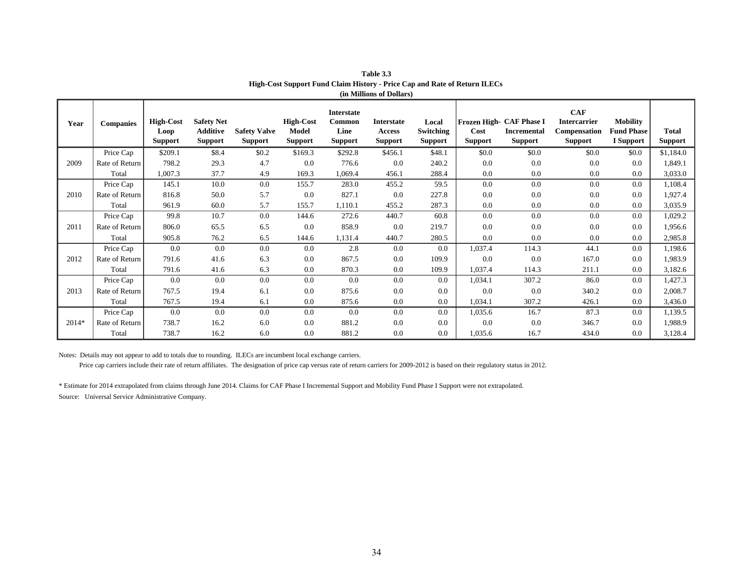| Year  | <b>Companies</b> | <b>High-Cost</b><br>Loop<br><b>Support</b> | <b>Safety Net</b><br>Additive<br><b>Support</b> | <b>Safety Valve</b><br><b>Support</b> | <b>High-Cost</b><br>Model<br><b>Support</b> | <b>Interstate</b><br>Common<br>Line<br><b>Support</b> | <b>Interstate</b><br>Access<br><b>Support</b> | Local<br><b>Switching</b><br><b>Support</b> | Cost<br><b>Support</b> | Frozen High- CAF Phase I<br><b>Incremental</b><br><b>Support</b> | <b>CAF</b><br><b>Intercarrier</b><br><b>Compensation</b><br><b>Support</b> | <b>Mobility</b><br><b>Fund Phase</b><br><b>I</b> Support | <b>Total</b><br><b>Support</b> |
|-------|------------------|--------------------------------------------|-------------------------------------------------|---------------------------------------|---------------------------------------------|-------------------------------------------------------|-----------------------------------------------|---------------------------------------------|------------------------|------------------------------------------------------------------|----------------------------------------------------------------------------|----------------------------------------------------------|--------------------------------|
| 2009  | Price Cap        | \$209.1                                    | \$8.4                                           | \$0.2\$                               | \$169.3                                     | \$292.8                                               | \$456.1                                       | \$48.1                                      | \$0.0                  | \$0.0                                                            | \$0.0                                                                      | \$0.0                                                    | \$1,184.0                      |
|       | Rate of Return   | 798.2                                      | 29.3                                            | 4.7                                   | 0.0                                         | 776.6                                                 | 0.0                                           | 240.2                                       | 0.0                    | 0.0                                                              | 0.0                                                                        | 0.0                                                      | 1,849.1                        |
|       | Total            | 1,007.3                                    | 37.7                                            | 4.9                                   | 169.3                                       | 1,069.4                                               | 456.1                                         | 288.4                                       | 0.0                    | 0.0                                                              | 0.0                                                                        | 0.0                                                      | 3,033.0                        |
| 2010  | Price Cap        | 145.1                                      | 10.0                                            | 0.0                                   | 155.7                                       | 283.0                                                 | 455.2                                         | 59.5                                        | 0.0                    | 0.0                                                              | 0.0                                                                        | 0.0                                                      | 1,108.4                        |
|       | Rate of Return   | 816.8                                      | 50.0                                            | 5.7                                   | 0.0                                         | 827.1                                                 | 0.0                                           | 227.8                                       | 0.0                    | 0.0                                                              | 0.0                                                                        | 0.0                                                      | 1,927.4                        |
|       | Total            | 961.9                                      | 60.0                                            | 5.7                                   | 155.7                                       | 1,110.1                                               | 455.2                                         | 287.3                                       | 0.0                    | 0.0                                                              | 0.0                                                                        | 0.0                                                      | 3,035.9                        |
| 2011  | Price Cap        | 99.8                                       | 10.7                                            | 0.0                                   | 144.6                                       | 272.6                                                 | 440.7                                         | 60.8                                        | 0.0                    | 0.0                                                              | 0.0                                                                        | 0.0                                                      | 1,029.2                        |
|       | Rate of Return   | 806.0                                      | 65.5                                            | 6.5                                   | 0.0                                         | 858.9                                                 | 0.0                                           | 219.7                                       | 0.0                    | 0.0                                                              | 0.0                                                                        | 0.0                                                      | 1,956.6                        |
|       | Total            | 905.8                                      | 76.2                                            | 6.5                                   | 144.6                                       | 1,131.4                                               | 440.7                                         | 280.5                                       | 0.0                    | 0.0                                                              | 0.0                                                                        | 0.0                                                      | 2,985.8                        |
| 2012  | Price Cap        | 0.0                                        | 0.0                                             | 0.0                                   | 0.0                                         | 2.8                                                   | 0.0                                           | 0.0                                         | 1,037.4                | 114.3                                                            | 44.1                                                                       | 0.0                                                      | 1,198.6                        |
|       | Rate of Return   | 791.6                                      | 41.6                                            | 6.3                                   | 0.0                                         | 867.5                                                 | 0.0                                           | 109.9                                       | 0.0                    | 0.0                                                              | 167.0                                                                      | 0.0                                                      | 1,983.9                        |
|       | Total            | 791.6                                      | 41.6                                            | 6.3                                   | 0.0                                         | 870.3                                                 | 0.0                                           | 109.9                                       | 1,037.4                | 114.3                                                            | 211.1                                                                      | 0.0                                                      | 3,182.6                        |
| 2013  | Price Cap        | 0.0                                        | 0.0                                             | 0.0                                   | 0.0                                         | 0.0                                                   | 0.0                                           | 0.0                                         | 1,034.1                | 307.2                                                            | 86.0                                                                       | 0.0                                                      | 1,427.3                        |
|       | Rate of Return   | 767.5                                      | 19.4                                            | 6.1                                   | 0.0                                         | 875.6                                                 | 0.0                                           | 0.0                                         | 0.0                    | 0.0                                                              | 340.2                                                                      | 0.0                                                      | 2,008.7                        |
|       | Total            | 767.5                                      | 19.4                                            | 6.1                                   | 0.0                                         | 875.6                                                 | 0.0                                           | 0.0                                         | 1,034.1                | 307.2                                                            | 426.1                                                                      | 0.0                                                      | 3,436.0                        |
| 2014* | Price Cap        | 0.0                                        | 0.0                                             | 0.0                                   | 0.0                                         | 0.0                                                   | 0.0                                           | 0.0                                         | 1,035.6                | 16.7                                                             | 87.3                                                                       | 0.0                                                      | 1,139.5                        |
|       | Rate of Return   | 738.7                                      | 16.2                                            | 6.0                                   | 0.0                                         | 881.2                                                 | 0.0                                           | 0.0                                         | 0.0                    | 0.0                                                              | 346.7                                                                      | 0.0                                                      | 1,988.9                        |
|       | Total            | 738.7                                      | 16.2                                            | 6.0                                   | 0.0                                         | 881.2                                                 | 0.0                                           | 0.0                                         | 1,035.6                | 16.7                                                             | 434.0                                                                      | 0.0                                                      | 3,128.4                        |

**Table 3.3 High-Cost Support Fund Claim History - Price Cap and Rate of Return ILECs (in Millions of Dollars)**

Notes: Details may not appear to add to totals due to rounding. ILECs are incumbent local exchange carriers.

Price cap carriers include their rate of return affiliates. The designation of price cap versus rate of return carriers for 2009-2012 is based on their regulatory status in 2012.

\* Estimate for 2014 extrapolated from claims through June 2014. Claims for CAF Phase I Incremental Support and Mobility Fund Phase I Support were not extrapolated. Source: Universal Service Administrative Company.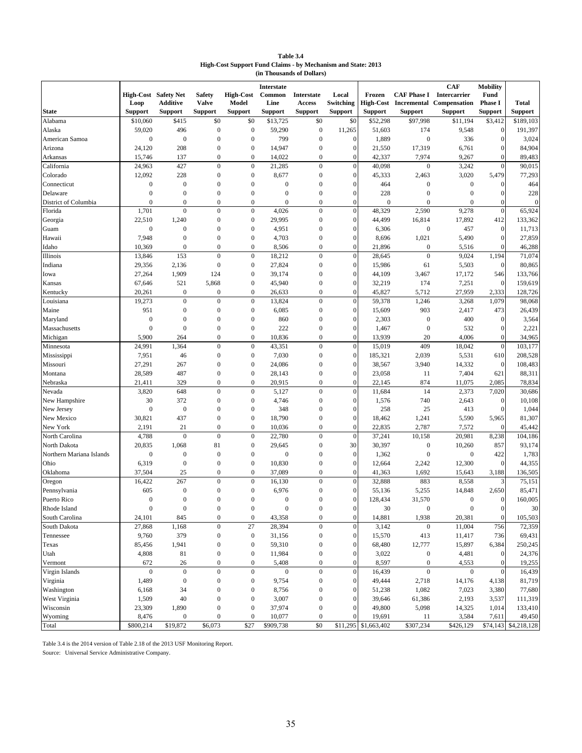| Table 3.4                                                           |  |  |  |  |  |  |  |  |  |
|---------------------------------------------------------------------|--|--|--|--|--|--|--|--|--|
| <b>High-Cost Support Fund Claims - by Mechanism and State: 2013</b> |  |  |  |  |  |  |  |  |  |
| (in Thousands of Dollars)                                           |  |  |  |  |  |  |  |  |  |

|                            | Interstate                          |                        |                                      |                                      |                  |                                      |                                  |                      |                           |                                                                                     |                                           |                      |
|----------------------------|-------------------------------------|------------------------|--------------------------------------|--------------------------------------|------------------|--------------------------------------|----------------------------------|----------------------|---------------------------|-------------------------------------------------------------------------------------|-------------------------------------------|----------------------|
|                            | <b>High-Cost</b> Safety Net<br>Loop | <b>Additive</b>        | <b>Safety</b><br><b>Valve</b>        | <b>High-Cost</b><br>Model            | Common<br>Line   | <b>Interstate</b><br>Access          | Local<br>Switching               | Frozen               |                           | <b>CAF</b><br><b>CAF Phase I</b> Intercarrier<br>High-Cost Incremental Compensation | <b>Mobility</b><br>Fund<br><b>Phase I</b> | <b>Total</b>         |
| <b>State</b>               | <b>Support</b>                      | <b>Support</b>         | <b>Support</b>                       | <b>Support</b>                       | <b>Support</b>   | <b>Support</b>                       | <b>Support</b>                   | <b>Support</b>       | <b>Support</b>            | <b>Support</b>                                                                      | <b>Support</b>                            | <b>Support</b>       |
| Alabama                    | \$10,060                            | \$415                  | \$0                                  | \$0                                  | \$13,725         | \$0                                  | \$0                              | \$52,298             | \$97,998                  | \$11,194                                                                            | \$3,412                                   | \$189,103            |
| Alaska                     | 59,020                              | 496                    | $\boldsymbol{0}$                     | $\boldsymbol{0}$                     | 59,290           | $\mathbf{0}$                         | 11,265                           | 51,603               | 174                       | 9,548                                                                               | $\boldsymbol{0}$<br>$\overline{0}$        | 191,397              |
| American Samoa             | $\boldsymbol{0}$                    | $\boldsymbol{0}$       | $\mathbf{0}$                         | $\mathbf{0}$                         | 799              | $\mathbf{0}$                         | $\mathbf{0}$                     | 1,889                | $\boldsymbol{0}$          | 336                                                                                 |                                           | 3,024                |
| Arizona                    | 24,120                              | 208                    | $\mathbf{0}$<br>$\overline{0}$       | $\mathbf{0}$<br>$\mathbf{0}$         | 14,947           | $\mathbf{0}$<br>$\mathbf{0}$         | $\boldsymbol{0}$                 | 21,550               | 17,319                    | 6,761                                                                               | $\boldsymbol{0}$<br>$\overline{0}$        | 84,904               |
| Arkansas<br>California     | 15,746<br>24,963                    | 137<br>427             | $\overline{0}$                       | $\mathbf{0}$                         | 14,022<br>21,285 | $\mathbf{0}$                         | $\boldsymbol{0}$<br>$\mathbf{0}$ | 42,337<br>40,098     | 7,974<br>$\boldsymbol{0}$ | 9,267<br>3,242                                                                      | $\overline{0}$                            | 89,483<br>90,015     |
| Colorado                   | 12,092                              | 228                    | $\mathbf{0}$                         | $\mathbf{0}$                         | 8,677            | $\boldsymbol{0}$                     | $\overline{0}$                   | 45,333               | 2,463                     | 3,020                                                                               | 5,479                                     | 77,293               |
| Connecticut                | $\boldsymbol{0}$                    | $\boldsymbol{0}$       | $\mathbf{0}$                         | $\boldsymbol{0}$                     | $\mathbf{0}$     | $\boldsymbol{0}$                     | $\overline{0}$                   | 464                  | $\mathbf{0}$              | $\boldsymbol{0}$                                                                    | $\mathbf{0}$                              | 464                  |
| Delaware                   | $\boldsymbol{0}$                    | $\boldsymbol{0}$       | $\mathbf{0}$                         | $\mathbf{0}$                         | $\boldsymbol{0}$ | $\mathbf{0}$                         | $\mathbf{0}$                     | 228                  | $\mathbf{0}$              | $\boldsymbol{0}$                                                                    | $\boldsymbol{0}$                          | 228                  |
| District of Columbia       | $\boldsymbol{0}$                    | $\boldsymbol{0}$       | $\mathbf{0}$                         | $\boldsymbol{0}$                     | $\boldsymbol{0}$ | $\boldsymbol{0}$                     | $\boldsymbol{0}$                 | $\mathbf{0}$         | $\boldsymbol{0}$          | $\mathbf{0}$                                                                        | $\boldsymbol{0}$                          | $\overline{0}$       |
| Florida                    | 1,701                               | $\mathbf{0}$           | $\boldsymbol{0}$                     | $\mathbf{0}$                         | 4,026            | $\mathbf{0}$                         | $\overline{0}$                   | 48,329               | 2,590                     | 9,278                                                                               | $\boldsymbol{0}$                          | 65,924               |
| Georgia                    | 22,510                              | 1,240                  | $\mathbf{0}$                         | $\boldsymbol{0}$                     | 29,995           | $\boldsymbol{0}$                     | $\mathbf{0}$                     | 44,499               | 16,814                    | 17,892                                                                              | 412                                       | 133,362              |
| Guam                       | $\boldsymbol{0}$                    | $\boldsymbol{0}$       | $\mathbf{0}$                         | $\mathbf{0}$                         | 4,951            | $\mathbf{0}$                         | $\mathbf{0}$                     | 6,306                | $\boldsymbol{0}$          | 457                                                                                 | $\boldsymbol{0}$                          | 11,713               |
| Hawaii                     | 7,948                               | $\boldsymbol{0}$       | $\mathbf{0}$                         | $\mathbf{0}$                         | 4,703            | $\mathbf{0}$                         | $\overline{0}$                   | 8,696                | 1,021                     | 5,490                                                                               | $\boldsymbol{0}$                          | 27,859               |
| Idaho                      | 10,369                              | $\overline{0}$         | $\mathbf{0}$                         | $\boldsymbol{0}$                     | 8,506            | $\boldsymbol{0}$                     | $\mathbf{0}$                     | 21,896               | $\boldsymbol{0}$          | 5,516                                                                               | $\overline{0}$                            | 46,288               |
| Illinois                   | 13,846                              | 153                    | $\mathbf{0}$                         | $\mathbf{0}$                         | 18,212           | $\boldsymbol{0}$                     | $\mathbf{0}$                     | 28,645               | $\boldsymbol{0}$          | 9,024                                                                               | 1,194                                     | 71,074               |
| Indiana                    | 29,356                              | 2,136                  | $\mathbf{0}$                         | $\mathbf{0}$                         | 27,824           | $\boldsymbol{0}$                     | $\boldsymbol{0}$                 | 15,986               | 61                        | 5,503                                                                               | $\boldsymbol{0}$                          | 80,865               |
| Iowa                       | 27,264                              | 1,909                  | 124                                  | $\mathbf{0}$                         | 39,174           | $\mathbf{0}$                         | $\overline{0}$                   | 44,109               | 3,467                     | 17,172                                                                              | 546                                       | 133,766              |
| Kansas                     | 67,646                              | 521                    | 5,868                                | $\mathbf{0}$                         | 45,940           | $\mathbf{0}$                         | $\mathbf{0}$                     | 32,219               | 174                       | 7,251                                                                               | $\boldsymbol{0}$                          | 159,619              |
| Kentucky                   | 20,261                              | $\overline{0}$         | $\mathbf{0}$                         | $\mathbf{0}$                         | 26,633           | $\boldsymbol{0}$                     | $\overline{0}$                   | 45,827               | 5,712                     | 27,959                                                                              | 2,333                                     | 128,726              |
| Louisiana                  | 19,273                              | $\boldsymbol{0}$       | $\boldsymbol{0}$                     | $\mathbf{0}$                         | 13,824           | $\mathbf 0$                          | $\mathbf{0}$                     | 59,378               | 1,246                     | 3,268                                                                               | 1,079                                     | 98,068               |
| Maine                      | 951                                 | $\mathbf{0}$           | $\mathbf{0}$                         | $\mathbf{0}$                         | 6,085            | $\boldsymbol{0}$                     | $\mathbf{0}$                     | 15,609               | 903                       | 2,417                                                                               | 473                                       | 26,439               |
| Maryland                   | $\boldsymbol{0}$                    | $\mathbf{0}$           | $\mathbf{0}$                         | $\mathbf{0}$                         | 860              | $\mathbf{0}$                         | $\mathbf{0}$                     | 2,303                | $\boldsymbol{0}$          | 400                                                                                 | $\mathbf{0}$                              | 3,564                |
| Massachusetts              | $\boldsymbol{0}$                    | $\mathbf{0}$           | $\mathbf{0}$                         | $\overline{0}$                       | 222              | $\mathbf{0}$                         | $\mathbf{0}$                     | 1,467                | $\mathbf{0}$              | 532                                                                                 | $\overline{0}$                            | 2,221                |
| Michigan                   | 5,900                               | 264                    | $\mathbf{0}$                         | $\mathbf{0}$                         | 10,836           | $\mathbf{0}$                         | $\mathbf{0}$                     | 13,939               | 20                        | 4,006                                                                               | $\overline{0}$                            | 34,965               |
| Minnesota                  | 24,991                              | 1,364                  | $\boldsymbol{0}$                     | $\mathbf{0}$                         | 43,351           | $\boldsymbol{0}$                     | $\mathbf{0}$                     | 15,019               | 409                       | 18,042                                                                              | $\mathbf{0}$                              | 103,177              |
| Mississippi                | 7,951                               | 46                     | $\boldsymbol{0}$                     | $\mathbf{0}$                         | 7,030            | $\boldsymbol{0}$                     | $\mathbf{0}$                     | 185,321              | 2,039                     | 5,531                                                                               | 610                                       | 208,528              |
| Missouri                   | 27,291                              | 267                    | $\mathbf{0}$                         | $\mathbf{0}$                         | 24,086           | $\mathbf{0}$                         | $\mathbf{0}$                     | 38,567               | 3,940                     | 14,332                                                                              | $\boldsymbol{0}$                          | 108,483              |
| Montana                    | 28,589                              | 487                    | $\mathbf{0}$                         | $\theta$                             | 28,143           | $\mathbf{0}$                         | $\boldsymbol{0}$                 | 23,058               | 11                        | 7,404                                                                               | 621                                       | 88,311               |
| Nebraska                   | 21,411                              | 329                    | $\overline{0}$                       | $\theta$                             | 20,915           | $\overline{0}$                       | $\overline{0}$                   | 22,145               | 874                       | 11,075                                                                              | 2,085                                     | 78,834               |
| Nevada                     | 3,820                               | 648                    | $\mathbf{0}$                         | $\mathbf{0}$                         | 5,127            | $\boldsymbol{0}$                     | $\boldsymbol{0}$                 | 11,684               | 14                        | 2,373                                                                               | 7,020                                     | 30,686               |
| New Hampshire              | 30                                  | 372                    | $\boldsymbol{0}$                     | $\mathbf{0}$                         | 4,746            | $\boldsymbol{0}$                     | $\boldsymbol{0}$                 | 1,576                | 740                       | 2,643                                                                               | $\boldsymbol{0}$                          | 10,108               |
| New Jersey                 | $\boldsymbol{0}$                    | $\boldsymbol{0}$       | $\mathbf{0}$                         | $\mathbf{0}$                         | 348              | $\mathbf{0}$                         | $\overline{0}$                   | 258                  | 25                        | 413                                                                                 | $\mathbf{0}$                              | 1,044                |
| New Mexico                 | 30,821                              | 437                    | $\mathbf{0}$                         | $\mathbf{0}$                         | 18,790           | $\mathbf{0}$                         | $\mathbf{0}$                     | 18,462               | 1,241                     | 5,590                                                                               | 5,965                                     | 81,307               |
| New York                   | 2,191                               | 21                     | $\mathbf{0}$                         | $\mathbf{0}$                         | 10,036           | $\boldsymbol{0}$                     | $\mathbf{0}$                     | 22,835               | 2,787                     | 7,572                                                                               | $\mathbf{0}$                              | 45,442               |
| North Carolina             | 4,788                               | $\overline{0}$         | $\mathbf{0}$                         | $\mathbf{0}$                         | 22,780           | $\boldsymbol{0}$                     | $\mathbf{0}$                     | 37,241               | 10,158                    | 20,981                                                                              | 8,238                                     | 104,186              |
| North Dakota               | 20,835                              | 1,068                  | 81                                   | $\mathbf{0}$                         | 29,645           | $\mathbf{0}$                         | 30                               | 30,397               | $\boldsymbol{0}$          | 10,260                                                                              | 857                                       | 93,174               |
| Northern Mariana Islands   | $\boldsymbol{0}$                    | $\boldsymbol{0}$       | $\boldsymbol{0}$                     | $\mathbf{0}$                         | $\mathbf{0}$     | $\mathbf{0}$                         | $\mathbf{0}$                     | 1,362                | $\boldsymbol{0}$          | $\boldsymbol{0}$                                                                    | 422                                       | 1,783                |
| Ohio                       | 6,319                               | $\mathbf{0}$           | $\mathbf{0}$                         | $\mathbf{0}$                         | 10,830           | $\mathbf{0}$                         | $\mathbf{0}$                     | 12,664               | 2,242                     | 12,300                                                                              | $\overline{0}$                            | 44,355               |
| Oklahoma                   | 37,504                              | 25                     | $\mathbf{0}$                         | $\mathbf{0}$                         | 37,089           | $\overline{0}$                       | $\overline{0}$                   | 41,363               | 1,692                     | 15,643                                                                              | 3,188                                     | 136,505              |
| Oregon                     | 16,422                              | 267                    | $\boldsymbol{0}$                     | $\mathbf{0}$                         | 16,130           | $\boldsymbol{0}$                     | $\boldsymbol{0}$                 | 32,888               | 883                       | 8,558                                                                               | 3                                         | 75,151               |
| Pennsylvania               | 605                                 | $\boldsymbol{0}$       | $\mathbf{0}$                         | $\mathbf{0}$                         | 6,976            | $\mathbf{0}$                         | $\overline{0}$                   | 55,136               | 5,255                     | 14,848                                                                              | 2,650                                     | 85,471               |
| Puerto Rico                | $\boldsymbol{0}$                    | $\overline{0}$         | $\overline{0}$                       | $\mathbf{0}$                         | $\mathbf{0}$     | $\mathbf{0}$                         | $\mathbf{0}$                     | 128,434              | 31,570                    | $\boldsymbol{0}$                                                                    | $\boldsymbol{0}$                          | 160,005              |
| Rhode Island               | $\boldsymbol{0}$                    | $\boldsymbol{0}$       | $\boldsymbol{0}$                     | $\boldsymbol{0}$                     | $\boldsymbol{0}$ | $\boldsymbol{0}$                     | $\overline{0}$                   | 30                   | $\boldsymbol{0}$          | $\boldsymbol{0}$                                                                    | $\boldsymbol{0}$                          | 30                   |
| South Carolina             | 24,101                              | 845                    | $\boldsymbol{0}$                     | $\mathbf{0}$                         | 43,358           | $\mathbf{0}$                         | $\mathbf{0}$                     | 14,881               | 1,938                     | 20,381                                                                              | $\boldsymbol{0}$                          | 105,503              |
| South Dakota               | 27,868                              | 1,168                  | $\boldsymbol{0}$                     | 27                                   | 28,394           | $\boldsymbol{0}$                     | $\overline{0}$                   | 3,142                | $\boldsymbol{0}$          | 11,004                                                                              | 756                                       | 72,359               |
| Tennessee                  | 9,760                               | 379                    | $\boldsymbol{0}$                     | $\boldsymbol{0}$                     | 31,156           | $\boldsymbol{0}$                     | $\mathbf{0}$                     | 15,570               | 413                       | 11,417                                                                              | 736                                       | 69,431               |
| Texas                      | 85,456                              | 1,941                  | $\boldsymbol{0}$                     | $\mathbf{0}$                         | 59,310           | $\boldsymbol{0}$                     | $\mathbf{0}$                     | 68,480               | 12,777                    | 15,897                                                                              | 6,384                                     | 250,245              |
| Utah                       | 4,808                               | 81                     | $\boldsymbol{0}$                     | $\mathbf{0}$                         | 11,984           | $\boldsymbol{0}$                     | $\boldsymbol{0}$                 | 3,022                | $\boldsymbol{0}$          | 4,481                                                                               | $\boldsymbol{0}$                          | 24,376               |
| Vermont                    | 672                                 | 26                     | $\boldsymbol{0}$                     | $\boldsymbol{0}$                     | 5,408            | $\boldsymbol{0}$                     | $\mathbf{0}$<br>$\mathbf 0$      | 8,597                | $\boldsymbol{0}$          | 4,553                                                                               | $\boldsymbol{0}$                          | 19,255               |
| Virgin Islands<br>Virginia | $\boldsymbol{0}$                    | $\boldsymbol{0}$       | $\boldsymbol{0}$                     | $\mathbf{0}$                         | $\boldsymbol{0}$ | $\boldsymbol{0}$                     | $\mathbf{0}$                     | 16,439               | $\boldsymbol{0}$          | $\mathbf{0}$                                                                        | $\mathbf{0}$                              | 16,439               |
| Washington                 | 1,489<br>6,168                      | $\boldsymbol{0}$<br>34 | $\boldsymbol{0}$<br>$\boldsymbol{0}$ | $\boldsymbol{0}$<br>$\boldsymbol{0}$ | 9,754<br>8,756   | $\boldsymbol{0}$<br>$\boldsymbol{0}$ | $\mathbf{0}$                     | 49,444<br>51,238     | 2,718                     | 14,176<br>7,023                                                                     | 4,138                                     | 81,719               |
| West Virginia              | 1,509                               | 40                     | $\boldsymbol{0}$                     | $\mathbf{0}$                         | 3,007            | $\boldsymbol{0}$                     | $\mathbf{0}$                     | 39,646               | 1,082<br>61,386           | 2,193                                                                               | 3,380<br>3,537                            | 77,680<br>111,319    |
| Wisconsin                  |                                     | 1,890                  | $\boldsymbol{0}$                     | $\boldsymbol{0}$                     | 37,974           | $\boldsymbol{0}$                     | $\mathbf{0}$                     |                      |                           |                                                                                     |                                           |                      |
| Wyoming                    | 23,309<br>8,476                     | $\boldsymbol{0}$       | $\boldsymbol{0}$                     | $\boldsymbol{0}$                     | 10,077           | $\mathbf{0}$                         | $\mathbf{0}$                     | 49,800<br>19,691     | 5,098<br>11               | 14,325<br>3,584                                                                     | 1,014<br>7,611                            | 133,410<br>49,450    |
| Total                      | \$800,214                           | \$19,872               | \$6,073                              | \$27                                 | \$909,738        | \$0                                  |                                  | \$11,295 \$1,663,402 | \$307,234                 | \$426,129                                                                           |                                           | \$74,143 \$4,218,128 |
|                            |                                     |                        |                                      |                                      |                  |                                      |                                  |                      |                           |                                                                                     |                                           |                      |

Table 3.4 is the 2014 version of Table 2.18 of the 2013 USF Monitoring Report.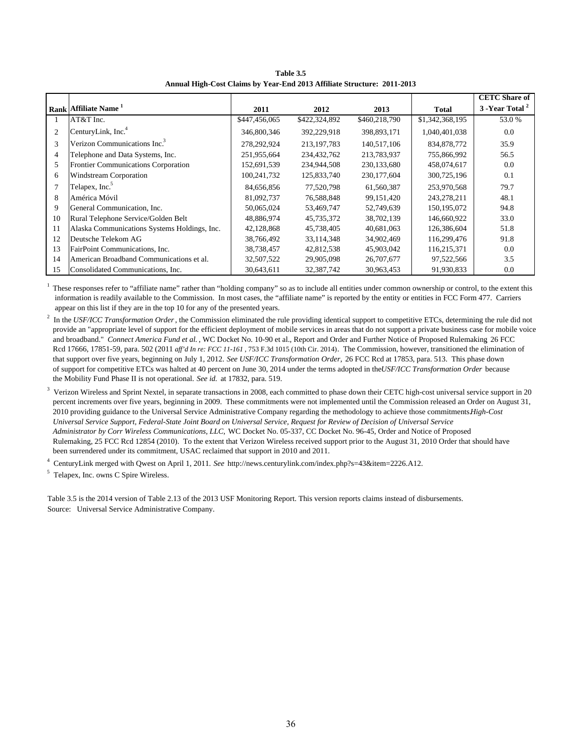**Table 3.5 Annual High-Cost Claims by Year-End 2013 Affiliate Structure: 2011-2013**

|                |                                              |               |               |               |                 | <b>CETC</b> Share of |
|----------------|----------------------------------------------|---------------|---------------|---------------|-----------------|----------------------|
|                | Rank Affiliate Name <sup>1</sup>             | 2011          | 2012          | 2013          | <b>Total</b>    | 3 - Year Total       |
|                | AT&T Inc.                                    | \$447,456,065 | \$422,324,892 | \$460,218,790 | \$1,342,368,195 | 53.0 %               |
| $\overline{2}$ | CenturyLink, Inc. <sup>4</sup>               | 346,800,346   | 392,229,918   | 398,893,171   | 1,040,401,038   | 0.0                  |
| 3              | Verizon Communications Inc. <sup>3</sup>     | 278,292,924   | 213, 197, 783 | 140,517,106   | 834, 878, 772   | 35.9                 |
| 4              | Telephone and Data Systems, Inc.             | 251,955,664   | 234,432,762   | 213,783,937   | 755,866,992     | 56.5                 |
| 5              | Frontier Communications Corporation          | 152,691,539   | 234,944,508   | 230,133,680   | 458,074,617     | 0.0                  |
| 6              | Windstream Corporation                       | 100,241,732   | 125,833,740   | 230, 177, 604 | 300,725,196     | 0.1                  |
| 7              | Telapex, Inc. <sup>5</sup>                   | 84,656,856    | 77,520,798    | 61,560,387    | 253,970,568     | 79.7                 |
| 8              | América Móvil                                | 81,092,737    | 76,588,848    | 99, 151, 420  | 243,278,211     | 48.1                 |
| 9              | General Communication, Inc.                  | 50,065,024    | 53,469,747    | 52,749,639    | 150, 195, 072   | 94.8                 |
| 10             | Rural Telephone Service/Golden Belt          | 48,886,974    | 45,735,372    | 38,702,139    | 146,660,922     | 33.0                 |
| 11             | Alaska Communications Systems Holdings, Inc. | 42,128,868    | 45,738,405    | 40,681,063    | 126,386,604     | 51.8                 |
| 12             | Deutsche Telekom AG                          | 38,766,492    | 33,114,348    | 34,902,469    | 116,299,476     | 91.8                 |
| 13             | FairPoint Communications, Inc.               | 38,738,457    | 42,812,538    | 45,903,042    | 116,215,371     | 0.0                  |
| 14             | American Broadband Communications et al.     | 32,507,522    | 29,905,098    | 26,707,677    | 97,522,566      | 3.5                  |
| 15             | Consolidated Communications, Inc.            | 30,643,611    | 32,387,742    | 30,963,453    | 91,930,833      | 0.0                  |

These responses refer to "affiliate name" rather than "holding company" so as to include all entities under common ownership or control, to the extent this information is readily available to the Commission. In most cases, the "affiliate name" is reported by the entity or entities in FCC Form 477. Carriers appear on this list if they are in the top 10 for any of the presented years.

2 In the *USF/ICC Transformation Order*, the Commission eliminated the rule providing identical support to competitive ETCs, determining the rule did not provide an "appropriate level of support for the efficient deployment of mobile services in areas that do not support a private business case for mobile voice and broadband." *Connect America Fund et al.* , WC Docket No. 10-90 et al., Report and Order and Further Notice of Proposed Rulemaking*,* 26 FCC Rcd 17666, 17851-59, para. 502 (2011 *aff'd In re: FCC 11-161* , 753 F.3d 1015 (10th Cir. 2014). The Commission, however, transitioned the elimination of that support over five years, beginning on July 1, 2012. *See USF/ICC Transformation Order,* 26 FCC Rcd at 17853, para. 513. This phase down of support for competitive ETCs was halted at 40 percent on June 30, 2014 under the terms adopted in the *USF/ICC Transformation Order* because the Mobility Fund Phase II is not operational. *See id.* at 17832, para. 519.

3 Verizon Wireless and Sprint Nextel, in separate transactions in 2008, each committed to phase down their CETC high-cost universal service support in 20 percent increments over five years, beginning in 2009. These commitments were not implemented until the Commission released an Order on August 31, 2010 providing guidance to the Universal Service Administrative Company regarding the methodology to achieve those commitments. *High-Cost Universal Service Support, Federal-State Joint Board on Universal Service, Request for Review of Decision of Universal Service Administrator by Corr Wireless Communications, LLC,* WC Docket No. 05-337, CC Docket No. 96-45, Order and Notice of Proposed Rulemaking, 25 FCC Rcd 12854 (2010). To the extent that Verizon Wireless received support prior to the August 31, 2010 Order that should have been surrendered under its commitment, USAC reclaimed that support in 2010 and 2011.

4 CenturyLink merged with Qwest on April 1, 2011. *See* http://news.centurylink.com/index.php?s=43&item=2226.A12.

5 Telapex, Inc. owns C Spire Wireless.

Table 3.5 is the 2014 version of Table 2.13 of the 2013 USF Monitoring Report. This version reports claims instead of disbursements. Source: Universal Service Administrative Company.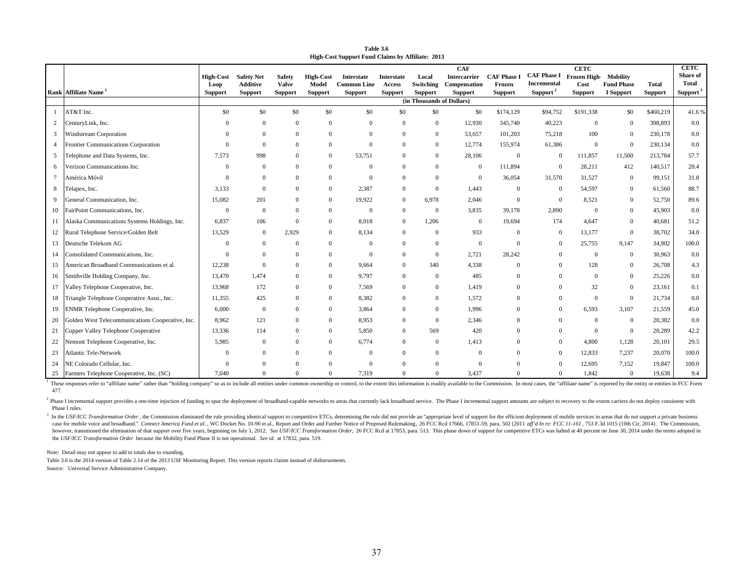**Table 3.6High-Cost Support Fund Claims by Affiliate: 2013**

|    |                                                  | <b>High-Cost</b>       | <b>Safety Net</b>                 | <b>Safety</b>           | <b>High-Cost</b>        | <b>Interstate</b>                    | Interstate               | Local                       | <b>CAF</b><br><b>Intercarrier</b> | <b>CAF Phase I</b>       | CAF Phase I Frozen High Mobility    | <b>CETC</b>            |                                |                         | <b>CETC</b><br>Share of              |
|----|--------------------------------------------------|------------------------|-----------------------------------|-------------------------|-------------------------|--------------------------------------|--------------------------|-----------------------------|-----------------------------------|--------------------------|-------------------------------------|------------------------|--------------------------------|-------------------------|--------------------------------------|
|    | Rank Affiliate Name                              | Loop<br><b>Support</b> | <b>Additive</b><br><b>Support</b> | Valve<br><b>Support</b> | Model<br><b>Support</b> | <b>Common Line</b><br><b>Support</b> | Access<br><b>Support</b> | Switching<br><b>Support</b> | Compensation<br><b>Support</b>    | Frozen<br><b>Support</b> | Incremental<br>Support <sup>2</sup> | Cost<br><b>Support</b> | <b>Fund Phase</b><br>I Support | Total<br><b>Support</b> | <b>Total</b><br>Support <sup>3</sup> |
|    |                                                  |                        |                                   |                         |                         |                                      |                          | (in Thousands of Dollars)   |                                   |                          |                                     |                        |                                |                         |                                      |
|    | AT&T Inc.                                        | \$0                    | \$0                               | \$0                     | \$0                     | \$0                                  | \$0                      | \$0                         | \$0                               | \$174,129                | \$94,752                            | \$191,338              | \$0                            | \$460,219               | 41.6%                                |
|    | CenturyLink, Inc.                                | $\Omega$               | $\mathbf{0}$                      | $\mathbf{0}$            | $\overline{0}$          | $\Omega$                             | $\Omega$                 | $\overline{0}$              | 12,930                            | 345,740                  | 40,223                              | $\mathbf{0}$           | $\boldsymbol{0}$               | 398,893                 | 0.0                                  |
|    | 3 Windstream Corporation                         |                        | $\mathbf{0}$                      | $\mathbf{0}$            | $\overline{0}$          | $\overline{0}$                       | $\mathbf{0}$             | $\overline{0}$              | 53,657                            | 101,203                  | 75,218                              | 100                    | $\mathbf{0}$                   | 230,178                 | 0.0                                  |
|    | Frontier Communications Corporation              | $\Omega$               | $\theta$                          | $\overline{0}$          | $\overline{0}$          | $\Omega$                             | $\Omega$                 | $\overline{0}$              | 12,774                            | 155,974                  | 61,386                              | $\mathbf{0}$           | $\mathbf{0}$                   | 230,134                 | 0.0                                  |
| 5  | Felephone and Data Systems, Inc.                 | 7.573                  | 998                               | $\mathbf{0}$            | $\overline{0}$          | 53,751                               | $\Omega$                 | $\overline{0}$              | 28,106                            | $\mathbf{0}$             | $\overline{0}$                      | 111,857                | 11,500                         | 213,784                 | 57.7                                 |
| 6  | Verizon Communications Inc.                      | $\Omega$               | $\Omega$                          | $\Omega$                | $\overline{0}$          | $\overline{0}$                       | $\Omega$                 | $\Omega$                    | $\mathbf{0}$                      | 111,894                  | $\overline{0}$                      | 28,211                 | 412                            | 140,517                 | 20.4                                 |
|    | América Móvil                                    | $\Omega$               | $\mathbf{0}$                      | $\overline{0}$          | $\overline{0}$          | $\Omega$                             | $\Omega$                 | $\mathbf{0}$                | $\Omega$                          | 36,054                   | 31,570                              | 31,527                 | $\mathbf{0}$                   | 99,151                  | 31.8                                 |
| 8  | Telapex, Inc.                                    | 3.133                  | $\Omega$                          | $\mathbf{0}$            | $\overline{0}$          | 2,387                                | $\mathbf{0}$             | $\mathbf{0}$                | 1,443                             | $\mathbf{0}$             | $\overline{0}$                      | 54,597                 | $\mathbf{0}$                   | 61,560                  | 88.7                                 |
| 9  | General Communication, Inc.                      | 15,082                 | 201                               | $\mathbf{0}$            | $\mathbf{0}$            | 19,922                               | $\mathbf{0}$             | 6,978                       | 2,046                             | $\mathbf{0}$             | $\overline{0}$                      | 8,521                  | $\boldsymbol{0}$               | 52,750                  | 89.6                                 |
| 10 | FairPoint Communications, Inc.                   | $\theta$               | $\mathbf{0}$                      | $\mathbf{0}$            | $\mathbf{0}$            | $\overline{0}$                       | $\mathbf{0}$             | $\mathbf{0}$                | 3,835                             | 39,178                   | 2,890                               | $\Omega$               | $\boldsymbol{0}$               | 45,903                  | 0.0                                  |
|    | 11 Alaska Communications Systems Holdings, Inc.  | 6.837                  | 106                               | $\mathbf{0}$            | $\overline{0}$          | 8,018                                | $\mathbf{0}$             | 1,206                       | $\overline{0}$                    | 19,694                   | 174                                 | 4.647                  | $\overline{0}$                 | 40.681                  | 51.2                                 |
| 12 | Rural Telephone Service/Golden Belt              | 13.529                 | $\mathbf{0}$                      | 2,929                   | $\overline{0}$          | 8,134                                | $\mathbf{0}$             | $\overline{0}$              | 933                               | $\mathbf{0}$             | $\overline{0}$                      | 13,177                 | $\overline{0}$                 | 38,702                  | 34.0                                 |
| 13 | Deutsche Telekom AG                              | $\Omega$               | $\mathbf{0}$                      | $\Omega$                | $\overline{0}$          | $\overline{0}$                       | $\Omega$                 | $\mathbf{0}$                | $\Omega$                          | $\mathbf{0}$             | $\Omega$                            | 25,755                 | 9,147                          | 34,902                  | 100.0                                |
| 14 | Consolidated Communications, Inc.                | $\Omega$               | $\mathbf{0}$                      | $\mathbf{0}$            | $\overline{0}$          | $\Omega$                             | $\Omega$                 | $\overline{0}$              | 2,721                             | 28,242                   | $\Omega$                            | $\overline{0}$         | $\mathbf{0}$                   | 30,963                  | 0.0                                  |
| 15 | American Broadband Communications et al.         | 12,238                 | $\theta$                          | $\mathbf{0}$            | $\overline{0}$          | 9,664                                | $\overline{0}$           | 340                         | 4,338                             | $\Omega$                 |                                     | 128                    | $\boldsymbol{0}$               | 26,708                  | 4.3                                  |
| 16 | Smithville Holding Company, Inc.                 | 13.470                 | 1,474                             | $\mathbf{0}$            | $\mathbf{0}$            | 9,797                                | $\mathbf{0}$             | $\overline{0}$              | 485                               | $\mathbf{0}$             | $\Omega$                            | $\mathbf{0}$           | $\boldsymbol{0}$               | 25,226                  | 0.0                                  |
|    | 17 Valley Telephone Cooperative, Inc.            | 13,968                 | 172                               | $\mathbf{0}$            | $\overline{0}$          | 7,569                                | $\Omega$                 | $\mathbf{0}$                | 1,419                             | $\overline{0}$           |                                     | 32                     | $\boldsymbol{0}$               | 23,161                  | 0.1                                  |
| 18 | Triangle Telephone Cooperative Assn., Inc.       | 11.355                 | 425                               | $\Omega$                | $\overline{0}$          | 8,382                                | $\Omega$                 | $\overline{0}$              | 1,572                             | $\Omega$                 | $\Omega$                            | $\mathbf{0}$           | $\mathbf{0}$                   | 21,734                  | 0.0                                  |
| 19 | ENMR Telephone Cooperative, Inc.                 | 6,000                  | $\mathbf{0}$                      | $\overline{0}$          | $\overline{0}$          | 3,864                                | $\overline{0}$           | $\overline{0}$              | 1,996                             | $\Omega$                 | $\overline{0}$                      | 6,593                  | 3,107                          | 21,559                  | 45.0                                 |
| 20 | Golden West Telecommunications Cooperative, Inc. | 8.962                  | 121                               | $\mathbf{0}$            | $\overline{0}$          | 8,953                                | $\overline{0}$           | $\mathbf{0}$                | 2,346                             | $\Omega$                 | $\Omega$                            | $\overline{0}$         | $\boldsymbol{0}$               | 20,382                  | 0.0                                  |
| 21 | Copper Valley Telephone Cooperative              | 13,336                 | 114                               | $\overline{0}$          | $\overline{0}$          | 5,850                                | $\overline{0}$           | 569                         | 420                               | $\Omega$                 | $\Omega$                            | $\overline{0}$         | $\boldsymbol{0}$               | 20,289                  | 42.2                                 |
| 22 | Nemont Telephone Cooperative, Inc.               | 5,985                  | $\mathbf{0}$                      | $\mathbf{0}$            | $\overline{0}$          | 6,774                                | $\overline{0}$           | $\overline{0}$              | 1,413                             | $\Omega$                 | $\overline{0}$                      | 4,800                  | 1,128                          | 20,101                  | 29.5                                 |
| 23 | <b>Atlantic Tele-Network</b>                     | $\Omega$               | $\Omega$                          | $\mathbf{0}$            | $\Omega$                | $\overline{0}$                       | $\Omega$                 | $\overline{0}$              | $\Omega$                          | $\Omega$                 | $\overline{0}$                      | 12,833                 | 7,237                          | 20,070                  | 100.0                                |
| 24 | NE Colorado Cellular, Inc.                       | $\Omega$               | $\Omega$                          | $\mathbf{0}$            | $\Omega$                | $\Omega$                             | $\Omega$                 | $\Omega$                    | $\Omega$                          | $\theta$                 | $\Omega$                            | 12,695                 | 7,152                          | 19,847                  | 100.0                                |
|    | 25 Farmers Telephone Cooperative, Inc. (SC)      | 7.040                  | $\Omega$                          | $\Omega$                | $\overline{0}$          | 7,319                                | $\Omega$                 | $\overline{0}$              | 3,437                             | $\Omega$                 | $\overline{0}$                      | 1,842                  | $\mathbf{0}$                   | 19,638                  | 9.4                                  |

<sup>1</sup> These responses refer to "affiliate name" rather than "holding company" so as to include all entities under common ownership or control, to the extent this information is readily available to the Commission. In most ca 477.

<sup>2</sup> Phase I incremental support provides a one-time injection of funding to spur the deployment of broadband-capable networks to areas that currently lack broadband service. The Phase I incremental support amounts are subj Phase I rules.

<sup>3</sup> In the USF/ICC Transformation Order, the Commission eliminated the rule providing identical support to competitive ETCs, determining the rule did not provide an "appropriate level of support of the efficient deployment case for mobile voice and broadband." Connect America Fund et al., WC Docket No. 10-90 et al., Report and Order and Further Notice of Proposed Rulemaking, 26 FCC Rcd 17666, 17851-59, para. 502 (2011 aff'd In re: FCC 11-161 however, transitioned the elimination of that support over five years, beginning on July 1, 2012. See USF/ICC Transformation Order, 26 FCC Red at 17853, para. 513. This phase down of support for competitive ETCs was halted the *USF/ICC Transformation Order* because the Mobility Fund Phase II is not operational. *See id.* at 17832, para. 519.

Note: Detail may not appear to add to totals due to rounding.

Table 3.6 is the 2014 version of Table 2.14 of the 2013 USF Monitoring Report. This version reports claims instead of disbursements.

Source: Universal Service Administrative Company.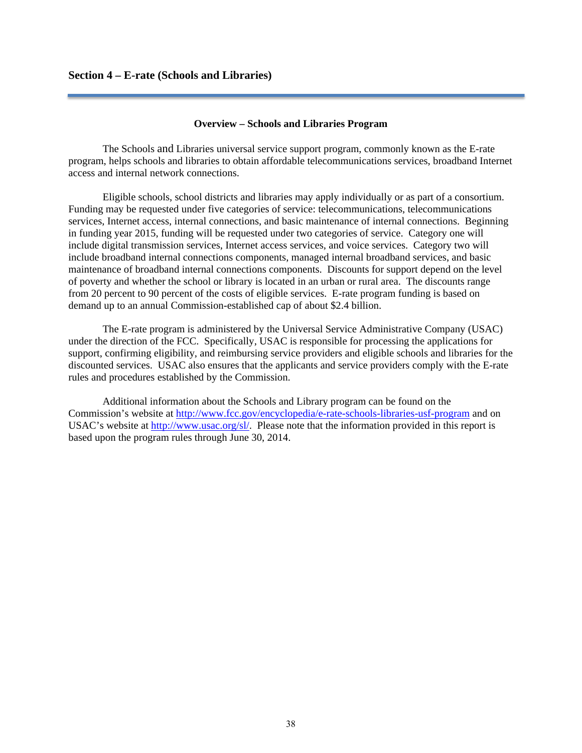### **Overview – Schools and Libraries Program**

The Schools and Libraries universal service support program, commonly known as the E-rate program, helps schools and libraries to obtain affordable telecommunications services, broadband Internet access and internal network connections.

Eligible schools, school districts and libraries may apply individually or as part of a consortium. Funding may be requested under five categories of service: telecommunications, telecommunications services, Internet access, internal connections, and basic maintenance of internal connections. Beginning in funding year 2015, funding will be requested under two categories of service. Category one will include digital transmission services, Internet access services, and voice services. Category two will include broadband internal connections components, managed internal broadband services, and basic maintenance of broadband internal connections components. Discounts for support depend on the level of poverty and whether the school or library is located in an urban or rural area. The discounts range from 20 percent to 90 percent of the costs of eligible services. E-rate program funding is based on demand up to an annual Commission-established cap of about \$2.4 billion.

The E-rate program is administered by the Universal Service Administrative Company (USAC) under the direction of the FCC. Specifically, USAC is responsible for processing the applications for support, confirming eligibility, and reimbursing service providers and eligible schools and libraries for the discounted services. USAC also ensures that the applicants and service providers comply with the E-rate rules and procedures established by the Commission.

 Additional information about the Schools and Library program can be found on the Commission's website at http://www.fcc.gov/encyclopedia/e-rate-schools-libraries-usf-program and on USAC's website at http://www.usac.org/sl/. Please note that the information provided in this report is based upon the program rules through June 30, 2014.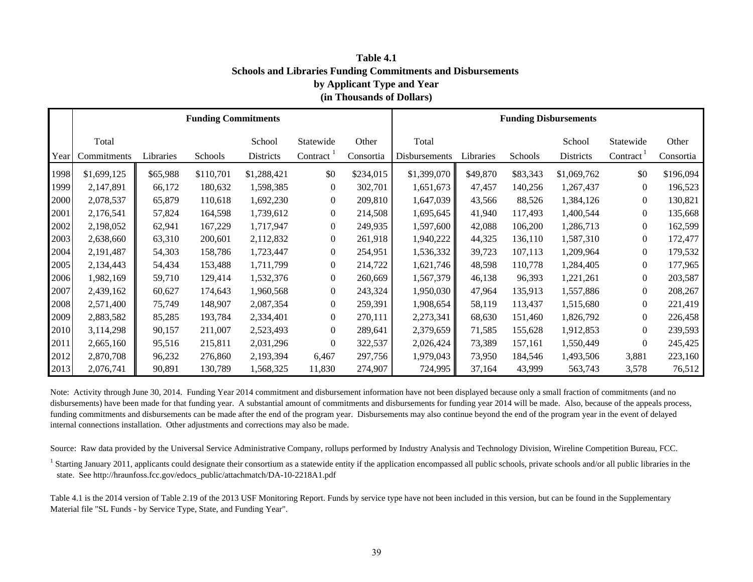**Schools and Libraries Funding Commitments and Disbursements by Applicant Type and Year (in Thousands of Dollars) Table 4.1**

|      |             |           | <b>Funding Commitments</b> |             |                  |           | <b>Funding Disbursements</b> |           |          |             |                  |           |
|------|-------------|-----------|----------------------------|-------------|------------------|-----------|------------------------------|-----------|----------|-------------|------------------|-----------|
|      | Total       |           |                            | School      | Statewide        | Other     | Total                        |           |          | School      | Statewide        | Other     |
| Year | Commitments | Libraries | Schools                    | Districts   | Contract         | Consortia | Disbursements                | Libraries | Schools  | Districts   | Contract         | Consortia |
| 1998 | \$1,699,125 | \$65,988  | \$110,701                  | \$1,288,421 | \$0              | \$234,015 | \$1,399,070                  | \$49,870  | \$83,343 | \$1,069,762 | \$0              | \$196,094 |
| 1999 | 2,147,891   | 66,172    | 180,632                    | 1,598,385   | $\mathbf{0}$     | 302,701   | 1,651,673                    | 47,457    | 140,256  | 1,267,437   | $\overline{0}$   | 196,523   |
| 2000 | 2,078,537   | 65,879    | 110,618                    | 1,692,230   | $\mathbf{0}$     | 209,810   | 1,647,039                    | 43,566    | 88,526   | 1,384,126   | $\overline{0}$   | 130,821   |
| 2001 | 2,176,541   | 57,824    | 164,598                    | 1,739,612   | $\mathbf{0}$     | 214,508   | 1,695,645                    | 41,940    | 117,493  | 1,400,544   | $\overline{0}$   | 135,668   |
| 2002 | 2,198,052   | 62,941    | 167,229                    | 1,717,947   | $\mathbf{0}$     | 249,935   | 1,597,600                    | 42,088    | 106,200  | 1,286,713   | $\overline{0}$   | 162,599   |
| 2003 | 2,638,660   | 63,310    | 200,601                    | 2,112,832   | $\boldsymbol{0}$ | 261,918   | 1,940,222                    | 44,325    | 136,110  | 1,587,310   | $\overline{0}$   | 172,477   |
| 2004 | 2,191,487   | 54,303    | 158,786                    | 1,723,447   | $\boldsymbol{0}$ | 254,951   | 1,536,332                    | 39,723    | 107,113  | 1,209,964   | $\boldsymbol{0}$ | 179,532   |
| 2005 | 2,134,443   | 54,434    | 153,488                    | 1,711,799   | $\boldsymbol{0}$ | 214,722   | 1,621,746                    | 48,598    | 110,778  | 1,284,405   | $\overline{0}$   | 177,965   |
| 2006 | 1,982,169   | 59,710    | 129,414                    | 1,532,376   | $\mathbf{0}$     | 260,669   | 1,567,379                    | 46,138    | 96,393   | 1,221,261   | $\overline{0}$   | 203,587   |
| 2007 | 2,439,162   | 60,627    | 174,643                    | 1,960,568   | $\mathbf{0}$     | 243,324   | 1,950,030                    | 47,964    | 135,913  | 1,557,886   | $\overline{0}$   | 208,267   |
| 2008 | 2,571,400   | 75,749    | 148,907                    | 2,087,354   | $\mathbf{0}$     | 259,391   | 1,908,654                    | 58,119    | 113,437  | 1,515,680   | $\overline{0}$   | 221,419   |
| 2009 | 2,883,582   | 85,285    | 193,784                    | 2,334,401   | $\mathbf{0}$     | 270,111   | 2,273,341                    | 68,630    | 151,460  | 1,826,792   | $\overline{0}$   | 226,458   |
| 2010 | 3,114,298   | 90,157    | 211,007                    | 2,523,493   | $\boldsymbol{0}$ | 289,641   | 2,379,659                    | 71,585    | 155,628  | 1,912,853   | $\overline{0}$   | 239,593   |
| 2011 | 2,665,160   | 95,516    | 215,811                    | 2,031,296   | $\mathbf{0}$     | 322,537   | 2,026,424                    | 73,389    | 157,161  | 1,550,449   | $\overline{0}$   | 245,425   |
| 2012 | 2,870,708   | 96,232    | 276,860                    | 2,193,394   | 6,467            | 297,756   | 1,979,043                    | 73,950    | 184,546  | 1,493,506   | 3,881            | 223,160   |
| 2013 | 2,076,741   | 90,891    | 130,789                    | 1,568,325   | 11,830           | 274,907   | 724,995                      | 37,164    | 43,999   | 563,743     | 3,578            | 76,512    |

Note: Activity through June 30, 2014. Funding Year 2014 commitment and disbursement information have not been displayed because only a small fraction of commitments (and no disbursements) have been made for that funding year. A substantial amount of commitments and disbursements for funding year 2014 will be made. Also, because of the appeals process, funding commitments and disbursements can be made after the end of the program year. Disbursements may also continue beyond the end of the program year in the event of delayed internal connections installation. Other adjustments and corrections may also be made.

Source: Raw data provided by the Universal Service Administrative Company, rollups performed by Industry Analysis and Technology Division, Wireline Competition Bureau, FCC.

<sup>1</sup> Starting January 2011, applicants could designate their consortium as a statewide entity if the application encompassed all public schools, private schools and/or all public libraries in the state. See http://hraunfoss.fcc.gov/edocs\_public/attachmatch/DA-10-2218A1.pdf

Table 4.1 is the 2014 version of Table 2.19 of the 2013 USF Monitoring Report. Funds by service type have not been included in this version, but can be found in the Supplementary Material file "SL Funds - by Service Type, State, and Funding Year".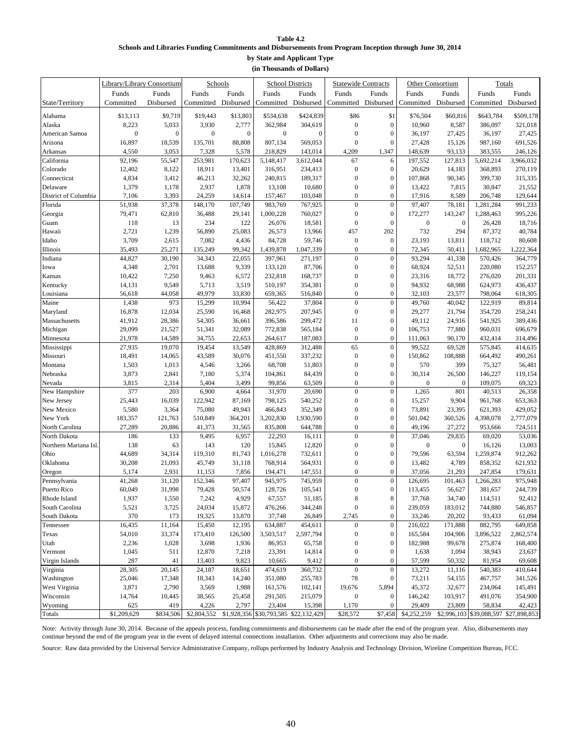#### **Table 4.2 Schools and Libraries Funding Commitments and Disbursements from Program Inception through June 30, 2014 by State and Applicant Type**

**(in Thousands of Dollars)**

|                       | Library/Library Consortium |                  | Schools             |                  |                                       | <b>School Districts</b> |                  | <b>Statewide Contracts</b> | Other Consortium    |                  |           | Totals                                |
|-----------------------|----------------------------|------------------|---------------------|------------------|---------------------------------------|-------------------------|------------------|----------------------------|---------------------|------------------|-----------|---------------------------------------|
|                       | Funds                      | Funds            | Funds               | Funds            | Funds                                 | Funds                   | Funds            | Funds                      | Funds               | Funds            | Funds     | Funds                                 |
| State/Territory       | Committed                  | Disbursed        | Committed Disbursed |                  | Committed                             | Disbursed               | Committed        | Disbursed                  | Committed Disbursed |                  |           | Committed Disbursed                   |
| Alabama               | \$13,113                   | \$9,719          | \$19,443            | \$13,803         | \$534,638                             | \$424,839               | \$86             | \$1                        | \$76,504            | \$60,816         | \$643,784 | \$509,178                             |
| Alaska                | 8,223                      | 5,033            | 3,930               | 2,777            | 362,984                               | 304,619                 | $\boldsymbol{0}$ | $\boldsymbol{0}$           | 10,960              | 8,587            | 386,097   | 321,018                               |
| American Samoa        | $\mathbf{0}$               | $\boldsymbol{0}$ | $\overline{0}$      | $\boldsymbol{0}$ | $\boldsymbol{0}$                      | $\boldsymbol{0}$        | $\mathbf{0}$     | $\mathbf{0}$               | 36,197              | 27,425           | 36,197    | 27,425                                |
| Arizona               | 16,897                     | 18,539           | 135,701             | 88,808           | 807,134                               | 569,053                 | $\boldsymbol{0}$ | $\mathbf{0}$               | 27,428              | 15,126           | 987,160   | 691,526                               |
| Arkansas              | 4,550                      | 3,053            | 7,328               | 5,578            | 218,829                               | 143,014                 | 4,209            | 1,347                      | 148,639             | 93,133           | 383,555   | 246,126                               |
| California            | 92,196                     | 55,547           | 253,981             | 170,623          | 5,148,417                             | 3,612,044               | 67               | 6                          | 197,552             | 127,813          | 5,692,214 | 3,966,032                             |
| Colorado              | 12,402                     | 8,122            | 18,911              | 13,401           | 316,951                               | 234,413                 | $\boldsymbol{0}$ | $\theta$                   | 20,629              | 14,183           | 368,893   | 270,119                               |
| Connecticut           | 4,834                      | 3,412            | 46,213              | 32,262           | 240,815                               | 189,317                 | $\boldsymbol{0}$ | $\mathbf{0}$               | 107,868             | 90,345           | 399,730   | 315,335                               |
| Delaware              | 1,379                      | 1,178            | 2,937               | 1,878            | 13,108                                | 10,680                  | $\boldsymbol{0}$ | $\boldsymbol{0}$           | 13,422              | 7,815            | 30,847    | 21,552                                |
| District of Columbia  | 7,106                      | 3,393            | 24,259              | 14,614           | 157,467                               | 103,048                 | $\overline{0}$   | $\theta$                   | 17,916              | 8,589            | 206,748   | 129,644                               |
| Florida               | 51,938                     | 37,378           | 148,170             | 107,749          | 983,769                               | 767,925                 | $\overline{0}$   | $\mathbf{0}$               | 97,407              | 78,181           | 1,281,284 | 991,233                               |
| Georgia               | 79,471                     | 62,810           | 36,488              | 29,141           | 1,000,228                             | 760,027                 | $\boldsymbol{0}$ | $\mathbf{0}$               | 172,277             | 143,247          | 1,288,463 | 995,226                               |
| Guam                  | 118                        | 13               | 234                 | 122              | 26,076                                | 18,581                  | $\boldsymbol{0}$ | $\mathbf{0}$               | $\boldsymbol{0}$    | $\mathbf{0}$     | 26,428    | 18,716                                |
| Hawaii                | 2,721                      | 1,239            | 56,890              | 25,083           | 26,573                                | 13,966                  | 457              | 202                        | 732                 | 294              | 87,372    | 40,784                                |
| Idaho                 | 3,709                      | 2,615            | 7,082               | 4,436            | 84,728                                | 59,746                  | $\boldsymbol{0}$ | $\mathbf{0}$               | 23,193              | 13,811           | 118,712   | 80,608                                |
| Illinois              | 35,493                     | 25,271           | 135,249             | 99,342           | 1,439,878                             | 1,047,339               | $\boldsymbol{0}$ | $\boldsymbol{0}$           | 72,345              | 50,411           | 1,682,965 | 1,222,364                             |
| Indiana               | 44,827                     | 30,190           | 34,343              | 22,055           | 397,961                               | 271,197                 | $\boldsymbol{0}$ | $\mathbf{0}$               | 93,294              | 41,338           | 570,426   | 364,779                               |
| Iowa                  | 4,348                      | 2,701            | 13,688              | 9,339            | 133,120                               | 87,706                  | $\boldsymbol{0}$ | $\mathbf{0}$               | 68,924              | 52,511           | 220,080   | 152,257                               |
| Kansas                | 10,422                     | 7,250            | 9,463               | 6,572            | 232,818                               | 168,737                 | $\overline{0}$   | $\boldsymbol{0}$           | 23,316              | 18,772           | 276,020   | 201,331                               |
| Kentucky              | 14,131                     | 9,549            | 5,713               | 3,519            | 510,197                               | 354,381                 | $\boldsymbol{0}$ | $\mathbf{0}$               | 94,932              | 68,988           | 624,973   | 436,437                               |
| Louisiana             | 56,618                     | 44,058           | 49,979              | 33,830           | 659,365                               | 516,840                 | $\mathbf{0}$     | $\mathbf{0}$               | 32,103              | 23,577           | 798,064   | 618,305                               |
| Maine                 | 1,438                      | 973              | 15,299              | 10,994           | 56,422                                | 37,804                  | $\overline{0}$   | $\mathbf{0}$               | 49,760              | 40,042           | 122,919   | 89,814                                |
| Maryland              | 16,878                     | 12,034           | 25,590              | 16,468           | 282,975                               | 207,945                 | $\boldsymbol{0}$ | $\theta$                   | 29,277              | 21,794           | 354,720   | 258,241                               |
| Massachusetts         | 41,912                     | 28,386           | 54,305              | 36,661           | 396,586                               | 299,472                 | 11               | $\mathbf{0}$               | 49,112              | 24,916           | 541,925   | 389,436                               |
| Michigan              | 29,099                     | 21,527           | 51,341              | 32,089           | 772,838                               | 565,184                 | $\boldsymbol{0}$ | $\boldsymbol{0}$           | 106,753             | 77,880           | 960,031   | 696,679                               |
| Minnesota             | 21,978                     | 14,589           | 34,755              | 22,653           | 264,617                               | 187,083                 | $\boldsymbol{0}$ | $\mathbf{0}$               | 111,063             | 90,170           | 432,414   | 314,496                               |
| Mississippi           | 27,935                     | 19,070           | 19,454              | 13,549           | 428,869                               | 312,488                 | 65               | $\mathbf{0}$               | 99,522              | 69,528           | 575,845   | 414,635                               |
| Missouri              | 18,491                     | 14,065           | 43,589              | 30,076           | 451,550                               | 337,232                 | $\boldsymbol{0}$ | $\boldsymbol{0}$           | 150,862             | 108,888          | 664,492   | 490,261                               |
| Montana               | 1,503                      | 1,013            | 4,546               | 3,266            | 68,708                                | 51,803                  | $\boldsymbol{0}$ | $\mathbf{0}$               | 570                 | 399              | 75,327    | 56,481                                |
| Nebraska              | 3,873                      | 2,841            | 7,180               | 5,374            | 104,861                               | 84,439                  | $\boldsymbol{0}$ | $\mathbf{0}$               | 30,314              | 26,500           | 146,227   | 119,154                               |
| Nevada                | 3,815                      | 2,314            | 5,404               | 3,499            | 99,856                                | 63,509                  | $\overline{0}$   | $\mathbf{0}$               | $\boldsymbol{0}$    | $\mathbf{0}$     | 109,075   | 69,323                                |
| New Hampshire         | 377                        | 203              | 6,900               | 4,664            | 31,970                                | 20,690                  | $\overline{0}$   | $\boldsymbol{0}$           | 1,265               | 801              | 40,513    | 26,358                                |
| New Jersey            | 25,443                     | 16,039           | 122,942             | 87,169           | 798,125                               | 540,252                 | $\boldsymbol{0}$ | $\boldsymbol{0}$           | 15,257              | 9,904            | 961,768   | 653,363                               |
| New Mexico            | 5,580                      | 3,364            | 75,080              | 49,943           | 466,843                               | 352,349                 | $\overline{0}$   | $\boldsymbol{0}$           | 73,891              | 23,395           | 621,393   | 429,052                               |
| New York              | 183,357                    | 121,763          | 510,849             | 364,201          | 3,202,830                             | 1,930,590               | $\boldsymbol{0}$ | $\boldsymbol{0}$           | 501,042             | 360,526          | 4,398,078 | 2,777,079                             |
| North Carolina        | 27,289                     | 20,886           | 41,373              | 31,565           | 835,808                               | 644,788                 | $\overline{0}$   | $\boldsymbol{0}$           | 49,196              | 27,272           | 953,666   | 724,511                               |
| North Dakota          | 186                        | 133              | 9,495               | 6,957            | 22,293                                | 16,111                  | $\overline{0}$   | $\boldsymbol{0}$           | 37,046              | 29,835           | 69,020    | 53,036                                |
| Northern Mariana Isl. | 138                        | 63               | 143                 | 120              | 15,845                                | 12,820                  | $\boldsymbol{0}$ | $\mathbf{0}$               | $\boldsymbol{0}$    | $\boldsymbol{0}$ | 16,126    | 13,003                                |
| Ohio                  | 44,689                     | 34,314           | 119,310             | 81,743           | 1,016,278                             | 732,611                 | $\boldsymbol{0}$ | $\boldsymbol{0}$           | 79,596              | 63,594           | 1,259,874 | 912,262                               |
| Oklahoma              | 30,208                     | 21,093           | 45,749              | 31,118           | 768,914                               | 564,931                 | $\boldsymbol{0}$ | $\mathbf{0}$               | 13,482              | 4,789            | 858,352   | 621,932                               |
| Oregon                | 5,174                      | 2,931            | 11,153              | 7,856            | 194,471                               | 147,551                 | $\boldsymbol{0}$ | $\boldsymbol{0}$           | 37,056              | 21,293           | 247,854   | 179,631                               |
| Pennsylvania          | 41,268                     | 31,120           | 152,346             | 97,407           | 945,975                               | 745,959                 | $\boldsymbol{0}$ | $\mathbf{0}$               | 126,695             | 101,463          | 1,266,283 | 975,948                               |
| Puerto Rico           | 60,049                     | 31,998           | 79,428              | 50,574           | 128,726                               | 105,541                 | $\boldsymbol{0}$ | $\boldsymbol{0}$           | 113,455             | 56,627           | 381,657   | 244,739                               |
| Rhode Island          | 1,937                      | 1,550            | 7,242               | 4,929            | 67,557                                | 51,185                  | 8                | 8                          | 37,768              | 34,740           | 114,511   | 92,412                                |
| South Carolina        | 5,521                      | 3,725            | 24,034              | 15,872           | 476,266                               | 344,248                 | $\boldsymbol{0}$ | $\boldsymbol{0}$           | 239,059             | 183,012          | 744,880   | 546,857                               |
| South Dakota          | 370                        | 173              | 19,325              | 13,870           | 37,748                                | 26,849                  | 2,745            | $\boldsymbol{0}$           | 33,246              | 20,202           | 93,433    | 61,094                                |
| Tennessee             | 16,435                     | 11,164           | 15,450              | 12,195           | 634,887                               | 454,611                 | $\boldsymbol{0}$ | $\mathbf{0}$               | 216,022             | 171,888          | 882,795   | 649,858                               |
| Texas                 | 54,010                     | 33,374           | 173,410             | 126,500          | 3,503,517                             | 2,597,794               | $\boldsymbol{0}$ | $\boldsymbol{0}$           | 165,584             | 104,906          | 3,896,522 | 2,862,574                             |
| Utah                  | 2,236                      | 1,028            | 3,698               | 1,936            | 86,953                                | 65,758                  | $\boldsymbol{0}$ | $\boldsymbol{0}$           | 182,988             | 99,678           | 275,874   | 168,400                               |
| Vermont               | 1,045                      | 511              | 12,870              | 7,218            | 23,391                                | 14,814                  | $\boldsymbol{0}$ | $\boldsymbol{0}$           | 1,638               | 1,094            | 38,943    | 23,637                                |
| Virgin Islands        | 287                        | 41               | 13,403              | 9,823            | 10,665                                | 9,412                   | $\boldsymbol{0}$ | $\boldsymbol{0}$           | 57,599              | 50,332           | 81,954    | 69,608                                |
| Virginia              | 28,305                     | 20,145           | 24,187              | 18,651           | 474,619                               | 360,732                 | $\boldsymbol{0}$ | $\boldsymbol{0}$           | 13,272              | 11,116           | 540,383   | 410,644                               |
| Washington            | 25,046                     | 17,348           | 18,343              | 14,240           | 351,080                               | 255,783                 | 78               | $\mathbf{0}$               | 73,211              | 54,155           | 467,757   | 341,526                               |
| West Virginia         | 3,871                      | 2,790            | 3,569               | 1,988            | 161,576                               | 102,141                 | 19,676           | 5,894                      | 45,372              | 32,677           | 234,064   | 145,491                               |
| Wisconsin             | 14,764                     | 10,445           | 38,565              | 25,458           | 291,505                               | 215,079                 | $\boldsymbol{0}$ | $\mathbf{0}$               | 146,242             | 103,917          | 491,076   | 354,900                               |
| Wyoming               | 625                        | 419              | 4,226               | 2,797            | 23,404                                | 15,398                  | 1,170            | $\mathbf{0}$               | 29,409              | 23,809           | 58,834    | 42,423                                |
| Totals                | \$1,209,629                | \$834,506        | \$2,804,552         |                  | \$1,928,356 \$30,793,585 \$22,132,429 |                         | \$28,572         | \$7,458                    | \$4,252,259         |                  |           | \$2,996,103 \$39,088,597 \$27,898,853 |

Note: Activity through June 30, 2014. Because of the appeals process, funding commitments and disbursements can be made after the end of the program year. Also, disbursements may continue beyond the end of the program year in the event of delayed internal connections installation. Other adjustments and corrections may also be made.

Source: Raw data provided by the Universal Service Administrative Company, rollups performed by Industry Analysis and Technology Division, Wireline Competition Bureau, FCC.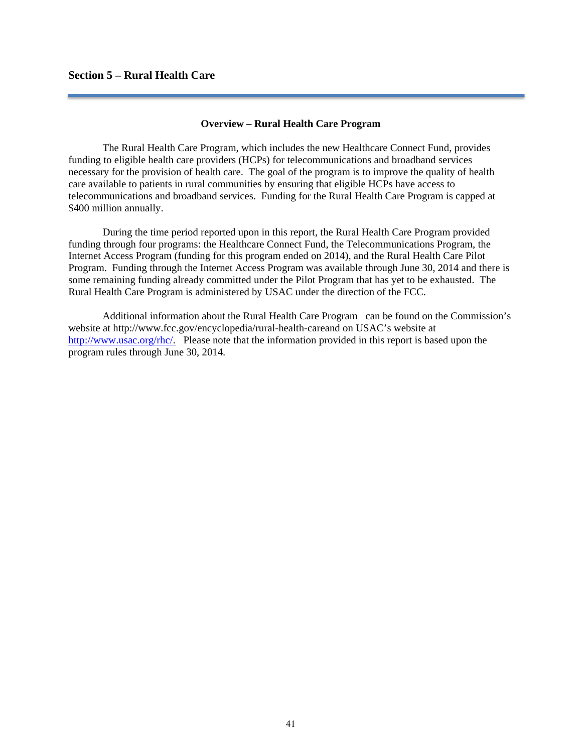# **Section 5 – Rural Health Care**

### **Overview – Rural Health Care Program**

 The Rural Health Care Program, which includes the new Healthcare Connect Fund, provides funding to eligible health care providers (HCPs) for telecommunications and broadband services necessary for the provision of health care. The goal of the program is to improve the quality of health care available to patients in rural communities by ensuring that eligible HCPs have access to telecommunications and broadband services. Funding for the Rural Health Care Program is capped at \$400 million annually.

 During the time period reported upon in this report, the Rural Health Care Program provided funding through four programs: the Healthcare Connect Fund, the Telecommunications Program, the Internet Access Program (funding for this program ended on 2014), and the Rural Health Care Pilot Program. Funding through the Internet Access Program was available through June 30, 2014 and there is some remaining funding already committed under the Pilot Program that has yet to be exhausted. The Rural Health Care Program is administered by USAC under the direction of the FCC.

 Additional information about the Rural Health Care Program can be found on the Commission's website at http://www.fcc.gov/encyclopedia/rural-health-careand on USAC's website at http://www.usac.org/rhc/. Please note that the information provided in this report is based upon the program rules through June 30, 2014.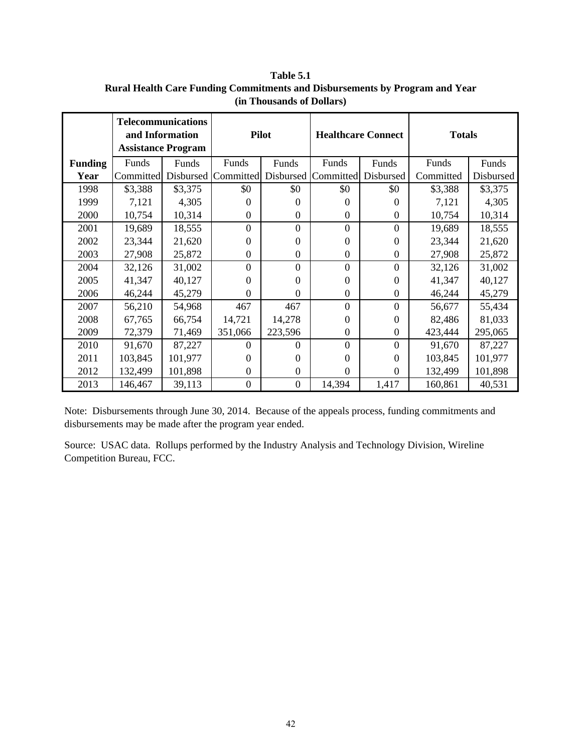|                | <b>Telecommunications</b><br>and Information<br><b>Assistance Program</b> |           | <b>Pilot</b>     |                  |                | <b>Healthcare Connect</b> | <b>Totals</b> |           |  |
|----------------|---------------------------------------------------------------------------|-----------|------------------|------------------|----------------|---------------------------|---------------|-----------|--|
| <b>Funding</b> | Funds                                                                     | Funds     | Funds            | Funds            | Funds          | Funds                     | Funds         | Funds     |  |
| Year           | Committed                                                                 | Disbursed | Committed        | Disbursed        | Committed      | Disbursed                 | Committed     | Disbursed |  |
| 1998           | \$3,388                                                                   | \$3,375   | \$0              | \$0              | \$0            | \$0                       | \$3,388       | \$3,375   |  |
| 1999           | 7,121                                                                     | 4,305     | $\Omega$         | $\Omega$         | $\Omega$       | $\Omega$                  | 7,121         | 4,305     |  |
| 2000           | 10,754                                                                    | 10,314    | $\theta$         | $\overline{0}$   | $\theta$       | $\theta$                  | 10,754        | 10,314    |  |
| 2001           | 19,689                                                                    | 18,555    | $\overline{0}$   | $\overline{0}$   | $\Omega$       | $\Omega$                  | 19,689        | 18,555    |  |
| 2002           | 23,344                                                                    | 21,620    | $\theta$         | $\Omega$         | $\Omega$       | $\Omega$                  | 23,344        | 21,620    |  |
| 2003           | 27,908                                                                    | 25,872    | $\boldsymbol{0}$ | $\boldsymbol{0}$ | $\overline{0}$ | $\mathbf{0}$              | 27,908        | 25,872    |  |
| 2004           | 32,126                                                                    | 31,002    | $\overline{0}$   | $\overline{0}$   | $\overline{0}$ | $\Omega$                  | 32,126        | 31,002    |  |
| 2005           | 41,347                                                                    | 40,127    | $\Omega$         | $\Omega$         | $\Omega$       | $\Omega$                  | 41,347        | 40,127    |  |
| 2006           | 46,244                                                                    | 45,279    | $\theta$         | $\overline{0}$   | $\overline{0}$ | $\Omega$                  | 46,244        | 45,279    |  |
| 2007           | 56,210                                                                    | 54,968    | 467              | 467              | $\Omega$       | $\Omega$                  | 56,677        | 55,434    |  |
| 2008           | 67,765                                                                    | 66,754    | 14,721           | 14,278           | $\Omega$       | $\Omega$                  | 82,486        | 81,033    |  |
| 2009           | 72,379                                                                    | 71,469    | 351,066          | 223,596          | $\Omega$       | $\theta$                  | 423,444       | 295,065   |  |
| 2010           | 91,670                                                                    | 87,227    | $\Omega$         | $\Omega$         | $\theta$       | $\Omega$                  | 91,670        | 87,227    |  |
| 2011           | 103,845                                                                   | 101,977   | $\Omega$         | $\Omega$         | $\Omega$       | $\Omega$                  | 103,845       | 101,977   |  |
| 2012           | 132,499                                                                   | 101,898   | $\Omega$         | $\Omega$         | $\Omega$       | $\Omega$                  | 132,499       | 101,898   |  |
| 2013           | 146,467                                                                   | 39,113    | $\mathbf{0}$     | $\boldsymbol{0}$ | 14,394         | 1,417                     | 160,861       | 40,531    |  |

**Table 5.1 Rural Health Care Funding Commitments and Disbursements by Program and Year (in Thousands of Dollars)**

Note: Disbursements through June 30, 2014. Because of the appeals process, funding commitments and disbursements may be made after the program year ended.

Source: USAC data. Rollups performed by the Industry Analysis and Technology Division, Wireline Competition Bureau, FCC.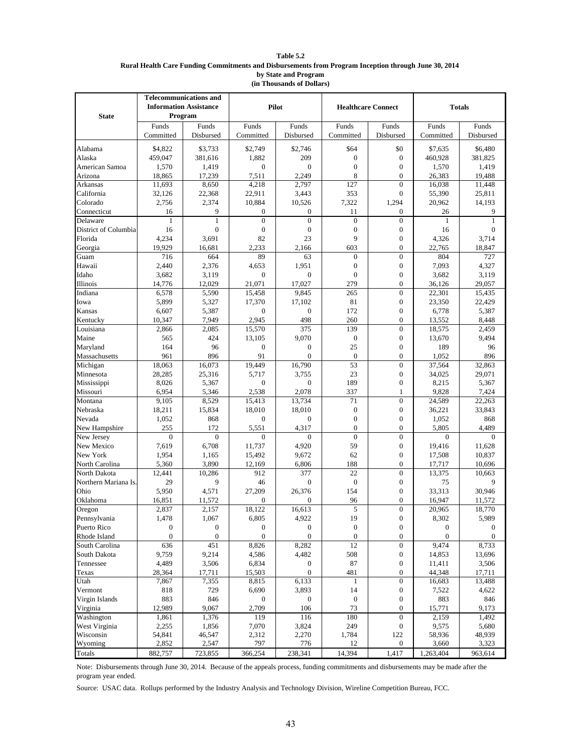#### **Table 5.2 Rural Health Care Funding Commitments and Disbursements from Program Inception through June 30, 2014 by State and Program (in Thousands of Dollars)**

|                       | <b>Telecommunications and</b> |                |                        |                        |                           |                                    |                  |                  |
|-----------------------|-------------------------------|----------------|------------------------|------------------------|---------------------------|------------------------------------|------------------|------------------|
|                       | <b>Information Assistance</b> |                | Pilot                  |                        | <b>Healthcare Connect</b> |                                    | <b>Totals</b>    |                  |
| <b>State</b>          | Program                       |                |                        |                        |                           |                                    |                  |                  |
|                       | Funds                         | Funds          | Funds                  | Funds                  | Funds                     | Funds                              | Funds            | Funds            |
|                       | Committed                     | Disbursed      | Committed              | Disbursed              | Committed                 | Disbursed                          | Committed        | Disbursed        |
|                       |                               |                |                        |                        |                           |                                    |                  |                  |
| Alabama               | \$4.822                       | \$3,733        | \$2,749                | \$2,746                | \$64                      | \$0                                | \$7.635          | \$6,480          |
| Alaska                | 459,047                       | 381,616        | 1,882                  | 209                    | $\boldsymbol{0}$          | $\boldsymbol{0}$                   | 460,928          | 381,825          |
| American Samoa        | 1,570                         | 1,419          | $\overline{0}$         | $\overline{0}$         | $\mathbf{0}$              | $\boldsymbol{0}$                   | 1,570            | 1,419            |
| Arizona               | 18,865                        | 17,239         | 7,511                  | 2,249                  | 8                         | $\overline{0}$                     | 26,383           | 19,488           |
| Arkansas              | 11,693                        | 8,650          | 4.218                  | 2.797                  | 127                       | $\overline{0}$                     | 16,038           | 11,448           |
| California            | 32,126                        | 22,368         | 22,911                 | 3,443                  | 353                       | $\mathbf{0}$                       | 55,390           | 25,811           |
| Colorado              | 2.756                         | 2,374          | 10,884                 | 10,526                 | 7,322                     | 1,294                              | 20,962           | 14,193           |
| Connecticut           | 16                            | 9              | $\overline{0}$         | $\mathbf{0}$           | 11                        | $\overline{0}$                     | 26               | 9                |
| Delaware              | $\mathbf{1}$                  | 1              | $\mathbf{0}$           | $\mathbf{0}$           | $\mathbf{0}$              | $\overline{0}$                     | 1                | $\mathbf{1}$     |
| District of Columbia  | 16                            | $\mathbf{0}$   | $\boldsymbol{0}$       | $\boldsymbol{0}$       | $\mathbf{0}$              | $\boldsymbol{0}$                   | 16               | $\boldsymbol{0}$ |
| Florida               | 4,234                         | 3,691          | 82                     | 23                     | 9                         | $\mathbf{0}$                       | 4,326            | 3,714            |
| Georgia               | 19,929                        | 16,681         | 2,233                  | 2,166                  | 603                       | $\overline{0}$                     | 22,765           | 18,847           |
| Guam                  | 716                           | 664            | 89                     | 63                     | $\overline{0}$            | $\boldsymbol{0}$                   | 804              | 727              |
| Hawaii                | 2,440                         | 2,376          | 4,653                  | 1,951                  | $\boldsymbol{0}$          | $\boldsymbol{0}$                   | 7,093            | 4,327            |
| Idaho                 | 3,682                         | 3,119          | $\overline{0}$         | $\overline{0}$         | $\overline{0}$            | $\mathbf{0}$                       | 3,682            | 3,119            |
| Illinois              | 14,776                        | 12,029         | 21,071                 | 17,027                 | 279                       | $\mathbf{0}$                       | 36,126           | 29,057           |
| Indiana               | 6,578                         | 5,590          | 15,458                 | 9,845                  | 265                       | $\mathbf{0}$                       | 22,301           | 15,435           |
| Iowa                  | 5,899                         | 5,327          | 17,370                 | 17,102<br>$\mathbf{0}$ | 81                        | $\mathbf{0}$                       | 23,350           | 22,429           |
| Kansas                | 6,607<br>10.347               | 5,387<br>7,949 | $\mathbf{0}$<br>2.945  | 498                    | 172<br>260                | $\boldsymbol{0}$<br>$\overline{0}$ | 6,778<br>13,552  | 5,387<br>8,448   |
| Kentucky<br>Louisiana |                               | 2,085          | 15,570                 | 375                    | 139                       | $\boldsymbol{0}$                   | 18,575           | 2,459            |
|                       | 2,866<br>565                  | 424            |                        | 9,070                  | $\mathbf{0}$              | $\boldsymbol{0}$                   |                  | 9,494            |
| Maine<br>Maryland     | 164                           | 96             | 13,105<br>$\mathbf{0}$ | $\boldsymbol{0}$       | 25                        | $\mathbf{0}$                       | 13,670<br>189    | 96               |
| Massachusetts         | 961                           | 896            | 91                     | $\overline{0}$         | $\mathbf{0}$              | $\overline{0}$                     | 1,052            | 896              |
| Michigan              | 18,063                        | 16,073         | 19.449                 | 16,790                 | 53                        | $\boldsymbol{0}$                   | 37,564           | 32,863           |
| Minnesota             | 28,285                        | 25,316         | 5,717                  | 3.755                  | 23                        | $\boldsymbol{0}$                   | 34,025           | 29,071           |
| Mississippi           | 8,026                         | 5,367          | $\theta$               | $\mathbf{0}$           | 189                       | $\boldsymbol{0}$                   | 8,215            | 5,367            |
| Missouri              | 6,954                         | 5,346          | 2,538                  | 2,078                  | 337                       | $\mathbf{1}$                       | 9,828            | 7,424            |
| Montana               | 9,105                         | 8,529          | 15,413                 | 13,734                 | 71                        | $\boldsymbol{0}$                   | 24,589           | 22,263           |
| Nebraska              | 18,211                        | 15,834         | 18,010                 | 18,010                 | $\boldsymbol{0}$          | $\boldsymbol{0}$                   | 36,221           | 33,843           |
| Nevada                | 1,052                         | 868            | $\mathbf{0}$           | $\mathbf{0}$           | $\overline{0}$            | $\mathbf{0}$                       | 1,052            | 868              |
| New Hampshire         | 255                           | 172            | 5,551                  | 4,317                  | $\overline{0}$            | $\overline{0}$                     | 5,805            | 4,489            |
| New Jersey            | $\overline{0}$                | $\mathbf{0}$   | $\theta$               | $\mathbf{0}$           | $\mathbf{0}$              | $\boldsymbol{0}$                   | $\mathbf{0}$     | $\theta$         |
| New Mexico            | 7,619                         | 6,708          | 11,737                 | 4,920                  | 59                        | $\boldsymbol{0}$                   | 19,416           | 11,628           |
| New York              | 1,954                         | 1,165          | 15,492                 | 9,672                  | 62                        | $\mathbf{0}$                       | 17,508           | 10,837           |
| North Carolina        | 5,360                         | 3,890          | 12,169                 | 6,806                  | 188                       | $\overline{0}$                     | 17,717           | 10,696           |
| North Dakota          | 12,441                        | 10,286         | 912                    | 377                    | 22                        | $\mathbf{0}$                       | 13,375           | 10,663           |
| Northern Mariana Is.  | 29                            | 9              | 46                     | $\boldsymbol{0}$       | $\boldsymbol{0}$          | $\boldsymbol{0}$                   | 75               | 9                |
| Ohio                  | 5,950                         | 4,571          | 27.209                 | 26,376                 | 154                       | $\mathbf{0}$                       | 33,313           | 30,946           |
| Oklahoma              | 16,851                        | 11,572         | $\overline{0}$         | $\mathbf{0}$           | 96                        | $\mathbf{0}$                       | 16,947           | 11,572           |
| Oregon                | 2,837                         | 2,157          | 18,122                 | 16,613                 | 5                         | $\mathbf{0}$                       | 20,965           | 18,770           |
| Pennsylvania          | 1,478                         | 1,067          | 6,805                  | 4,922                  | 19                        | $\boldsymbol{0}$                   | 8,302            | 5,989            |
| Puerto Rico           | $\mathbf{0}$                  | $\mathbf{0}$   | $\boldsymbol{0}$       | $\boldsymbol{0}$       | $\boldsymbol{0}$          | $\boldsymbol{0}$                   | $\boldsymbol{0}$ | $\mathbf{0}$     |
| Rhode Island          | $\mathbf{0}$                  | $\mathbf{0}$   | $\boldsymbol{0}$       | $\overline{0}$         | $\boldsymbol{0}$          | $\boldsymbol{0}$                   | $\boldsymbol{0}$ | $\mathbf{0}$     |
| South Carolina        | 636                           | 451            | 8,826                  | 8,282                  | 12                        | $\boldsymbol{0}$                   | 9,474            | 8,733            |
| South Dakota          | 9,759                         | 9,214          | 4,586                  | 4,482                  | 508                       | $\boldsymbol{0}$                   | 14,853           | 13,696           |
| Tennessee             | 4,489                         | 3,506          | 6,834                  | $\boldsymbol{0}$       | 87                        | $\boldsymbol{0}$                   | 11,411           | 3,506            |
| Texas                 | 28,364                        | 17,711         | 15,503                 | $\boldsymbol{0}$       | 481                       | $\boldsymbol{0}$                   | 44,348           | 17,711           |
| Utah                  | 7,867                         | 7,355          | 8,815                  | 6,133                  | 1                         | $\boldsymbol{0}$                   | 16,683           | 13,488           |
| Vermont               | 818                           | 729            | 6,690                  | 3,893                  | 14                        | $\boldsymbol{0}$                   | 7,522            | 4,622            |
| Virgin Islands        | 883                           | 846            | $\boldsymbol{0}$       | $\boldsymbol{0}$       | $\boldsymbol{0}$          | $\boldsymbol{0}$                   | 883              | 846              |
| Virginia              | 12,989                        | 9,067          | 2,709                  | 106                    | 73                        | $\boldsymbol{0}$                   | 15,771           | 9,173            |
| Washington            | 1,861                         | 1,376          | 119                    | 116                    | 180                       | $\boldsymbol{0}$                   | 2,159            | 1,492            |
| West Virginia         | 2,255                         | 1,856          | 7,070                  | 3,824                  | 249                       | $\boldsymbol{0}$                   | 9,575            | 5,680            |
| Wisconsin             | 54,841                        | 46,547         | 2,312                  | 2,270                  | 1,784                     | 122                                | 58,936           | 48,939           |
| Wyoming               | 2,852                         | 2,547          | 797                    | 776                    | 12                        | $\boldsymbol{0}$                   | 3,660            | 3,323            |
| Totals                | 882,757                       | 723,855        | 366,254                | 238,341                | 14,394                    | 1,417                              | 1,263,404        | 963,614          |

Note: Disbursements through June 30, 2014. Because of the appeals process, funding commitments and disbursements may be made after the program year ended.

Source: USAC data. Rollups performed by the Industry Analysis and Technology Division, Wireline Competition Bureau, FCC.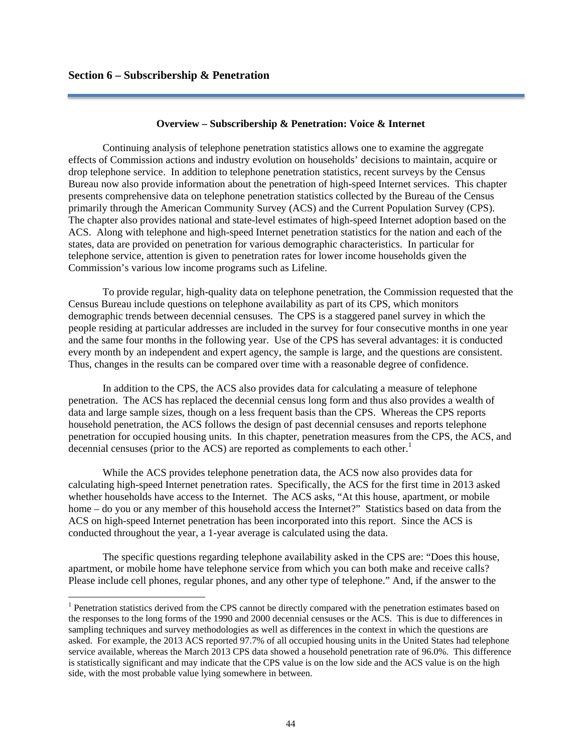### **Overview – Subscribership & Penetration: Voice & Internet**

 Continuing analysis of telephone penetration statistics allows one to examine the aggregate effects of Commission actions and industry evolution on households' decisions to maintain, acquire or drop telephone service. In addition to telephone penetration statistics, recent surveys by the Census Bureau now also provide information about the penetration of high-speed Internet services. This chapter presents comprehensive data on telephone penetration statistics collected by the Bureau of the Census primarily through the American Community Survey (ACS) and the Current Population Survey (CPS). The chapter also provides national and state-level estimates of high-speed Internet adoption based on the ACS. Along with telephone and high-speed Internet penetration statistics for the nation and each of the states, data are provided on penetration for various demographic characteristics. In particular for telephone service, attention is given to penetration rates for lower income households given the Commission's various low income programs such as Lifeline.

 To provide regular, high-quality data on telephone penetration, the Commission requested that the Census Bureau include questions on telephone availability as part of its CPS, which monitors demographic trends between decennial censuses. The CPS is a staggered panel survey in which the people residing at particular addresses are included in the survey for four consecutive months in one year and the same four months in the following year. Use of the CPS has several advantages: it is conducted every month by an independent and expert agency, the sample is large, and the questions are consistent. Thus, changes in the results can be compared over time with a reasonable degree of confidence.

 In addition to the CPS, the ACS also provides data for calculating a measure of telephone penetration. The ACS has replaced the decennial census long form and thus also provides a wealth of data and large sample sizes, though on a less frequent basis than the CPS. Whereas the CPS reports household penetration, the ACS follows the design of past decennial censuses and reports telephone penetration for occupied housing units. In this chapter, penetration measures from the CPS, the ACS, and decennial censuses (prior to the ACS) are reported as complements to each other.<sup>1</sup>

 While the ACS provides telephone penetration data, the ACS now also provides data for calculating high-speed Internet penetration rates. Specifically, the ACS for the first time in 2013 asked whether households have access to the Internet. The ACS asks, "At this house, apartment, or mobile home – do you or any member of this household access the Internet?" Statistics based on data from the ACS on high-speed Internet penetration has been incorporated into this report. Since the ACS is conducted throughout the year, a 1-year average is calculated using the data.

 The specific questions regarding telephone availability asked in the CPS are: "Does this house, apartment, or mobile home have telephone service from which you can both make and receive calls? Please include cell phones, regular phones, and any other type of telephone." And, if the answer to the

<sup>&</sup>lt;sup>1</sup> Penetration statistics derived from the CPS cannot be directly compared with the penetration estimates based on the responses to the long forms of the 1990 and 2000 decennial censuses or the ACS. This is due to differences in sampling techniques and survey methodologies as well as differences in the context in which the questions are asked. For example, the 2013 ACS reported 97.7% of all occupied housing units in the United States had telephone service available, whereas the March 2013 CPS data showed a household penetration rate of 96.0%. This difference is statistically significant and may indicate that the CPS value is on the low side and the ACS value is on the high side, with the most probable value lying somewhere in between.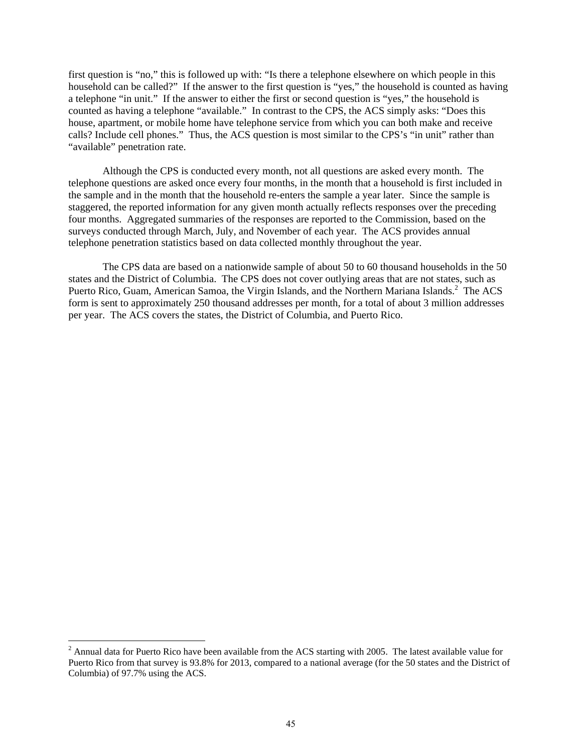first question is "no," this is followed up with: "Is there a telephone elsewhere on which people in this household can be called?" If the answer to the first question is "yes," the household is counted as having a telephone "in unit." If the answer to either the first or second question is "yes," the household is counted as having a telephone "available." In contrast to the CPS, the ACS simply asks: "Does this house, apartment, or mobile home have telephone service from which you can both make and receive calls? Include cell phones." Thus, the ACS question is most similar to the CPS's "in unit" rather than "available" penetration rate.

 Although the CPS is conducted every month, not all questions are asked every month. The telephone questions are asked once every four months, in the month that a household is first included in the sample and in the month that the household re-enters the sample a year later. Since the sample is staggered, the reported information for any given month actually reflects responses over the preceding four months. Aggregated summaries of the responses are reported to the Commission, based on the surveys conducted through March, July, and November of each year. The ACS provides annual telephone penetration statistics based on data collected monthly throughout the year.

 The CPS data are based on a nationwide sample of about 50 to 60 thousand households in the 50 states and the District of Columbia. The CPS does not cover outlying areas that are not states, such as Puerto Rico, Guam, American Samoa, the Virgin Islands, and the Northern Mariana Islands.<sup>2</sup> The ACS form is sent to approximately 250 thousand addresses per month, for a total of about 3 million addresses per year. The ACS covers the states, the District of Columbia, and Puerto Rico.

<sup>&</sup>lt;sup>2</sup> Annual data for Puerto Rico have been available from the ACS starting with 2005. The latest available value for Puerto Rico from that survey is 93.8% for 2013, compared to a national average (for the 50 states and the District of Columbia) of 97.7% using the ACS.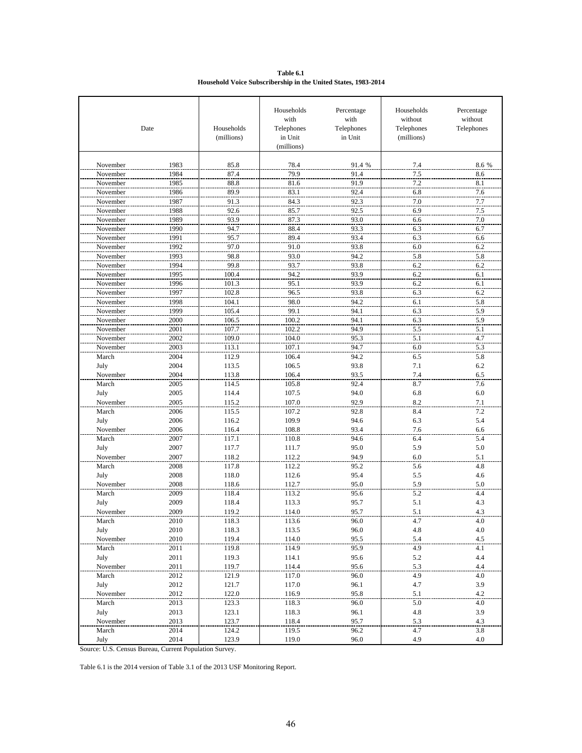**Table 6.1 Household Voice Subscribership in the United States, 1983-2014**

|                      | Date         | Households<br>(millions) | Households<br>with<br>Telephones<br>in Unit<br>(millions) | Percentage<br>with<br>Telephones<br>in Unit | Households<br>without<br>Telephones<br>(millions) | Percentage<br>without<br>Telephones |
|----------------------|--------------|--------------------------|-----------------------------------------------------------|---------------------------------------------|---------------------------------------------------|-------------------------------------|
| November             | 1983         | 85.8                     | 78.4                                                      | 91.4 %                                      | 7.4                                               | 8.6 %                               |
| November             | 1984         | 87.4                     | 79.9                                                      | 91.4                                        | 7.5                                               | 8.6                                 |
| November             | 1985         | 88.8                     | 81.6                                                      | 91.9                                        | 7.2                                               | 8.1                                 |
| November             | 1986         | 89.9                     | 83.1                                                      | 92.4                                        | 6.8                                               | 7.6                                 |
| November             | 1987         | 91.3                     | 84.3                                                      | 92.3                                        | 7.0                                               | 7.7                                 |
| November             | 1988         | 92.6                     | 85.7                                                      | 92.5                                        | 6.9                                               | 7.5                                 |
| November             | 1989         | 93.9                     | 87.3                                                      | 93.0                                        | 6.6                                               | 7.0                                 |
| November             | 1990         | 94.7                     | 88.4                                                      | 93.3                                        | 6.3                                               | 6.7                                 |
| November             | 1991         | 95.7                     | 89.4                                                      | 93.4                                        | 6.3                                               | 6.6                                 |
| November             | 1992         | 97.0                     | 91.0                                                      | 93.8                                        | 6.0                                               | 6.2                                 |
| November             | 1993         | 98.8                     | 93.0                                                      | 94.2                                        | 5.8                                               | 5.8                                 |
| November             | 1994         | 99.8                     | 93.7                                                      | 93.8                                        | 6.2                                               | 6.2                                 |
| November             | 1995         | 100.4                    | 94.2                                                      | 93.9                                        | 6.2                                               | 6.1                                 |
| November             | 1996         | 101.3                    | 95.1                                                      | 93.9                                        | 6.2                                               | 6.1                                 |
| November             | 1997         | 102.8                    | 96.5                                                      | 93.8                                        | 6.3                                               | 6.2                                 |
| November             | 1998         | 104.1                    | 98.0                                                      | 94.2                                        | 6.1                                               |                                     |
|                      | 1999         | 105.4                    | 99.1                                                      | 94.1                                        |                                                   | 5.8                                 |
| November             | 2000         | 106.5                    | 100.2                                                     | 94.1                                        | 6.3                                               | 5.9<br>5.9                          |
| November<br>November |              |                          | 102.2                                                     | 94.9                                        | 6.3                                               |                                     |
| November             | 2001<br>2002 | 107.7<br>109.0           | 104.0                                                     | 95.3                                        | 5.5                                               | 5.1                                 |
|                      | 2003         | 113.1                    | 107.1                                                     | 94.7                                        | 5.1                                               | $4.7$                               |
| November             |              |                          |                                                           |                                             | 6.0                                               | 5.3                                 |
| March                | 2004         | 112.9                    | 106.4                                                     | 94.2                                        | 6.5                                               | 5.8                                 |
| July                 | 2004         | 113.5                    | 106.5                                                     | 93.8                                        | 7.1                                               | 6.2                                 |
| November             | 2004         | 113.8                    | 106.4                                                     | 93.5                                        | 7.4                                               | 6.5                                 |
| March                | 2005         | 114.5                    | 105.8                                                     | 92.4                                        | 8.7                                               | 7.6                                 |
| July                 | 2005         | 114.4                    | 107.5                                                     | 94.0                                        | 6.8                                               | 6.0                                 |
| November             | 2005         | 115.2                    | 107.0                                                     | 92.9                                        | 8.2                                               | 7.1                                 |
| March                | 2006         | 115.5                    | 107.2                                                     | 92.8                                        | 8.4                                               | 7.2                                 |
| July                 | 2006         | 116.2                    | 109.9                                                     | 94.6                                        | 6.3                                               | 5.4                                 |
| November             | 2006         | 116.4                    | 108.8                                                     | 93.4                                        | 7.6                                               | 6.6<br>5.4                          |
| March                | 2007<br>2007 | 117.1                    | 110.8                                                     | 94.6                                        | 6.4<br>5.9                                        | 5.0                                 |
| July<br>November     | 2007         | 117.7<br>118.2           | 111.7<br>112.2                                            | 95.0<br>94.9                                | 6.0                                               | 5.1                                 |
| March                |              | 117.8                    |                                                           |                                             |                                                   |                                     |
|                      | 2008         |                          | 112.2                                                     | 95.2                                        | 5.6                                               | 4.8                                 |
| July<br>November     | 2008         | 118.0                    | 112.6<br>112.7                                            | 95.4<br>95.0                                | 5.5<br>5.9                                        | 4.6<br>5.0                          |
|                      | 2008         | 118.6                    |                                                           |                                             |                                                   |                                     |
| March<br>July        | 2009<br>2009 | 118.4<br>118.4           | 113.2<br>113.3                                            | 95.6<br>95.7                                | 5.2<br>5.1                                        | 4.4<br>4.3                          |
| November             | 2009         |                          |                                                           |                                             |                                                   |                                     |
|                      |              | 119.2                    | 114.0                                                     | 95.7                                        | 5.1                                               | 4.3                                 |
| March                | 2010         | 118.3                    | 113.6                                                     | 90.U                                        | 4.7                                               | 4.U<br>4.0                          |
| July<br>November     | 2010         | 118.3<br>119.4           | 113.5                                                     | 96.0<br>95.5                                | 4.8<br>5.4                                        | 4.5                                 |
| March                | 2010<br>2011 | 119.8                    | 114.0<br>114.9                                            | 95.9                                        | 4.9                                               | 4.1                                 |
|                      |              |                          |                                                           |                                             |                                                   |                                     |
| July<br>November     | 2011<br>2011 | 119.3<br>119.7           | 114.1<br>114.4                                            | 95.6<br>95.6                                | 5.2<br>5.3                                        | $4.4\,$<br>4.4                      |
| March                | 2012         | 121.9                    | 117.0                                                     | 96.0                                        | 4.9                                               | $4.0\,$                             |
| July                 | 2012         | 121.7                    | 117.0                                                     | 96.1                                        | 4.7                                               | 3.9                                 |
| November             | 2012         | 122.0                    | 116.9                                                     | 95.8                                        | 5.1                                               | 4.2                                 |
| March                | 2013         | 123.3                    | 118.3                                                     | 96.0                                        | 5.0                                               | $4.0\,$                             |
|                      |              |                          |                                                           |                                             |                                                   |                                     |
| July                 | 2013         | 123.1<br>123.7           | 118.3                                                     | 96.1                                        | 4.8                                               | 3.9                                 |
| November             | 2013         |                          | 118.4                                                     | 95.7                                        | 5.3                                               | 4.3                                 |
| March                | 2014<br>2014 | 124.2<br>123.9           | 119.5<br>119.0                                            | 96.2<br>96.0                                | 4.7<br>4.9                                        | 3.8<br>4.0                          |
| July                 |              |                          |                                                           |                                             |                                                   |                                     |

Source: U.S. Census Bureau, Current Population Survey.

Table 6.1 is the 2014 version of Table 3.1 of the 2013 USF Monitoring Report.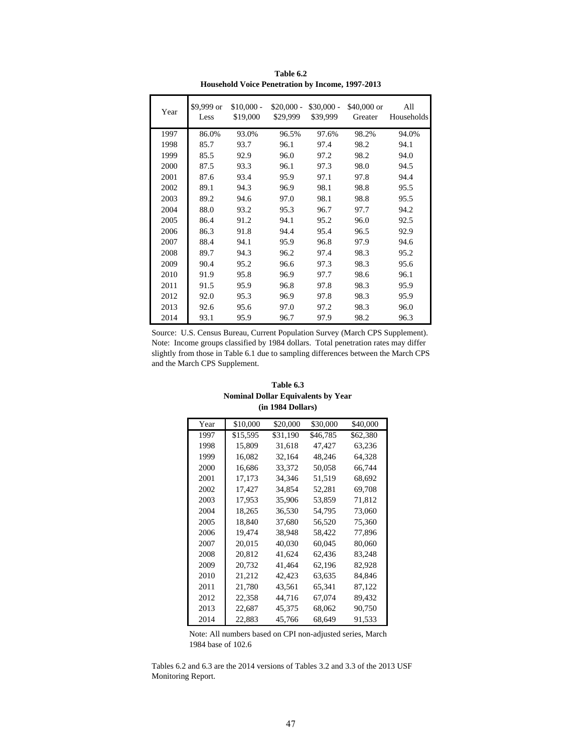| Year | \$9,999 or<br>Less | $$10,000 -$<br>\$19,000 | $$20,000 -$<br>\$29,999 | $$30,000 -$<br>\$39,999 | $$40,000$ or<br>Greater | All<br>Households |
|------|--------------------|-------------------------|-------------------------|-------------------------|-------------------------|-------------------|
| 1997 | 86.0%              | 93.0%                   | 96.5%                   | 97.6%                   | 98.2%                   | 94.0%             |
| 1998 | 85.7               | 93.7                    | 96.1                    | 97.4                    | 98.2                    | 94.1              |
| 1999 | 85.5               | 92.9                    | 96.0                    | 97.2                    | 98.2                    | 94.0              |
| 2000 | 87.5               | 93.3                    | 96.1                    | 97.3                    | 98.0                    | 94.5              |
| 2001 | 87.6               | 93.4                    | 95.9                    | 97.1                    | 97.8                    | 94.4              |
| 2002 | 89.1               | 94.3                    | 96.9                    | 98.1                    | 98.8                    | 95.5              |
| 2003 | 89.2               | 94.6                    | 97.0                    | 98.1                    | 98.8                    | 95.5              |
| 2004 | 88.0               | 93.2                    | 95.3                    | 96.7                    | 97.7                    | 94.2              |
| 2005 | 86.4               | 91.2                    | 94.1                    | 95.2                    | 96.0                    | 92.5              |
| 2006 | 86.3               | 91.8                    | 94.4                    | 95.4                    | 96.5                    | 92.9              |
| 2007 | 88.4               | 94.1                    | 95.9                    | 96.8                    | 97.9                    | 94.6              |
| 2008 | 89.7               | 94.3                    | 96.2                    | 97.4                    | 98.3                    | 95.2              |
| 2009 | 90.4               | 95.2                    | 96.6                    | 97.3                    | 98.3                    | 95.6              |
| 2010 | 91.9               | 95.8                    | 96.9                    | 97.7                    | 98.6                    | 96.1              |
| 2011 | 91.5               | 95.9                    | 96.8                    | 97.8                    | 98.3                    | 95.9              |
| 2012 | 92.0               | 95.3                    | 96.9                    | 97.8                    | 98.3                    | 95.9              |
| 2013 | 92.6               | 95.6                    | 97.0                    | 97.2                    | 98.3                    | 96.0              |
| 2014 | 93.1               | 95.9                    | 96.7                    | 97.9                    | 98.2                    | 96.3              |

**Table 6.2 Household Voice Penetration by Income, 1997-2013**

Source: U.S. Census Bureau, Current Population Survey (March CPS Supplement). Note: Income groups classified by 1984 dollars. Total penetration rates may differ slightly from those in Table 6.1 due to sampling differences between the March CPS and the March CPS Supplement.

| Table 6.3                                 |
|-------------------------------------------|
| <b>Nominal Dollar Equivalents by Year</b> |
| (in 1984 Dollars)                         |

| Year | \$10,000 | \$20,000 | \$30,000 | \$40,000 |
|------|----------|----------|----------|----------|
| 1997 | \$15,595 | \$31,190 | \$46,785 | \$62,380 |
| 1998 | 15,809   | 31,618   | 47,427   | 63,236   |
| 1999 | 16,082   | 32,164   | 48,246   | 64,328   |
| 2000 | 16.686   | 33.372   | 50,058   | 66.744   |
| 2001 | 17,173   | 34,346   | 51,519   | 68,692   |
| 2002 | 17,427   | 34,854   | 52,281   | 69,708   |
| 2003 | 17,953   | 35,906   | 53,859   | 71,812   |
| 2004 | 18,265   | 36,530   | 54,795   | 73,060   |
| 2005 | 18,840   | 37,680   | 56,520   | 75,360   |
| 2006 | 19,474   | 38,948   | 58,422   | 77,896   |
| 2007 | 20,015   | 40,030   | 60,045   | 80,060   |
| 2008 | 20.812   | 41,624   | 62,436   | 83,248   |
| 2009 | 20,732   | 41,464   | 62,196   | 82,928   |
| 2010 | 21,212   | 42,423   | 63,635   | 84,846   |
| 2011 | 21,780   | 43,561   | 65,341   | 87,122   |
| 2012 | 22,358   | 44,716   | 67,074   | 89,432   |
| 2013 | 22,687   | 45,375   | 68,062   | 90,750   |
| 2014 | 22,883   | 45,766   | 68,649   | 91,533   |

Note: All numbers based on CPI non-adjusted series, March 1984 base of 102.6

Tables 6.2 and 6.3 are the 2014 versions of Tables 3.2 and 3.3 of the 2013 USF Monitoring Report.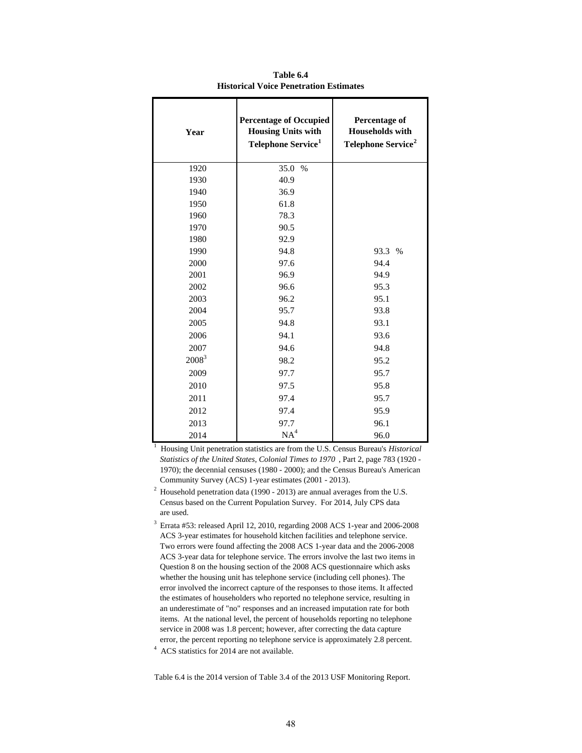| Year     | <b>Percentage of Occupied</b><br><b>Housing Units with</b><br>Telephone Service <sup>1</sup> | Percentage of<br><b>Households</b> with<br>Telephone Service <sup>2</sup> |
|----------|----------------------------------------------------------------------------------------------|---------------------------------------------------------------------------|
| 1920     | 35.0<br>$\%$                                                                                 |                                                                           |
| 1930     | 40.9                                                                                         |                                                                           |
| 1940     | 36.9                                                                                         |                                                                           |
| 1950     | 61.8                                                                                         |                                                                           |
| 1960     | 78.3                                                                                         |                                                                           |
| 1970     | 90.5                                                                                         |                                                                           |
| 1980     | 92.9                                                                                         |                                                                           |
| 1990     | 94.8                                                                                         | 93.3 %                                                                    |
| 2000     | 97.6                                                                                         | 94.4                                                                      |
| 2001     | 96.9                                                                                         | 94.9                                                                      |
| 2002     | 96.6                                                                                         | 95.3                                                                      |
| 2003     | 96.2                                                                                         | 95.1                                                                      |
| 2004     | 95.7                                                                                         | 93.8                                                                      |
| 2005     | 94.8                                                                                         | 93.1                                                                      |
| 2006     | 94.1                                                                                         | 93.6                                                                      |
| 2007     | 94.6                                                                                         | 94.8                                                                      |
| $2008^3$ | 98.2                                                                                         | 95.2                                                                      |
| 2009     | 97.7                                                                                         | 95.7                                                                      |
| 2010     | 97.5                                                                                         | 95.8                                                                      |
| 2011     | 97.4                                                                                         | 95.7                                                                      |
| 2012     | 97.4                                                                                         | 95.9                                                                      |
| 2013     | 97.7                                                                                         | 96.1                                                                      |
| 2014     | NA <sup>4</sup>                                                                              | 96.0                                                                      |

**Table 6.4 Historical Voice Penetration Estimates**

<sup>1</sup> Housing Unit penetration statistics are from the U.S. Census Bureau's *Historical Statistics of the United States, Colonial Times to 1970* , Part 2, page 783 (1920 - 1970); the decennial censuses (1980 - 2000); and the Census Bureau's American Community Survey (ACS) 1-year estimates (2001 - 2013).

 $^{2}$  Household penetration data (1990 - 2013) are annual averages from the U.S. Census based on the Current Population Survey. For 2014, July CPS data are used.

<sup>4</sup> ACS statistics for 2014 are not available.  $^3$  Errata #53: released April 12, 2010, regarding 2008 ACS 1-year and 2006-2008  $\,$  ACS 3-year estimates for household kitchen facilities and telephone service. Two errors were found affecting the 2008 ACS 1-year data and the 2006-2008 ACS 3-year data for telephone service. The errors involve the last two items in Question 8 on the housing section of the 2008 ACS questionnaire which asks whether the housing unit has telephone service (including cell phones). The error involved the incorrect capture of the responses to those items. It affected the estimates of householders who reported no telephone service, resulting in an underestimate of "no" responses and an increased imputation rate for both items. At the national level, the percent of households reporting no telephone service in 2008 was 1.8 percent; however, after correcting the data capture error, the percent reporting no telephone service is approximately 2.8 percent.

Table 6.4 is the 2014 version of Table 3.4 of the 2013 USF Monitoring Report.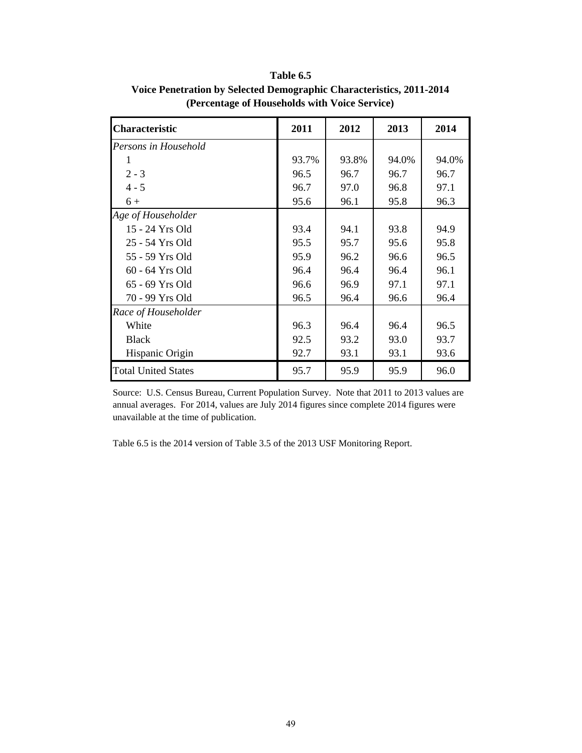| <b>Characteristic</b>      | 2011  | 2012  | 2013  | 2014  |
|----------------------------|-------|-------|-------|-------|
| Persons in Household       |       |       |       |       |
|                            | 93.7% | 93.8% | 94.0% | 94.0% |
| $2 - 3$                    | 96.5  | 96.7  | 96.7  | 96.7  |
| $4 - 5$                    | 96.7  | 97.0  | 96.8  | 97.1  |
| $6+$                       | 95.6  | 96.1  | 95.8  | 96.3  |
| Age of Householder         |       |       |       |       |
| 15 - 24 Yrs Old            | 93.4  | 94.1  | 93.8  | 94.9  |
| 25 - 54 Yrs Old            | 95.5  | 95.7  | 95.6  | 95.8  |
| 55 - 59 Yrs Old            | 95.9  | 96.2  | 96.6  | 96.5  |
| 60 - 64 Yrs Old            | 96.4  | 96.4  | 96.4  | 96.1  |
| 65 - 69 Yrs Old            | 96.6  | 96.9  | 97.1  | 97.1  |
| 70 - 99 Yrs Old            | 96.5  | 96.4  | 96.6  | 96.4  |
| Race of Householder        |       |       |       |       |
| White                      | 96.3  | 96.4  | 96.4  | 96.5  |
| <b>Black</b>               | 92.5  | 93.2  | 93.0  | 93.7  |
| Hispanic Origin            | 92.7  | 93.1  | 93.1  | 93.6  |
| <b>Total United States</b> | 95.7  | 95.9  | 95.9  | 96.0  |

**Table 6.5 Voice Penetration by Selected Demographic Characteristics, 2011-2014 (Percentage of Households with Voice Service)**

Source: U.S. Census Bureau, Current Population Survey. Note that 2011 to 2013 values are annual averages. For 2014, values are July 2014 figures since complete 2014 figures were unavailable at the time of publication.

Table 6.5 is the 2014 version of Table 3.5 of the 2013 USF Monitoring Report.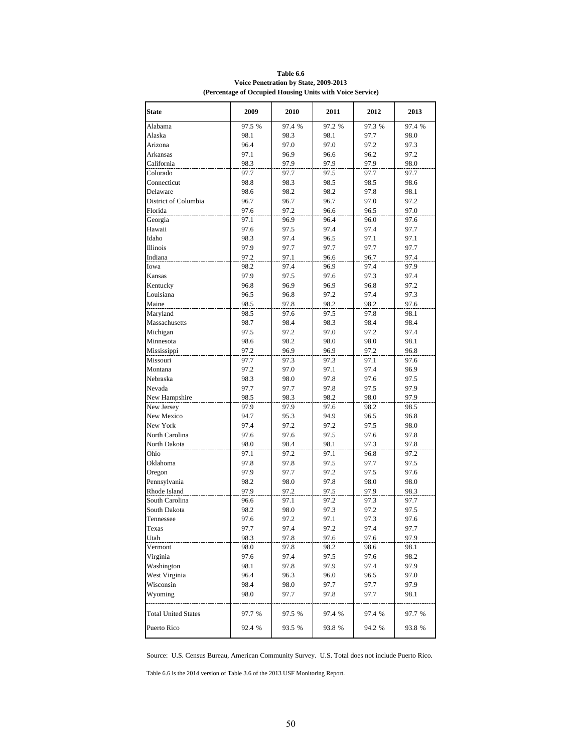| <b>State</b>               | 2009   | 2010   | 2011   | 2012   | 2013   |
|----------------------------|--------|--------|--------|--------|--------|
| Alabama                    | 97.5 % | 97.4 % | 97.2 % | 97.3 % | 97.4 % |
| Alaska                     | 98.1   | 98.3   | 98.1   | 97.7   | 98.0   |
| Arizona                    | 96.4   | 97.0   | 97.0   | 97.2   | 97.3   |
| Arkansas                   | 97.1   | 96.9   | 96.6   | 96.2   | 97.2   |
| California                 | 98.3   | 97.9   | 97.9   | 97.9   | 98.0   |
| Colorado                   | 97.7   | 97.7   | 97.5   | 97.7   | 97.7   |
| Connecticut                | 98.8   | 98.3   | 98.5   | 98.5   | 98.6   |
| Delaware                   | 98.6   | 98.2   | 98.2   | 97.8   | 98.1   |
| District of Columbia       | 96.7   | 96.7   | 96.7   | 97.0   | 97.2   |
| Florida                    | 97.6   | 97.2   | 96.6   | 96.5   | 97.0   |
| Georgia                    | 97.1   | 96.9   | 96.4   | 96.0   | 97.6   |
| Hawaii                     | 97.6   | 97.5   | 97.4   | 97.4   | 97.7   |
| Idaho                      | 98.3   | 97.4   | 96.5   | 97.1   | 97.1   |
| Illinois                   | 97.9   | 97.7   | 97.7   | 97.7   | 97.7   |
| Indiana                    | 97.2   | 97.1   | 96.6   | 96.7   | 97.4   |
| Iowa                       | 98.2   | 97.4   | 96.9   | 97.4   | 97.9   |
| Kansas                     | 97.9   | 97.5   | 97.6   | 97.3   | 97.4   |
| Kentucky                   | 96.8   | 96.9   | 96.9   | 96.8   | 97.2   |
| Louisiana                  | 96.5   | 96.8   | 97.2   | 97.4   | 97.3   |
| Maine                      | 98.5   | 97.8   | 98.2   | 98.2   | 97.6   |
| Maryland                   | 98.5   | 97.6   | 97.5   | 97.8   | 98.1   |
| Massachusetts              | 98.7   | 98.4   | 98.3   | 98.4   | 98.4   |
| Michigan                   | 97.5   | 97.2   | 97.0   | 97.2   | 97.4   |
| Minnesota                  | 98.6   | 98.2   | 98.0   | 98.0   | 98.1   |
| Mississippi                | 97.2   | 96.9   | 96.9   | 97.2   | 96.8   |
| Missouri                   | 97.7   | 97.3   | 97.3   | 97.1   | 97.6   |
| Montana                    | 97.2   | 97.0   | 97.1   | 97.4   | 96.9   |
| Nebraska                   | 98.3   | 98.0   | 97.8   | 97.6   | 97.5   |
| Nevada                     | 97.7   | 97.7   | 97.8   | 97.5   | 97.9   |
| New Hampshire              | 98.5   | 98.3   | 98.2   | 98.0   | 97.9   |
| New Jersey                 | 97.9   | 97.9   | 97.6   | 98.2   | 98.5   |
| New Mexico                 | 94.7   | 95.3   | 94.9   | 96.5   | 96.8   |
| New York                   | 97.4   | 97.2   | 97.2   | 97.5   | 98.0   |
| North Carolina             | 97.6   | 97.6   | 97.5   | 97.6   | 97.8   |
| North Dakota               | 98.0   | 98.4   | 98.1   | 97.3   | 97.8   |
| Ohio                       | 97.1   | 97.2   | 97.1   | 96.8   | 97.2   |
| Oklahoma                   | 97.8   | 97.8   | 97.5   | 97.7   | 97.5   |
| Oregon                     | 97.9   | 97.7   | 97.2   | 97.5   | 97.6   |
| Pennsylvania               | 98.2   | 98.0   | 97.8   | 98.0   | 98.0   |
| Rhode Island               | 97.9   | 97.2   | 97.5   | 97.9   | 98.3   |
| South Carolina             | 96.6   | 97.1   | 97.2   | 97.3   | 97.7   |
| South Dakota               | 98.2   | 98.0   | 97.3   | 97.2   | 97.5   |
| Tennessee                  | 97.6   | 97.2   | 97.1   | 97.3   | 97.6   |
| Texas                      | 97.7   | 97.4   | 97.2   | 97.4   | 97.7   |
| Utah                       | 98.3   | 97.8   | 97.6   | 97.6   | 97.9   |
| Vermont                    | 98.0   | 97.8   | 98.2   | 98.6   | 98.1   |
| Virginia                   | 97.6   | 97.4   | 97.5   | 97.6   | 98.2   |
| Washington                 | 98.1   | 97.8   | 97.9   | 97.4   | 97.9   |
| West Virginia              | 96.4   | 96.3   | 96.0   | 96.5   | 97.0   |
| Wisconsin                  | 98.4   | 98.0   | 97.7   | 97.7   | 97.9   |
| Wyoming                    | 98.0   | 97.7   | 97.8   | 97.7   | 98.1   |
|                            |        |        |        |        |        |
| <b>Total United States</b> | 97.7 % | 97.5 % | 97.4 % | 97.4 % | 97.7 % |
| Puerto Rico                | 92.4 % | 93.5 % | 93.8 % | 94.2 % | 93.8 % |
|                            |        |        |        |        |        |

**Table 6.6 Voice Penetration by State, 2009-2013 (Percentage of Occupied Housing Units with Voice Service)**

Source: U.S. Census Bureau, American Community Survey. U.S. Total does not include Puerto Rico.

Table 6.6 is the 2014 version of Table 3.6 of the 2013 USF Monitoring Report.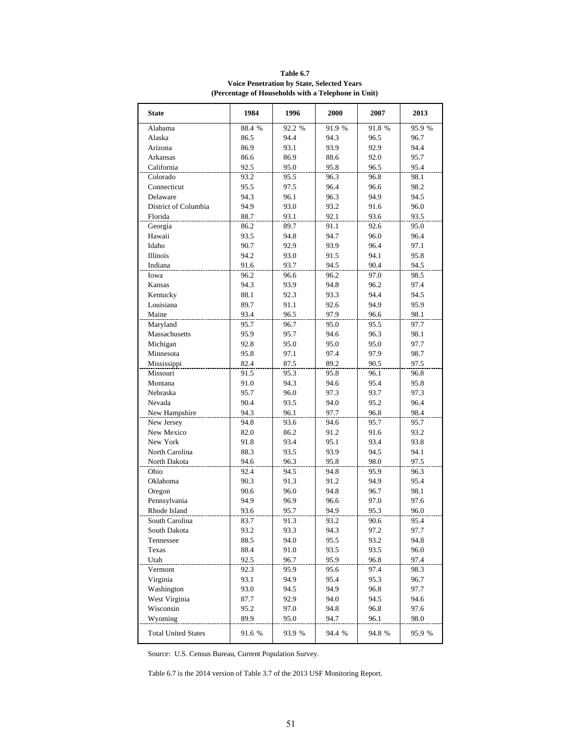| <b>State</b>               | 1984   | 1996   | 2000   | 2007   | 2013   |
|----------------------------|--------|--------|--------|--------|--------|
| Alabama                    | 88.4 % | 92.2 % | 91.9 % | 91.8 % | 95.9 % |
| Alaska                     | 86.5   | 94.4   | 94.3   | 96.5   | 96.7   |
| Arizona                    | 86.9   | 93.1   | 93.9   | 92.9   | 94.4   |
| Arkansas                   | 86.6   | 86.9   | 88.6   | 92.0   | 95.7   |
| California                 | 92.5   | 95.0   | 95.8   | 96.5   | 95.4   |
| Colorado                   | 93.2   | 95.5   | 96.3   | 96.8   | 98.1   |
| Connecticut                | 95.5   | 97.5   | 96.4   | 96.6   | 98.2   |
| Delaware                   | 94.3   | 96.1   | 96.3   | 94.9   | 94.5   |
| District of Columbia       | 94.9   | 93.0   | 93.2   | 91.6   | 96.0   |
| Florida                    | 88.7   | 93.1   | 92.1   | 93.6   | 93.5   |
| Georgia                    | 86.2   | 89.7   | 91.1   | 92.6   | 95.0   |
| Hawaii                     | 93.5   | 94.8   | 94.7   | 96.0   | 96.4   |
| Idaho                      | 90.7   | 92.9   | 93.9   | 96.4   | 97.1   |
| <b>Illinois</b>            | 94.2   | 93.0   | 91.5   | 94.1   | 95.8   |
| Indiana                    | 91.6   | 93.7   | 94.5   | 90.4   | 94.5   |
| Iowa                       | 96.2   | 96.6   | 96.2   | 97.0   | 98.5   |
| Kansas                     | 94.3   | 93.9   | 94.8   | 96.2   | 97.4   |
| Kentucky                   | 88.1   | 92.3   | 93.3   | 94.4   | 94.5   |
| Louisiana                  | 89.7   | 91.1   | 92.6   | 94.9   | 95.9   |
| Maine                      | 93.4   | 96.5   | 97.9   | 96.6   | 98.1   |
| Maryland                   | 95.7   | 96.7   | 95.0   | 95.5   | 97.7   |
| Massachusetts              | 95.9   | 95.7   | 94.6   | 96.3   | 98.1   |
| Michigan                   | 92.8   | 95.0   | 95.0   | 95.0   | 97.7   |
| Minnesota                  | 95.8   | 97.1   | 97.4   | 97.9   | 98.7   |
| Mississippi                | 82.4   | 87.5   | 89.2   | 90.5   | 97.5   |
| Missouri                   | 91.5   | 95.3   | 95.8   | 96.1   | 96.8   |
| Montana                    | 91.0   | 94.3   | 94.6   | 95.4   | 95.8   |
| Nebraska                   | 95.7   | 96.0   | 97.3   | 93.7   | 97.3   |
| Nevada                     | 90.4   | 93.5   | 94.0   | 95.2   | 96.4   |
| New Hampshire              | 94.3   | 96.1   | 97.7   | 96.8   | 98.4   |
| New Jersey                 | 94.8   | 93.6   | 94.6   | 95.7   | 95.7   |
| New Mexico                 | 82.0   | 86.2   | 91.2   | 91.6   | 93.2   |
| New York                   | 91.8   | 93.4   | 95.1   | 93.4   | 93.8   |
| North Carolina             | 88.3   | 93.5   | 93.9   | 94.5   | 94.1   |
| North Dakota               | 94.6   | 96.3   | 95.8   | 98.0   | 97.5   |
| Ohio                       | 92.4   | 94.5   | 94.8   | 95.9   | 96.3   |
| Oklahoma                   | 90.3   | 91.3   | 91.2   | 94.9   | 95.4   |
| Oregon                     | 90.6   | 96.0   | 94.8   | 96.7   | 98.1   |
| Pennsylvania               | 94.9   | 96.9   | 96.6   | 97.0   | 97.6   |
| Rhode Island               | 93.6   | 95.7   | 94.9   | 95.3   | 96.0   |
| South Carolina             | 83.7   | 91.3   | 93.2   | 90.6   | 95.4   |
| South Dakota               | 93.2   | 93.3   | 94.3   | 97.2   | 97.7   |
| Tennessee                  | 88.5   | 94.0   | 95.5   | 93.2   | 94.8   |
| Texas                      | 88.4   | 91.0   | 93.5   | 93.5   | 96.0   |
| Utah                       | 92.5   | 96.7   | 95.9   | 96.8   | 97.4   |
| Vermont                    | 92.3   | 95.9   | 95.6   | 97.4   | 98.3   |
| Virginia                   | 93.1   | 94.9   | 95.4   | 95.3   | 96.7   |
| Washington                 | 93.0   | 94.5   | 94.9   | 96.8   | 97.7   |
| West Virginia              | 87.7   | 92.9   | 94.0   | 94.5   | 94.6   |
| Wisconsin                  | 95.2   | 97.0   | 94.8   | 96.8   | 97.6   |
| Wyoming                    | 89.9   | 95.0   | 94.7   | 96.1   | 98.0   |
| <b>Total United States</b> | 91.6 % | 93.9 % | 94.4 % | 94.8 % | 95.9 % |

**Table 6.7 Voice Penetration by State, Selected Years (Percentage of Households with a Telephone in Unit)**

Source: U.S. Census Bureau, Current Population Survey.

Table 6.7 is the 2014 version of Table 3.7 of the 2013 USF Monitoring Report.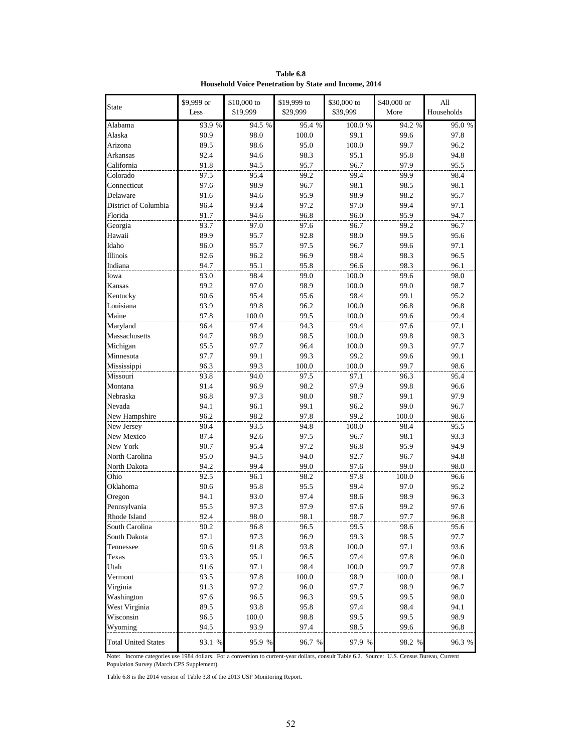| <b>State</b>               | \$9,999 or | \$10,000 to<br>\$19,999 | \$19,999 to | \$30,000 to | \$40,000 or | All<br>Households |
|----------------------------|------------|-------------------------|-------------|-------------|-------------|-------------------|
|                            | Less       |                         | \$29,999    | \$39,999    | More        |                   |
| Alabama                    | 93.9 %     | 94.5 %                  | 95.4 %      | 100.0 %     | 94.2 %      | 95.0 %            |
| Alaska                     | 90.9       | 98.0                    | 100.0       | 99.1        | 99.6        | 97.8              |
| Arizona                    | 89.5       | 98.6                    | 95.0        | 100.0       | 99.7        | 96.2              |
| Arkansas                   | 92.4       | 94.6                    | 98.3        | 95.1        | 95.8        | 94.8              |
| California                 | 91.8       | 94.5                    | 95.7        | 96.7        | 97.9        | 95.5              |
| Colorado                   | 97.5       | 95.4                    | 99.2        | 99.4        | 99.9        | 98.4              |
| Connecticut                | 97.6       | 98.9                    | 96.7        | 98.1        | 98.5        | 98.1              |
| Delaware                   | 91.6       | 94.6                    | 95.9        | 98.9        | 98.2        | 95.7              |
| District of Columbia       | 96.4       | 93.4                    | 97.2        | 97.0        | 99.4        | 97.1              |
| Florida                    | 91.7       | 94.6                    | 96.8        | 96.0        | 95.9        | 94.7              |
| Georgia                    | 93.7       | 97.0                    | 97.6        | 96.7        | 99.2        | 96.7              |
| Hawaii                     | 89.9       | 95.7                    | 92.8        | 98.0        | 99.5        | 95.6              |
| Idaho                      | 96.0       | 95.7                    | 97.5        | 96.7        | 99.6        | 97.1              |
| Illinois                   | 92.6       | 96.2                    | 96.9        | 98.4        | 98.3        | 96.5              |
| Indiana                    | 94.7       | 95.1                    | 95.8        | 96.6        | 98.3        | 96.1              |
| Iowa                       | 93.0       | 98.4                    | 99.0        | 100.0       | 99.6        | 98.0              |
| Kansas                     | 99.2       | 97.0                    | 98.9        | 100.0       | 99.0        | 98.7              |
| Kentucky                   | 90.6       | 95.4                    | 95.6        | 98.4        | 99.1        | 95.2              |
| Louisiana                  | 93.9       | 99.8                    | 96.2        | 100.0       | 96.8        | 96.8              |
| Maine                      | 97.8       | 100.0                   | 99.5        | 100.0       | 99.6        | 99.4              |
| Maryland                   | 96.4       | 97.4                    | 94.3        | 99.4        | 97.6        | 97.1              |
| Massachusetts              | 94.7       | 98.9                    | 98.5        | 100.0       | 99.8        | 98.3              |
| Michigan                   | 95.5       | 97.7                    | 96.4        | 100.0       | 99.3        | 97.7              |
| Minnesota                  | 97.7       | 99.1                    | 99.3        | 99.2        | 99.6        | 99.1              |
| Mississippi                | 96.3       | 99.3                    | 100.0       | 100.0       | 99.7        | 98.6              |
| Missouri                   | 93.8       | 94.0                    | 97.5        | 97.1        | 96.3        | 95.4              |
| Montana                    | 91.4       | 96.9                    | 98.2        | 97.9        | 99.8        | 96.6              |
| Nebraska                   | 96.8       | 97.3                    | 98.0        | 98.7        | 99.1        | 97.9              |
| Nevada                     | 94.1       | 96.1                    | 99.1        | 96.2        | 99.0        | 96.7              |
| New Hampshire              | 96.2       | 98.2                    | 97.8        | 99.2        | 100.0       | 98.6              |
| New Jersey                 | 90.4       | 93.5                    | 94.8        | 100.0       | 98.4        | 95.5              |
| New Mexico                 | 87.4       | 92.6                    | 97.5        | 96.7        | 98.1        | 93.3              |
| New York                   | 90.7       | 95.4                    | 97.2        | 96.8        | 95.9        | 94.9              |
| North Carolina             | 95.0       | 94.5                    | 94.0        | 92.7        | 96.7        | 94.8              |
| North Dakota               | 94.2       | 99.4                    | 99.0        | 97.6        | 99.0        | 98.0              |
| Ohio                       | 92.5       | 96.1                    | 98.2        | 97.8        | 100.0       | 96.6              |
| Oklahoma                   | 90.6       | 95.8                    | 95.5        | 99.4        | 97.0        | 95.2              |
| Oregon                     | 94.1       | 93.0                    | 97.4        | 98.6        | 98.9        | 96.3              |
| Pennsylvania               | 95.5       | 97.3                    | 97.9        | 97.6        | 99.2        | 97.6              |
| Rhode Island               | 92.4       | 98.0                    | 98.1        | 98.7        | 97.7        | 96.8              |
| South Carolina             | 90.2       | 96.8                    | 96.5        | 99.5        | 98.6        | 95.6              |
| South Dakota               | 97.1       | 97.3                    | 96.9        | 99.3        | 98.5        | 97.7              |
| Tennessee                  | 90.6       | 91.8                    | 93.8        | 100.0       | 97.1        | 93.6              |
| Texas                      | 93.3       | 95.1                    | 96.5        | 97.4        | 97.8        | 96.0              |
| Utah                       | 91.6       | 97.1                    | 98.4        | 100.0       | 99.7        | 97.8              |
| Vermont                    | 93.5       | 97.8                    | 100.0       | 98.9        | 100.0       | 98.1              |
| Virginia                   | 91.3       | 97.2                    | 96.0        | 97.7        | 98.9        | 96.7              |
| Washington                 | 97.6       | 96.5                    | 96.3        | 99.5        | 99.5        | 98.0              |
|                            |            |                         |             |             |             |                   |
| West Virginia              | 89.5       | 93.8                    | 95.8        | 97.4        | 98.4        | 94.1              |
| Wisconsin                  | 96.5       | 100.0<br>93.9           | 98.8        | 99.5        | 99.5        | 98.9              |
| Wyoming                    | 94.5       |                         | 97.4        | 98.5        | 99.6        | 96.8              |
| <b>Total United States</b> | 93.1 %     | 95.9 %                  | 96.7 %      | 97.9 %      | 98.2 %      | 96.3 %            |

**Table 6.8 Household Voice Penetration by State and Income, 2014**

Note: Income categories use 1984 dollars. For a conversion to current-year dollars, consult Table 6.2. Source: U.S. Census Bureau, Current Population Survey (March CPS Supplement).

Table 6.8 is the 2014 version of Table 3.8 of the 2013 USF Monitoring Report.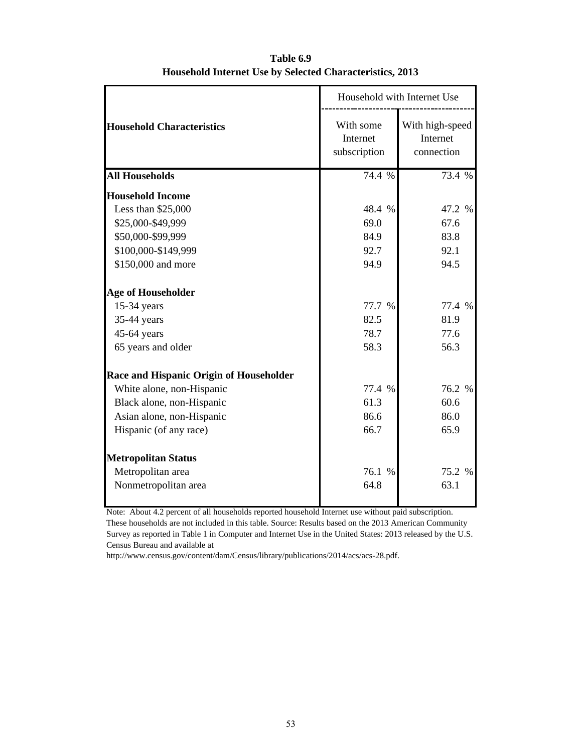|                                         |                                       | Household with Internet Use               |
|-----------------------------------------|---------------------------------------|-------------------------------------------|
| <b>Household Characteristics</b>        | With some<br>Internet<br>subscription | With high-speed<br>Internet<br>connection |
| <b>All Households</b>                   | 74.4 %                                | 73.4 %                                    |
| <b>Household Income</b>                 |                                       |                                           |
| Less than $$25,000$                     | 48.4 %                                | 47.2 %                                    |
| \$25,000-\$49,999                       | 69.0                                  | 67.6                                      |
| \$50,000-\$99,999                       | 84.9                                  | 83.8                                      |
| \$100,000-\$149,999                     | 92.7                                  | 92.1                                      |
| \$150,000 and more                      | 94.9                                  | 94.5                                      |
| <b>Age of Householder</b>               |                                       |                                           |
| 15-34 years                             | 77.7 %                                | 77.4 %                                    |
| 35-44 years                             | 82.5                                  | 81.9                                      |
| $45-64$ years                           | 78.7                                  | 77.6                                      |
| 65 years and older                      | 58.3                                  | 56.3                                      |
| Race and Hispanic Origin of Householder |                                       |                                           |
| White alone, non-Hispanic               | 77.4 %                                | 76.2 %                                    |
| Black alone, non-Hispanic               | 61.3                                  | 60.6                                      |
| Asian alone, non-Hispanic               | 86.6                                  | 86.0                                      |
| Hispanic (of any race)                  | 66.7                                  | 65.9                                      |
| <b>Metropolitan Status</b>              |                                       |                                           |
| Metropolitan area                       | 76.1 %                                | 75.2 %                                    |
| Nonmetropolitan area                    | 64.8                                  | 63.1                                      |

**Table 6.9 Household Internet Use by Selected Characteristics, 2013**

Note: About 4.2 percent of all households reported household Internet use without paid subscription. These households are not included in this table. Source: Results based on the 2013 American Community Survey as reported in Table 1 in Computer and Internet Use in the United States: 2013 released by the U.S. Census Bureau and available at

http://www.census.gov/content/dam/Census/library/publications/2014/acs/acs-28.pdf.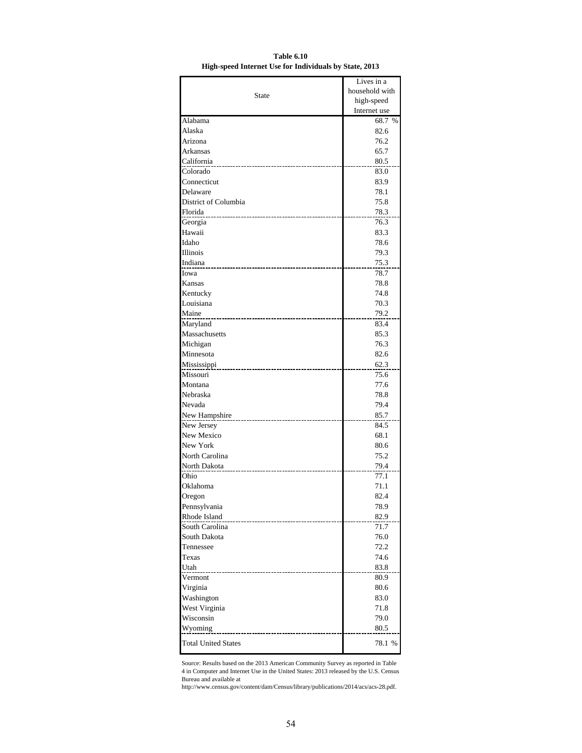|                            | Lives in a     |
|----------------------------|----------------|
|                            | household with |
| State                      | high-speed     |
|                            | Internet use   |
| Alabama                    | 68.7 %         |
| Alaska                     | 82.6           |
| Arizona                    | 76.2           |
| Arkansas                   | 65.7           |
| California                 | 80.5           |
| Colorado                   | 83.0           |
| Connecticut                | 83.9           |
| Delaware                   | 78.1           |
| District of Columbia       | 75.8           |
| Florida                    | 78.3           |
| Georgia                    | 76.3           |
| Hawaii                     | 83.3           |
| Idaho                      | 78.6           |
| Illinois                   | 79.3           |
| Indiana                    | 75.3           |
| Iowa                       | 78.7           |
| Kansas                     | 78.8           |
| Kentucky                   | 74.8           |
| Louisiana                  | 70.3           |
| Maine                      | 79.2           |
| Maryland                   | 83.4           |
| Massachusetts              | 85.3           |
| Michigan                   | 76.3           |
| Minnesota                  | 82.6           |
| Mississippi                | 62.3           |
| Missouri                   | 75.6           |
| Montana                    | 77.6           |
| Nebraska                   | 78.8           |
| Nevada                     | 79.4           |
| New Hampshire              | 85.7           |
| New Jersey                 | 84.5           |
| New Mexico                 | 68.1           |
| New York                   | 80.6           |
| North Carolina             | 75.2           |
| North Dakota               | 79.4           |
| Ohio                       | 77.1           |
| Oklahoma                   | 71.1           |
| Oregon                     | 82.4           |
| Pennsylvania               | 78.9           |
| Rhode Island               | 82.9           |
| South Carolina             | 71.7           |
| South Dakota               | 76.0           |
| Tennessee                  | 72.2           |
| Texas                      | 74.6           |
| Utah                       | 83.8           |
| Vermont                    | 80.9           |
| Virginia                   | 80.6           |
| Washington                 | 83.0           |
| West Virginia              | 71.8           |
| Wisconsin                  | 79.0           |
| Wyoming                    | 80.5           |
|                            |                |
| <b>Total United States</b> | 78.1 %         |

**Table 6.10 High-speed Internet Use for Individuals by State, 2013**

Source: Results based on the 2013 American Community Survey as reported in Table 4 in Computer and Internet Use in the United States: 2013 released by the U.S. Census Bureau and available at

http://www.census.gov/content/dam/Census/library/publications/2014/acs/acs-28.pdf.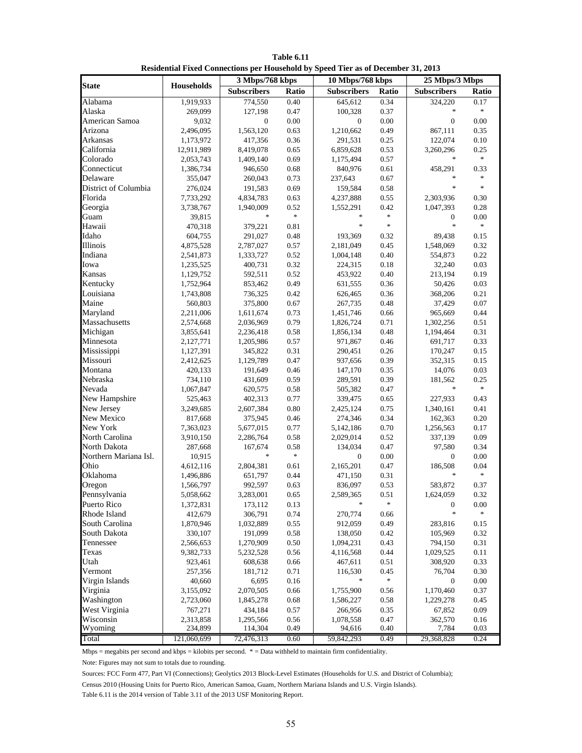|                       |                   | 3 Mbps/768 kbps    |          | 10 Mbps/768 kbps   |                                   | 25 Mbps/3 Mbps     |                                   |
|-----------------------|-------------------|--------------------|----------|--------------------|-----------------------------------|--------------------|-----------------------------------|
| <b>State</b>          | <b>Households</b> | <b>Subscribers</b> | Ratio    | <b>Subscribers</b> | Ratio                             | <b>Subscribers</b> | Ratio                             |
| Alabama               | 1,919,933         | 774,550            | 0.40     | 645,612            | 0.34                              | 324,220            | 0.17                              |
| Alaska                | 269,099           | 127,198            | 0.47     | 100,328            | 0.37                              | $\ast$             | $\frac{d\mathbf{r}}{d\mathbf{r}}$ |
| American Samoa        | 9,032             | $\mathbf{0}$       | $0.00\,$ | $\mathbf{0}$       | 0.00                              | $\boldsymbol{0}$   | $0.00\,$                          |
| Arizona               | 2,496,095         | 1,563,120          | 0.63     | 1,210,662          | 0.49                              | 867,111            | 0.35                              |
| Arkansas              | 1,173,972         | 417,356            | 0.36     | 291,531            | 0.25                              | 122,074            | 0.10                              |
| California            | 12,911,989        | 8,419,078          | 0.65     | 6,859,628          | 0.53                              | 3,260,296          | 0.25                              |
| Colorado              | 2,053,743         | 1,409,140          | 0.69     | 1,175,494          | 0.57                              | $\ast$             | $\frac{d\mathbf{r}}{d\mathbf{r}}$ |
| Connecticut           | 1,386,734         | 946,650            | 0.68     | 840,976            | 0.61                              | 458,291            | 0.33                              |
| Delaware              | 355,047           | 260,043            | 0.73     | 237,643            | 0.67                              | $\ast$             | $\frac{1}{2}$                     |
| District of Columbia  | 276,024           | 191,583            | 0.69     | 159,584            | 0.58                              | $\ast$             | $\frac{d\mathbf{x}}{d\mathbf{x}}$ |
| Florida               | 7,733,292         | 4,834,783          | 0.63     | 4,237,888          | 0.55                              | 2,303,936          | 0.30                              |
| Georgia               | 3,738,767         | 1,940,009          | 0.52     | 1,552,291          | 0.42                              | 1,047,393          | 0.28                              |
| Guam                  | 39,815            | $\ast$             | $\ast$   | sk.                | $\frac{d\mathbf{x}}{d\mathbf{x}}$ | 0                  | 0.00                              |
| Hawaii                | 470,318           | 379,221            | 0.81     | $\ast$             | $\frac{d\mathbf{x}}{d\mathbf{x}}$ | $\ast$             | $\ast$                            |
| Idaho                 | 604,755           | 291,027            | 0.48     | 193,369            | 0.32                              | 89,438             | 0.15                              |
| Illinois              | 4,875,528         | 2,787,027          | 0.57     | 2,181,049          | 0.45                              | 1,548,069          | 0.32                              |
| Indiana               | 2,541,873         | 1,333,727          | 0.52     | 1,004,148          | 0.40                              | 554,873            | 0.22                              |
| Iowa                  | 1,235,525         | 400,731            | 0.32     | 224,315            | 0.18                              | 32,240             | 0.03                              |
| Kansas                | 1,129,752         | 592,511            | 0.52     | 453,922            | 0.40                              | 213,194            | 0.19                              |
| Kentucky              | 1,752,964         | 853,462            | 0.49     | 631,555            | 0.36                              | 50,426             | 0.03                              |
| Louisiana             | 1,743,808         | 736,325            | 0.42     | 626,465            | 0.36                              | 368,206            | 0.21                              |
| Maine                 | 560,803           | 375,800            | 0.67     | 267,735            | 0.48                              | 37,429             | $0.07\,$                          |
| Maryland              | 2,211,006         | 1,611,674          | 0.73     | 1,451,746          | 0.66                              | 965,669            | 0.44                              |
| Massachusetts         | 2,574,668         | 2,036,969          | 0.79     | 1,826,724          | 0.71                              | 1,302,256          | 0.51                              |
| Michigan              | 3,855,641         | 2,236,418          | 0.58     | 1,856,134          | 0.48                              | 1,194,464          | 0.31                              |
| Minnesota             | 2,127,771         | 1,205,986          | 0.57     | 971,867            | 0.46                              | 691,717            | 0.33                              |
| Mississippi           | 1,127,391         | 345,822            | 0.31     | 290,451            | 0.26                              | 170,247            | 0.15                              |
| Missouri              | 2,412,625         | 1,129,789          | 0.47     | 937,656            | 0.39                              | 352,315            | 0.15                              |
| Montana               | 420,133           | 191,649            | 0.46     | 147,170            | 0.35                              | 14,076             | 0.03                              |
| Nebraska              | 734,110           | 431,609            | 0.59     | 289,591            | 0.39                              | 181,562            | 0.25                              |
| Nevada                | 1,067,847         | 620,575            | 0.58     | 505,382            | 0.47                              | $\ast$             | $\frac{d\mathbf{r}}{d\mathbf{r}}$ |
| New Hampshire         | 525,463           | 402,313            | 0.77     | 339,475            | 0.65                              | 227,933            | 0.43                              |
| New Jersey            | 3,249,685         | 2,607,384          | 0.80     | 2,425,124          | 0.75                              | 1,340,161          | 0.41                              |
| New Mexico            | 817,668           | 375,945            | 0.46     | 274,346            | 0.34                              | 162,363            | 0.20                              |
| New York              | 7,363,023         | 5,677,015          | 0.77     | 5,142,186          | 0.70                              | 1,256,563          | 0.17                              |
| North Carolina        | 3,910,150         | 2,286,764          | 0.58     | 2,029,014          | 0.52                              | 337,139            | 0.09                              |
| North Dakota          | 287,668           | 167.674            | 0.58     | 134,034            | 0.47                              | 97,580             | 0.34                              |
| Northern Mariana Isl. | 10,915            | $\ast$             | $\ast$   | $\boldsymbol{0}$   | 0.00                              | $\boldsymbol{0}$   | 0.00                              |
| Ohio                  | 4,612,116         | 2,804,381          | 0.61     | 2,165,201          | 0.47                              | 186,508            | 0.04                              |
| Oklahoma              | 1,496,886         | 651,797            | 0.44     | 471,150            | 0.31                              | $\ast$             | $\frac{d\mathbf{r}}{d\mathbf{r}}$ |
| Oregon                | 1,566,797         | 992,597            | 0.63     | 836,097            | 0.53                              | 583,872            | 0.37                              |
| Pennsylvania          | 5,058,662         | 3,283,001          | 0.65     | 2,589,365          | 0.51                              | 1,624,059          | 0.32                              |
| Puerto Rico           | 1,372,831         | 173,112            | 0.13     | $\ast$             | $\frac{d\mathbf{r}}{d\mathbf{r}}$ | $\boldsymbol{0}$   | 0.00                              |
| Rhode Island          | 412,679           | 306,791            | 0.74     | 270,774            | 0.66                              | $\ast$             | $\ast$                            |
| South Carolina        | 1,870,946         | 1,032,889          | 0.55     | 912,059            | 0.49                              | 283,816            | 0.15                              |
| South Dakota          | 330,107           | 191,099            | 0.58     | 138,050            | 0.42                              | 105,969            | 0.32                              |
| Tennessee             | 2,566,653         | 1,270,909          | 0.50     | 1,094,231          | 0.43                              | 794,150            | 0.31                              |
| Texas                 | 9,382,733         | 5,232,528          | 0.56     | 4,116,568          | 0.44                              | 1,029,525          | 0.11                              |
| Utah                  | 923,461           | 608,638            | 0.66     | 467,611            | 0.51                              | 308,920            | 0.33                              |
| Vermont               | 257,356           | 181,712            | 0.71     | 116,530            | 0.45                              | 76,704             | 0.30                              |
| Virgin Islands        | 40,660            | 6,695              | 0.16     | $\ast$             | $\frac{1}{2}$                     | 0                  | 0.00                              |
| Virginia              | 3,155,092         | 2,070,505          | 0.66     | 1,755,900          | 0.56                              | 1,170,460          | 0.37                              |
| Washington            | 2,723,060         | 1,845,278          | 0.68     | 1,586,227          | 0.58                              | 1,229,278          | 0.45                              |
| West Virginia         | 767,271           | 434,184            | 0.57     | 266,956            | 0.35                              | 67,852             | 0.09                              |
| Wisconsin             | 2,313,858         | 1,295,566          | 0.56     | 1,078,558          | 0.47                              | 362,570            | 0.16                              |
| Wyoming               | 234,899           | 114,304            | 0.49     | 94,616             | 0.40                              | 7,784              | 0.03                              |
| Total                 | 121,060,699       | 72,476,313         | 0.60     | 59,842,293         | 0.49                              | 29,368,828         | 0.24                              |

**Table 6.11 Residential Fixed Connections per Household by Speed Tier as of December 31, 2013**

Mbps = megabits per second and kbps = kilobits per second. \* = Data withheld to maintain firm confidentiality.

Note: Figures may not sum to totals due to rounding.

Sources: FCC Form 477, Part VI (Connections); Geolytics 2013 Block-Level Estimates (Households for U.S. and District of Columbia);

Census 2010 (Housing Units for Puerto Rico, American Samoa, Guam, Northern Mariana Islands and U.S. Virgin Islands).

Table 6.11 is the 2014 version of Table 3.11 of the 2013 USF Monitoring Report.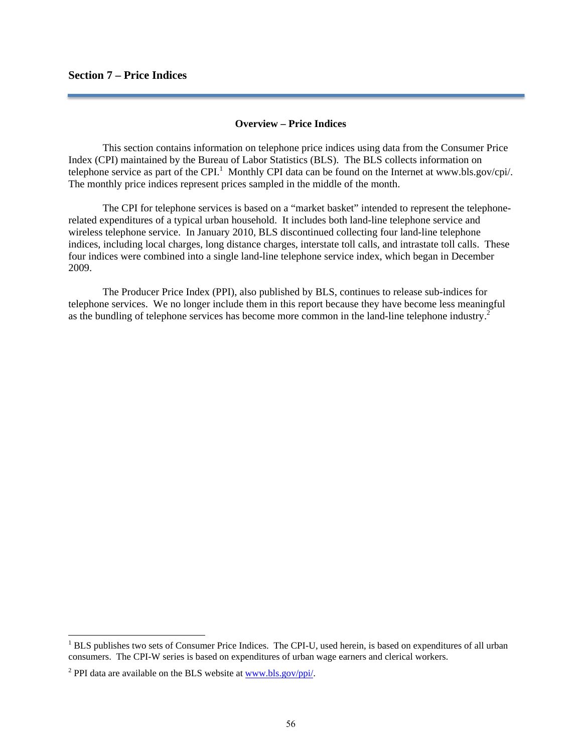# **Section 7 – Price Indices**

# **Overview – Price Indices**

 This section contains information on telephone price indices using data from the Consumer Price Index (CPI) maintained by the Bureau of Labor Statistics (BLS). The BLS collects information on telephone service as part of the CPI.<sup>1</sup> Monthly CPI data can be found on the Internet at www.bls.gov/cpi/. The monthly price indices represent prices sampled in the middle of the month.

 The CPI for telephone services is based on a "market basket" intended to represent the telephonerelated expenditures of a typical urban household. It includes both land-line telephone service and wireless telephone service. In January 2010, BLS discontinued collecting four land-line telephone indices, including local charges, long distance charges, interstate toll calls, and intrastate toll calls. These four indices were combined into a single land-line telephone service index, which began in December 2009.

 The Producer Price Index (PPI), also published by BLS, continues to release sub-indices for telephone services. We no longer include them in this report because they have become less meaningful as the bundling of telephone services has become more common in the land-line telephone industry.<sup>2</sup>

<sup>&</sup>lt;sup>1</sup> BLS publishes two sets of Consumer Price Indices. The CPI-U, used herein, is based on expenditures of all urban consumers. The CPI-W series is based on expenditures of urban wage earners and clerical workers.

<sup>&</sup>lt;sup>2</sup> PPI data are available on the BLS website at  $\frac{www.bls.gov/ppi/}{w}$ .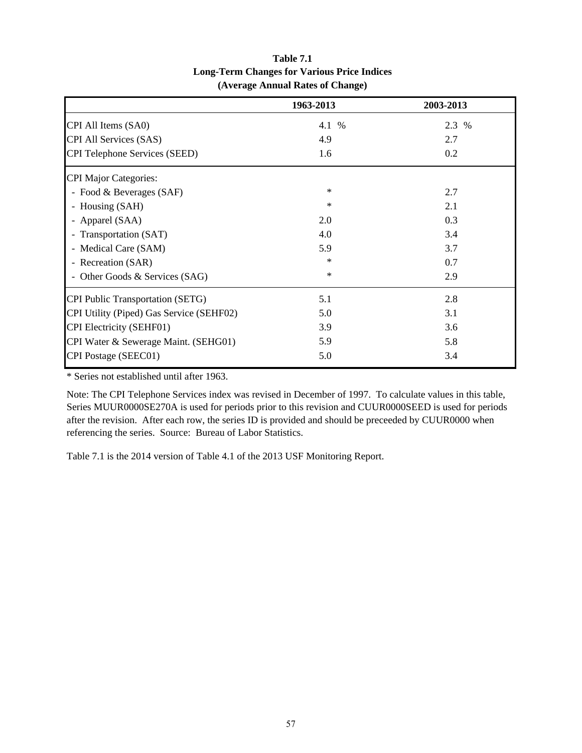|                                          | 1963-2013 | 2003-2013 |
|------------------------------------------|-----------|-----------|
| CPI All Items (SA0)                      | 4.1 %     | 2.3 %     |
| CPI All Services (SAS)                   | 4.9       | 2.7       |
| <b>CPI Telephone Services (SEED)</b>     | 1.6       | 0.2       |
| <b>CPI Major Categories:</b>             |           |           |
| - Food & Beverages (SAF)                 | $\ast$    | 2.7       |
| - Housing (SAH)                          | $\ast$    | 2.1       |
| - Apparel (SAA)                          | 2.0       | 0.3       |
| - Transportation (SAT)                   | 4.0       | 3.4       |
| - Medical Care (SAM)                     | 5.9       | 3.7       |
| - Recreation (SAR)                       | $\ast$    | 0.7       |
| - Other Goods & Services (SAG)           | $\ast$    | 2.9       |
| <b>CPI Public Transportation (SETG)</b>  | 5.1       | 2.8       |
| CPI Utility (Piped) Gas Service (SEHF02) | 5.0       | 3.1       |
| <b>CPI Electricity (SEHF01)</b>          | 3.9       | 3.6       |
| CPI Water & Sewerage Maint. (SEHG01)     | 5.9       | 5.8       |
| CPI Postage (SEEC01)                     | 5.0       | 3.4       |

# **Table 7.1 Long-Term Changes for Various Price Indices (Average Annual Rates of Change)**

\* Series not established until after 1963.

Note: The CPI Telephone Services index was revised in December of 1997. To calculate values in this table, Series MUUR0000SE270A is used for periods prior to this revision and CUUR0000SEED is used for periods after the revision. After each row, the series ID is provided and should be preceeded by CUUR0000 when referencing the series. Source: Bureau of Labor Statistics.

Table 7.1 is the 2014 version of Table 4.1 of the 2013 USF Monitoring Report.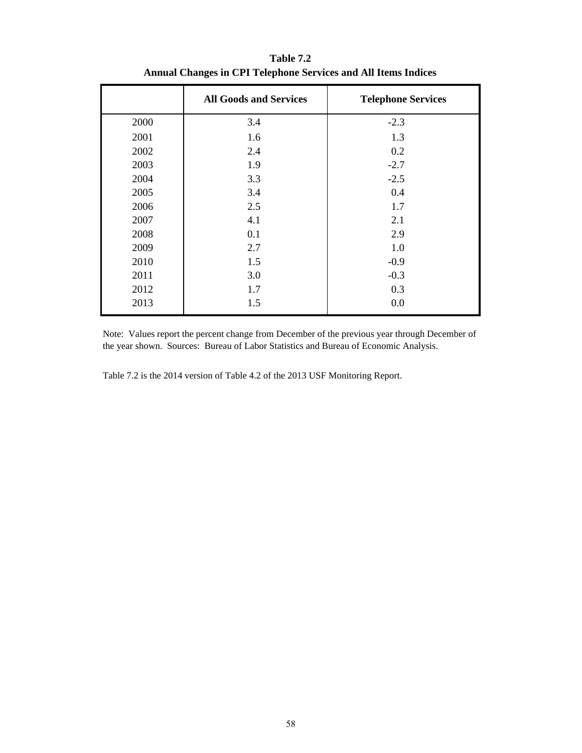|      | <b>All Goods and Services</b> | <b>Telephone Services</b> |
|------|-------------------------------|---------------------------|
| 2000 | 3.4                           | $-2.3$                    |
| 2001 | 1.6                           | 1.3                       |
| 2002 | 2.4                           | 0.2                       |
| 2003 | 1.9                           | $-2.7$                    |
| 2004 | 3.3                           | $-2.5$                    |
| 2005 | 3.4                           | 0.4                       |
| 2006 | 2.5                           | 1.7                       |
| 2007 | 4.1                           | 2.1                       |
| 2008 | 0.1                           | 2.9                       |
| 2009 | 2.7                           | 1.0                       |
| 2010 | 1.5                           | $-0.9$                    |
| 2011 | 3.0                           | $-0.3$                    |
| 2012 | 1.7                           | 0.3                       |
| 2013 | 1.5                           | 0.0                       |

**Table 7.2 Annual Changes in CPI Telephone Services and All Items Indices**

Note: Values report the percent change from December of the previous year through December of the year shown. Sources: Bureau of Labor Statistics and Bureau of Economic Analysis.

Table 7.2 is the 2014 version of Table 4.2 of the 2013 USF Monitoring Report.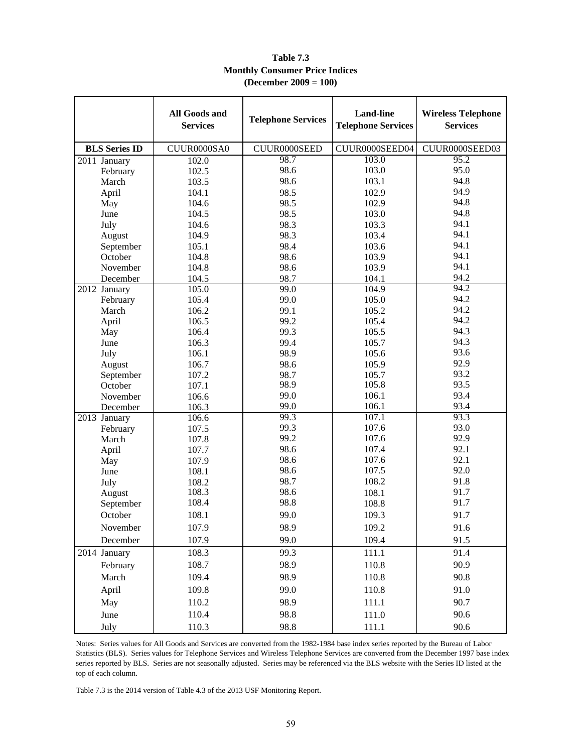|                      | All Goods and<br><b>Services</b> | <b>Telephone Services</b> | <b>Land-line</b><br><b>Telephone Services</b> | <b>Wireless Telephone</b><br><b>Services</b> |
|----------------------|----------------------------------|---------------------------|-----------------------------------------------|----------------------------------------------|
| <b>BLS</b> Series ID | CUUR0000SA0                      | CUUR0000SEED              | CUUR0000SEED04                                | CUUR0000SEED03                               |
| 2011 January         | 102.0                            | 98.7                      | 103.0                                         | 95.2                                         |
| February             | 102.5                            | 98.6                      | 103.0                                         | 95.0                                         |
| March                | 103.5                            | 98.6                      | 103.1                                         | 94.8                                         |
| April                | 104.1                            | 98.5                      | 102.9                                         | 94.9                                         |
| May                  | 104.6                            | 98.5                      | 102.9                                         | 94.8                                         |
| June                 | 104.5                            | 98.5                      | 103.0                                         | 94.8                                         |
| July                 | 104.6                            | 98.3                      | 103.3                                         | 94.1                                         |
| August               | 104.9                            | 98.3                      | 103.4                                         | 94.1                                         |
| September            | 105.1                            | 98.4                      | 103.6                                         | 94.1                                         |
| October              | 104.8                            | 98.6                      | 103.9                                         | 94.1                                         |
| November             | 104.8                            | 98.6                      | 103.9                                         | 94.1                                         |
| December             | 104.5                            | 98.7                      | 104.1                                         | 94.2                                         |
| 2012 January         | 105.0                            | 99.0                      | 104.9                                         | 94.2                                         |
| February             | 105.4                            | 99.0                      | 105.0                                         | 94.2                                         |
| March                | 106.2                            | 99.1                      | 105.2                                         | 94.2                                         |
| April                | 106.5                            | 99.2                      | 105.4                                         | 94.2                                         |
| May                  | 106.4                            | 99.3                      | 105.5                                         | 94.3                                         |
| June                 | 106.3                            | 99.4                      | 105.7                                         | 94.3                                         |
| July                 | 106.1                            | 98.9                      | 105.6                                         | 93.6                                         |
| August               | 106.7                            | 98.6                      | 105.9                                         | 92.9                                         |
| September            | 107.2                            | 98.7                      | 105.7                                         | 93.2                                         |
| October              | 107.1                            | 98.9                      | 105.8                                         | 93.5                                         |
| November             | 106.6                            | 99.0                      | 106.1                                         | 93.4                                         |
| December             | 106.3                            | 99.0                      | 106.1                                         | 93.4                                         |
| 2013 January         | 106.6                            | 99.3<br>99.3              | 107.1<br>107.6                                | 93.3<br>93.0                                 |
| February             | 107.5                            | 99.2                      | 107.6                                         | 92.9                                         |
| March                | 107.8                            | 98.6                      | 107.4                                         | 92.1                                         |
| April                | 107.7<br>107.9                   | 98.6                      | 107.6                                         | 92.1                                         |
| May<br>June          | 108.1                            | 98.6                      | 107.5                                         | 92.0                                         |
|                      | 108.2                            | 98.7                      | 108.2                                         | 91.8                                         |
| July<br>August       | 108.3                            | 98.6                      | 108.1                                         | 91.7                                         |
| September            | 108.4                            | 98.8                      | 108.8                                         | 91.7                                         |
| October              | 108.1                            | 99.0                      | 109.3                                         | 91.7                                         |
| November             | 107.9                            | 98.9                      | 109.2                                         | 91.6                                         |
| December             | 107.9                            | 99.0                      | 109.4                                         | 91.5                                         |
| 2014 January         | 108.3                            | 99.3                      | 111.1                                         | 91.4                                         |
| February             | 108.7                            | 98.9                      | 110.8                                         | 90.9                                         |
| March                | 109.4                            | 98.9                      |                                               | 90.8                                         |
|                      | 109.8                            | 99.0                      | 110.8                                         | 91.0                                         |
| April                |                                  |                           | 110.8                                         |                                              |
| May                  | 110.2                            | 98.9                      | 111.1                                         | 90.7                                         |
| June                 | 110.4                            | 98.8                      | 111.0                                         | 90.6                                         |
| July                 | 110.3                            | 98.8                      | 111.1                                         | 90.6                                         |

# **Table 7.3 Monthly Consumer Price Indices (December 2009 = 100)**

Notes: Series values for All Goods and Services are converted from the 1982-1984 base index series reported by the Bureau of Labor Statistics (BLS). Series values for Telephone Services and Wireless Telephone Services are converted from the December 1997 base index series reported by BLS. Series are not seasonally adjusted. Series may be referenced via the BLS website with the Series ID listed at the top of each column.

Table 7.3 is the 2014 version of Table 4.3 of the 2013 USF Monitoring Report.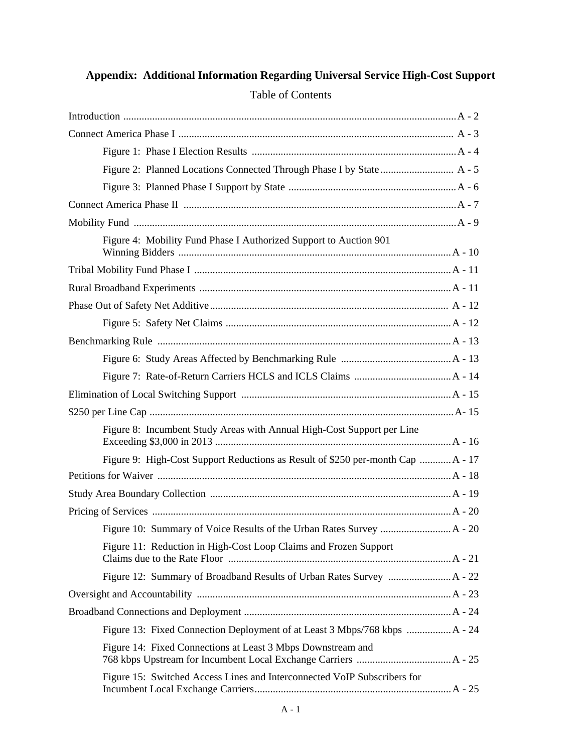# Introduction ............................................................................................................................... A - 2 Connect America Phase I ......................................................................................................... A - 3 Figure 1: Phase I Election Results .............................................................................. A - 4 Figure 2: Planned Locations Connected Through Phase I by State ............................ A - 5 Figure 3: Planned Phase I Support by State ................................................................ A - 6 Connect America Phase II ........................................................................................................ A - 7 Mobility Fund ........................................................................................................................... A - 9 Figure 4: Mobility Fund Phase I Authorized Support to Auction 901 Winning Bidders ........................................................................................................ A - 10 Tribal Mobility Fund Phase I .................................................................................................. A - 11 Rural Broadband Experiments ................................................................................................ A - 11 Phase Out of Safety Net Additive ........................................................................................... A - 12 Figure 5: Safety Net Claims ...................................................................................... A - 12 Benchmarking Rule ................................................................................................................ A - 13 Figure 6: Study Areas Affected by Benchmarking Rule .......................................... A - 13 Figure 7: Rate-of-Return Carriers HCLS and ICLS Claims ..................................... A - 14 Elimination of Local Switching Support ................................................................................ A - 15 \$250 per Line Cap .................................................................................................................... A- 15 Figure 8: Incumbent Study Areas with Annual High-Cost Support per Line Exceeding \$3,000 in 2013 .......................................................................................... A - 16 Figure 9: High-Cost Support Reductions as Result of \$250 per-month Cap ............ A - 17 Petitions for Waiver ................................................................................................................ A - 18 Study Area Boundary Collection ............................................................................................ A - 19 Pricing of Services .................................................................................................................. A - 20 Figure 10: Summary of Voice Results of the Urban Rates Survey ........................... A - 20 Figure 11: Reduction in High-Cost Loop Claims and Frozen Support Claims due to the Rate Floor ..................................................................................... A - 21 Figure 12: Summary of Broadband Results of Urban Rates Survey ........................ A - 22 Oversight and Accountability ................................................................................................. A - 23 Broadband Connections and Deployment ............................................................................... A - 24 Figure 13: Fixed Connection Deployment of at Least 3 Mbps/768 kbps ................. A - 24 Figure 14: Fixed Connections at Least 3 Mbps Downstream and 768 kbps Upstream for Incumbent Local Exchange Carriers .................................... A - 25 Figure 15: Switched Access Lines and Interconnected VoIP Subscribers for Incumbent Local Exchange Carriers ........................................................................... A - 25

# **Appendix: Additional Information Regarding Universal Service High-Cost Support**  Table of Contents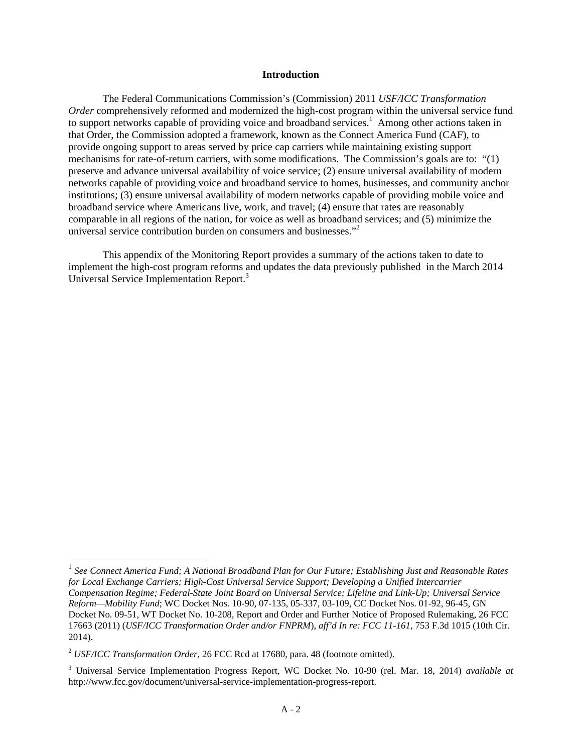### **Introduction**

The Federal Communications Commission's (Commission) 2011 *USF/ICC Transformation Order* comprehensively reformed and modernized the high-cost program within the universal service fund to support networks capable of providing voice and broadband services.<sup>1</sup> Among other actions taken in that Order, the Commission adopted a framework, known as the Connect America Fund (CAF), to provide ongoing support to areas served by price cap carriers while maintaining existing support mechanisms for rate-of-return carriers, with some modifications. The Commission's goals are to: "(1) preserve and advance universal availability of voice service; (2) ensure universal availability of modern networks capable of providing voice and broadband service to homes, businesses, and community anchor institutions; (3) ensure universal availability of modern networks capable of providing mobile voice and broadband service where Americans live, work, and travel; (4) ensure that rates are reasonably comparable in all regions of the nation, for voice as well as broadband services; and (5) minimize the universal service contribution burden on consumers and businesses."<sup>2</sup>

This appendix of the Monitoring Report provides a summary of the actions taken to date to implement the high-cost program reforms and updates the data previously published in the March 2014 Universal Service Implementation Report.<sup>3</sup>

<sup>1</sup> *See Connect America Fund; A National Broadband Plan for Our Future; Establishing Just and Reasonable Rates for Local Exchange Carriers; High-Cost Universal Service Support; Developing a Unified Intercarrier Compensation Regime; Federal-State Joint Board on Universal Service; Lifeline and Link-Up; Universal Service Reform—Mobility Fund*; WC Docket Nos. 10-90, 07-135, 05-337, 03-109, CC Docket Nos. 01-92, 96-45, GN Docket No. 09-51, WT Docket No. 10-208, Report and Order and Further Notice of Proposed Rulemaking, 26 FCC 17663 (2011) (*USF/ICC Transformation Order and/or FNPRM*), *aff'd In re: FCC 11-161*, 753 F.3d 1015 (10th Cir. 2014).

<sup>2</sup> *USF/ICC Transformation Order*, 26 FCC Rcd at 17680, para. 48 (footnote omitted).

<sup>3</sup> Universal Service Implementation Progress Report, WC Docket No. 10-90 (rel. Mar. 18, 2014) *available at* http://www.fcc.gov/document/universal-service-implementation-progress-report.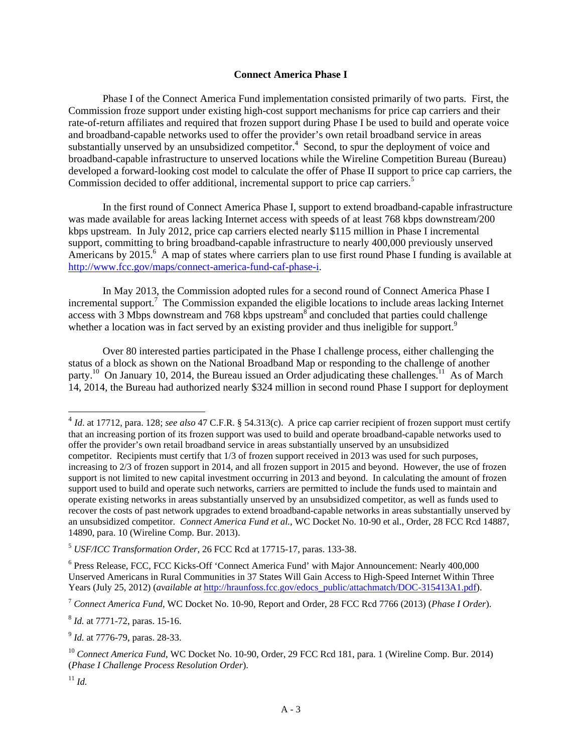## **Connect America Phase I**

Phase I of the Connect America Fund implementation consisted primarily of two parts. First, the Commission froze support under existing high-cost support mechanisms for price cap carriers and their rate-of-return affiliates and required that frozen support during Phase I be used to build and operate voice and broadband-capable networks used to offer the provider's own retail broadband service in areas substantially unserved by an unsubsidized competitor.<sup>4</sup> Second, to spur the deployment of voice and broadband-capable infrastructure to unserved locations while the Wireline Competition Bureau (Bureau) developed a forward-looking cost model to calculate the offer of Phase II support to price cap carriers, the Commission decided to offer additional, incremental support to price cap carriers.<sup>5</sup>

In the first round of Connect America Phase I, support to extend broadband-capable infrastructure was made available for areas lacking Internet access with speeds of at least 768 kbps downstream/200 kbps upstream. In July 2012, price cap carriers elected nearly \$115 million in Phase I incremental support, committing to bring broadband-capable infrastructure to nearly 400,000 previously unserved Americans by 2015.<sup>6</sup> A map of states where carriers plan to use first round Phase I funding is available at http://www.fcc.gov/maps/connect-america-fund-caf-phase-i.

In May 2013, the Commission adopted rules for a second round of Connect America Phase I incremental support.<sup>7</sup> The Commission expanded the eligible locations to include areas lacking Internet access with 3 Mbps downstream and 768 kbps upstream  $\delta$  and concluded that parties could challenge whether a location was in fact served by an existing provider and thus ineligible for support.<sup>9</sup>

Over 80 interested parties participated in the Phase I challenge process, either challenging the status of a block as shown on the National Broadband Map or responding to the challenge of another party.<sup>10</sup> On January 10, 2014, the Bureau issued an Order adjudicating these challenges.<sup>11</sup> As of March 14, 2014, the Bureau had authorized nearly \$324 million in second round Phase I support for deployment

<sup>8</sup> *Id.* at 7771-72, paras. 15-16.

<sup>9</sup> *Id.* at 7776-79, paras. 28-33.

<sup>&</sup>lt;sup>4</sup> *Id.* at 17712, para. 128; see also 47 C.F.R. § 54.313(c). A price cap carrier recipient of frozen support must certify that an increasing portion of its frozen support was used to build and operate broadband-capable networks used to offer the provider's own retail broadband service in areas substantially unserved by an unsubsidized competitor. Recipients must certify that 1/3 of frozen support received in 2013 was used for such purposes, increasing to 2/3 of frozen support in 2014, and all frozen support in 2015 and beyond. However, the use of frozen support is not limited to new capital investment occurring in 2013 and beyond. In calculating the amount of frozen support used to build and operate such networks, carriers are permitted to include the funds used to maintain and operate existing networks in areas substantially unserved by an unsubsidized competitor, as well as funds used to recover the costs of past network upgrades to extend broadband-capable networks in areas substantially unserved by an unsubsidized competitor. *Connect America Fund et al.*, WC Docket No. 10-90 et al., Order, 28 FCC Rcd 14887, 14890, para. 10 (Wireline Comp. Bur. 2013).

<sup>5</sup> *USF/ICC Transformation Order*, 26 FCC Rcd at 17715-17, paras. 133-38.

<sup>&</sup>lt;sup>6</sup> Press Release, FCC, FCC Kicks-Off 'Connect America Fund' with Major Announcement: Nearly 400,000 Unserved Americans in Rural Communities in 37 States Will Gain Access to High-Speed Internet Within Three Years (July 25, 2012) (*available at* http://hraunfoss.fcc.gov/edocs\_public/attachmatch/DOC-315413A1.pdf).

<sup>7</sup> *Connect America Fund*, WC Docket No. 10-90, Report and Order, 28 FCC Rcd 7766 (2013) (*Phase I Order*).

<sup>10</sup> *Connect America Fund*, WC Docket No. 10-90, Order, 29 FCC Rcd 181, para. 1 (Wireline Comp. Bur. 2014) (*Phase I Challenge Process Resolution Order*).

 $11$  *Id.*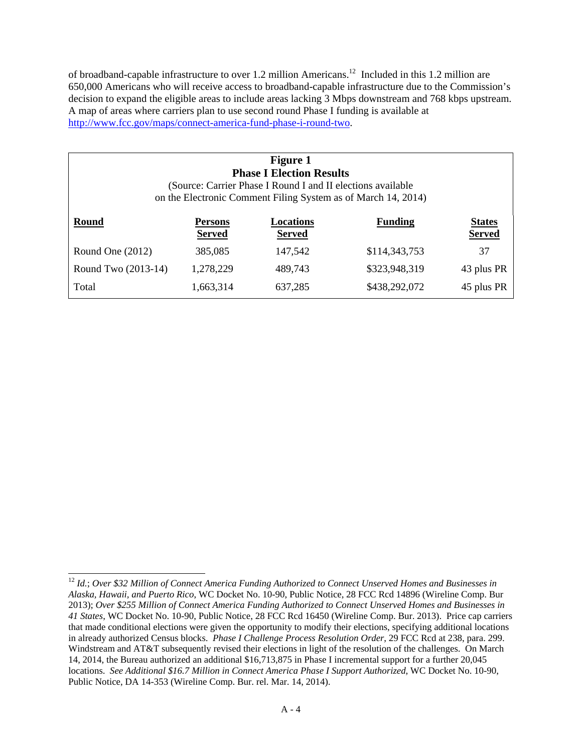of broadband-capable infrastructure to over 1.2 million Americans.12 Included in this 1.2 million are 650,000 Americans who will receive access to broadband-capable infrastructure due to the Commission's decision to expand the eligible areas to include areas lacking 3 Mbps downstream and 768 kbps upstream. A map of areas where carriers plan to use second round Phase I funding is available at http://www.fcc.gov/maps/connect-america-fund-phase-i-round-two.

| <b>Figure 1</b><br><b>Phase I Election Results</b><br>(Source: Carrier Phase I Round I and II elections available<br>on the Electronic Comment Filing System as of March 14, 2014) |                                 |                            |                |                                |
|------------------------------------------------------------------------------------------------------------------------------------------------------------------------------------|---------------------------------|----------------------------|----------------|--------------------------------|
| <b>Round</b>                                                                                                                                                                       | <b>Persons</b><br><b>Served</b> | Locations<br><b>Served</b> | <b>Funding</b> | <b>States</b><br><b>Served</b> |
| Round One $(2012)$                                                                                                                                                                 | 385,085                         | 147,542                    | \$114,343,753  | 37                             |
| Round Two (2013-14)                                                                                                                                                                | 1,278,229                       | 489,743                    | \$323,948,319  | 43 plus PR                     |
| Total                                                                                                                                                                              | 1,663,314                       | 637,285                    | \$438,292,072  | 45 plus PR                     |

 $\overline{\phantom{a}}$ <sup>12</sup> *Id.*; *Over \$32 Million of Connect America Funding Authorized to Connect Unserved Homes and Businesses in Alaska, Hawaii, and Puerto Rico*, WC Docket No. 10-90, Public Notice, 28 FCC Rcd 14896 (Wireline Comp. Bur 2013); *Over \$255 Million of Connect America Funding Authorized to Connect Unserved Homes and Businesses in 41 States*, WC Docket No. 10-90, Public Notice, 28 FCC Rcd 16450 (Wireline Comp. Bur. 2013). Price cap carriers that made conditional elections were given the opportunity to modify their elections, specifying additional locations in already authorized Census blocks. *Phase I Challenge Process Resolution Order*, 29 FCC Rcd at 238, para. 299. Windstream and AT&T subsequently revised their elections in light of the resolution of the challenges. On March 14, 2014, the Bureau authorized an additional \$16,713,875 in Phase I incremental support for a further 20,045 locations. *See Additional \$16.7 Million in Connect America Phase I Support Authorized*, WC Docket No. 10-90, Public Notice, DA 14-353 (Wireline Comp. Bur. rel. Mar. 14, 2014).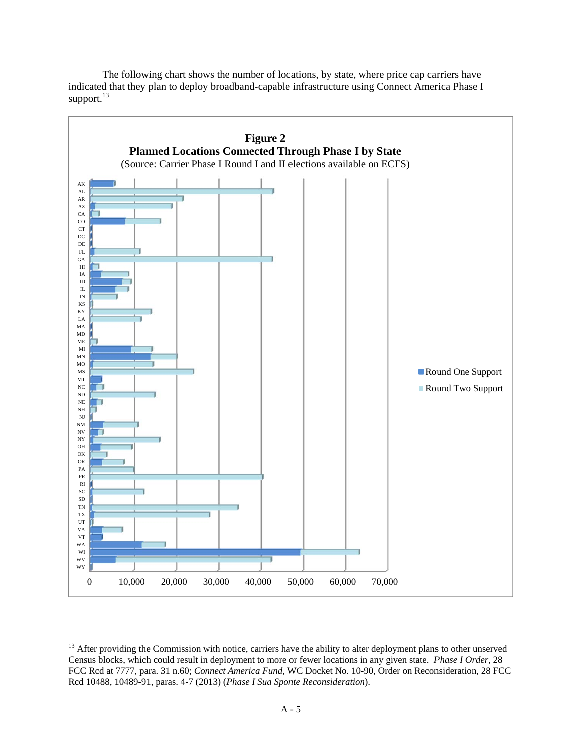

The following chart shows the number of locations, by state, where price cap carriers have indicated that they plan to deploy broadband-capable infrastructure using Connect America Phase I support.<sup>13</sup>

<sup>&</sup>lt;sup>13</sup> After providing the Commission with notice, carriers have the ability to alter deployment plans to other unserved Census blocks, which could result in deployment to more or fewer locations in any given state. *Phase I Order*, 28 FCC Rcd at 7777, para. 31 n.60; *Connect America Fund*, WC Docket No. 10-90, Order on Reconsideration, 28 FCC Rcd 10488, 10489-91, paras. 4-7 (2013) (*Phase I Sua Sponte Reconsideration*).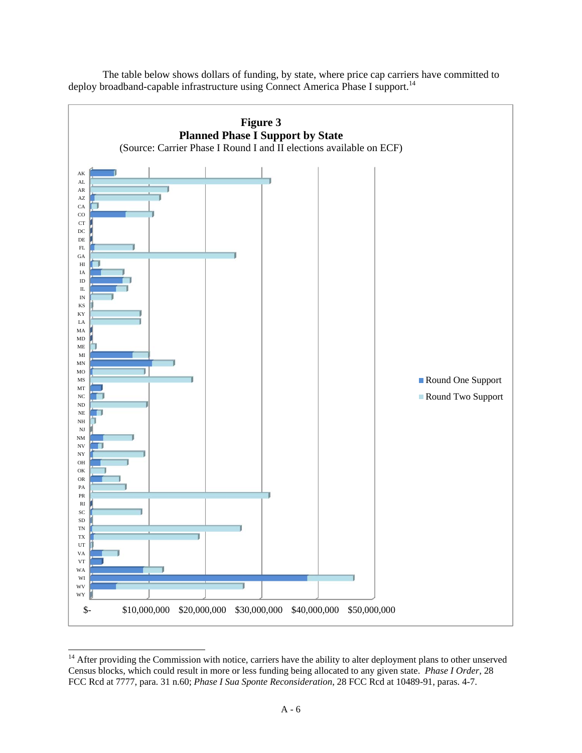

The table below shows dollars of funding, by state, where price cap carriers have committed to deploy broadband-capable infrastructure using Connect America Phase I support.<sup>14</sup>

 $14$  After providing the Commission with notice, carriers have the ability to alter deployment plans to other unserved Census blocks, which could result in more or less funding being allocated to any given state. *Phase I Order*, 28 FCC Rcd at 7777, para. 31 n.60; *Phase I Sua Sponte Reconsideration*, 28 FCC Rcd at 10489-91, paras. 4-7.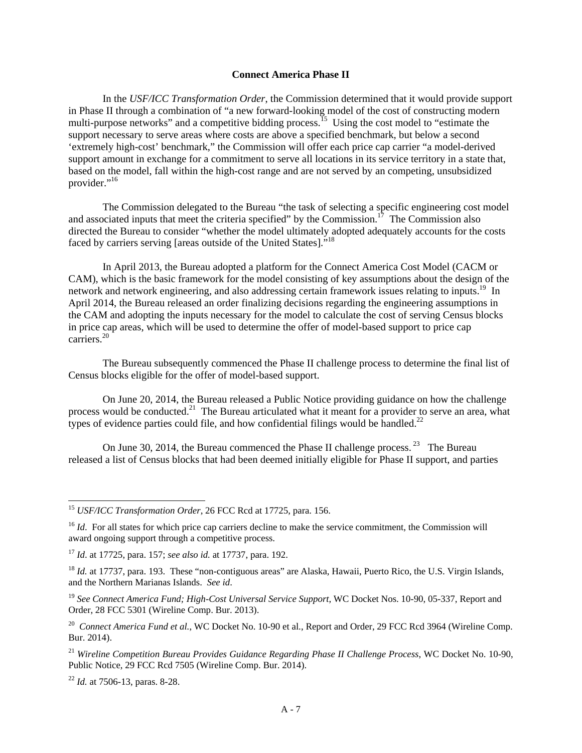# **Connect America Phase II**

In the *USF/ICC Transformation Order*, the Commission determined that it would provide support in Phase II through a combination of "a new forward-looking model of the cost of constructing modern multi-purpose networks" and a competitive bidding process.<sup>15</sup> Using the cost model to "estimate the support necessary to serve areas where costs are above a specified benchmark, but below a second 'extremely high-cost' benchmark," the Commission will offer each price cap carrier "a model-derived support amount in exchange for a commitment to serve all locations in its service territory in a state that, based on the model, fall within the high-cost range and are not served by an competing, unsubsidized provider."<sup>16</sup>

The Commission delegated to the Bureau "the task of selecting a specific engineering cost model and associated inputs that meet the criteria specified" by the Commission.<sup>17</sup> The Commission also directed the Bureau to consider "whether the model ultimately adopted adequately accounts for the costs faced by carriers serving [areas outside of the United States]."18

In April 2013, the Bureau adopted a platform for the Connect America Cost Model (CACM or CAM), which is the basic framework for the model consisting of key assumptions about the design of the network and network engineering, and also addressing certain framework issues relating to inputs.<sup>19</sup> In April 2014, the Bureau released an order finalizing decisions regarding the engineering assumptions in the CAM and adopting the inputs necessary for the model to calculate the cost of serving Census blocks in price cap areas, which will be used to determine the offer of model-based support to price cap carriers.20

The Bureau subsequently commenced the Phase II challenge process to determine the final list of Census blocks eligible for the offer of model-based support.

On June 20, 2014, the Bureau released a Public Notice providing guidance on how the challenge process would be conducted.<sup>21</sup> The Bureau articulated what it meant for a provider to serve an area, what types of evidence parties could file, and how confidential filings would be handled. $^{22}$ 

On June 30, 2014, the Bureau commenced the Phase II challenge process.<sup>23</sup> The Bureau released a list of Census blocks that had been deemed initially eligible for Phase II support, and parties

<sup>22</sup> *Id.* at 7506-13, paras. 8-28.

<sup>15</sup> *USF/ICC Transformation Order*, 26 FCC Rcd at 17725, para. 156.

<sup>&</sup>lt;sup>16</sup> *Id.* For all states for which price cap carriers decline to make the service commitment, the Commission will award ongoing support through a competitive process.

<sup>17</sup> *Id*. at 17725, para. 157; *see also id.* at 17737, para. 192.

<sup>&</sup>lt;sup>18</sup> Id. at 17737, para. 193. These "non-contiguous areas" are Alaska, Hawaii, Puerto Rico, the U.S. Virgin Islands, and the Northern Marianas Islands. *See id*.

<sup>&</sup>lt;sup>19</sup> See Connect America Fund; High-Cost Universal Service Support, WC Docket Nos. 10-90, 05-337, Report and Order, 28 FCC 5301 (Wireline Comp. Bur. 2013).

<sup>&</sup>lt;sup>20</sup> *Connect America Fund et al.*, WC Docket No. 10-90 et al., Report and Order, 29 FCC Rcd 3964 (Wireline Comp. Bur. 2014).

<sup>21</sup> *Wireline Competition Bureau Provides Guidance Regarding Phase II Challenge Process*, WC Docket No. 10-90, Public Notice, 29 FCC Rcd 7505 (Wireline Comp. Bur. 2014).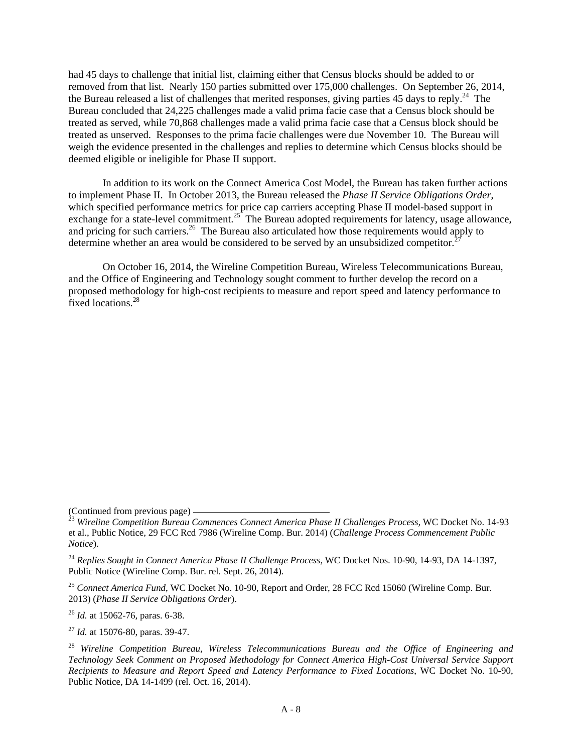had 45 days to challenge that initial list, claiming either that Census blocks should be added to or removed from that list. Nearly 150 parties submitted over 175,000 challenges. On September 26, 2014, the Bureau released a list of challenges that merited responses, giving parties 45 days to reply.<sup>24</sup> The Bureau concluded that 24,225 challenges made a valid prima facie case that a Census block should be treated as served, while 70,868 challenges made a valid prima facie case that a Census block should be treated as unserved. Responses to the prima facie challenges were due November 10. The Bureau will weigh the evidence presented in the challenges and replies to determine which Census blocks should be deemed eligible or ineligible for Phase II support.

In addition to its work on the Connect America Cost Model, the Bureau has taken further actions to implement Phase II. In October 2013, the Bureau released the *Phase II Service Obligations Order*, which specified performance metrics for price cap carriers accepting Phase II model-based support in exchange for a state-level commitment.<sup>25</sup> The Bureau adopted requirements for latency, usage allowance, and pricing for such carriers.<sup>26</sup> The Bureau also articulated how those requirements would apply to determine whether an area would be considered to be served by an unsubsidized competitor.<sup>2</sup>

On October 16, 2014, the Wireline Competition Bureau, Wireless Telecommunications Bureau, and the Office of Engineering and Technology sought comment to further develop the record on a proposed methodology for high-cost recipients to measure and report speed and latency performance to fixed locations.<sup>28</sup>

<sup>26</sup> *Id.* at 15062-76, paras. 6-38.

<sup>27</sup> *Id.* at 15076-80, paras. 39-47.

<sup>(</sup>Continued from previous page) 23 *Wireline Competition Bureau Commences Connect America Phase II Challenges Process,* WC Docket No. 14-93 et al., Public Notice, 29 FCC Rcd 7986 (Wireline Comp. Bur. 2014) (*Challenge Process Commencement Public Notice*).

<sup>24</sup> *Replies Sought in Connect America Phase II Challenge Process*, WC Docket Nos. 10-90, 14-93, DA 14-1397, Public Notice (Wireline Comp. Bur. rel. Sept. 26, 2014).

<sup>25</sup> *Connect America Fund*, WC Docket No. 10-90, Report and Order, 28 FCC Rcd 15060 (Wireline Comp. Bur. 2013) (*Phase II Service Obligations Order*).

<sup>28</sup> *Wireline Competition Bureau, Wireless Telecommunications Bureau and the Office of Engineering and Technology Seek Comment on Proposed Methodology for Connect America High-Cost Universal Service Support Recipients to Measure and Report Speed and Latency Performance to Fixed Locations*, WC Docket No. 10-90, Public Notice, DA 14-1499 (rel. Oct. 16, 2014).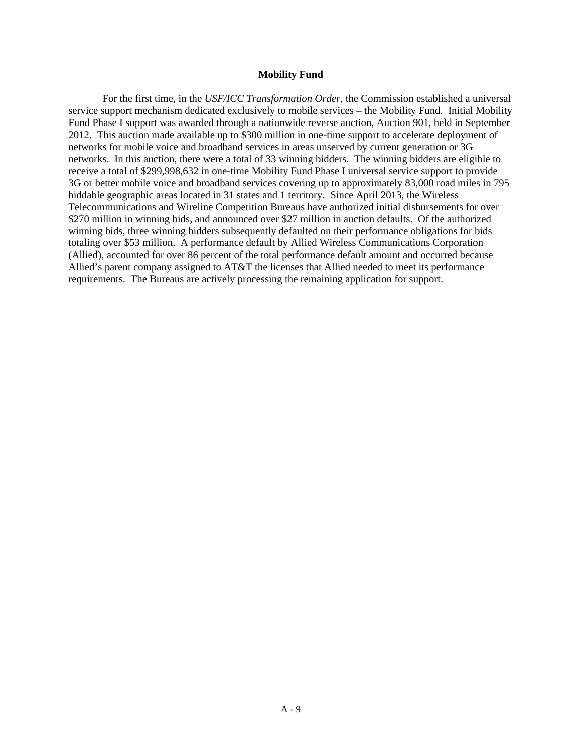### **Mobility Fund**

For the first time, in the *USF/ICC Transformation Order,* the Commission established a universal service support mechanism dedicated exclusively to mobile services – the Mobility Fund. Initial Mobility Fund Phase I support was awarded through a nationwide reverse auction, Auction 901, held in September 2012. This auction made available up to \$300 million in one-time support to accelerate deployment of networks for mobile voice and broadband services in areas unserved by current generation or 3G networks. In this auction, there were a total of 33 winning bidders. The winning bidders are eligible to receive a total of \$299,998,632 in one-time Mobility Fund Phase I universal service support to provide 3G or better mobile voice and broadband services covering up to approximately 83,000 road miles in 795 biddable geographic areas located in 31 states and 1 territory. Since April 2013, the Wireless Telecommunications and Wireline Competition Bureaus have authorized initial disbursements for over \$270 million in winning bids, and announced over \$27 million in auction defaults. Of the authorized winning bids, three winning bidders subsequently defaulted on their performance obligations for bids totaling over \$53 million. A performance default by Allied Wireless Communications Corporation (Allied), accounted for over 86 percent of the total performance default amount and occurred because Allied's parent company assigned to AT&T the licenses that Allied needed to meet its performance requirements. The Bureaus are actively processing the remaining application for support.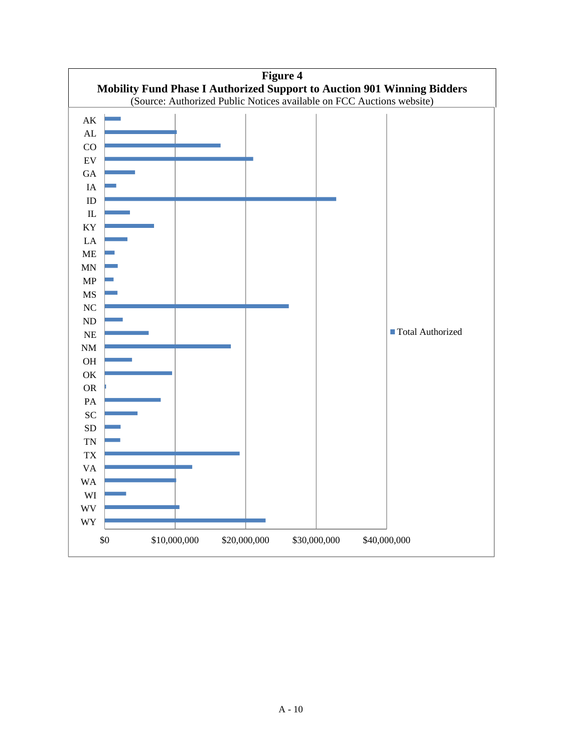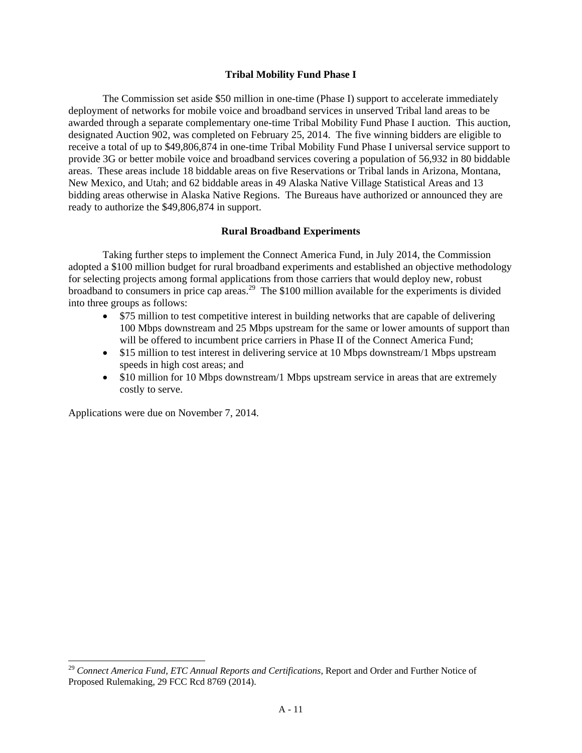### **Tribal Mobility Fund Phase I**

The Commission set aside \$50 million in one-time (Phase I) support to accelerate immediately deployment of networks for mobile voice and broadband services in unserved Tribal land areas to be awarded through a separate complementary one-time Tribal Mobility Fund Phase I auction. This auction, designated Auction 902, was completed on February 25, 2014. The five winning bidders are eligible to receive a total of up to \$49,806,874 in one-time Tribal Mobility Fund Phase I universal service support to provide 3G or better mobile voice and broadband services covering a population of 56,932 in 80 biddable areas. These areas include 18 biddable areas on five Reservations or Tribal lands in Arizona, Montana, New Mexico, and Utah; and 62 biddable areas in 49 Alaska Native Village Statistical Areas and 13 bidding areas otherwise in Alaska Native Regions. The Bureaus have authorized or announced they are ready to authorize the \$49,806,874 in support.

### **Rural Broadband Experiments**

Taking further steps to implement the Connect America Fund, in July 2014, the Commission adopted a \$100 million budget for rural broadband experiments and established an objective methodology for selecting projects among formal applications from those carriers that would deploy new, robust broadband to consumers in price cap areas.<sup>29</sup> The \$100 million available for the experiments is divided into three groups as follows:

- \$75 million to test competitive interest in building networks that are capable of delivering 100 Mbps downstream and 25 Mbps upstream for the same or lower amounts of support than will be offered to incumbent price carriers in Phase II of the Connect America Fund;
- \$15 million to test interest in delivering service at 10 Mbps downstream/1 Mbps upstream speeds in high cost areas; and
- \$10 million for 10 Mbps downstream/1 Mbps upstream service in areas that are extremely costly to serve.

Applications were due on November 7, 2014.

 $\overline{a}$ 

<sup>29</sup> *Connect America Fund, ETC Annual Reports and Certifications*, Report and Order and Further Notice of Proposed Rulemaking, 29 FCC Rcd 8769 (2014).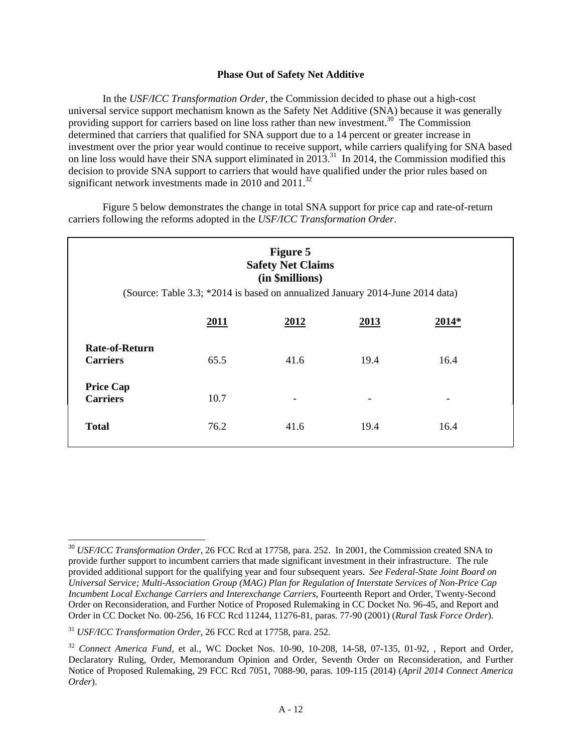## **Phase Out of Safety Net Additive**

In the *USF/ICC Transformation Order*, the Commission decided to phase out a high-cost universal service support mechanism known as the Safety Net Additive (SNA) because it was generally providing support for carriers based on line loss rather than new investment.<sup>30</sup> The Commission determined that carriers that qualified for SNA support due to a 14 percent or greater increase in investment over the prior year would continue to receive support, while carriers qualifying for SNA based on line loss would have their SNA support eliminated in 2013.<sup>31</sup> In 2014, the Commission modified this decision to provide SNA support to carriers that would have qualified under the prior rules based on significant network investments made in 2010 and 2011.<sup>32</sup>

Figure 5 below demonstrates the change in total SNA support for price cap and rate-of-return carriers following the reforms adopted in the *USF/ICC Transformation Order*.

| Figure 5<br><b>Safety Net Claims</b><br>(in \$millions)<br>(Source: Table 3.3; *2014 is based on annualized January 2014-June 2014 data) |             |                          |      |       |  |  |
|------------------------------------------------------------------------------------------------------------------------------------------|-------------|--------------------------|------|-------|--|--|
|                                                                                                                                          | <u>2011</u> | 2012                     | 2013 | 2014* |  |  |
| <b>Rate-of-Return</b><br><b>Carriers</b>                                                                                                 | 65.5        | 41.6                     | 19.4 | 16.4  |  |  |
| <b>Price Cap</b><br><b>Carriers</b>                                                                                                      | 10.7        | $\overline{\phantom{a}}$ |      | -     |  |  |
| <b>Total</b>                                                                                                                             | 76.2        | 41.6                     | 19.4 | 16.4  |  |  |

<sup>30</sup> *USF/ICC Transformation Order*, 26 FCC Rcd at 17758, para. 252. In 2001, the Commission created SNA to provide further support to incumbent carriers that made significant investment in their infrastructure. The rule provided additional support for the qualifying year and four subsequent years. *See Federal-State Joint Board on Universal Service; Multi-Association Group (MAG) Plan for Regulation of Interstate Services of Non-Price Cap Incumbent Local Exchange Carriers and Interexchange Carriers*, Fourteenth Report and Order, Twenty-Second Order on Reconsideration, and Further Notice of Proposed Rulemaking in CC Docket No. 96-45, and Report and Order in CC Docket No. 00-256, 16 FCC Rcd 11244, 11276-81, paras. 77-90 (2001) (*Rural Task Force Order*).

<sup>31</sup> *USF/ICC Transformation Order*, 26 FCC Rcd at 17758, para. 252*.*

<sup>&</sup>lt;sup>32</sup> Connect America Fund, et al., WC Docket Nos. 10-90, 10-208, 14-58, 07-135, 01-92, , Report and Order, Declaratory Ruling, Order, Memorandum Opinion and Order, Seventh Order on Reconsideration, and Further Notice of Proposed Rulemaking, 29 FCC Rcd 7051, 7088-90, paras. 109-115 (2014) (*April 2014 Connect America Order*).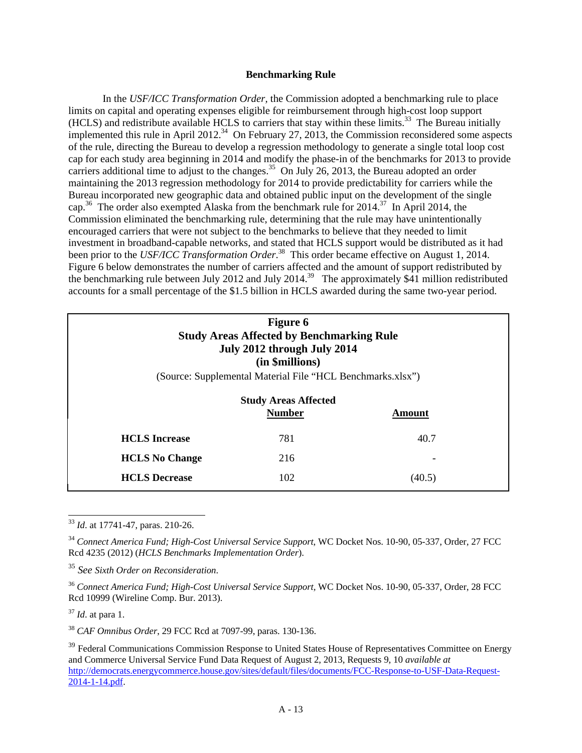### **Benchmarking Rule**

In the *USF/ICC Transformation Order,* the Commission adopted a benchmarking rule to place limits on capital and operating expenses eligible for reimbursement through high-cost loop support (HCLS) and redistribute available HCLS to carriers that stay within these limits.<sup>33</sup> The Bureau initially implemented this rule in April 2012.<sup>34</sup> On February 27, 2013, the Commission reconsidered some aspects of the rule, directing the Bureau to develop a regression methodology to generate a single total loop cost cap for each study area beginning in 2014 and modify the phase-in of the benchmarks for 2013 to provide carriers additional time to adjust to the changes.<sup>35</sup> On July 26, 2013, the Bureau adopted an order maintaining the 2013 regression methodology for 2014 to provide predictability for carriers while the Bureau incorporated new geographic data and obtained public input on the development of the single cap.<sup>36</sup> The order also exempted Alaska from the benchmark rule for 2014.<sup>37</sup> In April 2014, the Commission eliminated the benchmarking rule, determining that the rule may have unintentionally encouraged carriers that were not subject to the benchmarks to believe that they needed to limit investment in broadband-capable networks, and stated that HCLS support would be distributed as it had been prior to the *USF/ICC Transformation Order*. 38 This order became effective on August 1, 2014. Figure 6 below demonstrates the number of carriers affected and the amount of support redistributed by the benchmarking rule between July 2012 and July 2014.<sup>39</sup> The approximately \$41 million redistributed accounts for a small percentage of the \$1.5 billion in HCLS awarded during the same two-year period.

| <b>Figure 6</b><br><b>Study Areas Affected by Benchmarking Rule</b><br>July 2012 through July 2014<br>(in \$millions) |                                                            |        |  |  |  |
|-----------------------------------------------------------------------------------------------------------------------|------------------------------------------------------------|--------|--|--|--|
|                                                                                                                       | (Source: Supplemental Material File "HCL Benchmarks.xlsx") |        |  |  |  |
| <b>Study Areas Affected</b><br><b>Number</b><br>Amount                                                                |                                                            |        |  |  |  |
| <b>HCLS</b> Increase                                                                                                  | 781                                                        | 40.7   |  |  |  |
| 216<br><b>HCLS</b> No Change                                                                                          |                                                            |        |  |  |  |
| <b>HCLS</b> Decrease                                                                                                  | 102                                                        | (40.5) |  |  |  |

 $\overline{a}$ <sup>33</sup> *Id*. at 17741-47, paras. 210-26.

<sup>37</sup> *Id*. at para 1.

<sup>38</sup> *CAF Omnibus Order*, 29 FCC Rcd at 7097-99, paras. 130-136.

<sup>&</sup>lt;sup>34</sup> Connect America Fund; High-Cost Universal Service Support, WC Docket Nos. 10-90, 05-337, Order, 27 FCC Rcd 4235 (2012) (*HCLS Benchmarks Implementation Order*).

<sup>35</sup> *See Sixth Order on Reconsideration*.

<sup>36</sup> *Connect America Fund; High-Cost Universal Service Support,* WC Docket Nos. 10-90, 05-337, Order, 28 FCC Rcd 10999 (Wireline Comp. Bur. 2013).

<sup>&</sup>lt;sup>39</sup> Federal Communications Commission Response to United States House of Representatives Committee on Energy and Commerce Universal Service Fund Data Request of August 2, 2013, Requests 9, 10 *available at* http://democrats.energycommerce.house.gov/sites/default/files/documents/FCC-Response-to-USF-Data-Request-2014-1-14.pdf.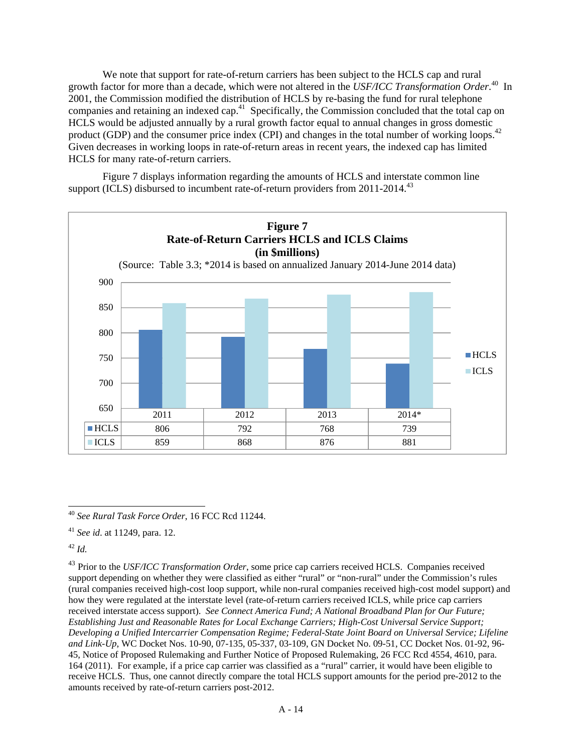We note that support for rate-of-return carriers has been subject to the HCLS cap and rural growth factor for more than a decade, which were not altered in the *USF/ICC Transformation Order*. 40 In 2001, the Commission modified the distribution of HCLS by re-basing the fund for rural telephone companies and retaining an indexed cap.41 Specifically, the Commission concluded that the total cap on HCLS would be adjusted annually by a rural growth factor equal to annual changes in gross domestic product (GDP) and the consumer price index (CPI) and changes in the total number of working loops.<sup>42</sup> Given decreases in working loops in rate-of-return areas in recent years, the indexed cap has limited HCLS for many rate-of-return carriers.

Figure 7 displays information regarding the amounts of HCLS and interstate common line support (ICLS) disbursed to incumbent rate-of-return providers from  $2011$ - $2014$ <sup>43</sup>



 $\overline{a}$ <sup>40</sup> *See Rural Task Force Order*, 16 FCC Rcd 11244.

<sup>41</sup> *See id*. at 11249, para. 12.

 $42$  *Id.* 

<sup>43</sup> Prior to the *USF/ICC Transformation Order*, some price cap carriers received HCLS. Companies received support depending on whether they were classified as either "rural" or "non-rural" under the Commission's rules (rural companies received high-cost loop support, while non-rural companies received high-cost model support) and how they were regulated at the interstate level (rate-of-return carriers received ICLS, while price cap carriers received interstate access support). *See Connect America Fund; A National Broadband Plan for Our Future; Establishing Just and Reasonable Rates for Local Exchange Carriers; High-Cost Universal Service Support; Developing a Unified Intercarrier Compensation Regime; Federal-State Joint Board on Universal Service; Lifeline and Link-Up*, WC Docket Nos. 10-90, 07-135, 05-337, 03-109, GN Docket No. 09-51, CC Docket Nos. 01-92, 96- 45, Notice of Proposed Rulemaking and Further Notice of Proposed Rulemaking, 26 FCC Rcd 4554, 4610, para. 164 (2011). For example, if a price cap carrier was classified as a "rural" carrier, it would have been eligible to receive HCLS. Thus, one cannot directly compare the total HCLS support amounts for the period pre-2012 to the amounts received by rate-of-return carriers post-2012.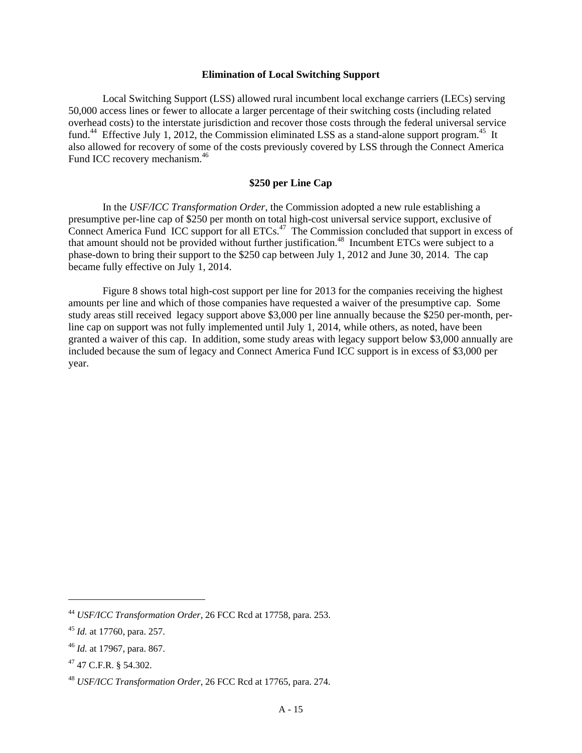## **Elimination of Local Switching Support**

Local Switching Support (LSS) allowed rural incumbent local exchange carriers (LECs) serving 50,000 access lines or fewer to allocate a larger percentage of their switching costs (including related overhead costs) to the interstate jurisdiction and recover those costs through the federal universal service fund.<sup>44</sup> Effective July 1, 2012, the Commission eliminated LSS as a stand-alone support program.<sup>45</sup> It also allowed for recovery of some of the costs previously covered by LSS through the Connect America Fund ICC recovery mechanism.<sup>46</sup>

# **\$250 per Line Cap**

In the *USF/ICC Transformation Order*, the Commission adopted a new rule establishing a presumptive per-line cap of \$250 per month on total high-cost universal service support, exclusive of Connect America Fund ICC support for all  $ETCs$ .<sup>47</sup> The Commission concluded that support in excess of that amount should not be provided without further justification.<sup>48</sup> Incumbent ETCs were subject to a phase-down to bring their support to the \$250 cap between July 1, 2012 and June 30, 2014. The cap became fully effective on July 1, 2014.

Figure 8 shows total high-cost support per line for 2013 for the companies receiving the highest amounts per line and which of those companies have requested a waiver of the presumptive cap. Some study areas still received legacy support above \$3,000 per line annually because the \$250 per-month, perline cap on support was not fully implemented until July 1, 2014, while others, as noted, have been granted a waiver of this cap. In addition, some study areas with legacy support below \$3,000 annually are included because the sum of legacy and Connect America Fund ICC support is in excess of \$3,000 per year.

<sup>44</sup> *USF/ICC Transformation Order*, 26 FCC Rcd at 17758, para. 253.

<sup>45</sup> *Id.* at 17760, para. 257.

<sup>46</sup> *Id.* at 17967, para. 867.

<sup>47 47</sup> C.F.R. § 54.302.

<sup>48</sup> *USF/ICC Transformation Order*, 26 FCC Rcd at 17765, para. 274*.*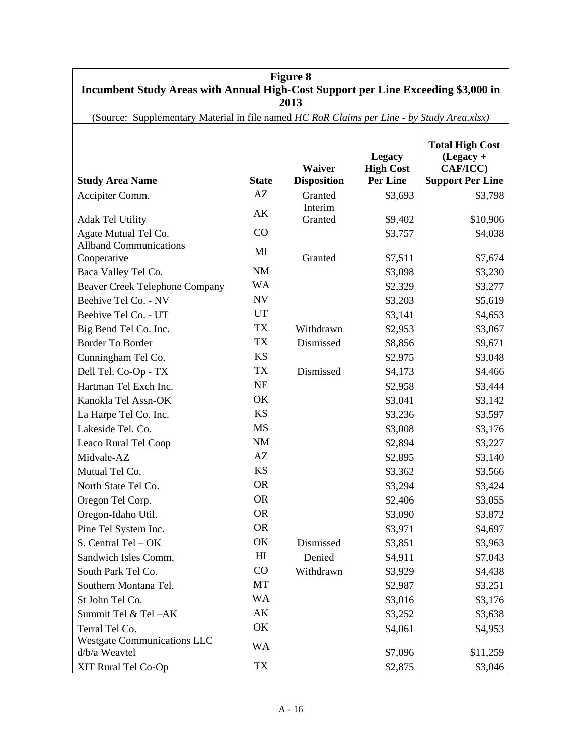| <b>Figure 8</b><br>Incumbent Study Areas with Annual High-Cost Support per Line Exceeding \$3,000 in<br>2013 |                |                              |                                                      |                                                                              |
|--------------------------------------------------------------------------------------------------------------|----------------|------------------------------|------------------------------------------------------|------------------------------------------------------------------------------|
| (Source: Supplementary Material in file named HC RoR Claims per Line - by Study Area.xlsx)                   |                |                              |                                                      |                                                                              |
| <b>Study Area Name</b>                                                                                       | <b>State</b>   | Waiver<br><b>Disposition</b> | <b>Legacy</b><br><b>High Cost</b><br><b>Per Line</b> | <b>Total High Cost</b><br>$(Legacy +$<br>CAF/ICC)<br><b>Support Per Line</b> |
| Accipiter Comm.                                                                                              | AZ             | Granted                      | \$3,693                                              | \$3,798                                                                      |
| <b>Adak Tel Utility</b>                                                                                      | AK             | Interim<br>Granted           | \$9,402                                              | \$10,906                                                                     |
| Agate Mutual Tel Co.                                                                                         | CO             |                              | \$3,757                                              | \$4,038                                                                      |
| <b>Allband Communications</b><br>Cooperative                                                                 | MI             | Granted                      | \$7,511                                              | \$7,674                                                                      |
| Baca Valley Tel Co.                                                                                          | $\rm NM$       |                              | \$3,098                                              | \$3,230                                                                      |
| <b>Beaver Creek Telephone Company</b>                                                                        | <b>WA</b>      |                              | \$2,329                                              | \$3,277                                                                      |
| Beehive Tel Co. - NV                                                                                         | ${\rm NV}$     |                              | \$3,203                                              | \$5,619                                                                      |
| Beehive Tel Co. - UT                                                                                         | UT             |                              | \$3,141                                              | \$4,653                                                                      |
| Big Bend Tel Co. Inc.                                                                                        | <b>TX</b>      | Withdrawn                    | \$2,953                                              | \$3,067                                                                      |
| <b>Border To Border</b>                                                                                      | <b>TX</b>      | Dismissed                    | \$8,856                                              | \$9,671                                                                      |
| Cunningham Tel Co.                                                                                           | <b>KS</b>      |                              | \$2,975                                              | \$3,048                                                                      |
| Dell Tel. Co-Op - TX                                                                                         | <b>TX</b>      | Dismissed                    | \$4,173                                              | \$4,466                                                                      |
| Hartman Tel Exch Inc.                                                                                        | NE             |                              | \$2,958                                              | \$3,444                                                                      |
| Kanokla Tel Assn-OK                                                                                          | OK             |                              | \$3,041                                              | \$3,142                                                                      |
| La Harpe Tel Co. Inc.                                                                                        | <b>KS</b>      |                              | \$3,236                                              | \$3,597                                                                      |
| Lakeside Tel. Co.                                                                                            | <b>MS</b>      |                              | \$3,008                                              | \$3,176                                                                      |
| Leaco Rural Tel Coop                                                                                         | $\rm NM$       |                              | \$2,894                                              | \$3,227                                                                      |
| Midvale-AZ                                                                                                   | AZ             |                              | \$2,895                                              | \$3,140                                                                      |
| Mutual Tel Co.                                                                                               | <b>KS</b>      |                              | \$3,362                                              | \$3,566                                                                      |
| North State Tel Co.                                                                                          | <b>OR</b>      |                              | \$3,294                                              | \$3,424                                                                      |
| Oregon Tel Corp.                                                                                             | <b>OR</b>      |                              | \$2,406                                              | \$3,055                                                                      |
| Oregon-Idaho Util.                                                                                           | <b>OR</b>      |                              | \$3,090                                              | \$3,872                                                                      |
| Pine Tel System Inc.                                                                                         | <b>OR</b>      |                              | \$3,971                                              | \$4,697                                                                      |
| S. Central Tel - OK                                                                                          | OK             | Dismissed                    | \$3,851                                              | \$3,963                                                                      |
| Sandwich Isles Comm.                                                                                         | H <sub>I</sub> | Denied                       | \$4,911                                              | \$7,043                                                                      |
| South Park Tel Co.                                                                                           | CO             | Withdrawn                    | \$3,929                                              | \$4,438                                                                      |
| Southern Montana Tel.                                                                                        | MT             |                              | \$2,987                                              | \$3,251                                                                      |
| St John Tel Co.                                                                                              | WA             |                              | \$3,016                                              | \$3,176                                                                      |
| Summit Tel & Tel-AK                                                                                          | AK             |                              | \$3,252                                              | \$3,638                                                                      |
| Terral Tel Co.                                                                                               | OK             |                              | \$4,061                                              | \$4,953                                                                      |
| <b>Westgate Communications LLC</b><br>d/b/a Weavtel                                                          | <b>WA</b>      |                              | \$7,096                                              | \$11,259                                                                     |
| XIT Rural Tel Co-Op                                                                                          | TX             |                              | \$2,875                                              | \$3,046                                                                      |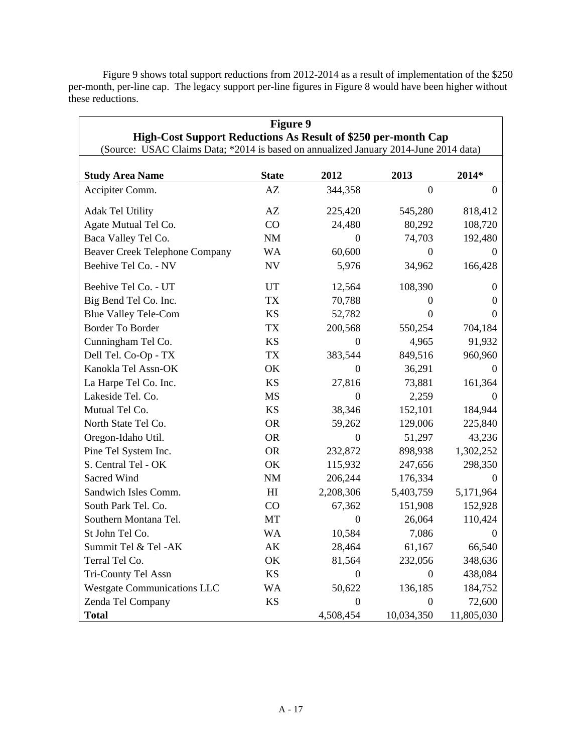Figure 9 shows total support reductions from 2012-2014 as a result of implementation of the \$250 per-month, per-line cap. The legacy support per-line figures in Figure 8 would have been higher without these reductions.

| <b>Figure 9</b>                                                                      |              |                  |                  |                   |
|--------------------------------------------------------------------------------------|--------------|------------------|------------------|-------------------|
| High-Cost Support Reductions As Result of \$250 per-month Cap                        |              |                  |                  |                   |
| (Source: USAC Claims Data; *2014 is based on annualized January 2014-June 2014 data) |              |                  |                  |                   |
| <b>Study Area Name</b>                                                               | <b>State</b> | 2012             | 2013             | 2014*             |
| Accipiter Comm.                                                                      | AZ           | 344,358          | $\Omega$         | 0                 |
|                                                                                      |              |                  |                  |                   |
| <b>Adak Tel Utility</b>                                                              | AZ           | 225,420          | 545,280          | 818,412           |
| Agate Mutual Tel Co.                                                                 | CO           | 24,480           | 80,292           | 108,720           |
| Baca Valley Tel Co.                                                                  | NM           | 0                | 74,703           | 192,480           |
| <b>Beaver Creek Telephone Company</b>                                                | WA           | 60,600           | $\theta$         | 0                 |
| Beehive Tel Co. - NV                                                                 | ${\rm NV}$   | 5,976            | 34,962           | 166,428           |
| Beehive Tel Co. - UT                                                                 | UT           | 12,564           | 108,390          | $\theta$          |
| Big Bend Tel Co. Inc.                                                                | <b>TX</b>    | 70,788           | $\Omega$         | $\theta$          |
| <b>Blue Valley Tele-Com</b>                                                          | <b>KS</b>    | 52,782           | $\Omega$         | 0                 |
| <b>Border To Border</b>                                                              | <b>TX</b>    | 200,568          | 550,254          | 704,184           |
| Cunningham Tel Co.                                                                   | <b>KS</b>    | $\Omega$         | 4,965            | 91,932            |
| Dell Tel. Co-Op - TX                                                                 | TX           | 383,544          | 849,516          | 960,960           |
| Kanokla Tel Assn-OK                                                                  | OK           | $\overline{0}$   | 36,291           | 0                 |
| La Harpe Tel Co. Inc.                                                                | <b>KS</b>    | 27,816           | 73,881           | 161,364           |
| Lakeside Tel. Co.                                                                    | <b>MS</b>    | 0                | 2,259            | $\mathbf{\Omega}$ |
| Mutual Tel Co.                                                                       | <b>KS</b>    | 38,346           | 152,101          | 184,944           |
| North State Tel Co.                                                                  | <b>OR</b>    | 59,262           | 129,006          | 225,840           |
| Oregon-Idaho Util.                                                                   | <b>OR</b>    | $\overline{0}$   | 51,297           | 43,236            |
| Pine Tel System Inc.                                                                 | <b>OR</b>    | 232,872          | 898,938          | 1,302,252         |
| S. Central Tel - OK                                                                  | OK           | 115,932          | 247,656          | 298,350           |
| Sacred Wind                                                                          | <b>NM</b>    | 206,244          | 176,334          | $\theta$          |
| Sandwich Isles Comm.                                                                 | H            | 2,208,306        | 5,403,759        | 5,171,964         |
| South Park Tel. Co.                                                                  | CO           | 67,362           | 151,908          | 152,928           |
| Southern Montana Tel.                                                                | MT           | $\theta$         | 26,064           | 110,424           |
| St John Tel Co.                                                                      | <b>WA</b>    | 10,584           | 7,086            | 0                 |
| Summit Tel & Tel -AK                                                                 | АK           | 28,464           | 61,167           | 66,540            |
| Terral Tel Co.                                                                       | OK           | 81,564           | 232,056          | 348,636           |
| Tri-County Tel Assn                                                                  | KS           | 0                | $\Omega$         | 438,084           |
| <b>Westgate Communications LLC</b>                                                   | WA           | 50,622           | 136,185          | 184,752           |
| Zenda Tel Company                                                                    | KS           | $\boldsymbol{0}$ | $\boldsymbol{0}$ | 72,600            |
| <b>Total</b>                                                                         |              | 4,508,454        | 10,034,350       | 11,805,030        |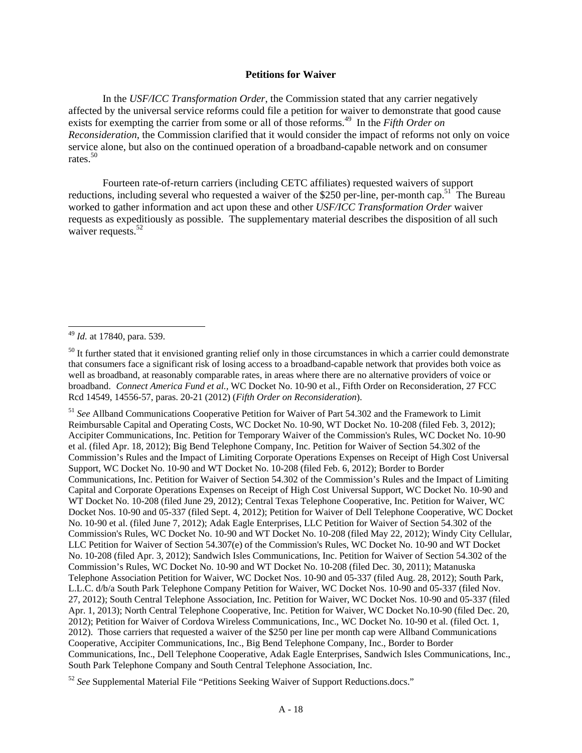#### **Petitions for Waiver**

In the *USF/ICC Transformation Order*, the Commission stated that any carrier negatively affected by the universal service reforms could file a petition for waiver to demonstrate that good cause exists for exempting the carrier from some or all of those reforms.<sup>49</sup> In the *Fifth Order on Reconsideration*, the Commission clarified that it would consider the impact of reforms not only on voice service alone, but also on the continued operation of a broadband-capable network and on consumer rates.<sup>50</sup>

Fourteen rate-of-return carriers (including CETC affiliates) requested waivers of support reductions, including several who requested a waiver of the \$250 per-line, per-month cap.<sup>51</sup> The Bureau worked to gather information and act upon these and other *USF/ICC Transformation Order* waiver requests as expeditiously as possible. The supplementary material describes the disposition of all such waiver requests.<sup>52</sup>

l

<sup>51</sup> *See* Allband Communications Cooperative Petition for Waiver of Part 54.302 and the Framework to Limit Reimbursable Capital and Operating Costs, WC Docket No. 10-90, WT Docket No. 10-208 (filed Feb. 3, 2012); Accipiter Communications, Inc. Petition for Temporary Waiver of the Commission's Rules, WC Docket No. 10-90 et al. (filed Apr. 18, 2012); Big Bend Telephone Company, Inc. Petition for Waiver of Section 54.302 of the Commission's Rules and the Impact of Limiting Corporate Operations Expenses on Receipt of High Cost Universal Support, WC Docket No. 10-90 and WT Docket No. 10-208 (filed Feb. 6, 2012); Border to Border Communications, Inc. Petition for Waiver of Section 54.302 of the Commission's Rules and the Impact of Limiting Capital and Corporate Operations Expenses on Receipt of High Cost Universal Support, WC Docket No. 10-90 and WT Docket No. 10-208 (filed June 29, 2012); Central Texas Telephone Cooperative, Inc. Petition for Waiver, WC Docket Nos. 10-90 and 05-337 (filed Sept. 4, 2012); Petition for Waiver of Dell Telephone Cooperative, WC Docket No. 10-90 et al. (filed June 7, 2012); Adak Eagle Enterprises, LLC Petition for Waiver of Section 54.302 of the Commission's Rules, WC Docket No. 10-90 and WT Docket No. 10-208 (filed May 22, 2012); Windy City Cellular, LLC Petition for Waiver of Section 54.307(e) of the Commission's Rules, WC Docket No. 10-90 and WT Docket No. 10-208 (filed Apr. 3, 2012); Sandwich Isles Communications, Inc. Petition for Waiver of Section 54.302 of the Commission's Rules, WC Docket No. 10-90 and WT Docket No. 10-208 (filed Dec. 30, 2011); Matanuska Telephone Association Petition for Waiver, WC Docket Nos. 10-90 and 05-337 (filed Aug. 28, 2012); South Park, L.L.C. d/b/a South Park Telephone Company Petition for Waiver, WC Docket Nos. 10-90 and 05-337 (filed Nov. 27, 2012); South Central Telephone Association, Inc. Petition for Waiver, WC Docket Nos. 10-90 and 05-337 (filed Apr. 1, 2013); North Central Telephone Cooperative, Inc. Petition for Waiver, WC Docket No.10-90 (filed Dec. 20, 2012); Petition for Waiver of Cordova Wireless Communications, Inc., WC Docket No. 10-90 et al. (filed Oct. 1, 2012). Those carriers that requested a waiver of the \$250 per line per month cap were Allband Communications Cooperative, Accipiter Communications, Inc., Big Bend Telephone Company, Inc., Border to Border Communications, Inc., Dell Telephone Cooperative, Adak Eagle Enterprises, Sandwich Isles Communications, Inc., South Park Telephone Company and South Central Telephone Association, Inc.

<sup>49</sup> *Id.* at 17840, para. 539.

<sup>&</sup>lt;sup>50</sup> It further stated that it envisioned granting relief only in those circumstances in which a carrier could demonstrate that consumers face a significant risk of losing access to a broadband-capable network that provides both voice as well as broadband, at reasonably comparable rates, in areas where there are no alternative providers of voice or broadband. *Connect America Fund et al.,* WC Docket No. 10-90 et al., Fifth Order on Reconsideration, 27 FCC Rcd 14549, 14556-57, paras. 20-21 (2012) (*Fifth Order on Reconsideration*).

<sup>52</sup> *See* Supplemental Material File "Petitions Seeking Waiver of Support Reductions.docs."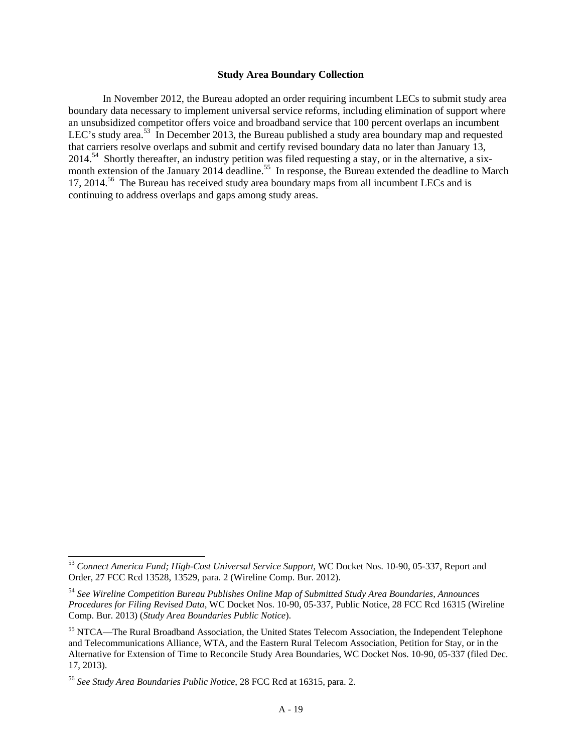### **Study Area Boundary Collection**

In November 2012, the Bureau adopted an order requiring incumbent LECs to submit study area boundary data necessary to implement universal service reforms, including elimination of support where an unsubsidized competitor offers voice and broadband service that 100 percent overlaps an incumbent LEC's study area.<sup>53</sup> In December 2013, the Bureau published a study area boundary map and requested that carriers resolve overlaps and submit and certify revised boundary data no later than January 13, 2014.54 Shortly thereafter, an industry petition was filed requesting a stay, or in the alternative, a sixmonth extension of the January 2014 deadline.<sup>55</sup> In response, the Bureau extended the deadline to March 17, 2014.<sup>56</sup> The Bureau has received study area boundary maps from all incumbent LECs and is continuing to address overlaps and gaps among study areas.

<sup>53</sup> *Connect America Fund; High-Cost Universal Service Support*, WC Docket Nos. 10-90, 05-337, Report and Order, 27 FCC Rcd 13528, 13529, para. 2 (Wireline Comp. Bur. 2012).

<sup>54</sup> *See Wireline Competition Bureau Publishes Online Map of Submitted Study Area Boundaries, Announces Procedures for Filing Revised Data*, WC Docket Nos. 10-90, 05-337, Public Notice, 28 FCC Rcd 16315 (Wireline Comp. Bur. 2013) (*Study Area Boundaries Public Notice*).

<sup>55</sup> NTCA—The Rural Broadband Association, the United States Telecom Association, the Independent Telephone and Telecommunications Alliance, WTA, and the Eastern Rural Telecom Association, Petition for Stay, or in the Alternative for Extension of Time to Reconcile Study Area Boundaries, WC Docket Nos. 10-90, 05-337 (filed Dec. 17, 2013).

<sup>56</sup> *See Study Area Boundaries Public Notice*, 28 FCC Rcd at 16315, para. 2.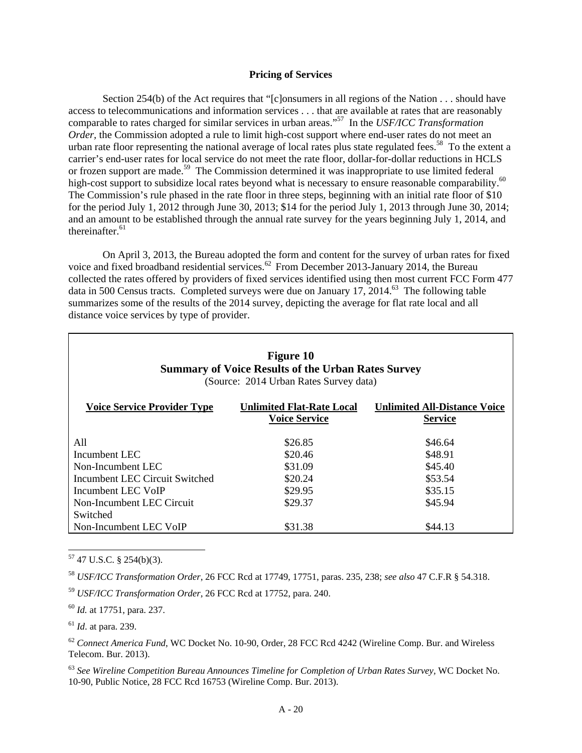#### **Pricing of Services**

Section 254(b) of the Act requires that "[c]onsumers in all regions of the Nation . . . should have access to telecommunications and information services . . . that are available at rates that are reasonably comparable to rates charged for similar services in urban areas."57 In the *USF/ICC Transformation Order*, the Commission adopted a rule to limit high-cost support where end-user rates do not meet an urban rate floor representing the national average of local rates plus state regulated fees.<sup>58</sup> To the extent a carrier's end-user rates for local service do not meet the rate floor, dollar-for-dollar reductions in HCLS or frozen support are made.<sup>59</sup> The Commission determined it was inappropriate to use limited federal high-cost support to subsidize local rates beyond what is necessary to ensure reasonable comparability.<sup>60</sup> The Commission's rule phased in the rate floor in three steps, beginning with an initial rate floor of \$10 for the period July 1, 2012 through June 30, 2013; \$14 for the period July 1, 2013 through June 30, 2014; and an amount to be established through the annual rate survey for the years beginning July 1, 2014, and thereinafter. $61$ 

On April 3, 2013, the Bureau adopted the form and content for the survey of urban rates for fixed voice and fixed broadband residential services.<sup>62</sup> From December 2013-January 2014, the Bureau collected the rates offered by providers of fixed services identified using then most current FCC Form 477 data in 500 Census tracts. Completed surveys were due on January 17, 2014.<sup>63</sup> The following table summarizes some of the results of the 2014 survey, depicting the average for flat rate local and all distance voice services by type of provider.

| <b>Figure 10</b><br><b>Summary of Voice Results of the Urban Rates Survey</b><br>(Source: 2014 Urban Rates Survey data)                                 |                    |                    |  |  |
|---------------------------------------------------------------------------------------------------------------------------------------------------------|--------------------|--------------------|--|--|
| <b>Voice Service Provider Type</b><br><b>Unlimited Flat-Rate Local</b><br><b>Unlimited All-Distance Voice</b><br><b>Voice Service</b><br><b>Service</b> |                    |                    |  |  |
| All                                                                                                                                                     | \$26.85            | \$46.64            |  |  |
| Incumbent LEC<br>Non-Incumbent LEC                                                                                                                      | \$20.46<br>\$31.09 | \$48.91<br>\$45.40 |  |  |
| Incumbent LEC Circuit Switched                                                                                                                          | \$20.24            | \$53.54            |  |  |
| Incumbent LEC VoIP                                                                                                                                      | \$29.95            | \$35.15            |  |  |
| Non-Incumbent LEC Circuit<br>Switched                                                                                                                   | \$29.37            | \$45.94            |  |  |
| Non-Incumbent LEC VoIP                                                                                                                                  | \$31.38            | \$44.13            |  |  |

 $57$  47 U.S.C. § 254(b)(3).

 $\overline{a}$ 

<sup>58</sup> *USF/ICC Transformation Order*, 26 FCC Rcd at 17749, 17751, paras. 235, 238; *see also* 47 C.F.R § 54.318.

<sup>59</sup> *USF/ICC Transformation Order*, 26 FCC Rcd at 17752, para. 240.

<sup>60</sup> *Id.* at 17751, para. 237.

<sup>61</sup> *Id*. at para. 239.

<sup>62</sup> *Connect America Fund*, WC Docket No. 10-90, Order, 28 FCC Rcd 4242 (Wireline Comp. Bur. and Wireless Telecom. Bur. 2013).

<sup>63</sup> *See Wireline Competition Bureau Announces Timeline for Completion of Urban Rates Survey,* WC Docket No. 10-90, Public Notice, 28 FCC Rcd 16753 (Wireline Comp. Bur. 2013).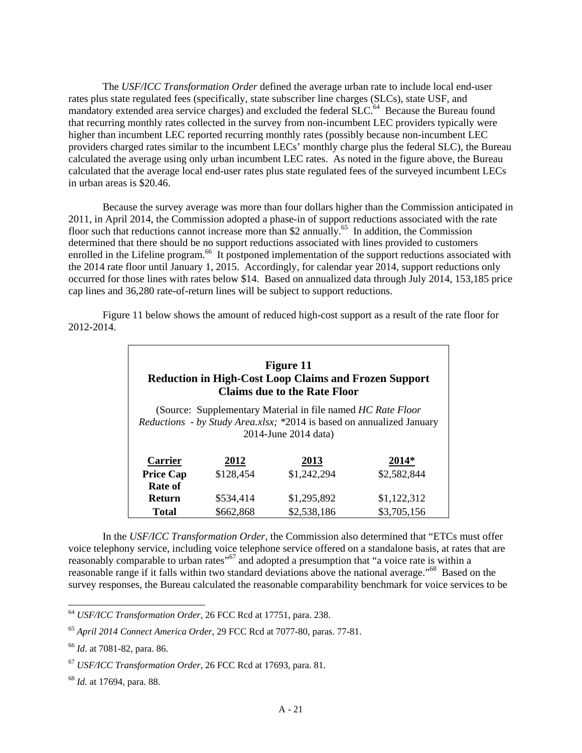The *USF/ICC Transformation Order* defined the average urban rate to include local end-user rates plus state regulated fees (specifically, state subscriber line charges (SLCs), state USF, and mandatory extended area service charges) and excluded the federal SLC.<sup>64</sup> Because the Bureau found that recurring monthly rates collected in the survey from non-incumbent LEC providers typically were higher than incumbent LEC reported recurring monthly rates (possibly because non-incumbent LEC providers charged rates similar to the incumbent LECs' monthly charge plus the federal SLC), the Bureau calculated the average using only urban incumbent LEC rates. As noted in the figure above, the Bureau calculated that the average local end-user rates plus state regulated fees of the surveyed incumbent LECs in urban areas is \$20.46.

Because the survey average was more than four dollars higher than the Commission anticipated in 2011, in April 2014, the Commission adopted a phase-in of support reductions associated with the rate floor such that reductions cannot increase more than \$2 annually.<sup>65</sup> In addition, the Commission determined that there should be no support reductions associated with lines provided to customers enrolled in the Lifeline program.<sup>66</sup> It postponed implementation of the support reductions associated with the 2014 rate floor until January 1, 2015. Accordingly, for calendar year 2014, support reductions only occurred for those lines with rates below \$14. Based on annualized data through July 2014, 153,185 price cap lines and 36,280 rate-of-return lines will be subject to support reductions.

Figure 11 below shows the amount of reduced high-cost support as a result of the rate floor for 2012-2014.

| <b>Figure 11</b><br><b>Reduction in High-Cost Loop Claims and Frozen Support</b><br><b>Claims due to the Rate Floor</b> |           |             |             |  |
|-------------------------------------------------------------------------------------------------------------------------|-----------|-------------|-------------|--|
| (Source: Supplementary Material in file named <i>HC Rate Floor</i> )                                                    |           |             |             |  |
| <i>Reductions - by Study Area.xlsx; *2014 is based on annualized January</i><br>2014-June 2014 data)                    |           |             |             |  |
|                                                                                                                         |           |             |             |  |
| <b>Carrier</b>                                                                                                          | 2012      | 2013        | $2014*$     |  |
| <b>Price Cap</b>                                                                                                        | \$128,454 | \$1,242,294 | \$2,582,844 |  |
| Rate of                                                                                                                 |           |             |             |  |
| <b>Return</b>                                                                                                           | \$534.414 | \$1,295,892 | \$1,122,312 |  |
| Total                                                                                                                   | \$662,868 | \$2,538,186 | \$3,705,156 |  |

In the *USF/ICC Transformation Order*, the Commission also determined that "ETCs must offer voice telephony service, including voice telephone service offered on a standalone basis, at rates that are reasonably comparable to urban rates"67 and adopted a presumption that "a voice rate is within a reasonable range if it falls within two standard deviations above the national average."68 Based on the survey responses, the Bureau calculated the reasonable comparability benchmark for voice services to be

<sup>64</sup> *USF/ICC Transformation Order*, 26 FCC Rcd at 17751, para. 238.

<sup>65</sup> *April 2014 Connect America Order*, 29 FCC Rcd at 7077-80, paras. 77-81.

<sup>66</sup> *Id*. at 7081-82, para. 86.

<sup>67</sup> *USF/ICC Transformation Order*, 26 FCC Rcd at 17693, para. 81.

<sup>68</sup> *Id.* at 17694, para. 88.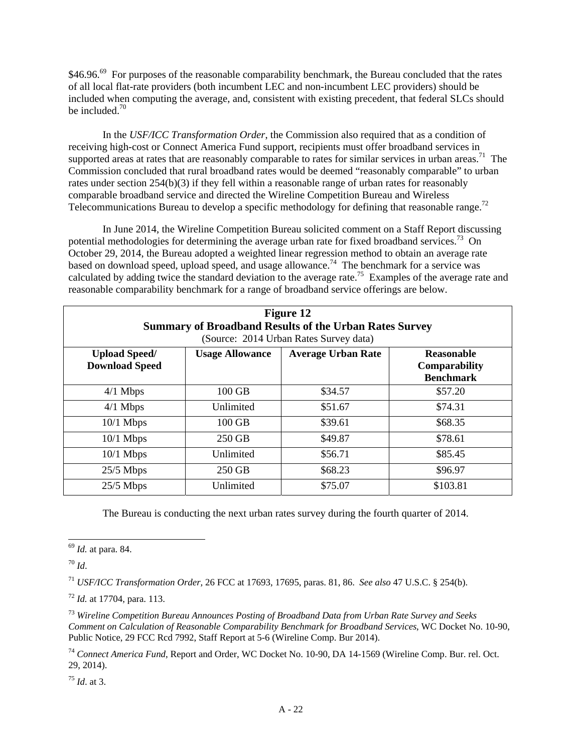\$46.96.<sup>69</sup> For purposes of the reasonable comparability benchmark, the Bureau concluded that the rates of all local flat-rate providers (both incumbent LEC and non-incumbent LEC providers) should be included when computing the average, and, consistent with existing precedent, that federal SLCs should be included.<sup>70</sup>

In the *USF/ICC Transformation Order*, the Commission also required that as a condition of receiving high-cost or Connect America Fund support, recipients must offer broadband services in supported areas at rates that are reasonably comparable to rates for similar services in urban areas.<sup>71</sup> The Commission concluded that rural broadband rates would be deemed "reasonably comparable" to urban rates under section 254(b)(3) if they fell within a reasonable range of urban rates for reasonably comparable broadband service and directed the Wireline Competition Bureau and Wireless Telecommunications Bureau to develop a specific methodology for defining that reasonable range.<sup>72</sup>

In June 2014, the Wireline Competition Bureau solicited comment on a Staff Report discussing potential methodologies for determining the average urban rate for fixed broadband services.<sup>73</sup> On October 29, 2014, the Bureau adopted a weighted linear regression method to obtain an average rate based on download speed, upload speed, and usage allowance.<sup>74</sup> The benchmark for a service was calculated by adding twice the standard deviation to the average rate.<sup>75</sup> Examples of the average rate and reasonable comparability benchmark for a range of broadband service offerings are below.

| <b>Figure 12</b><br><b>Summary of Broadband Results of the Urban Rates Survey</b><br>(Source: 2014 Urban Rates Survey data) |                        |                           |                                                               |  |
|-----------------------------------------------------------------------------------------------------------------------------|------------------------|---------------------------|---------------------------------------------------------------|--|
| <b>Upload Speed/</b><br><b>Download Speed</b>                                                                               | <b>Usage Allowance</b> | <b>Average Urban Rate</b> | <b>Reasonable</b><br><b>Comparability</b><br><b>Benchmark</b> |  |
| $4/1$ Mbps                                                                                                                  | 100 GB                 | \$34.57                   | \$57.20                                                       |  |
| $4/1$ Mbps                                                                                                                  | Unlimited              | \$51.67                   | \$74.31                                                       |  |
| $10/1$ Mbps                                                                                                                 | $100$ GB               | \$39.61                   | \$68.35                                                       |  |
| $10/1$ Mbps                                                                                                                 | 250 GB                 | \$49.87                   | \$78.61                                                       |  |
| $10/1$ Mbps                                                                                                                 | Unlimited              | \$56.71                   | \$85.45                                                       |  |
| $25/5$ Mbps                                                                                                                 | 250 GB                 | \$68.23                   | \$96.97                                                       |  |
| $25/5$ Mbps                                                                                                                 | Unlimited              | \$75.07                   | \$103.81                                                      |  |

The Bureau is conducting the next urban rates survey during the fourth quarter of 2014.

<sup>70</sup> *Id*.

 $\overline{a}$ 

<sup>71</sup> *USF/ICC Transformation Order,* 26 FCC at 17693, 17695, paras. 81, 86. *See also* 47 U.S.C. § 254(b).

<sup>73</sup> *Wireline Competition Bureau Announces Posting of Broadband Data from Urban Rate Survey and Seeks Comment on Calculation of Reasonable Comparability Benchmark for Broadband Services*, WC Docket No. 10-90, Public Notice, 29 FCC Rcd 7992, Staff Report at 5-6 (Wireline Comp. Bur 2014).

<sup>74</sup> *Connect America Fund*, Report and Order, WC Docket No. 10-90, DA 14-1569 (Wireline Comp. Bur. rel. Oct. 29, 2014).

<sup>75</sup> *Id*. at 3.

<sup>69</sup> *Id.* at para. 84.

<sup>72</sup> *Id.* at 17704, para. 113.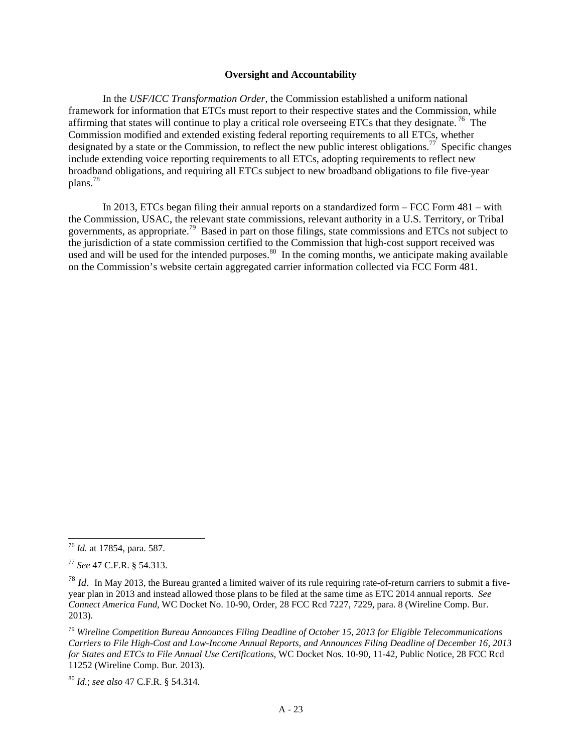### **Oversight and Accountability**

In the *USF/ICC Transformation Order*, the Commission established a uniform national framework for information that ETCs must report to their respective states and the Commission, while affirming that states will continue to play a critical role overseeing ETCs that they designate.<sup>76</sup> The Commission modified and extended existing federal reporting requirements to all ETCs, whether designated by a state or the Commission, to reflect the new public interest obligations.<sup>77</sup> Specific changes include extending voice reporting requirements to all ETCs, adopting requirements to reflect new broadband obligations, and requiring all ETCs subject to new broadband obligations to file five-year plans.78

In 2013, ETCs began filing their annual reports on a standardized form – FCC Form 481 – with the Commission, USAC, the relevant state commissions, relevant authority in a U.S. Territory, or Tribal governments, as appropriate.79 Based in part on those filings, state commissions and ETCs not subject to the jurisdiction of a state commission certified to the Commission that high-cost support received was used and will be used for the intended purposes.<sup>80</sup> In the coming months, we anticipate making available on the Commission's website certain aggregated carrier information collected via FCC Form 481.

<sup>76</sup> *Id.* at 17854, para. 587.

<sup>77</sup> *See* 47 C.F.R. § 54.313.

<sup>&</sup>lt;sup>78</sup> *Id*. In May 2013, the Bureau granted a limited waiver of its rule requiring rate-of-return carriers to submit a fiveyear plan in 2013 and instead allowed those plans to be filed at the same time as ETC 2014 annual reports. *See Connect America Fund*, WC Docket No. 10-90, Order, 28 FCC Rcd 7227, 7229, para. 8 (Wireline Comp. Bur. 2013).

<sup>79</sup> *Wireline Competition Bureau Announces Filing Deadline of October 15, 2013 for Eligible Telecommunications Carriers to File High-Cost and Low-Income Annual Reports, and Announces Filing Deadline of December 16, 2013 for States and ETCs to File Annual Use Certifications*, WC Docket Nos. 10-90, 11-42, Public Notice, 28 FCC Rcd 11252 (Wireline Comp. Bur. 2013).

<sup>80</sup> *Id.*; *see also* 47 C.F.R. § 54.314.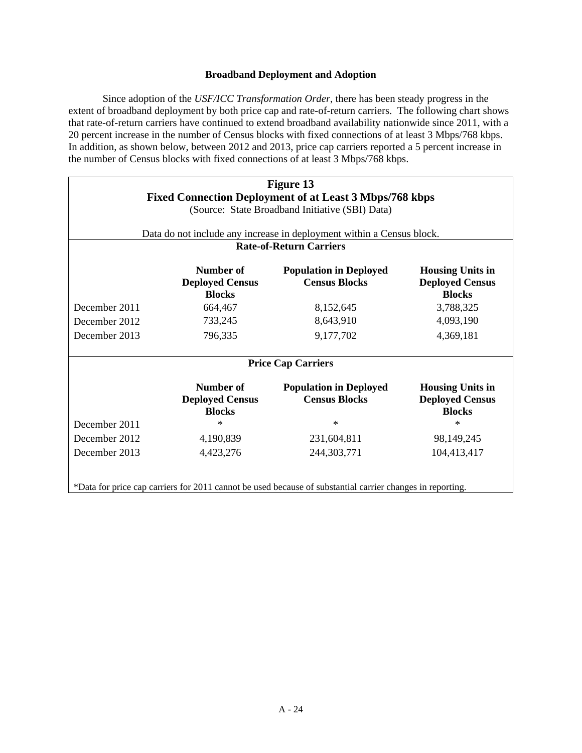## **Broadband Deployment and Adoption**

Since adoption of the *USF/ICC Transformation Order*, there has been steady progress in the extent of broadband deployment by both price cap and rate-of-return carriers. The following chart shows that rate-of-return carriers have continued to extend broadband availability nationwide since 2011, with a 20 percent increase in the number of Census blocks with fixed connections of at least 3 Mbps/768 kbps. In addition, as shown below, between 2012 and 2013, price cap carriers reported a 5 percent increase in the number of Census blocks with fixed connections of at least 3 Mbps/768 kbps.

| Figure 13<br><b>Fixed Connection Deployment of at Least 3 Mbps/768 kbps</b><br>(Source: State Broadband Initiative (SBI) Data)<br>Data do not include any increase in deployment within a Census block. |                                                      |                                                       |                                                                    |  |
|---------------------------------------------------------------------------------------------------------------------------------------------------------------------------------------------------------|------------------------------------------------------|-------------------------------------------------------|--------------------------------------------------------------------|--|
|                                                                                                                                                                                                         |                                                      | <b>Rate-of-Return Carriers</b>                        |                                                                    |  |
|                                                                                                                                                                                                         | Number of<br><b>Deployed Census</b><br><b>Blocks</b> | <b>Population in Deployed</b><br><b>Census Blocks</b> | <b>Housing Units in</b><br><b>Deployed Census</b><br><b>Blocks</b> |  |
| December 2011                                                                                                                                                                                           | 664,467                                              | 8,152,645                                             | 3,788,325                                                          |  |
| December 2012                                                                                                                                                                                           | 733,245                                              | 8,643,910                                             | 4,093,190                                                          |  |
| December 2013                                                                                                                                                                                           | 796,335                                              | 9,177,702                                             | 4,369,181                                                          |  |
|                                                                                                                                                                                                         | <b>Price Cap Carriers</b>                            |                                                       |                                                                    |  |
|                                                                                                                                                                                                         | Number of<br><b>Deployed Census</b><br><b>Blocks</b> | <b>Population in Deployed</b><br><b>Census Blocks</b> | <b>Housing Units in</b><br><b>Deployed Census</b><br><b>Blocks</b> |  |
| December 2011                                                                                                                                                                                           | $\ast$                                               | $\ast$                                                | $\ast$                                                             |  |
| December 2012                                                                                                                                                                                           | 4,190,839                                            | 231,604,811                                           | 98,149,245                                                         |  |
| December 2013                                                                                                                                                                                           | 4,423,276                                            | 244,303,771                                           | 104,413,417                                                        |  |
| *Data for price cap carriers for 2011 cannot be used because of substantial carrier changes in reporting.                                                                                               |                                                      |                                                       |                                                                    |  |